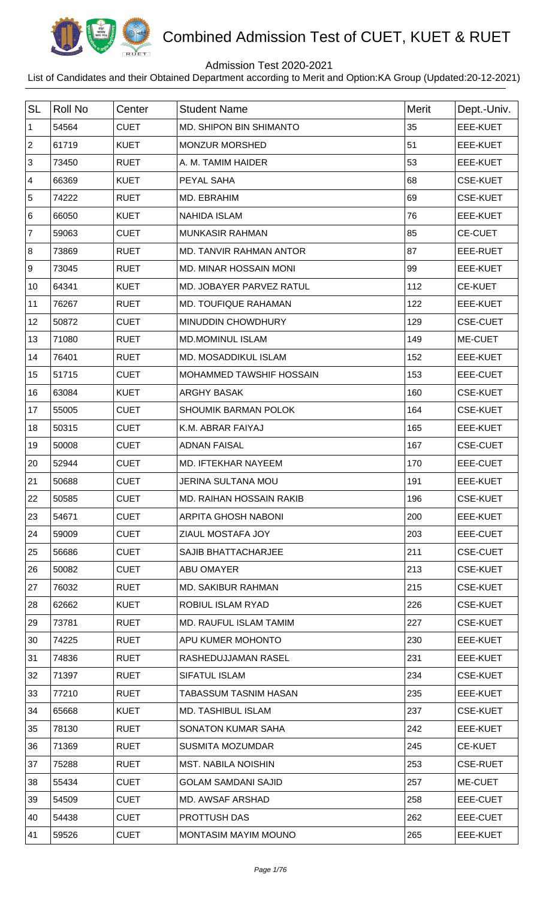

## Admission Test 2020-2021

| <b>SL</b>      | <b>Roll No</b> | Center      | <b>Student Name</b>             | <b>Merit</b> | Dept.-Univ.     |
|----------------|----------------|-------------|---------------------------------|--------------|-----------------|
| 1              | 54564          | <b>CUET</b> | MD. SHIPON BIN SHIMANTO         | 35           | <b>EEE-KUET</b> |
| $\sqrt{2}$     | 61719          | <b>KUET</b> | <b>MONZUR MORSHED</b>           | 51           | EEE-KUET        |
| $\mathfrak{S}$ | 73450          | <b>RUET</b> | A. M. TAMIM HAIDER              | 53           | EEE-KUET        |
| $\overline{4}$ | 66369          | <b>KUET</b> | PEYAL SAHA                      | 68           | <b>CSE-KUET</b> |
| 5              | 74222          | <b>RUET</b> | MD. EBRAHIM                     | 69           | <b>CSE-KUET</b> |
| 6              | 66050          | <b>KUET</b> | <b>NAHIDA ISLAM</b>             | 76           | <b>EEE-KUET</b> |
| $\overline{7}$ | 59063          | <b>CUET</b> | <b>MUNKASIR RAHMAN</b>          | 85           | <b>CE-CUET</b>  |
| 8              | 73869          | <b>RUET</b> | MD. TANVIR RAHMAN ANTOR         | 87           | EEE-RUET        |
| 9              | 73045          | <b>RUET</b> | <b>MD. MINAR HOSSAIN MONI</b>   | 99           | <b>EEE-KUET</b> |
| 10             | 64341          | <b>KUET</b> | MD. JOBAYER PARVEZ RATUL        | 112          | <b>CE-KUET</b>  |
| 11             | 76267          | <b>RUET</b> | <b>MD. TOUFIQUE RAHAMAN</b>     | 122          | <b>EEE-KUET</b> |
| 12             | 50872          | <b>CUET</b> | <b>MINUDDIN CHOWDHURY</b>       | 129          | <b>CSE-CUET</b> |
| 13             | 71080          | <b>RUET</b> | <b>MD.MOMINUL ISLAM</b>         | 149          | ME-CUET         |
| 14             | 76401          | <b>RUET</b> | MD. MOSADDIKUL ISLAM            | 152          | <b>EEE-KUET</b> |
| 15             | 51715          | <b>CUET</b> | MOHAMMED TAWSHIF HOSSAIN        | 153          | <b>EEE-CUET</b> |
| 16             | 63084          | <b>KUET</b> | <b>ARGHY BASAK</b>              | 160          | <b>CSE-KUET</b> |
| 17             | 55005          | <b>CUET</b> | <b>SHOUMIK BARMAN POLOK</b>     | 164          | <b>CSE-KUET</b> |
| 18             | 50315          | <b>CUET</b> | K.M. ABRAR FAIYAJ               | 165          | <b>EEE-KUET</b> |
| 19             | 50008          | <b>CUET</b> | <b>ADNAN FAISAL</b>             | 167          | <b>CSE-CUET</b> |
| 20             | 52944          | <b>CUET</b> | MD. IFTEKHAR NAYEEM             | 170          | EEE-CUET        |
| 21             | 50688          | <b>CUET</b> | <b>JERINA SULTANA MOU</b>       | 191          | <b>EEE-KUET</b> |
| 22             | 50585          | <b>CUET</b> | <b>MD. RAIHAN HOSSAIN RAKIB</b> | 196          | <b>CSE-KUET</b> |
| 23             | 54671          | <b>CUET</b> | ARPITA GHOSH NABONI             | 200          | EEE-KUET        |
| 24             | 59009          | <b>CUET</b> | ZIAUL MOSTAFA JOY               | 203          | EEE-CUET        |
| 25             | 56686          | <b>CUET</b> | SAJIB BHATTACHARJEE             | 211          | <b>CSE-CUET</b> |
| 26             | 50082          | <b>CUET</b> | <b>ABU OMAYER</b>               | 213          | <b>CSE-KUET</b> |
| 27             | 76032          | <b>RUET</b> | <b>MD. SAKIBUR RAHMAN</b>       | 215          | <b>CSE-KUET</b> |
| 28             | 62662          | <b>KUET</b> | ROBIUL ISLAM RYAD               | 226          | <b>CSE-KUET</b> |
| 29             | 73781          | <b>RUET</b> | MD. RAUFUL ISLAM TAMIM          | 227          | <b>CSE-KUET</b> |
| 30             | 74225          | <b>RUET</b> | APU KUMER MOHONTO               | 230          | EEE-KUET        |
| 31             | 74836          | <b>RUET</b> | RASHEDUJJAMAN RASEL             | 231          | EEE-KUET        |
| 32             | 71397          | <b>RUET</b> | <b>SIFATUL ISLAM</b>            | 234          | <b>CSE-KUET</b> |
| 33             | 77210          | <b>RUET</b> | TABASSUM TASNIM HASAN           | 235          | EEE-KUET        |
| 34             | 65668          | <b>KUET</b> | <b>MD. TASHIBUL ISLAM</b>       | 237          | <b>CSE-KUET</b> |
| 35             | 78130          | <b>RUET</b> | SONATON KUMAR SAHA              | 242          | EEE-KUET        |
| 36             | 71369          | <b>RUET</b> | <b>SUSMITA MOZUMDAR</b>         | 245          | <b>CE-KUET</b>  |
| 37             | 75288          | <b>RUET</b> | <b>MST. NABILA NOISHIN</b>      | 253          | <b>CSE-RUET</b> |
| 38             | 55434          | <b>CUET</b> | <b>GOLAM SAMDANI SAJID</b>      | 257          | ME-CUET         |
| 39             | 54509          | <b>CUET</b> | <b>MD. AWSAF ARSHAD</b>         | 258          | EEE-CUET        |
| 40             | 54438          | <b>CUET</b> | PROTTUSH DAS                    | 262          | EEE-CUET        |
| 41             | 59526          | <b>CUET</b> | MONTASIM MAYIM MOUNO            | 265          | EEE-KUET        |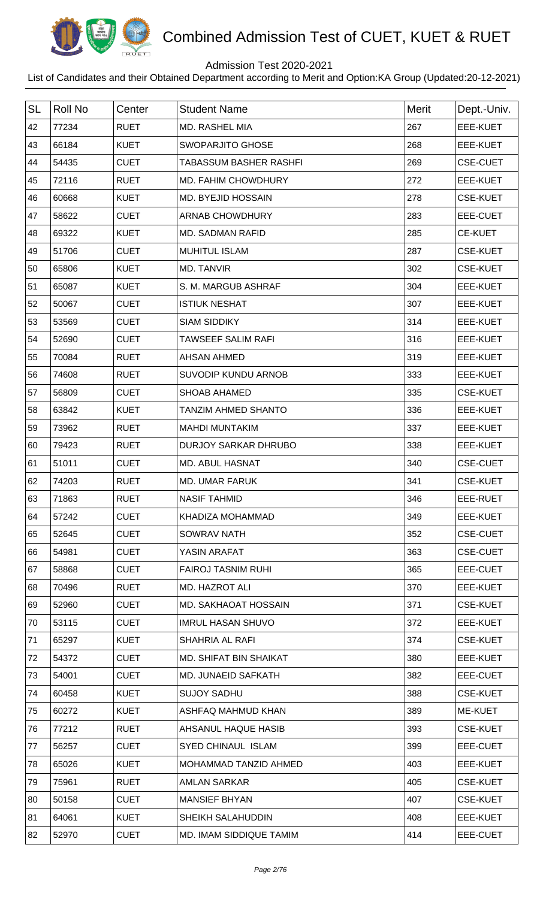

## Admission Test 2020-2021

| <b>SL</b> | <b>Roll No</b> | Center      | <b>Student Name</b>           | Merit | Dept.-Univ.     |
|-----------|----------------|-------------|-------------------------------|-------|-----------------|
| 42        | 77234          | <b>RUET</b> | MD. RASHEL MIA                | 267   | <b>EEE-KUET</b> |
| 43        | 66184          | <b>KUET</b> | <b>SWOPARJITO GHOSE</b>       | 268   | <b>EEE-KUET</b> |
| 44        | 54435          | <b>CUET</b> | <b>TABASSUM BASHER RASHFI</b> | 269   | <b>CSE-CUET</b> |
| 45        | 72116          | <b>RUET</b> | MD. FAHIM CHOWDHURY           | 272   | EEE-KUET        |
| 46        | 60668          | <b>KUET</b> | MD. BYEJID HOSSAIN            | 278   | <b>CSE-KUET</b> |
| 47        | 58622          | <b>CUET</b> | ARNAB CHOWDHURY               | 283   | EEE-CUET        |
| 48        | 69322          | <b>KUET</b> | MD. SADMAN RAFID              | 285   | <b>CE-KUET</b>  |
| 49        | 51706          | <b>CUET</b> | <b>MUHITUL ISLAM</b>          | 287   | <b>CSE-KUET</b> |
| 50        | 65806          | <b>KUET</b> | MD. TANVIR                    | 302   | <b>CSE-KUET</b> |
| 51        | 65087          | <b>KUET</b> | S. M. MARGUB ASHRAF           | 304   | EEE-KUET        |
| 52        | 50067          | <b>CUET</b> | <b>ISTIUK NESHAT</b>          | 307   | EEE-KUET        |
| 53        | 53569          | <b>CUET</b> | <b>SIAM SIDDIKY</b>           | 314   | EEE-KUET        |
| 54        | 52690          | <b>CUET</b> | TAWSEEF SALIM RAFI            | 316   | EEE-KUET        |
| 55        | 70084          | <b>RUET</b> | <b>AHSAN AHMED</b>            | 319   | EEE-KUET        |
| 56        | 74608          | <b>RUET</b> | SUVODIP KUNDU ARNOB           | 333   | <b>EEE-KUET</b> |
| 57        | 56809          | <b>CUET</b> | <b>SHOAB AHAMED</b>           | 335   | <b>CSE-KUET</b> |
| 58        | 63842          | <b>KUET</b> | <b>TANZIM AHMED SHANTO</b>    | 336   | EEE-KUET        |
| 59        | 73962          | <b>RUET</b> | <b>MAHDI MUNTAKIM</b>         | 337   | EEE-KUET        |
| 60        | 79423          | <b>RUET</b> | <b>DURJOY SARKAR DHRUBO</b>   | 338   | EEE-KUET        |
| 61        | 51011          | <b>CUET</b> | <b>MD. ABUL HASNAT</b>        | 340   | <b>CSE-CUET</b> |
| 62        | 74203          | <b>RUET</b> | <b>MD. UMAR FARUK</b>         | 341   | <b>CSE-KUET</b> |
| 63        | 71863          | <b>RUET</b> | <b>NASIF TAHMID</b>           | 346   | EEE-RUET        |
| 64        | 57242          | <b>CUET</b> | KHADIZA MOHAMMAD              | 349   | EEE-KUET        |
| 65        | 52645          | <b>CUET</b> | <b>SOWRAV NATH</b>            | 352   | <b>CSE-CUET</b> |
| 66        | 54981          | <b>CUET</b> | YASIN ARAFAT                  | 363   | <b>CSE-CUET</b> |
| 67        | 58868          | <b>CUET</b> | <b>FAIROJ TASNIM RUHI</b>     | 365   | EEE-CUET        |
| 68        | 70496          | <b>RUET</b> | <b>MD. HAZROT ALI</b>         | 370   | EEE-KUET        |
| 69        | 52960          | <b>CUET</b> | <b>MD. SAKHAOAT HOSSAIN</b>   | 371   | <b>CSE-KUET</b> |
| 70        | 53115          | <b>CUET</b> | <b>IMRUL HASAN SHUVO</b>      | 372   | EEE-KUET        |
| 71        | 65297          | <b>KUET</b> | <b>SHAHRIA AL RAFI</b>        | 374   | <b>CSE-KUET</b> |
| 72        | 54372          | <b>CUET</b> | <b>MD. SHIFAT BIN SHAIKAT</b> | 380   | EEE-KUET        |
| 73        | 54001          | <b>CUET</b> | MD. JUNAEID SAFKATH           | 382   | EEE-CUET        |
| 74        | 60458          | <b>KUET</b> | <b>SUJOY SADHU</b>            | 388   | <b>CSE-KUET</b> |
| 75        | 60272          | <b>KUET</b> | ASHFAQ MAHMUD KHAN            | 389   | ME-KUET         |
| 76        | 77212          | <b>RUET</b> | AHSANUL HAQUE HASIB           | 393   | <b>CSE-KUET</b> |
| 77        | 56257          | <b>CUET</b> | <b>SYED CHINAUL ISLAM</b>     | 399   | EEE-CUET        |
| 78        | 65026          | <b>KUET</b> | MOHAMMAD TANZID AHMED         | 403   | EEE-KUET        |
| 79        | 75961          | <b>RUET</b> | <b>AMLAN SARKAR</b>           | 405   | <b>CSE-KUET</b> |
| 80        | 50158          | <b>CUET</b> | <b>MANSIEF BHYAN</b>          | 407   | <b>CSE-KUET</b> |
| 81        | 64061          | <b>KUET</b> | SHEIKH SALAHUDDIN             | 408   | EEE-KUET        |
| 82        | 52970          | <b>CUET</b> | MD. IMAM SIDDIQUE TAMIM       | 414   | EEE-CUET        |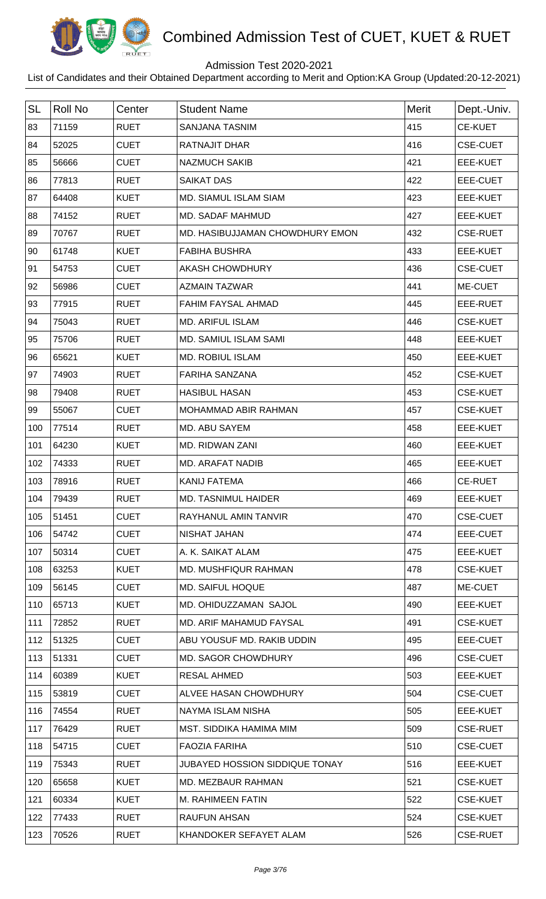

## Admission Test 2020-2021

| <b>SL</b> | Roll No | Center      | <b>Student Name</b>                   | <b>Merit</b> | Dept.-Univ.     |
|-----------|---------|-------------|---------------------------------------|--------------|-----------------|
| 83        | 71159   | <b>RUET</b> | <b>SANJANA TASNIM</b>                 | 415          | <b>CE-KUET</b>  |
| 84        | 52025   | <b>CUET</b> | <b>RATNAJIT DHAR</b>                  | 416          | <b>CSE-CUET</b> |
| 85        | 56666   | <b>CUET</b> | <b>NAZMUCH SAKIB</b>                  | 421          | EEE-KUET        |
| 86        | 77813   | <b>RUET</b> | <b>SAIKAT DAS</b>                     | 422          | EEE-CUET        |
| 87        | 64408   | <b>KUET</b> | <b>MD. SIAMUL ISLAM SIAM</b>          | 423          | <b>EEE-KUET</b> |
| 88        | 74152   | <b>RUET</b> | MD. SADAF MAHMUD                      | 427          | EEE-KUET        |
| 89        | 70767   | <b>RUET</b> | MD. HASIBUJJAMAN CHOWDHURY EMON       | 432          | <b>CSE-RUET</b> |
| 90        | 61748   | <b>KUET</b> | <b>FABIHA BUSHRA</b>                  | 433          | EEE-KUET        |
| 91        | 54753   | <b>CUET</b> | <b>AKASH CHOWDHURY</b>                | 436          | <b>CSE-CUET</b> |
| 92        | 56986   | <b>CUET</b> | <b>AZMAIN TAZWAR</b>                  | 441          | ME-CUET         |
| 93        | 77915   | <b>RUET</b> | <b>FAHIM FAYSAL AHMAD</b>             | 445          | EEE-RUET        |
| 94        | 75043   | <b>RUET</b> | <b>MD. ARIFUL ISLAM</b>               | 446          | <b>CSE-KUET</b> |
| 95        | 75706   | <b>RUET</b> | MD. SAMIUL ISLAM SAMI                 | 448          | EEE-KUET        |
| 96        | 65621   | <b>KUET</b> | <b>MD. ROBIUL ISLAM</b>               | 450          | EEE-KUET        |
| 97        | 74903   | <b>RUET</b> | <b>FARIHA SANZANA</b>                 | 452          | <b>CSE-KUET</b> |
| 98        | 79408   | <b>RUET</b> | <b>HASIBUL HASAN</b>                  | 453          | <b>CSE-KUET</b> |
| 99        | 55067   | <b>CUET</b> | MOHAMMAD ABIR RAHMAN                  | 457          | <b>CSE-KUET</b> |
| 100       | 77514   | <b>RUET</b> | MD. ABU SAYEM                         | 458          | <b>EEE-KUET</b> |
| 101       | 64230   | <b>KUET</b> | <b>MD. RIDWAN ZANI</b>                | 460          | EEE-KUET        |
| 102       | 74333   | <b>RUET</b> | <b>MD. ARAFAT NADIB</b>               | 465          | <b>EEE-KUET</b> |
| 103       | 78916   | <b>RUET</b> | <b>KANIJ FATEMA</b>                   | 466          | <b>CE-RUET</b>  |
| 104       | 79439   | <b>RUET</b> | <b>MD. TASNIMUL HAIDER</b>            | 469          | <b>EEE-KUET</b> |
| 105       | 51451   | <b>CUET</b> | RAYHANUL AMIN TANVIR                  | 470          | <b>CSE-CUET</b> |
| 106       | 54742   | <b>CUET</b> | NISHAT JAHAN                          | 474          | EEE-CUET        |
| 107       | 50314   | <b>CUET</b> | A. K. SAIKAT ALAM                     | 475          | EEE-KUET        |
| 108       | 63253   | <b>KUET</b> | MD. MUSHFIQUR RAHMAN                  | 478          | <b>CSE-KUET</b> |
| 109       | 56145   | <b>CUET</b> | <b>MD. SAIFUL HOQUE</b>               | 487          | ME-CUET         |
| 110       | 65713   | <b>KUET</b> | MD. OHIDUZZAMAN SAJOL                 | 490          | EEE-KUET        |
| 111       | 72852   | <b>RUET</b> | MD. ARIF MAHAMUD FAYSAL               | 491          | <b>CSE-KUET</b> |
| 112       | 51325   | <b>CUET</b> | ABU YOUSUF MD. RAKIB UDDIN            | 495          | EEE-CUET        |
| 113       | 51331   | <b>CUET</b> | <b>MD. SAGOR CHOWDHURY</b>            | 496          | <b>CSE-CUET</b> |
| 114       | 60389   | <b>KUET</b> | RESAL AHMED                           | 503          | EEE-KUET        |
| 115       | 53819   | <b>CUET</b> | ALVEE HASAN CHOWDHURY                 | 504          | <b>CSE-CUET</b> |
| 116       | 74554   | <b>RUET</b> | NAYMA ISLAM NISHA                     | 505          | EEE-KUET        |
| 117       | 76429   | <b>RUET</b> | MST. SIDDIKA HAMIMA MIM               | 509          | <b>CSE-RUET</b> |
| 118       | 54715   | <b>CUET</b> | <b>FAOZIA FARIHA</b>                  | 510          | <b>CSE-CUET</b> |
| 119       | 75343   | <b>RUET</b> | <b>JUBAYED HOSSION SIDDIQUE TONAY</b> | 516          | EEE-KUET        |
| 120       | 65658   | <b>KUET</b> | MD. MEZBAUR RAHMAN                    | 521          | <b>CSE-KUET</b> |
| 121       | 60334   | <b>KUET</b> | M. RAHIMEEN FATIN                     | 522          | <b>CSE-KUET</b> |
| 122       | 77433   | <b>RUET</b> | <b>RAUFUN AHSAN</b>                   | 524          | <b>CSE-KUET</b> |
| 123       | 70526   | <b>RUET</b> | KHANDOKER SEFAYET ALAM                | 526          | <b>CSE-RUET</b> |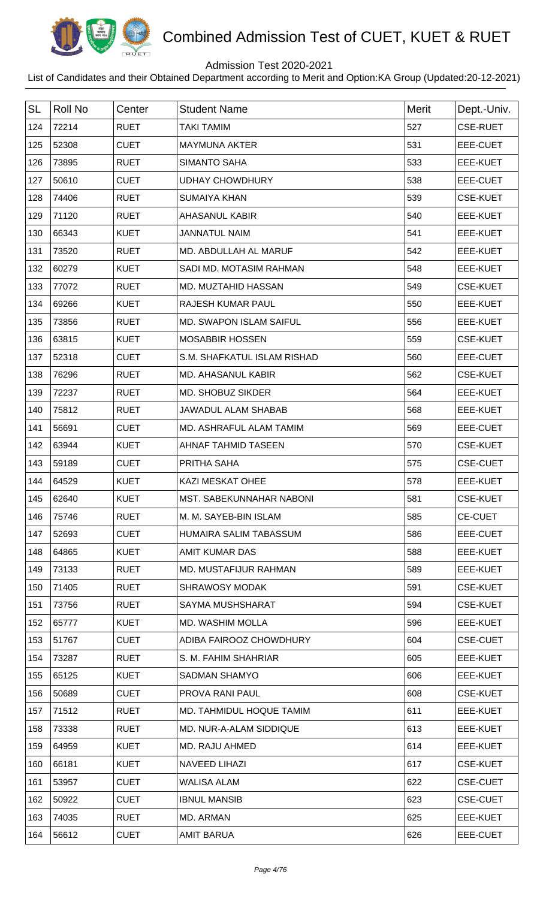

## Admission Test 2020-2021

| <b>SL</b> | <b>Roll No</b> | Center      | <b>Student Name</b>            | Merit | Dept.-Univ.     |
|-----------|----------------|-------------|--------------------------------|-------|-----------------|
| 124       | 72214          | <b>RUET</b> | <b>TAKI TAMIM</b>              | 527   | <b>CSE-RUET</b> |
| 125       | 52308          | <b>CUET</b> | <b>MAYMUNA AKTER</b>           | 531   | EEE-CUET        |
| 126       | 73895          | <b>RUET</b> | <b>SIMANTO SAHA</b>            | 533   | EEE-KUET        |
| 127       | 50610          | <b>CUET</b> | <b>UDHAY CHOWDHURY</b>         | 538   | EEE-CUET        |
| 128       | 74406          | <b>RUET</b> | <b>SUMAIYA KHAN</b>            | 539   | <b>CSE-KUET</b> |
| 129       | 71120          | <b>RUET</b> | <b>AHASANUL KABIR</b>          | 540   | EEE-KUET        |
| 130       | 66343          | <b>KUET</b> | <b>JANNATUL NAIM</b>           | 541   | EEE-KUET        |
| 131       | 73520          | <b>RUET</b> | MD. ABDULLAH AL MARUF          | 542   | <b>EEE-KUET</b> |
| 132       | 60279          | <b>KUET</b> | SADI MD. MOTASIM RAHMAN        | 548   | EEE-KUET        |
| 133       | 77072          | <b>RUET</b> | MD. MUZTAHID HASSAN            | 549   | <b>CSE-KUET</b> |
| 134       | 69266          | <b>KUET</b> | RAJESH KUMAR PAUL              | 550   | <b>EEE-KUET</b> |
| 135       | 73856          | <b>RUET</b> | <b>MD. SWAPON ISLAM SAIFUL</b> | 556   | EEE-KUET        |
| 136       | 63815          | <b>KUET</b> | <b>MOSABBIR HOSSEN</b>         | 559   | <b>CSE-KUET</b> |
| 137       | 52318          | <b>CUET</b> | S.M. SHAFKATUL ISLAM RISHAD    | 560   | EEE-CUET        |
| 138       | 76296          | <b>RUET</b> | <b>MD. AHASANUL KABIR</b>      | 562   | <b>CSE-KUET</b> |
| 139       | 72237          | <b>RUET</b> | MD. SHOBUZ SIKDER              | 564   | EEE-KUET        |
| 140       | 75812          | <b>RUET</b> | JAWADUL ALAM SHABAB            | 568   | <b>EEE-KUET</b> |
| 141       | 56691          | <b>CUET</b> | MD. ASHRAFUL ALAM TAMIM        | 569   | EEE-CUET        |
| 142       | 63944          | <b>KUET</b> | AHNAF TAHMID TASEEN            | 570   | <b>CSE-KUET</b> |
| 143       | 59189          | <b>CUET</b> | PRITHA SAHA                    | 575   | <b>CSE-CUET</b> |
| 144       | 64529          | <b>KUET</b> | <b>KAZI MESKAT OHEE</b>        | 578   | <b>EEE-KUET</b> |
| 145       | 62640          | <b>KUET</b> | MST. SABEKUNNAHAR NABONI       | 581   | <b>CSE-KUET</b> |
| 146       | 75746          | <b>RUET</b> | M. M. SAYEB-BIN ISLAM          | 585   | <b>CE-CUET</b>  |
| 147       | 52693          | <b>CUET</b> | HUMAIRA SALIM TABASSUM         | 586   | EEE-CUET        |
| 148       | 64865          | <b>KUET</b> | <b>AMIT KUMAR DAS</b>          | 588   | EEE-KUET        |
| 149       | 73133          | <b>RUET</b> | MD. MUSTAFIJUR RAHMAN          | 589   | EEE-KUET        |
| 150       | 71405          | <b>RUET</b> | <b>SHRAWOSY MODAK</b>          | 591   | <b>CSE-KUET</b> |
| 151       | 73756          | <b>RUET</b> | SAYMA MUSHSHARAT               | 594   | <b>CSE-KUET</b> |
| 152       | 65777          | <b>KUET</b> | MD. WASHIM MOLLA               | 596   | EEE-KUET        |
| 153       | 51767          | <b>CUET</b> | ADIBA FAIROOZ CHOWDHURY        | 604   | <b>CSE-CUET</b> |
| 154       | 73287          | <b>RUET</b> | S. M. FAHIM SHAHRIAR           | 605   | EEE-KUET        |
| 155       | 65125          | <b>KUET</b> | <b>SADMAN SHAMYO</b>           | 606   | EEE-KUET        |
| 156       | 50689          | <b>CUET</b> | PROVA RANI PAUL                | 608   | <b>CSE-KUET</b> |
| 157       | 71512          | <b>RUET</b> | MD. TAHMIDUL HOQUE TAMIM       | 611   | EEE-KUET        |
| 158       | 73338          | <b>RUET</b> | MD. NUR-A-ALAM SIDDIQUE        | 613   | EEE-KUET        |
| 159       | 64959          | <b>KUET</b> | MD. RAJU AHMED                 | 614   | EEE-KUET        |
| 160       | 66181          | <b>KUET</b> | <b>NAVEED LIHAZI</b>           | 617   | <b>CSE-KUET</b> |
| 161       | 53957          | <b>CUET</b> | WALISA ALAM                    | 622   | <b>CSE-CUET</b> |
| 162       | 50922          | <b>CUET</b> | <b>IBNUL MANSIB</b>            | 623   | <b>CSE-CUET</b> |
| 163       | 74035          | <b>RUET</b> | MD. ARMAN                      | 625   | EEE-KUET        |
| 164       | 56612          | <b>CUET</b> | <b>AMIT BARUA</b>              | 626   | EEE-CUET        |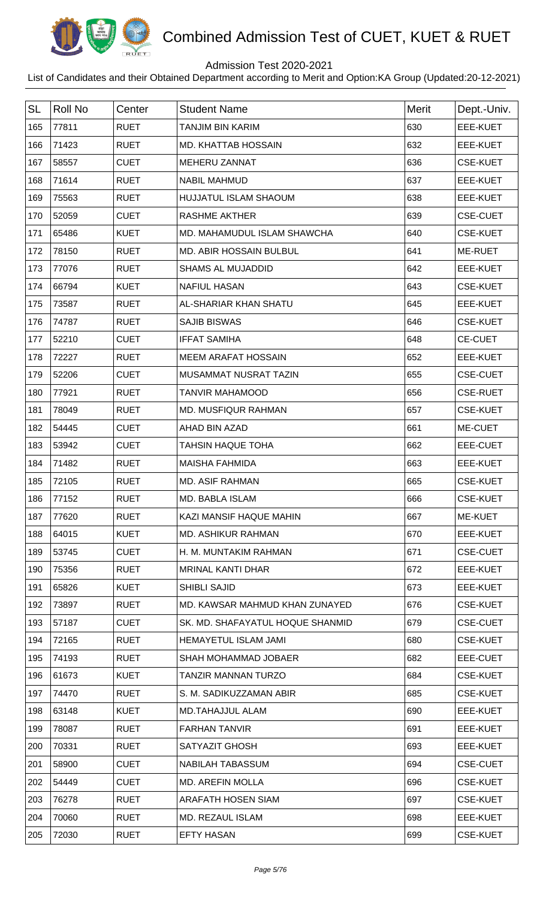

## Admission Test 2020-2021

| <b>SL</b> | <b>Roll No</b> | Center      | <b>Student Name</b>              | <b>Merit</b> | Dept.-Univ.     |
|-----------|----------------|-------------|----------------------------------|--------------|-----------------|
| 165       | 77811          | <b>RUET</b> | <b>TANJIM BIN KARIM</b>          | 630          | EEE-KUET        |
| 166       | 71423          | <b>RUET</b> | <b>MD. KHATTAB HOSSAIN</b>       | 632          | EEE-KUET        |
| 167       | 58557          | <b>CUET</b> | MEHERU ZANNAT                    | 636          | <b>CSE-KUET</b> |
| 168       | 71614          | <b>RUET</b> | <b>NABIL MAHMUD</b>              | 637          | EEE-KUET        |
| 169       | 75563          | <b>RUET</b> | <b>HUJJATUL ISLAM SHAOUM</b>     | 638          | EEE-KUET        |
| 170       | 52059          | <b>CUET</b> | <b>RASHME AKTHER</b>             | 639          | <b>CSE-CUET</b> |
| 171       | 65486          | <b>KUET</b> | MD. MAHAMUDUL ISLAM SHAWCHA      | 640          | <b>CSE-KUET</b> |
| 172       | 78150          | <b>RUET</b> | MD. ABIR HOSSAIN BULBUL          | 641          | ME-RUET         |
| 173       | 77076          | <b>RUET</b> | <b>SHAMS AL MUJADDID</b>         | 642          | EEE-KUET        |
| 174       | 66794          | <b>KUET</b> | <b>NAFIUL HASAN</b>              | 643          | <b>CSE-KUET</b> |
| 175       | 73587          | <b>RUET</b> | AL-SHARIAR KHAN SHATU            | 645          | EEE-KUET        |
| 176       | 74787          | <b>RUET</b> | <b>SAJIB BISWAS</b>              | 646          | <b>CSE-KUET</b> |
| 177       | 52210          | <b>CUET</b> | <b>IFFAT SAMIHA</b>              | 648          | <b>CE-CUET</b>  |
| 178       | 72227          | <b>RUET</b> | <b>MEEM ARAFAT HOSSAIN</b>       | 652          | EEE-KUET        |
| 179       | 52206          | <b>CUET</b> | MUSAMMAT NUSRAT TAZIN            | 655          | <b>CSE-CUET</b> |
| 180       | 77921          | <b>RUET</b> | <b>TANVIR MAHAMOOD</b>           | 656          | <b>CSE-RUET</b> |
| 181       | 78049          | <b>RUET</b> | MD. MUSFIQUR RAHMAN              | 657          | <b>CSE-KUET</b> |
| 182       | 54445          | <b>CUET</b> | AHAD BIN AZAD                    | 661          | ME-CUET         |
| 183       | 53942          | <b>CUET</b> | <b>TAHSIN HAQUE TOHA</b>         | 662          | EEE-CUET        |
| 184       | 71482          | <b>RUET</b> | <b>MAISHA FAHMIDA</b>            | 663          | EEE-KUET        |
| 185       | 72105          | <b>RUET</b> | <b>MD. ASIF RAHMAN</b>           | 665          | <b>CSE-KUET</b> |
| 186       | 77152          | <b>RUET</b> | MD. BABLA ISLAM                  | 666          | <b>CSE-KUET</b> |
| 187       | 77620          | <b>RUET</b> | KAZI MANSIF HAQUE MAHIN          | 667          | ME-KUET         |
| 188       | 64015          | <b>KUET</b> | <b>MD. ASHIKUR RAHMAN</b>        | 670          | EEE-KUET        |
| 189       | 53745          | <b>CUET</b> | H. M. MUNTAKIM RAHMAN            | 671          | <b>CSE-CUET</b> |
| 190       | 75356          | <b>RUET</b> | <b>MRINAL KANTI DHAR</b>         | 672          | EEE-KUET        |
| 191       | 65826          | <b>KUET</b> | <b>SHIBLI SAJID</b>              | 673          | EEE-KUET        |
| 192       | 73897          | <b>RUET</b> | MD. KAWSAR MAHMUD KHAN ZUNAYED   | 676          | <b>CSE-KUET</b> |
| 193       | 57187          | <b>CUET</b> | SK. MD. SHAFAYATUL HOQUE SHANMID | 679          | <b>CSE-CUET</b> |
| 194       | 72165          | <b>RUET</b> | <b>HEMAYETUL ISLAM JAMI</b>      | 680          | <b>CSE-KUET</b> |
| 195       | 74193          | <b>RUET</b> | SHAH MOHAMMAD JOBAER             | 682          | EEE-CUET        |
| 196       | 61673          | <b>KUET</b> | <b>TANZIR MANNAN TURZO</b>       | 684          | <b>CSE-KUET</b> |
| 197       | 74470          | <b>RUET</b> | S. M. SADIKUZZAMAN ABIR          | 685          | <b>CSE-KUET</b> |
| 198       | 63148          | <b>KUET</b> | <b>MD.TAHAJJUL ALAM</b>          | 690          | EEE-KUET        |
| 199       | 78087          | <b>RUET</b> | <b>FARHAN TANVIR</b>             | 691          | EEE-KUET        |
| 200       | 70331          | <b>RUET</b> | SATYAZIT GHOSH                   | 693          | EEE-KUET        |
| 201       | 58900          | <b>CUET</b> | <b>NABILAH TABASSUM</b>          | 694          | <b>CSE-CUET</b> |
| 202       | 54449          | <b>CUET</b> | <b>MD. AREFIN MOLLA</b>          | 696          | <b>CSE-KUET</b> |
| 203       | 76278          | <b>RUET</b> | ARAFATH HOSEN SIAM               | 697          | <b>CSE-KUET</b> |
| 204       | 70060          | <b>RUET</b> | MD. REZAUL ISLAM                 | 698          | EEE-KUET        |
| 205       | 72030          | <b>RUET</b> | <b>EFTY HASAN</b>                | 699          | <b>CSE-KUET</b> |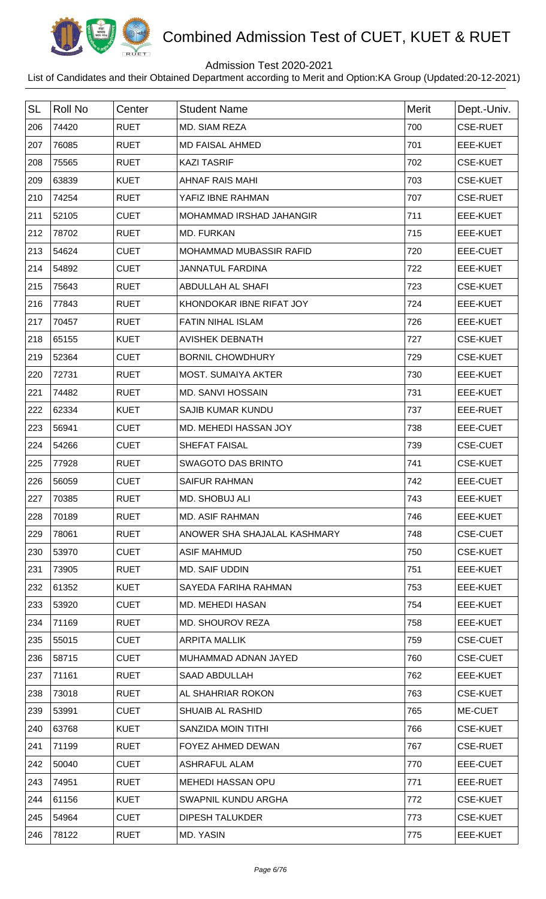

## Admission Test 2020-2021

| <b>SL</b> | Roll No | Center      | <b>Student Name</b>          | <b>Merit</b> | Dept.-Univ.     |
|-----------|---------|-------------|------------------------------|--------------|-----------------|
| 206       | 74420   | <b>RUET</b> | MD. SIAM REZA                | 700          | <b>CSE-RUET</b> |
| 207       | 76085   | <b>RUET</b> | <b>MD FAISAL AHMED</b>       | 701          | EEE-KUET        |
| 208       | 75565   | <b>RUET</b> | <b>KAZI TASRIF</b>           | 702          | <b>CSE-KUET</b> |
| 209       | 63839   | <b>KUET</b> | AHNAF RAIS MAHI              | 703          | <b>CSE-KUET</b> |
| 210       | 74254   | <b>RUET</b> | YAFIZ IBNE RAHMAN            | 707          | <b>CSE-RUET</b> |
| 211       | 52105   | <b>CUET</b> | MOHAMMAD IRSHAD JAHANGIR     | 711          | EEE-KUET        |
| 212       | 78702   | <b>RUET</b> | <b>MD. FURKAN</b>            | 715          | EEE-KUET        |
| 213       | 54624   | <b>CUET</b> | MOHAMMAD MUBASSIR RAFID      | 720          | EEE-CUET        |
| 214       | 54892   | <b>CUET</b> | JANNATUL FARDINA             | 722          | EEE-KUET        |
| 215       | 75643   | <b>RUET</b> | ABDULLAH AL SHAFI            | 723          | <b>CSE-KUET</b> |
| 216       | 77843   | <b>RUET</b> | KHONDOKAR IBNE RIFAT JOY     | 724          | EEE-KUET        |
| 217       | 70457   | <b>RUET</b> | <b>FATIN NIHAL ISLAM</b>     | 726          | EEE-KUET        |
| 218       | 65155   | <b>KUET</b> | <b>AVISHEK DEBNATH</b>       | 727          | <b>CSE-KUET</b> |
| 219       | 52364   | <b>CUET</b> | <b>BORNIL CHOWDHURY</b>      | 729          | <b>CSE-KUET</b> |
| 220       | 72731   | <b>RUET</b> | MOST. SUMAIYA AKTER          | 730          | EEE-KUET        |
| 221       | 74482   | <b>RUET</b> | <b>MD. SANVI HOSSAIN</b>     | 731          | EEE-KUET        |
| 222       | 62334   | <b>KUET</b> | <b>SAJIB KUMAR KUNDU</b>     | 737          | EEE-RUET        |
| 223       | 56941   | <b>CUET</b> | MD. MEHEDI HASSAN JOY        | 738          | EEE-CUET        |
| 224       | 54266   | <b>CUET</b> | SHEFAT FAISAL                | 739          | <b>CSE-CUET</b> |
| 225       | 77928   | <b>RUET</b> | <b>SWAGOTO DAS BRINTO</b>    | 741          | <b>CSE-KUET</b> |
| 226       | 56059   | <b>CUET</b> | <b>SAIFUR RAHMAN</b>         | 742          | <b>EEE-CUET</b> |
| 227       | 70385   | <b>RUET</b> | MD. SHOBUJ ALI               | 743          | EEE-KUET        |
| 228       | 70189   | <b>RUET</b> | <b>MD. ASIF RAHMAN</b>       | 746          | EEE-KUET        |
| 229       | 78061   | <b>RUET</b> | ANOWER SHA SHAJALAL KASHMARY | 748          | <b>CSE-CUET</b> |
| 230       | 53970   | <b>CUET</b> | <b>ASIF MAHMUD</b>           | 750          | <b>CSE-KUET</b> |
| 231       | 73905   | <b>RUET</b> | <b>MD. SAIF UDDIN</b>        | 751          | EEE-KUET        |
| 232       | 61352   | <b>KUET</b> | SAYEDA FARIHA RAHMAN         | 753          | EEE-KUET        |
| 233       | 53920   | <b>CUET</b> | <b>MD. MEHEDI HASAN</b>      | 754          | EEE-KUET        |
| 234       | 71169   | <b>RUET</b> | MD. SHOUROV REZA             | 758          | EEE-KUET        |
| 235       | 55015   | <b>CUET</b> | <b>ARPITA MALLIK</b>         | 759          | <b>CSE-CUET</b> |
| 236       | 58715   | <b>CUET</b> | MUHAMMAD ADNAN JAYED         | 760          | <b>CSE-CUET</b> |
| 237       | 71161   | <b>RUET</b> | <b>SAAD ABDULLAH</b>         | 762          | EEE-KUET        |
| 238       | 73018   | <b>RUET</b> | AL SHAHRIAR ROKON            | 763          | <b>CSE-KUET</b> |
| 239       | 53991   | <b>CUET</b> | <b>SHUAIB AL RASHID</b>      | 765          | ME-CUET         |
| 240       | 63768   | <b>KUET</b> | SANZIDA MOIN TITHI           | 766          | <b>CSE-KUET</b> |
| 241       | 71199   | <b>RUET</b> | FOYEZ AHMED DEWAN            | 767          | <b>CSE-RUET</b> |
| 242       | 50040   | <b>CUET</b> | <b>ASHRAFUL ALAM</b>         | 770          | EEE-CUET        |
| 243       | 74951   | <b>RUET</b> | <b>MEHEDI HASSAN OPU</b>     | 771          | EEE-RUET        |
| 244       | 61156   | <b>KUET</b> | SWAPNIL KUNDU ARGHA          | 772          | <b>CSE-KUET</b> |
| 245       | 54964   | <b>CUET</b> | <b>DIPESH TALUKDER</b>       | 773          | <b>CSE-KUET</b> |
| 246       | 78122   | <b>RUET</b> | MD. YASIN                    | 775          | EEE-KUET        |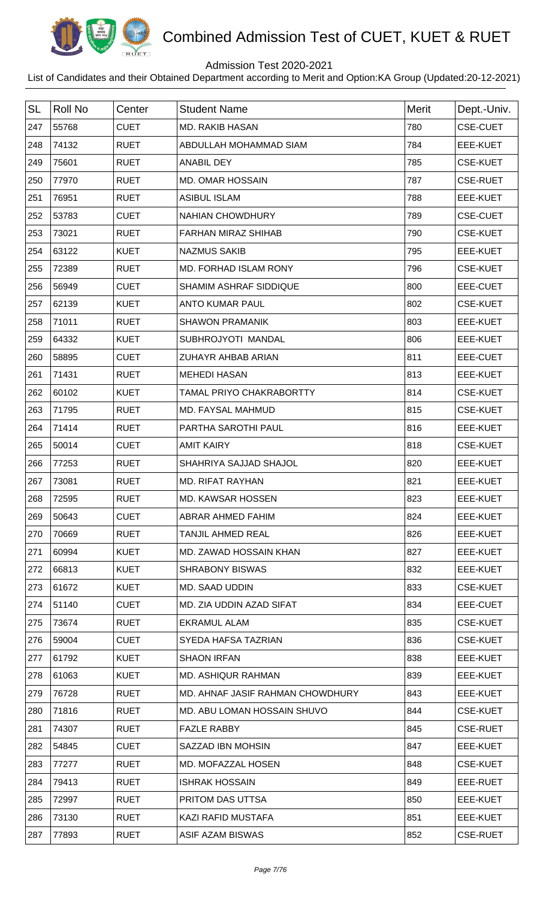

## Admission Test 2020-2021

| <b>SL</b> | <b>Roll No</b> | Center      | <b>Student Name</b>              | <b>Merit</b> | Dept.-Univ.     |
|-----------|----------------|-------------|----------------------------------|--------------|-----------------|
| 247       | 55768          | <b>CUET</b> | <b>MD. RAKIB HASAN</b>           | 780          | <b>CSE-CUET</b> |
| 248       | 74132          | <b>RUET</b> | ABDULLAH MOHAMMAD SIAM           | 784          | EEE-KUET        |
| 249       | 75601          | <b>RUET</b> | <b>ANABIL DEY</b>                | 785          | <b>CSE-KUET</b> |
| 250       | 77970          | <b>RUET</b> | <b>MD. OMAR HOSSAIN</b>          | 787          | <b>CSE-RUET</b> |
| 251       | 76951          | <b>RUET</b> | <b>ASIBUL ISLAM</b>              | 788          | <b>EEE-KUET</b> |
| 252       | 53783          | <b>CUET</b> | <b>NAHIAN CHOWDHURY</b>          | 789          | <b>CSE-CUET</b> |
| 253       | 73021          | <b>RUET</b> | <b>FARHAN MIRAZ SHIHAB</b>       | 790          | <b>CSE-KUET</b> |
| 254       | 63122          | <b>KUET</b> | <b>NAZMUS SAKIB</b>              | 795          | EEE-KUET        |
| 255       | 72389          | <b>RUET</b> | MD. FORHAD ISLAM RONY            | 796          | <b>CSE-KUET</b> |
| 256       | 56949          | <b>CUET</b> | SHAMIM ASHRAF SIDDIQUE           | 800          | EEE-CUET        |
| 257       | 62139          | <b>KUET</b> | <b>ANTO KUMAR PAUL</b>           | 802          | <b>CSE-KUET</b> |
| 258       | 71011          | <b>RUET</b> | <b>SHAWON PRAMANIK</b>           | 803          | <b>EEE-KUET</b> |
| 259       | 64332          | <b>KUET</b> | SUBHROJYOTI MANDAL               | 806          | EEE-KUET        |
| 260       | 58895          | <b>CUET</b> | ZUHAYR AHBAB ARIAN               | 811          | EEE-CUET        |
| 261       | 71431          | <b>RUET</b> | <b>MEHEDI HASAN</b>              | 813          | <b>EEE-KUET</b> |
| 262       | 60102          | <b>KUET</b> | TAMAL PRIYO CHAKRABORTTY         | 814          | <b>CSE-KUET</b> |
| 263       | 71795          | <b>RUET</b> | MD. FAYSAL MAHMUD                | 815          | <b>CSE-KUET</b> |
| 264       | 71414          | <b>RUET</b> | PARTHA SAROTHI PAUL              | 816          | <b>EEE-KUET</b> |
| 265       | 50014          | <b>CUET</b> | <b>AMIT KAIRY</b>                | 818          | <b>CSE-KUET</b> |
| 266       | 77253          | <b>RUET</b> | SHAHRIYA SAJJAD SHAJOL           | 820          | EEE-KUET        |
| 267       | 73081          | <b>RUET</b> | <b>MD. RIFAT RAYHAN</b>          | 821          | <b>EEE-KUET</b> |
| 268       | 72595          | <b>RUET</b> | MD. KAWSAR HOSSEN                | 823          | EEE-KUET        |
| 269       | 50643          | <b>CUET</b> | ABRAR AHMED FAHIM                | 824          | EEE-KUET        |
| 270       | 70669          | <b>RUET</b> | <b>TANJIL AHMED REAL</b>         | 826          | EEE-KUET        |
| 271       | 60994          | <b>KUET</b> | MD. ZAWAD HOSSAIN KHAN           | 827          | EEE-KUET        |
| 272       | 66813          | <b>KUET</b> | <b>SHRABONY BISWAS</b>           | 832          | EEE-KUET        |
| 273       | 61672          | <b>KUET</b> | MD. SAAD UDDIN                   | 833          | <b>CSE-KUET</b> |
| 274       | 51140          | <b>CUET</b> | MD. ZIA UDDIN AZAD SIFAT         | 834          | EEE-CUET        |
| 275       | 73674          | <b>RUET</b> | <b>EKRAMUL ALAM</b>              | 835          | <b>CSE-KUET</b> |
| 276       | 59004          | <b>CUET</b> | SYEDA HAFSA TAZRIAN              | 836          | <b>CSE-KUET</b> |
| 277       | 61792          | <b>KUET</b> | <b>SHAON IRFAN</b>               | 838          | EEE-KUET        |
| 278       | 61063          | <b>KUET</b> | <b>MD. ASHIQUR RAHMAN</b>        | 839          | EEE-KUET        |
| 279       | 76728          | <b>RUET</b> | MD. AHNAF JASIF RAHMAN CHOWDHURY | 843          | EEE-KUET        |
| 280       | 71816          | <b>RUET</b> | MD. ABU LOMAN HOSSAIN SHUVO      | 844          | <b>CSE-KUET</b> |
| 281       | 74307          | <b>RUET</b> | <b>FAZLE RABBY</b>               | 845          | <b>CSE-RUET</b> |
| 282       | 54845          | <b>CUET</b> | SAZZAD IBN MOHSIN                | 847          | EEE-KUET        |
| 283       | 77277          | <b>RUET</b> | MD. MOFAZZAL HOSEN               | 848          | <b>CSE-KUET</b> |
| 284       | 79413          | <b>RUET</b> | <b>ISHRAK HOSSAIN</b>            | 849          | EEE-RUET        |
| 285       | 72997          | <b>RUET</b> | PRITOM DAS UTTSA                 | 850          | EEE-KUET        |
| 286       | 73130          | <b>RUET</b> | KAZI RAFID MUSTAFA               | 851          | EEE-KUET        |
| 287       | 77893          | <b>RUET</b> | ASIF AZAM BISWAS                 | 852          | <b>CSE-RUET</b> |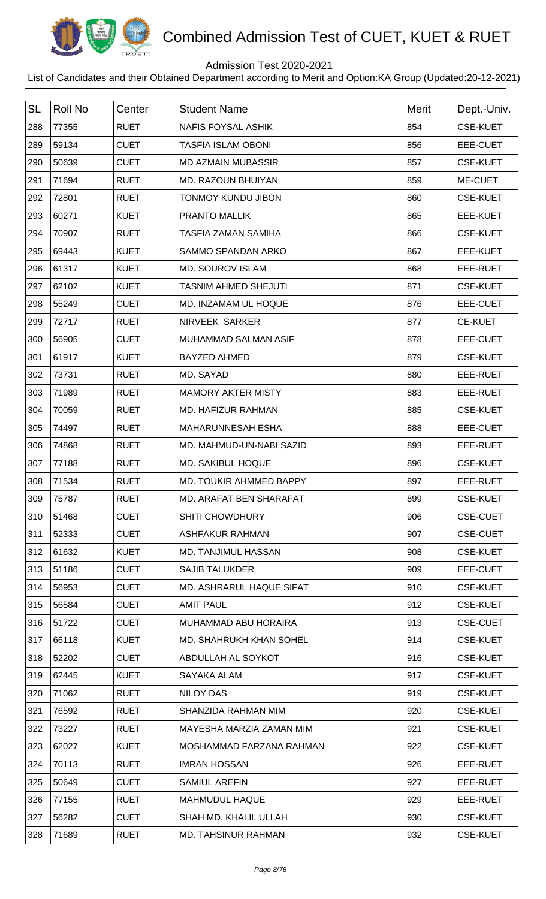

## Admission Test 2020-2021

| <b>SL</b> | <b>Roll No</b> | Center      | <b>Student Name</b>            | <b>Merit</b> | Dept.-Univ.     |
|-----------|----------------|-------------|--------------------------------|--------------|-----------------|
| 288       | 77355          | <b>RUET</b> | <b>NAFIS FOYSAL ASHIK</b>      | 854          | <b>CSE-KUET</b> |
| 289       | 59134          | <b>CUET</b> | <b>TASFIA ISLAM OBONI</b>      | 856          | EEE-CUET        |
| 290       | 50639          | <b>CUET</b> | <b>MD AZMAIN MUBASSIR</b>      | 857          | <b>CSE-KUET</b> |
| 291       | 71694          | <b>RUET</b> | MD. RAZOUN BHUIYAN             | 859          | ME-CUET         |
| 292       | 72801          | <b>RUET</b> | <b>TONMOY KUNDU JIBON</b>      | 860          | <b>CSE-KUET</b> |
| 293       | 60271          | <b>KUET</b> | PRANTO MALLIK                  | 865          | EEE-KUET        |
| 294       | 70907          | <b>RUET</b> | <b>TASFIA ZAMAN SAMIHA</b>     | 866          | <b>CSE-KUET</b> |
| 295       | 69443          | <b>KUET</b> | <b>SAMMO SPANDAN ARKO</b>      | 867          | <b>EEE-KUET</b> |
| 296       | 61317          | <b>KUET</b> | <b>MD. SOUROV ISLAM</b>        | 868          | EEE-RUET        |
| 297       | 62102          | <b>KUET</b> | <b>TASNIM AHMED SHEJUTI</b>    | 871          | <b>CSE-KUET</b> |
| 298       | 55249          | <b>CUET</b> | MD. INZAMAM UL HOQUE           | 876          | EEE-CUET        |
| 299       | 72717          | <b>RUET</b> | NIRVEEK SARKER                 | 877          | <b>CE-KUET</b>  |
| 300       | 56905          | <b>CUET</b> | MUHAMMAD SALMAN ASIF           | 878          | EEE-CUET        |
| 301       | 61917          | <b>KUET</b> | <b>BAYZED AHMED</b>            | 879          | <b>CSE-KUET</b> |
| 302       | 73731          | <b>RUET</b> | MD. SAYAD                      | 880          | EEE-RUET        |
| 303       | 71989          | <b>RUET</b> | <b>MAMORY AKTER MISTY</b>      | 883          | EEE-RUET        |
| 304       | 70059          | <b>RUET</b> | MD. HAFIZUR RAHMAN             | 885          | <b>CSE-KUET</b> |
| 305       | 74497          | <b>RUET</b> | <b>MAHARUNNESAH ESHA</b>       | 888          | EEE-CUET        |
| 306       | 74868          | <b>RUET</b> | MD. MAHMUD-UN-NABI SAZID       | 893          | EEE-RUET        |
| 307       | 77188          | <b>RUET</b> | <b>MD. SAKIBUL HOQUE</b>       | 896          | <b>CSE-KUET</b> |
| 308       | 71534          | <b>RUET</b> | MD. TOUKIR AHMMED BAPPY        | 897          | EEE-RUET        |
| 309       | 75787          | <b>RUET</b> | <b>MD. ARAFAT BEN SHARAFAT</b> | 899          | <b>CSE-KUET</b> |
| 310       | 51468          | <b>CUET</b> | <b>SHITI CHOWDHURY</b>         | 906          | <b>CSE-CUET</b> |
| 311       | 52333          | <b>CUET</b> | <b>ASHFAKUR RAHMAN</b>         | 907          | <b>CSE-CUET</b> |
| 312       | 61632          | <b>KUET</b> | <b>MD. TANJIMUL HASSAN</b>     | 908          | <b>CSE-KUET</b> |
| 313       | 51186          | <b>CUET</b> | <b>SAJIB TALUKDER</b>          | 909          | EEE-CUET        |
| 314       | 56953          | <b>CUET</b> | MD. ASHRARUL HAQUE SIFAT       | 910          | <b>CSE-KUET</b> |
| 315       | 56584          | <b>CUET</b> | <b>AMIT PAUL</b>               | 912          | <b>CSE-KUET</b> |
| 316       | 51722          | <b>CUET</b> | MUHAMMAD ABU HORAIRA           | 913          | <b>CSE-CUET</b> |
| 317       | 66118          | <b>KUET</b> | MD. SHAHRUKH KHAN SOHEL        | 914          | <b>CSE-KUET</b> |
| 318       | 52202          | <b>CUET</b> | ABDULLAH AL SOYKOT             | 916          | <b>CSE-KUET</b> |
| 319       | 62445          | <b>KUET</b> | SAYAKA ALAM                    | 917          | <b>CSE-KUET</b> |
| 320       | 71062          | <b>RUET</b> | <b>NILOY DAS</b>               | 919          | <b>CSE-KUET</b> |
| 321       | 76592          | <b>RUET</b> | SHANZIDA RAHMAN MIM            | 920          | <b>CSE-KUET</b> |
| 322       | 73227          | <b>RUET</b> | MAYESHA MARZIA ZAMAN MIM       | 921          | <b>CSE-KUET</b> |
| 323       | 62027          | <b>KUET</b> | MOSHAMMAD FARZANA RAHMAN       | 922          | <b>CSE-KUET</b> |
| 324       | 70113          | <b>RUET</b> | <b>IMRAN HOSSAN</b>            | 926          | EEE-RUET        |
| 325       | 50649          | <b>CUET</b> | <b>SAMIUL AREFIN</b>           | 927          | EEE-RUET        |
| 326       | 77155          | <b>RUET</b> | <b>MAHMUDUL HAQUE</b>          | 929          | EEE-RUET        |
| 327       | 56282          | <b>CUET</b> | SHAH MD. KHALIL ULLAH          | 930          | <b>CSE-KUET</b> |
| 328       | 71689          | <b>RUET</b> | <b>MD. TAHSINUR RAHMAN</b>     | 932          | <b>CSE-KUET</b> |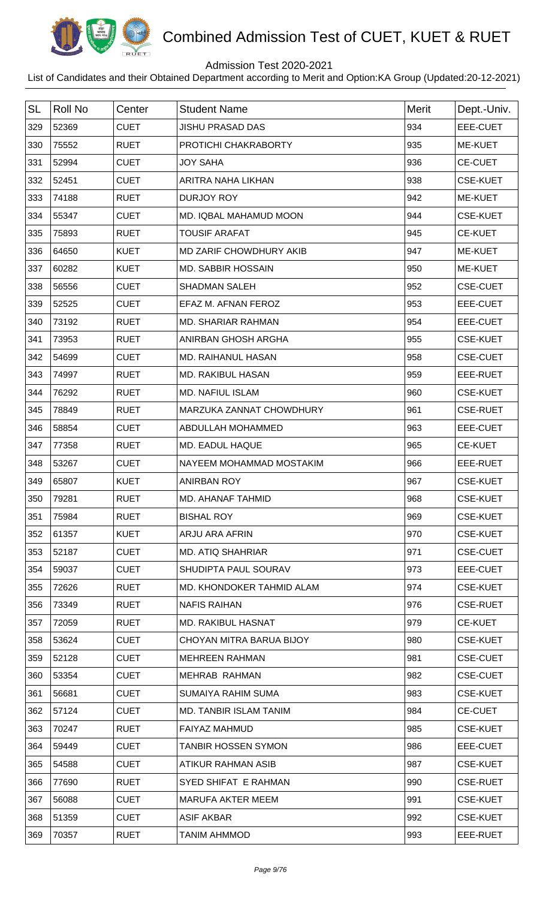

## Admission Test 2020-2021

| <b>SL</b> | <b>Roll No</b> | Center      | <b>Student Name</b>           | <b>Merit</b> | Dept.-Univ.     |
|-----------|----------------|-------------|-------------------------------|--------------|-----------------|
| 329       | 52369          | <b>CUET</b> | <b>JISHU PRASAD DAS</b>       | 934          | EEE-CUET        |
| 330       | 75552          | <b>RUET</b> | PROTICHI CHAKRABORTY          | 935          | ME-KUET         |
| 331       | 52994          | <b>CUET</b> | <b>JOY SAHA</b>               | 936          | <b>CE-CUET</b>  |
| 332       | 52451          | <b>CUET</b> | ARITRA NAHA LIKHAN            | 938          | <b>CSE-KUET</b> |
| 333       | 74188          | <b>RUET</b> | <b>DURJOY ROY</b>             | 942          | ME-KUET         |
| 334       | 55347          | <b>CUET</b> | MD. IQBAL MAHAMUD MOON        | 944          | <b>CSE-KUET</b> |
| 335       | 75893          | <b>RUET</b> | <b>TOUSIF ARAFAT</b>          | 945          | <b>CE-KUET</b>  |
| 336       | 64650          | <b>KUET</b> | MD ZARIF CHOWDHURY AKIB       | 947          | <b>ME-KUET</b>  |
| 337       | 60282          | <b>KUET</b> | <b>MD. SABBIR HOSSAIN</b>     | 950          | ME-KUET         |
| 338       | 56556          | <b>CUET</b> | <b>SHADMAN SALEH</b>          | 952          | <b>CSE-CUET</b> |
| 339       | 52525          | <b>CUET</b> | EFAZ M. AFNAN FEROZ           | 953          | EEE-CUET        |
| 340       | 73192          | <b>RUET</b> | <b>MD. SHARIAR RAHMAN</b>     | 954          | EEE-CUET        |
| 341       | 73953          | <b>RUET</b> | ANIRBAN GHOSH ARGHA           | 955          | <b>CSE-KUET</b> |
| 342       | 54699          | <b>CUET</b> | <b>MD. RAIHANUL HASAN</b>     | 958          | <b>CSE-CUET</b> |
| 343       | 74997          | <b>RUET</b> | <b>MD. RAKIBUL HASAN</b>      | 959          | EEE-RUET        |
| 344       | 76292          | <b>RUET</b> | <b>MD. NAFIUL ISLAM</b>       | 960          | <b>CSE-KUET</b> |
| 345       | 78849          | <b>RUET</b> | MARZUKA ZANNAT CHOWDHURY      | 961          | <b>CSE-RUET</b> |
| 346       | 58854          | <b>CUET</b> | ABDULLAH MOHAMMED             | 963          | <b>EEE-CUET</b> |
| 347       | 77358          | <b>RUET</b> | MD. EADUL HAQUE               | 965          | <b>CE-KUET</b>  |
| 348       | 53267          | <b>CUET</b> | NAYEEM MOHAMMAD MOSTAKIM      | 966          | EEE-RUET        |
| 349       | 65807          | <b>KUET</b> | <b>ANIRBAN ROY</b>            | 967          | <b>CSE-KUET</b> |
| 350       | 79281          | <b>RUET</b> | MD. AHANAF TAHMID             | 968          | <b>CSE-KUET</b> |
| 351       | 75984          | <b>RUET</b> | <b>BISHAL ROY</b>             | 969          | <b>CSE-KUET</b> |
| 352       | 61357          | <b>KUET</b> | ARJU ARA AFRIN                | 970          | <b>CSE-KUET</b> |
| 353       | 52187          | <b>CUET</b> | <b>MD. ATIQ SHAHRIAR</b>      | 971          | <b>CSE-CUET</b> |
| 354       | 59037          | <b>CUET</b> | SHUDIPTA PAUL SOURAV          | 973          | EEE-CUET        |
| 355       | 72626          | <b>RUET</b> | MD. KHONDOKER TAHMID ALAM     | 974          | <b>CSE-KUET</b> |
| 356       | 73349          | <b>RUET</b> | <b>NAFIS RAIHAN</b>           | 976          | <b>CSE-RUET</b> |
| 357       | 72059          | <b>RUET</b> | MD. RAKIBUL HASNAT            | 979          | <b>CE-KUET</b>  |
| 358       | 53624          | <b>CUET</b> | CHOYAN MITRA BARUA BIJOY      | 980          | <b>CSE-KUET</b> |
| 359       | 52128          | <b>CUET</b> | <b>MEHREEN RAHMAN</b>         | 981          | <b>CSE-CUET</b> |
| 360       | 53354          | <b>CUET</b> | <b>MEHRAB RAHMAN</b>          | 982          | <b>CSE-CUET</b> |
| 361       | 56681          | <b>CUET</b> | SUMAIYA RAHIM SUMA            | 983          | <b>CSE-KUET</b> |
| 362       | 57124          | <b>CUET</b> | <b>MD. TANBIR ISLAM TANIM</b> | 984          | <b>CE-CUET</b>  |
| 363       | 70247          | <b>RUET</b> | <b>FAIYAZ MAHMUD</b>          | 985          | <b>CSE-KUET</b> |
| 364       | 59449          | <b>CUET</b> | <b>TANBIR HOSSEN SYMON</b>    | 986          | EEE-CUET        |
| 365       | 54588          | <b>CUET</b> | ATIKUR RAHMAN ASIB            | 987          | <b>CSE-KUET</b> |
| 366       | 77690          | <b>RUET</b> | SYED SHIFAT E RAHMAN          | 990          | <b>CSE-RUET</b> |
| 367       | 56088          | <b>CUET</b> | <b>MARUFA AKTER MEEM</b>      | 991          | <b>CSE-KUET</b> |
| 368       | 51359          | <b>CUET</b> | ASIF AKBAR                    | 992          | <b>CSE-KUET</b> |
| 369       | 70357          | <b>RUET</b> | <b>TANIM AHMMOD</b>           | 993          | EEE-RUET        |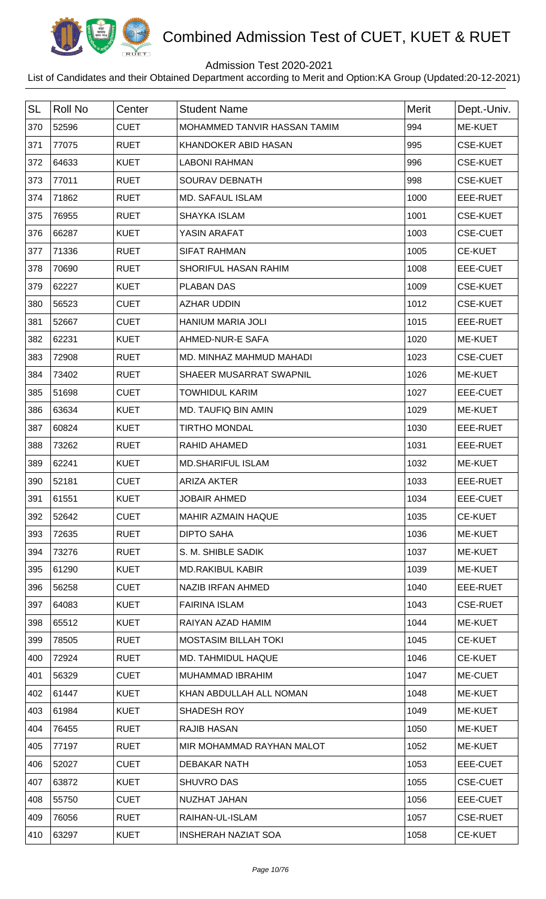

## Admission Test 2020-2021

| <b>SL</b> | <b>Roll No</b> | Center      | <b>Student Name</b>          | <b>Merit</b> | Dept.-Univ.     |
|-----------|----------------|-------------|------------------------------|--------------|-----------------|
| 370       | 52596          | <b>CUET</b> | MOHAMMED TANVIR HASSAN TAMIM | 994          | ME-KUET         |
| 371       | 77075          | <b>RUET</b> | KHANDOKER ABID HASAN         | 995          | <b>CSE-KUET</b> |
| 372       | 64633          | <b>KUET</b> | <b>LABONI RAHMAN</b>         | 996          | <b>CSE-KUET</b> |
| 373       | 77011          | <b>RUET</b> | SOURAV DEBNATH               | 998          | <b>CSE-KUET</b> |
| 374       | 71862          | <b>RUET</b> | <b>MD. SAFAUL ISLAM</b>      | 1000         | EEE-RUET        |
| 375       | 76955          | <b>RUET</b> | <b>SHAYKA ISLAM</b>          | 1001         | <b>CSE-KUET</b> |
| 376       | 66287          | <b>KUET</b> | YASIN ARAFAT                 | 1003         | <b>CSE-CUET</b> |
| 377       | 71336          | <b>RUET</b> | <b>SIFAT RAHMAN</b>          | 1005         | <b>CE-KUET</b>  |
| 378       | 70690          | <b>RUET</b> | SHORIFUL HASAN RAHIM         | 1008         | EEE-CUET        |
| 379       | 62227          | <b>KUET</b> | <b>PLABAN DAS</b>            | 1009         | <b>CSE-KUET</b> |
| 380       | 56523          | <b>CUET</b> | <b>AZHAR UDDIN</b>           | 1012         | <b>CSE-KUET</b> |
| 381       | 52667          | <b>CUET</b> | HANIUM MARIA JOLI            | 1015         | EEE-RUET        |
| 382       | 62231          | <b>KUET</b> | AHMED-NUR-E SAFA             | 1020         | ME-KUET         |
| 383       | 72908          | <b>RUET</b> | MD. MINHAZ MAHMUD MAHADI     | 1023         | <b>CSE-CUET</b> |
| 384       | 73402          | <b>RUET</b> | SHAEER MUSARRAT SWAPNIL      | 1026         | ME-KUET         |
| 385       | 51698          | <b>CUET</b> | <b>TOWHIDUL KARIM</b>        | 1027         | EEE-CUET        |
| 386       | 63634          | <b>KUET</b> | MD. TAUFIQ BIN AMIN          | 1029         | ME-KUET         |
| 387       | 60824          | <b>KUET</b> | <b>TIRTHO MONDAL</b>         | 1030         | EEE-RUET        |
| 388       | 73262          | <b>RUET</b> | RAHID AHAMED                 | 1031         | EEE-RUET        |
| 389       | 62241          | <b>KUET</b> | <b>MD.SHARIFUL ISLAM</b>     | 1032         | ME-KUET         |
| 390       | 52181          | <b>CUET</b> | <b>ARIZA AKTER</b>           | 1033         | EEE-RUET        |
| 391       | 61551          | KUET        | <b>JOBAIR AHMED</b>          | 1034         | EEE-CUET        |
| 392       | 52642          | <b>CUET</b> | MAHIR AZMAIN HAQUE           | 1035         | <b>CE-KUET</b>  |
| 393       | 72635          | <b>RUET</b> | <b>DIPTO SAHA</b>            | 1036         | ME-KUET         |
| 394       | 73276          | <b>RUET</b> | S. M. SHIBLE SADIK           | 1037         | ME-KUET         |
| 395       | 61290          | <b>KUET</b> | <b>MD.RAKIBUL KABIR</b>      | 1039         | <b>ME-KUET</b>  |
| 396       | 56258          | <b>CUET</b> | NAZIB IRFAN AHMED            | 1040         | EEE-RUET        |
| 397       | 64083          | <b>KUET</b> | <b>FAIRINA ISLAM</b>         | 1043         | <b>CSE-RUET</b> |
| 398       | 65512          | <b>KUET</b> | RAIYAN AZAD HAMIM            | 1044         | ME-KUET         |
| 399       | 78505          | <b>RUET</b> | <b>MOSTASIM BILLAH TOKI</b>  | 1045         | <b>CE-KUET</b>  |
| 400       | 72924          | <b>RUET</b> | MD. TAHMIDUL HAQUE           | 1046         | <b>CE-KUET</b>  |
| 401       | 56329          | <b>CUET</b> | MUHAMMAD IBRAHIM             | 1047         | ME-CUET         |
| 402       | 61447          | <b>KUET</b> | KHAN ABDULLAH ALL NOMAN      | 1048         | ME-KUET         |
| 403       | 61984          | <b>KUET</b> | SHADESH ROY                  | 1049         | ME-KUET         |
| 404       | 76455          | <b>RUET</b> | <b>RAJIB HASAN</b>           | 1050         | ME-KUET         |
| 405       | 77197          | <b>RUET</b> | MIR MOHAMMAD RAYHAN MALOT    | 1052         | ME-KUET         |
| 406       | 52027          | <b>CUET</b> | <b>DEBAKAR NATH</b>          | 1053         | EEE-CUET        |
| 407       | 63872          | <b>KUET</b> | <b>SHUVRO DAS</b>            | 1055         | <b>CSE-CUET</b> |
| 408       | 55750          | <b>CUET</b> | NUZHAT JAHAN                 | 1056         | EEE-CUET        |
| 409       | 76056          | <b>RUET</b> | RAIHAN-UL-ISLAM              | 1057         | <b>CSE-RUET</b> |
| 410       | 63297          | <b>KUET</b> | <b>INSHERAH NAZIAT SOA</b>   | 1058         | <b>CE-KUET</b>  |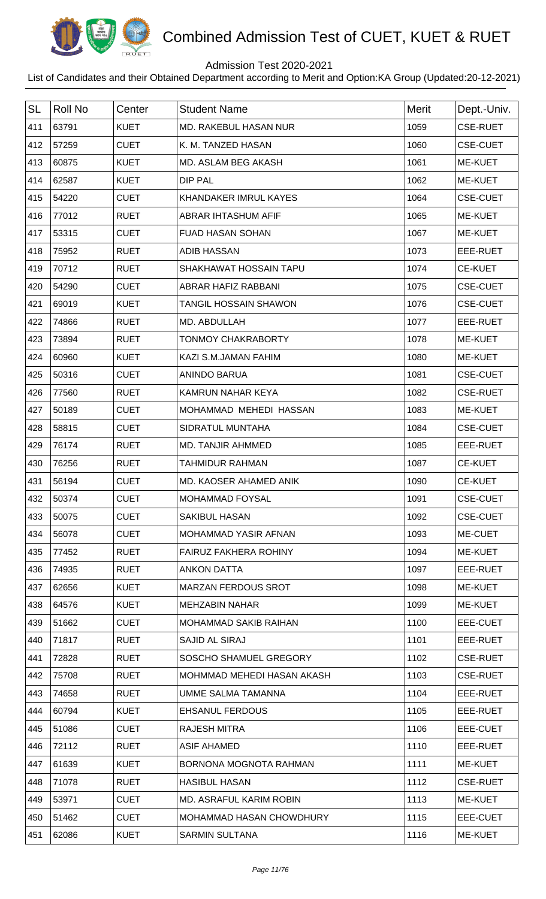

## Admission Test 2020-2021

| <b>SL</b> | <b>Roll No</b> | Center      | <b>Student Name</b>          | Merit | Dept.-Univ.     |
|-----------|----------------|-------------|------------------------------|-------|-----------------|
| 411       | 63791          | <b>KUET</b> | <b>MD. RAKEBUL HASAN NUR</b> | 1059  | <b>CSE-RUET</b> |
| 412       | 57259          | <b>CUET</b> | K. M. TANZED HASAN           | 1060  | <b>CSE-CUET</b> |
| 413       | 60875          | <b>KUET</b> | MD. ASLAM BEG AKASH          | 1061  | ME-KUET         |
| 414       | 62587          | <b>KUET</b> | <b>DIP PAL</b>               | 1062  | ME-KUET         |
| 415       | 54220          | <b>CUET</b> | KHANDAKER IMRUL KAYES        | 1064  | <b>CSE-CUET</b> |
| 416       | 77012          | <b>RUET</b> | <b>ABRAR IHTASHUM AFIF</b>   | 1065  | ME-KUET         |
| 417       | 53315          | <b>CUET</b> | <b>FUAD HASAN SOHAN</b>      | 1067  | ME-KUET         |
| 418       | 75952          | <b>RUET</b> | <b>ADIB HASSAN</b>           | 1073  | EEE-RUET        |
| 419       | 70712          | <b>RUET</b> | SHAKHAWAT HOSSAIN TAPU       | 1074  | <b>CE-KUET</b>  |
| 420       | 54290          | <b>CUET</b> | ABRAR HAFIZ RABBANI          | 1075  | <b>CSE-CUET</b> |
| 421       | 69019          | <b>KUET</b> | <b>TANGIL HOSSAIN SHAWON</b> | 1076  | <b>CSE-CUET</b> |
| 422       | 74866          | <b>RUET</b> | MD. ABDULLAH                 | 1077  | EEE-RUET        |
| 423       | 73894          | <b>RUET</b> | <b>TONMOY CHAKRABORTY</b>    | 1078  | ME-KUET         |
| 424       | 60960          | <b>KUET</b> | KAZI S.M.JAMAN FAHIM         | 1080  | ME-KUET         |
| 425       | 50316          | <b>CUET</b> | <b>ANINDO BARUA</b>          | 1081  | <b>CSE-CUET</b> |
| 426       | 77560          | <b>RUET</b> | KAMRUN NAHAR KEYA            | 1082  | <b>CSE-RUET</b> |
| 427       | 50189          | <b>CUET</b> | MOHAMMAD MEHEDI HASSAN       | 1083  | ME-KUET         |
| 428       | 58815          | <b>CUET</b> | SIDRATUL MUNTAHA             | 1084  | <b>CSE-CUET</b> |
| 429       | 76174          | <b>RUET</b> | MD. TANJIR AHMMED            | 1085  | EEE-RUET        |
| 430       | 76256          | <b>RUET</b> | <b>TAHMIDUR RAHMAN</b>       | 1087  | <b>CE-KUET</b>  |
| 431       | 56194          | <b>CUET</b> | MD. KAOSER AHAMED ANIK       | 1090  | <b>CE-KUET</b>  |
| 432       | 50374          | <b>CUET</b> | MOHAMMAD FOYSAL              | 1091  | <b>CSE-CUET</b> |
| 433       | 50075          | <b>CUET</b> | <b>SAKIBUL HASAN</b>         | 1092  | <b>CSE-CUET</b> |
| 434       | 56078          | <b>CUET</b> | MOHAMMAD YASIR AFNAN         | 1093  | ME-CUET         |
| 435       | 77452          | <b>RUET</b> | <b>FAIRUZ FAKHERA ROHINY</b> | 1094  | <b>ME-KUET</b>  |
| 436       | 74935          | <b>RUET</b> | <b>ANKON DATTA</b>           | 1097  | EEE-RUET        |
| 437       | 62656          | <b>KUET</b> | <b>MARZAN FERDOUS SROT</b>   | 1098  | ME-KUET         |
| 438       | 64576          | <b>KUET</b> | <b>MEHZABIN NAHAR</b>        | 1099  | ME-KUET         |
| 439       | 51662          | <b>CUET</b> | MOHAMMAD SAKIB RAIHAN        | 1100  | EEE-CUET        |
| 440       | 71817          | <b>RUET</b> | <b>SAJID AL SIRAJ</b>        | 1101  | EEE-RUET        |
| 441       | 72828          | <b>RUET</b> | SOSCHO SHAMUEL GREGORY       | 1102  | <b>CSE-RUET</b> |
| 442       | 75708          | <b>RUET</b> | MOHMMAD MEHEDI HASAN AKASH   | 1103  | <b>CSE-RUET</b> |
| 443       | 74658          | <b>RUET</b> | UMME SALMA TAMANNA           | 1104  | EEE-RUET        |
| 444       | 60794          | <b>KUET</b> | <b>EHSANUL FERDOUS</b>       | 1105  | EEE-RUET        |
| 445       | 51086          | <b>CUET</b> | <b>RAJESH MITRA</b>          | 1106  | EEE-CUET        |
| 446       | 72112          | <b>RUET</b> | <b>ASIF AHAMED</b>           | 1110  | EEE-RUET        |
| 447       | 61639          | <b>KUET</b> | BORNONA MOGNOTA RAHMAN       | 1111  | <b>ME-KUET</b>  |
| 448       | 71078          | <b>RUET</b> | <b>HASIBUL HASAN</b>         | 1112  | <b>CSE-RUET</b> |
| 449       | 53971          | <b>CUET</b> | MD. ASRAFUL KARIM ROBIN      | 1113  | <b>ME-KUET</b>  |
| 450       | 51462          | <b>CUET</b> | MOHAMMAD HASAN CHOWDHURY     | 1115  | EEE-CUET        |
| 451       | 62086          | <b>KUET</b> | <b>SARMIN SULTANA</b>        | 1116  | ME-KUET         |
|           |                |             |                              |       |                 |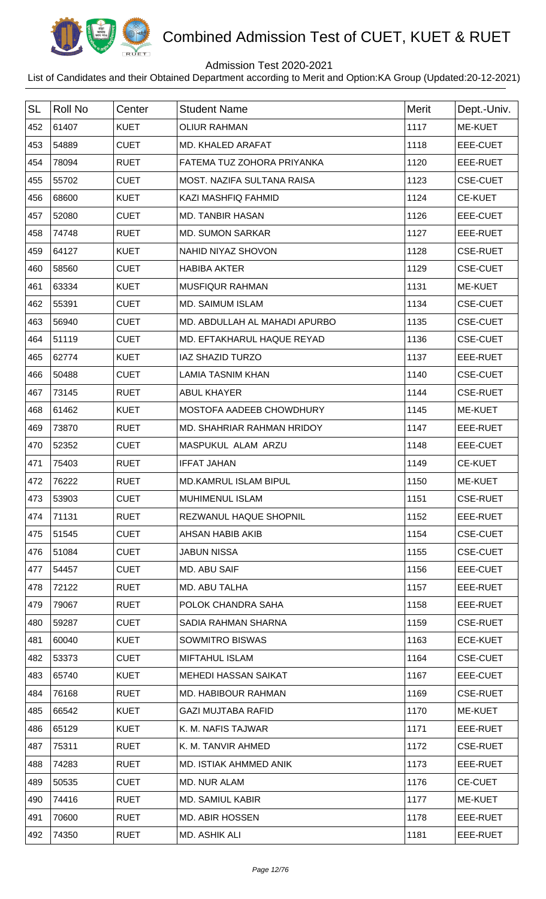

## Admission Test 2020-2021

| <b>SL</b> | Roll No | Center      | <b>Student Name</b>           | Merit | Dept.-Univ.     |
|-----------|---------|-------------|-------------------------------|-------|-----------------|
| 452       | 61407   | <b>KUET</b> | <b>OLIUR RAHMAN</b>           | 1117  | ME-KUET         |
| 453       | 54889   | <b>CUET</b> | MD. KHALED ARAFAT             | 1118  | <b>EEE-CUET</b> |
| 454       | 78094   | <b>RUET</b> | FATEMA TUZ ZOHORA PRIYANKA    | 1120  | EEE-RUET        |
| 455       | 55702   | <b>CUET</b> | MOST. NAZIFA SULTANA RAISA    | 1123  | <b>CSE-CUET</b> |
| 456       | 68600   | <b>KUET</b> | <b>KAZI MASHFIQ FAHMID</b>    | 1124  | <b>CE-KUET</b>  |
| 457       | 52080   | <b>CUET</b> | <b>MD. TANBIR HASAN</b>       | 1126  | EEE-CUET        |
| 458       | 74748   | <b>RUET</b> | <b>MD. SUMON SARKAR</b>       | 1127  | EEE-RUET        |
| 459       | 64127   | <b>KUET</b> | NAHID NIYAZ SHOVON            | 1128  | <b>CSE-RUET</b> |
| 460       | 58560   | <b>CUET</b> | <b>HABIBA AKTER</b>           | 1129  | <b>CSE-CUET</b> |
| 461       | 63334   | <b>KUET</b> | MUSFIQUR RAHMAN               | 1131  | ME-KUET         |
| 462       | 55391   | <b>CUET</b> | MD. SAIMUM ISLAM              | 1134  | <b>CSE-CUET</b> |
| 463       | 56940   | <b>CUET</b> | MD. ABDULLAH AL MAHADI APURBO | 1135  | <b>CSE-CUET</b> |
| 464       | 51119   | <b>CUET</b> | MD. EFTAKHARUL HAQUE REYAD    | 1136  | <b>CSE-CUET</b> |
| 465       | 62774   | <b>KUET</b> | <b>IAZ SHAZID TURZO</b>       | 1137  | EEE-RUET        |
| 466       | 50488   | <b>CUET</b> | <b>LAMIA TASNIM KHAN</b>      | 1140  | <b>CSE-CUET</b> |
| 467       | 73145   | <b>RUET</b> | <b>ABUL KHAYER</b>            | 1144  | <b>CSE-RUET</b> |
| 468       | 61462   | <b>KUET</b> | MOSTOFA AADEEB CHOWDHURY      | 1145  | ME-KUET         |
| 469       | 73870   | <b>RUET</b> | MD. SHAHRIAR RAHMAN HRIDOY    | 1147  | EEE-RUET        |
| 470       | 52352   | <b>CUET</b> | MASPUKUL ALAM ARZU            | 1148  | EEE-CUET        |
| 471       | 75403   | <b>RUET</b> | <b>IFFAT JAHAN</b>            | 1149  | <b>CE-KUET</b>  |
| 472       | 76222   | <b>RUET</b> | <b>MD.KAMRUL ISLAM BIPUL</b>  | 1150  | <b>ME-KUET</b>  |
| 473       | 53903   | <b>CUET</b> | <b>MUHIMENUL ISLAM</b>        | 1151  | <b>CSE-RUET</b> |
| 474       | 71131   | <b>RUET</b> | REZWANUL HAQUE SHOPNIL        | 1152  | EEE-RUET        |
| 475       | 51545   | <b>CUET</b> | AHSAN HABIB AKIB              | 1154  | <b>CSE-CUET</b> |
| 476       | 51084   | <b>CUET</b> | <b>JABUN NISSA</b>            | 1155  | <b>CSE-CUET</b> |
| 477       | 54457   | <b>CUET</b> | MD. ABU SAIF                  | 1156  | EEE-CUET        |
| 478       | 72122   | <b>RUET</b> | MD. ABU TALHA                 | 1157  | EEE-RUET        |
| 479       | 79067   | <b>RUET</b> | POLOK CHANDRA SAHA            | 1158  | EEE-RUET        |
| 480       | 59287   | <b>CUET</b> | SADIA RAHMAN SHARNA           | 1159  | <b>CSE-RUET</b> |
| 481       | 60040   | <b>KUET</b> | SOWMITRO BISWAS               | 1163  | <b>ECE-KUET</b> |
| 482       | 53373   | <b>CUET</b> | <b>MIFTAHUL ISLAM</b>         | 1164  | <b>CSE-CUET</b> |
| 483       | 65740   | <b>KUET</b> | <b>MEHEDI HASSAN SAIKAT</b>   | 1167  | EEE-CUET        |
| 484       | 76168   | <b>RUET</b> | MD. HABIBOUR RAHMAN           | 1169  | <b>CSE-RUET</b> |
| 485       | 66542   | <b>KUET</b> | <b>GAZI MUJTABA RAFID</b>     | 1170  | ME-KUET         |
| 486       | 65129   | <b>KUET</b> | K. M. NAFIS TAJWAR            | 1171  | EEE-RUET        |
| 487       | 75311   | <b>RUET</b> | K. M. TANVIR AHMED            | 1172  | <b>CSE-RUET</b> |
| 488       | 74283   | <b>RUET</b> | MD. ISTIAK AHMMED ANIK        | 1173  | EEE-RUET        |
| 489       | 50535   | <b>CUET</b> | MD. NUR ALAM                  | 1176  | <b>CE-CUET</b>  |
| 490       | 74416   | <b>RUET</b> | <b>MD. SAMIUL KABIR</b>       | 1177  | ME-KUET         |
| 491       | 70600   | <b>RUET</b> | <b>MD. ABIR HOSSEN</b>        | 1178  | EEE-RUET        |
| 492       | 74350   | <b>RUET</b> | MD. ASHIK ALI                 | 1181  | EEE-RUET        |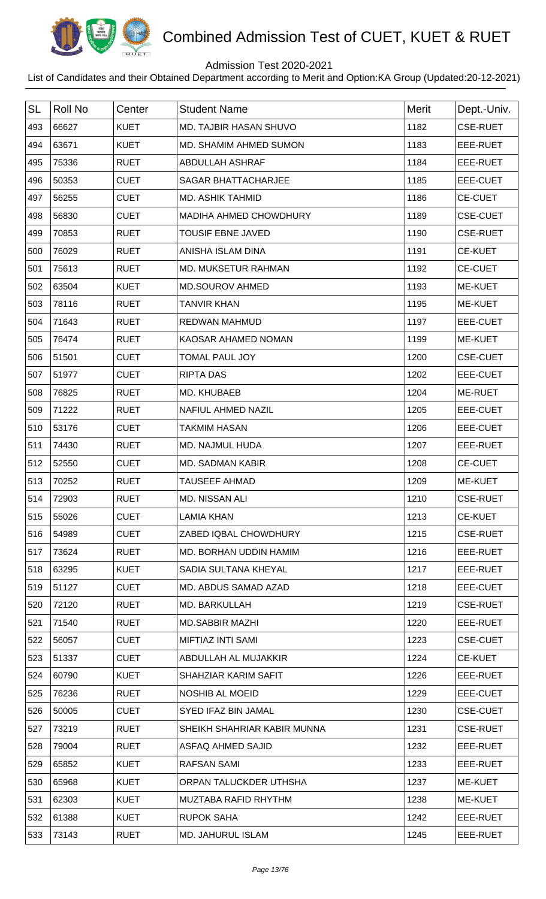

## Admission Test 2020-2021

| <b>SL</b> | <b>Roll No</b> | Center      | <b>Student Name</b>           | Merit | Dept.-Univ.     |
|-----------|----------------|-------------|-------------------------------|-------|-----------------|
| 493       | 66627          | <b>KUET</b> | MD. TAJBIR HASAN SHUVO        | 1182  | <b>CSE-RUET</b> |
| 494       | 63671          | <b>KUET</b> | MD. SHAMIM AHMED SUMON        | 1183  | EEE-RUET        |
| 495       | 75336          | <b>RUET</b> | ABDULLAH ASHRAF               | 1184  | EEE-RUET        |
| 496       | 50353          | <b>CUET</b> | <b>SAGAR BHATTACHARJEE</b>    | 1185  | EEE-CUET        |
| 497       | 56255          | <b>CUET</b> | <b>MD. ASHIK TAHMID</b>       | 1186  | CE-CUET         |
| 498       | 56830          | <b>CUET</b> | <b>MADIHA AHMED CHOWDHURY</b> | 1189  | <b>CSE-CUET</b> |
| 499       | 70853          | <b>RUET</b> | <b>TOUSIF EBNE JAVED</b>      | 1190  | <b>CSE-RUET</b> |
| 500       | 76029          | <b>RUET</b> | ANISHA ISLAM DINA             | 1191  | <b>CE-KUET</b>  |
| 501       | 75613          | <b>RUET</b> | <b>MD. MUKSETUR RAHMAN</b>    | 1192  | <b>CE-CUET</b>  |
| 502       | 63504          | <b>KUET</b> | <b>MD.SOUROV AHMED</b>        | 1193  | ME-KUET         |
| 503       | 78116          | <b>RUET</b> | <b>TANVIR KHAN</b>            | 1195  | <b>ME-KUET</b>  |
| 504       | 71643          | <b>RUET</b> | <b>REDWAN MAHMUD</b>          | 1197  | EEE-CUET        |
| 505       | 76474          | <b>RUET</b> | KAOSAR AHAMED NOMAN           | 1199  | ME-KUET         |
| 506       | 51501          | <b>CUET</b> | <b>TOMAL PAUL JOY</b>         | 1200  | <b>CSE-CUET</b> |
| 507       | 51977          | <b>CUET</b> | <b>RIPTA DAS</b>              | 1202  | EEE-CUET        |
| 508       | 76825          | <b>RUET</b> | MD. KHUBAEB                   | 1204  | ME-RUET         |
| 509       | 71222          | <b>RUET</b> | <b>NAFIUL AHMED NAZIL</b>     | 1205  | EEE-CUET        |
| 510       | 53176          | <b>CUET</b> | <b>TAKMIM HASAN</b>           | 1206  | EEE-CUET        |
| 511       | 74430          | <b>RUET</b> | MD. NAJMUL HUDA               | 1207  | EEE-RUET        |
| 512       | 52550          | <b>CUET</b> | <b>MD. SADMAN KABIR</b>       | 1208  | <b>CE-CUET</b>  |
| 513       | 70252          | <b>RUET</b> | <b>TAUSEEF AHMAD</b>          | 1209  | <b>ME-KUET</b>  |
| 514       | 72903          | <b>RUET</b> | MD. NISSAN ALI                | 1210  | <b>CSE-RUET</b> |
| 515       | 55026          | <b>CUET</b> | <b>LAMIA KHAN</b>             | 1213  | <b>CE-KUET</b>  |
| 516       | 54989          | <b>CUET</b> | ZABED IQBAL CHOWDHURY         | 1215  | <b>CSE-RUET</b> |
| 517       | 73624          | <b>RUET</b> | MD. BORHAN UDDIN HAMIM        | 1216  | EEE-RUET        |
| 518       | 63295          | <b>KUET</b> | SADIA SULTANA KHEYAL          | 1217  | EEE-RUET        |
| 519       | 51127          | <b>CUET</b> | MD. ABDUS SAMAD AZAD          | 1218  | EEE-CUET        |
| 520       | 72120          | <b>RUET</b> | MD. BARKULLAH                 | 1219  | <b>CSE-RUET</b> |
| 521       | 71540          | <b>RUET</b> | <b>MD.SABBIR MAZHI</b>        | 1220  | EEE-RUET        |
| 522       | 56057          | <b>CUET</b> | MIFTIAZ INTI SAMI             | 1223  | <b>CSE-CUET</b> |
| 523       | 51337          | <b>CUET</b> | ABDULLAH AL MUJAKKIR          | 1224  | <b>CE-KUET</b>  |
| 524       | 60790          | <b>KUET</b> | SHAHZIAR KARIM SAFIT          | 1226  | EEE-RUET        |
| 525       | 76236          | <b>RUET</b> | NOSHIB AL MOEID               | 1229  | EEE-CUET        |
| 526       | 50005          | <b>CUET</b> | SYED IFAZ BIN JAMAL           | 1230  | <b>CSE-CUET</b> |
| 527       | 73219          | <b>RUET</b> | SHEIKH SHAHRIAR KABIR MUNNA   | 1231  | <b>CSE-RUET</b> |
| 528       | 79004          | <b>RUET</b> | ASFAQ AHMED SAJID             | 1232  | EEE-RUET        |
| 529       | 65852          | <b>KUET</b> | RAFSAN SAMI                   | 1233  | EEE-RUET        |
| 530       | 65968          | <b>KUET</b> | ORPAN TALUCKDER UTHSHA        | 1237  | ME-KUET         |
| 531       | 62303          | <b>KUET</b> | MUZTABA RAFID RHYTHM          | 1238  | ME-KUET         |
| 532       | 61388          | <b>KUET</b> | <b>RUPOK SAHA</b>             | 1242  | EEE-RUET        |
| 533       | 73143          | <b>RUET</b> | <b>MD. JAHURUL ISLAM</b>      | 1245  | EEE-RUET        |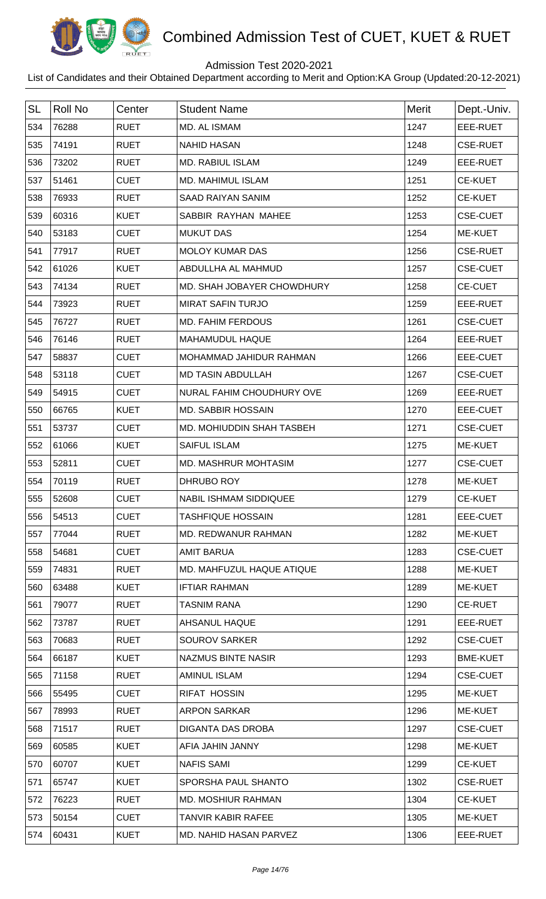

## Admission Test 2020-2021

| <b>SL</b> | <b>Roll No</b> | Center      | <b>Student Name</b>           | Merit | Dept.-Univ.     |
|-----------|----------------|-------------|-------------------------------|-------|-----------------|
| 534       | 76288          | <b>RUET</b> | MD. AL ISMAM                  | 1247  | EEE-RUET        |
| 535       | 74191          | <b>RUET</b> | <b>NAHID HASAN</b>            | 1248  | <b>CSE-RUET</b> |
| 536       | 73202          | <b>RUET</b> | <b>MD. RABIUL ISLAM</b>       | 1249  | EEE-RUET        |
| 537       | 51461          | <b>CUET</b> | <b>MD. MAHIMUL ISLAM</b>      | 1251  | <b>CE-KUET</b>  |
| 538       | 76933          | <b>RUET</b> | <b>SAAD RAIYAN SANIM</b>      | 1252  | <b>CE-KUET</b>  |
| 539       | 60316          | <b>KUET</b> | SABBIR RAYHAN MAHEE           | 1253  | <b>CSE-CUET</b> |
| 540       | 53183          | <b>CUET</b> | <b>MUKUT DAS</b>              | 1254  | ME-KUET         |
| 541       | 77917          | <b>RUET</b> | <b>MOLOY KUMAR DAS</b>        | 1256  | <b>CSE-RUET</b> |
| 542       | 61026          | <b>KUET</b> | ABDULLHA AL MAHMUD            | 1257  | <b>CSE-CUET</b> |
| 543       | 74134          | <b>RUET</b> | MD. SHAH JOBAYER CHOWDHURY    | 1258  | <b>CE-CUET</b>  |
| 544       | 73923          | <b>RUET</b> | <b>MIRAT SAFIN TURJO</b>      | 1259  | EEE-RUET        |
| 545       | 76727          | <b>RUET</b> | <b>MD. FAHIM FERDOUS</b>      | 1261  | <b>CSE-CUET</b> |
| 546       | 76146          | <b>RUET</b> | MAHAMUDUL HAQUE               | 1264  | EEE-RUET        |
| 547       | 58837          | <b>CUET</b> | MOHAMMAD JAHIDUR RAHMAN       | 1266  | EEE-CUET        |
| 548       | 53118          | <b>CUET</b> | <b>MD TASIN ABDULLAH</b>      | 1267  | <b>CSE-CUET</b> |
| 549       | 54915          | <b>CUET</b> | NURAL FAHIM CHOUDHURY OVE     | 1269  | EEE-RUET        |
| 550       | 66765          | <b>KUET</b> | MD. SABBIR HOSSAIN            | 1270  | EEE-CUET        |
| 551       | 53737          | <b>CUET</b> | MD. MOHIUDDIN SHAH TASBEH     | 1271  | <b>CSE-CUET</b> |
| 552       | 61066          | <b>KUET</b> | <b>SAIFUL ISLAM</b>           | 1275  | ME-KUET         |
| 553       | 52811          | <b>CUET</b> | MD. MASHRUR MOHTASIM          | 1277  | <b>CSE-CUET</b> |
| 554       | 70119          | <b>RUET</b> | DHRUBO ROY                    | 1278  | <b>ME-KUET</b>  |
| 555       | 52608          | <b>CUET</b> | <b>NABIL ISHMAM SIDDIQUEE</b> | 1279  | <b>CE-KUET</b>  |
| 556       | 54513          | <b>CUET</b> | <b>TASHFIQUE HOSSAIN</b>      | 1281  | EEE-CUET        |
| 557       | 77044          | <b>RUET</b> | MD. REDWANUR RAHMAN           | 1282  | ME-KUET         |
| 558       | 54681          | <b>CUET</b> | <b>AMIT BARUA</b>             | 1283  | <b>CSE-CUET</b> |
| 559       | 74831          | <b>RUET</b> | MD. MAHFUZUL HAQUE ATIQUE     | 1288  | ME-KUET         |
| 560       | 63488          | <b>KUET</b> | <b>IFTIAR RAHMAN</b>          | 1289  | ME-KUET         |
| 561       | 79077          | <b>RUET</b> | <b>TASNIM RANA</b>            | 1290  | <b>CE-RUET</b>  |
| 562       | 73787          | <b>RUET</b> | AHSANUL HAQUE                 | 1291  | EEE-RUET        |
| 563       | 70683          | <b>RUET</b> | SOUROV SARKER                 | 1292  | <b>CSE-CUET</b> |
| 564       | 66187          | <b>KUET</b> | <b>NAZMUS BINTE NASIR</b>     | 1293  | <b>BME-KUET</b> |
| 565       | 71158          | <b>RUET</b> | <b>AMINUL ISLAM</b>           | 1294  | <b>CSE-CUET</b> |
| 566       | 55495          | <b>CUET</b> | <b>RIFAT HOSSIN</b>           | 1295  | ME-KUET         |
| 567       | 78993          | <b>RUET</b> | <b>ARPON SARKAR</b>           | 1296  | <b>ME-KUET</b>  |
| 568       | 71517          | <b>RUET</b> | DIGANTA DAS DROBA             | 1297  | <b>CSE-CUET</b> |
| 569       | 60585          | <b>KUET</b> | AFIA JAHIN JANNY              | 1298  | ME-KUET         |
| 570       | 60707          | <b>KUET</b> | <b>NAFIS SAMI</b>             | 1299  | <b>CE-KUET</b>  |
| 571       | 65747          | <b>KUET</b> | SPORSHA PAUL SHANTO           | 1302  | <b>CSE-RUET</b> |
| 572       | 76223          | <b>RUET</b> | <b>MD. MOSHIUR RAHMAN</b>     | 1304  | <b>CE-KUET</b>  |
| 573       | 50154          | <b>CUET</b> | <b>TANVIR KABIR RAFEE</b>     | 1305  | ME-KUET         |
| 574       | 60431          | <b>KUET</b> | MD. NAHID HASAN PARVEZ        | 1306  | EEE-RUET        |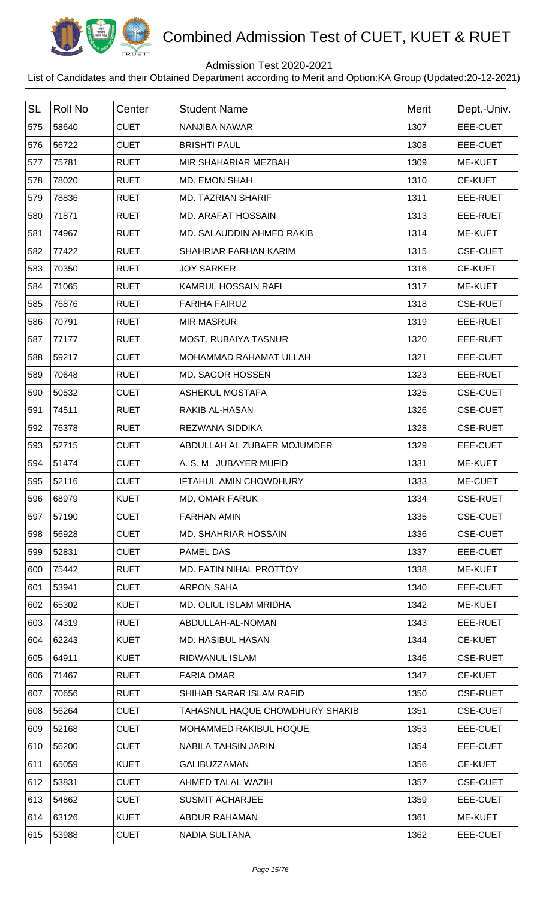

## Admission Test 2020-2021

| <b>SL</b> | <b>Roll No</b> | Center      | <b>Student Name</b>             | <b>Merit</b> | Dept.-Univ.     |
|-----------|----------------|-------------|---------------------------------|--------------|-----------------|
| 575       | 58640          | <b>CUET</b> | <b>NANJIBA NAWAR</b>            | 1307         | <b>EEE-CUET</b> |
| 576       | 56722          | <b>CUET</b> | <b>BRISHTI PAUL</b>             | 1308         | EEE-CUET        |
| 577       | 75781          | <b>RUET</b> | MIR SHAHARIAR MEZBAH            | 1309         | ME-KUET         |
| 578       | 78020          | <b>RUET</b> | MD. EMON SHAH                   | 1310         | <b>CE-KUET</b>  |
| 579       | 78836          | <b>RUET</b> | <b>MD. TAZRIAN SHARIF</b>       | 1311         | EEE-RUET        |
| 580       | 71871          | <b>RUET</b> | <b>MD. ARAFAT HOSSAIN</b>       | 1313         | EEE-RUET        |
| 581       | 74967          | <b>RUET</b> | MD. SALAUDDIN AHMED RAKIB       | 1314         | ME-KUET         |
| 582       | 77422          | <b>RUET</b> | SHAHRIAR FARHAN KARIM           | 1315         | <b>CSE-CUET</b> |
| 583       | 70350          | <b>RUET</b> | <b>JOY SARKER</b>               | 1316         | <b>CE-KUET</b>  |
| 584       | 71065          | <b>RUET</b> | KAMRUL HOSSAIN RAFI             | 1317         | <b>ME-KUET</b>  |
| 585       | 76876          | <b>RUET</b> | <b>FARIHA FAIRUZ</b>            | 1318         | <b>CSE-RUET</b> |
| 586       | 70791          | <b>RUET</b> | <b>MIR MASRUR</b>               | 1319         | EEE-RUET        |
| 587       | 77177          | <b>RUET</b> | <b>MOST. RUBAIYA TASNUR</b>     | 1320         | EEE-RUET        |
| 588       | 59217          | <b>CUET</b> | MOHAMMAD RAHAMAT ULLAH          | 1321         | EEE-CUET        |
| 589       | 70648          | <b>RUET</b> | MD. SAGOR HOSSEN                | 1323         | EEE-RUET        |
| 590       | 50532          | <b>CUET</b> | <b>ASHEKUL MOSTAFA</b>          | 1325         | <b>CSE-CUET</b> |
| 591       | 74511          | <b>RUET</b> | <b>RAKIB AL-HASAN</b>           | 1326         | <b>CSE-CUET</b> |
| 592       | 76378          | <b>RUET</b> | <b>REZWANA SIDDIKA</b>          | 1328         | <b>CSE-RUET</b> |
| 593       | 52715          | <b>CUET</b> | ABDULLAH AL ZUBAER MOJUMDER     | 1329         | EEE-CUET        |
| 594       | 51474          | <b>CUET</b> | A. S. M. JUBAYER MUFID          | 1331         | ME-KUET         |
| 595       | 52116          | <b>CUET</b> | <b>IFTAHUL AMIN CHOWDHURY</b>   | 1333         | ME-CUET         |
| 596       | 68979          | <b>KUET</b> | <b>MD. OMAR FARUK</b>           | 1334         | <b>CSE-RUET</b> |
| 597       | 57190          | <b>CUET</b> | <b>FARHAN AMIN</b>              | 1335         | <b>CSE-CUET</b> |
| 598       | 56928          | <b>CUET</b> | <b>MD. SHAHRIAR HOSSAIN</b>     | 1336         | <b>CSE-CUET</b> |
| 599       | 52831          | <b>CUET</b> | <b>PAMEL DAS</b>                | 1337         | EEE-CUET        |
| 600       | 75442          | <b>RUET</b> | MD. FATIN NIHAL PROTTOY         | 1338         | ME-KUET         |
| 601       | 53941          | <b>CUET</b> | <b>ARPON SAHA</b>               | 1340         | EEE-CUET        |
| 602       | 65302          | <b>KUET</b> | MD. OLIUL ISLAM MRIDHA          | 1342         | ME-KUET         |
| 603       | 74319          | <b>RUET</b> | ABDULLAH-AL-NOMAN               | 1343         | EEE-RUET        |
| 604       | 62243          | <b>KUET</b> | MD. HASIBUL HASAN               | 1344         | <b>CE-KUET</b>  |
| 605       | 64911          | <b>KUET</b> | RIDWANUL ISLAM                  | 1346         | <b>CSE-RUET</b> |
| 606       | 71467          | <b>RUET</b> | <b>FARIA OMAR</b>               | 1347         | <b>CE-KUET</b>  |
| 607       | 70656          | <b>RUET</b> | SHIHAB SARAR ISLAM RAFID        | 1350         | <b>CSE-RUET</b> |
| 608       | 56264          | <b>CUET</b> | TAHASNUL HAQUE CHOWDHURY SHAKIB | 1351         | <b>CSE-CUET</b> |
| 609       | 52168          | <b>CUET</b> | MOHAMMED RAKIBUL HOQUE          | 1353         | EEE-CUET        |
| 610       | 56200          | <b>CUET</b> | <b>NABILA TAHSIN JARIN</b>      | 1354         | EEE-CUET        |
| 611       | 65059          | <b>KUET</b> | <b>GALIBUZZAMAN</b>             | 1356         | <b>CE-KUET</b>  |
| 612       | 53831          | <b>CUET</b> | AHMED TALAL WAZIH               | 1357         | <b>CSE-CUET</b> |
| 613       | 54862          | <b>CUET</b> | <b>SUSMIT ACHARJEE</b>          | 1359         | EEE-CUET        |
| 614       | 63126          | <b>KUET</b> | <b>ABDUR RAHAMAN</b>            | 1361         | <b>ME-KUET</b>  |
| 615       | 53988          | <b>CUET</b> | NADIA SULTANA                   | 1362         | EEE-CUET        |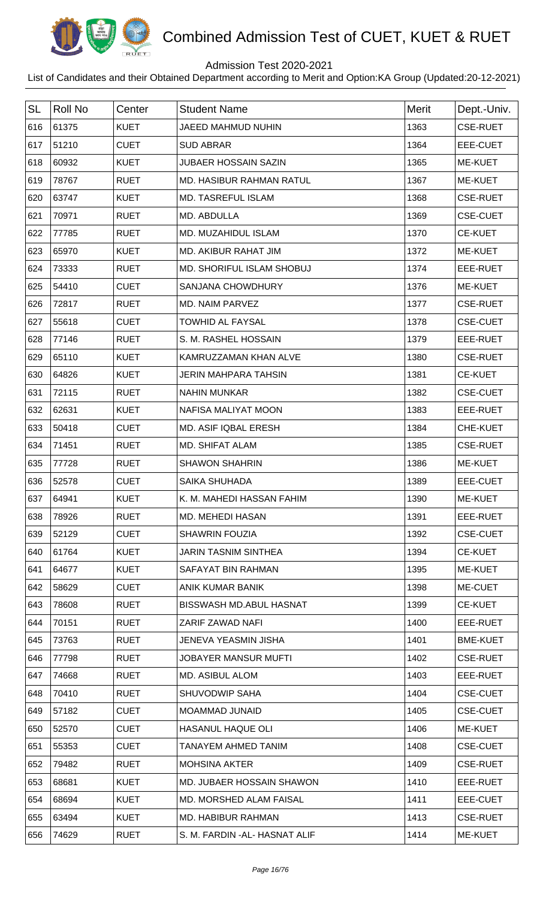

## Admission Test 2020-2021

| <b>SL</b> | <b>Roll No</b> | Center      | <b>Student Name</b>              | Merit | Dept.-Univ.     |
|-----------|----------------|-------------|----------------------------------|-------|-----------------|
| 616       | 61375          | <b>KUET</b> | JAEED MAHMUD NUHIN               | 1363  | <b>CSE-RUET</b> |
| 617       | 51210          | <b>CUET</b> | <b>SUD ABRAR</b>                 | 1364  | EEE-CUET        |
| 618       | 60932          | <b>KUET</b> | <b>JUBAER HOSSAIN SAZIN</b>      | 1365  | ME-KUET         |
| 619       | 78767          | <b>RUET</b> | <b>MD. HASIBUR RAHMAN RATUL</b>  | 1367  | <b>ME-KUET</b>  |
| 620       | 63747          | <b>KUET</b> | <b>MD. TASREFUL ISLAM</b>        | 1368  | <b>CSE-RUET</b> |
| 621       | 70971          | <b>RUET</b> | MD. ABDULLA                      | 1369  | <b>CSE-CUET</b> |
| 622       | 77785          | <b>RUET</b> | MD. MUZAHIDUL ISLAM              | 1370  | <b>CE-KUET</b>  |
| 623       | 65970          | <b>KUET</b> | MD. AKIBUR RAHAT JIM             | 1372  | <b>ME-KUET</b>  |
| 624       | 73333          | <b>RUET</b> | <b>MD. SHORIFUL ISLAM SHOBUJ</b> | 1374  | EEE-RUET        |
| 625       | 54410          | <b>CUET</b> | <b>SANJANA CHOWDHURY</b>         | 1376  | ME-KUET         |
| 626       | 72817          | <b>RUET</b> | MD. NAIM PARVEZ                  | 1377  | <b>CSE-RUET</b> |
| 627       | 55618          | <b>CUET</b> | <b>TOWHID AL FAYSAL</b>          | 1378  | <b>CSE-CUET</b> |
| 628       | 77146          | <b>RUET</b> | S. M. RASHEL HOSSAIN             | 1379  | EEE-RUET        |
| 629       | 65110          | <b>KUET</b> | KAMRUZZAMAN KHAN ALVE            | 1380  | <b>CSE-RUET</b> |
| 630       | 64826          | <b>KUET</b> | <b>JERIN MAHPARA TAHSIN</b>      | 1381  | <b>CE-KUET</b>  |
| 631       | 72115          | <b>RUET</b> | <b>NAHIN MUNKAR</b>              | 1382  | <b>CSE-CUET</b> |
| 632       | 62631          | <b>KUET</b> | <b>NAFISA MALIYAT MOON</b>       | 1383  | EEE-RUET        |
| 633       | 50418          | <b>CUET</b> | MD. ASIF IQBAL ERESH             | 1384  | <b>CHE-KUET</b> |
| 634       | 71451          | <b>RUET</b> | <b>MD. SHIFAT ALAM</b>           | 1385  | <b>CSE-RUET</b> |
| 635       | 77728          | <b>RUET</b> | <b>SHAWON SHAHRIN</b>            | 1386  | ME-KUET         |
| 636       | 52578          | <b>CUET</b> | <b>SAIKA SHUHADA</b>             | 1389  | EEE-CUET        |
| 637       | 64941          | <b>KUET</b> | K. M. MAHEDI HASSAN FAHIM        | 1390  | <b>ME-KUET</b>  |
| 638       | 78926          | <b>RUET</b> | <b>MD. MEHEDI HASAN</b>          | 1391  | EEE-RUET        |
| 639       | 52129          | <b>CUET</b> | <b>SHAWRIN FOUZIA</b>            | 1392  | <b>CSE-CUET</b> |
| 640       | 61764          | <b>KUET</b> | <b>JARIN TASNIM SINTHEA</b>      | 1394  | <b>CE-KUET</b>  |
| 641       | 64677          | <b>KUET</b> | SAFAYAT BIN RAHMAN               | 1395  | <b>ME-KUET</b>  |
| 642       | 58629          | <b>CUET</b> | ANIK KUMAR BANIK                 | 1398  | ME-CUET         |
| 643       | 78608          | <b>RUET</b> | <b>BISSWASH MD.ABUL HASNAT</b>   | 1399  | <b>CE-KUET</b>  |
| 644       | 70151          | <b>RUET</b> | ZARIF ZAWAD NAFI                 | 1400  | EEE-RUET        |
| 645       | 73763          | <b>RUET</b> | <b>JENEVA YEASMIN JISHA</b>      | 1401  | <b>BME-KUET</b> |
| 646       | 77798          | <b>RUET</b> | JOBAYER MANSUR MUFTI             | 1402  | <b>CSE-RUET</b> |
| 647       | 74668          | <b>RUET</b> | <b>MD. ASIBUL ALOM</b>           | 1403  | EEE-RUET        |
| 648       | 70410          | <b>RUET</b> | <b>SHUVODWIP SAHA</b>            | 1404  | <b>CSE-CUET</b> |
| 649       | 57182          | <b>CUET</b> | <b>MOAMMAD JUNAID</b>            | 1405  | <b>CSE-CUET</b> |
| 650       | 52570          | <b>CUET</b> | <b>HASANUL HAQUE OLI</b>         | 1406  | <b>ME-KUET</b>  |
| 651       | 55353          | <b>CUET</b> | TANAYEM AHMED TANIM              | 1408  | <b>CSE-CUET</b> |
| 652       | 79482          | <b>RUET</b> | <b>MOHSINA AKTER</b>             | 1409  | <b>CSE-RUET</b> |
| 653       | 68681          | <b>KUET</b> | MD. JUBAER HOSSAIN SHAWON        | 1410  | EEE-RUET        |
| 654       | 68694          | <b>KUET</b> | MD. MORSHED ALAM FAISAL          | 1411  | EEE-CUET        |
| 655       | 63494          | <b>KUET</b> | MD. HABIBUR RAHMAN               | 1413  | <b>CSE-RUET</b> |
| 656       | 74629          | <b>RUET</b> | S. M. FARDIN - AL- HASNAT ALIF   | 1414  | <b>ME-KUET</b>  |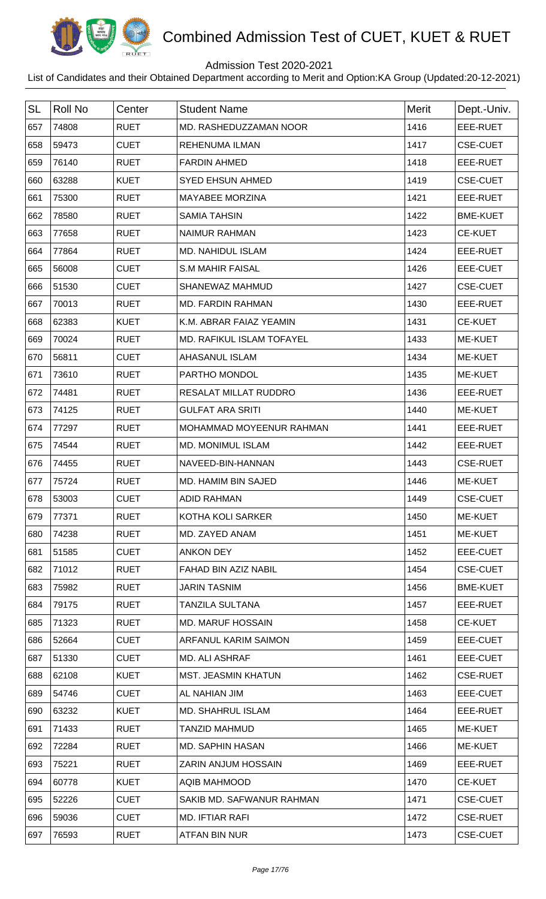

## Admission Test 2020-2021

| <b>SL</b> | <b>Roll No</b> | Center      | <b>Student Name</b>        | Merit | Dept.-Univ.     |
|-----------|----------------|-------------|----------------------------|-------|-----------------|
| 657       | 74808          | <b>RUET</b> | MD. RASHEDUZZAMAN NOOR     | 1416  | EEE-RUET        |
| 658       | 59473          | <b>CUET</b> | <b>REHENUMA ILMAN</b>      | 1417  | <b>CSE-CUET</b> |
| 659       | 76140          | <b>RUET</b> | <b>FARDIN AHMED</b>        | 1418  | EEE-RUET        |
| 660       | 63288          | <b>KUET</b> | <b>SYED EHSUN AHMED</b>    | 1419  | <b>CSE-CUET</b> |
| 661       | 75300          | <b>RUET</b> | <b>MAYABEE MORZINA</b>     | 1421  | EEE-RUET        |
|           |                | <b>RUET</b> | <b>SAMIA TAHSIN</b>        |       |                 |
| 662       | 78580          |             |                            | 1422  | <b>BME-KUET</b> |
| 663       | 77658          | <b>RUET</b> | <b>NAIMUR RAHMAN</b>       | 1423  | <b>CE-KUET</b>  |
| 664       | 77864          | <b>RUET</b> | <b>MD. NAHIDUL ISLAM</b>   | 1424  | EEE-RUET        |
| 665       | 56008          | <b>CUET</b> | <b>S.M MAHIR FAISAL</b>    | 1426  | EEE-CUET        |
| 666       | 51530          | <b>CUET</b> | SHANEWAZ MAHMUD            | 1427  | <b>CSE-CUET</b> |
| 667       | 70013          | <b>RUET</b> | <b>MD. FARDIN RAHMAN</b>   | 1430  | EEE-RUET        |
| 668       | 62383          | <b>KUET</b> | K.M. ABRAR FAIAZ YEAMIN    | 1431  | <b>CE-KUET</b>  |
| 669       | 70024          | <b>RUET</b> | MD. RAFIKUL ISLAM TOFAYEL  | 1433  | ME-KUET         |
| 670       | 56811          | <b>CUET</b> | <b>AHASANUL ISLAM</b>      | 1434  | <b>ME-KUET</b>  |
| 671       | 73610          | <b>RUET</b> | PARTHO MONDOL              | 1435  | ME-KUET         |
| 672       | 74481          | <b>RUET</b> | RESALAT MILLAT RUDDRO      | 1436  | EEE-RUET        |
| 673       | 74125          | <b>RUET</b> | <b>GULFAT ARA SRITI</b>    | 1440  | ME-KUET         |
| 674       | 77297          | <b>RUET</b> | MOHAMMAD MOYEENUR RAHMAN   | 1441  | EEE-RUET        |
| 675       | 74544          | <b>RUET</b> | <b>MD. MONIMUL ISLAM</b>   | 1442  | EEE-RUET        |
| 676       | 74455          | <b>RUET</b> | NAVEED-BIN-HANNAN          | 1443  | <b>CSE-RUET</b> |
| 677       | 75724          | <b>RUET</b> | MD. HAMIM BIN SAJED        | 1446  | <b>ME-KUET</b>  |
| 678       | 53003          | <b>CUET</b> | <b>ADID RAHMAN</b>         | 1449  | <b>CSE-CUET</b> |
| 679       | 77371          | <b>RUET</b> | KOTHA KOLI SARKER          | 1450  | ME-KUET         |
| 680       | 74238          | <b>RUET</b> | MD. ZAYED ANAM             | 1451  | ME-KUET         |
| 681       | 51585          | <b>CUET</b> | <b>ANKON DEY</b>           | 1452  | EEE-CUET        |
| 682       | 71012          | <b>RUET</b> | FAHAD BIN AZIZ NABIL       | 1454  | <b>CSE-CUET</b> |
| 683       | 75982          | <b>RUET</b> | <b>JARIN TASNIM</b>        | 1456  | <b>BME-KUET</b> |
| 684       | 79175          | <b>RUET</b> | <b>TANZILA SULTANA</b>     | 1457  | EEE-RUET        |
| 685       | 71323          | <b>RUET</b> | <b>MD. MARUF HOSSAIN</b>   | 1458  | <b>CE-KUET</b>  |
| 686       | 52664          | <b>CUET</b> | ARFANUL KARIM SAIMON       | 1459  | EEE-CUET        |
| 687       | 51330          | <b>CUET</b> | MD. ALI ASHRAF             | 1461  | EEE-CUET        |
| 688       | 62108          | <b>KUET</b> | <b>MST. JEASMIN KHATUN</b> | 1462  | <b>CSE-RUET</b> |
| 689       | 54746          | <b>CUET</b> | AL NAHIAN JIM              | 1463  | EEE-CUET        |
| 690       | 63232          | <b>KUET</b> | <b>MD. SHAHRUL ISLAM</b>   | 1464  | EEE-RUET        |
| 691       | 71433          | <b>RUET</b> | <b>TANZID MAHMUD</b>       | 1465  | ME-KUET         |
| 692       | 72284          | <b>RUET</b> | <b>MD. SAPHIN HASAN</b>    | 1466  | ME-KUET         |
| 693       | 75221          | <b>RUET</b> | <b>ZARIN ANJUM HOSSAIN</b> | 1469  | EEE-RUET        |
| 694       | 60778          | <b>KUET</b> | <b>AQIB MAHMOOD</b>        | 1470  | <b>CE-KUET</b>  |
| 695       | 52226          | <b>CUET</b> | SAKIB MD, SAFWANUR RAHMAN  | 1471  | <b>CSE-CUET</b> |
| 696       | 59036          | <b>CUET</b> |                            | 1472  | <b>CSE-RUET</b> |
|           |                |             | MD. IFTIAR RAFI            |       |                 |
| 697       | 76593          | <b>RUET</b> | ATFAN BIN NUR              | 1473  | <b>CSE-CUET</b> |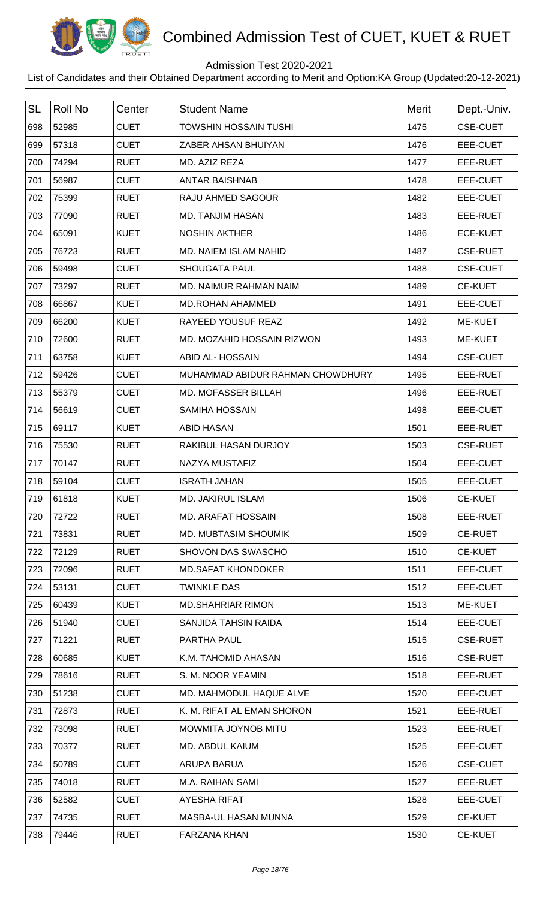

## Admission Test 2020-2021

| <b>SL</b> | <b>Roll No</b> | Center      | <b>Student Name</b>              | Merit | Dept.-Univ.     |
|-----------|----------------|-------------|----------------------------------|-------|-----------------|
| 698       | 52985          | <b>CUET</b> | <b>TOWSHIN HOSSAIN TUSHI</b>     | 1475  | <b>CSE-CUET</b> |
| 699       | 57318          | <b>CUET</b> | ZABER AHSAN BHUIYAN              | 1476  | EEE-CUET        |
| 700       | 74294          | <b>RUET</b> | MD. AZIZ REZA                    | 1477  | EEE-RUET        |
| 701       | 56987          | <b>CUET</b> | <b>ANTAR BAISHNAB</b>            | 1478  | EEE-CUET        |
| 702       | 75399          | <b>RUET</b> | RAJU AHMED SAGOUR                | 1482  | <b>EEE-CUET</b> |
| 703       | 77090          | <b>RUET</b> | <b>MD. TANJIM HASAN</b>          | 1483  | EEE-RUET        |
| 704       | 65091          | <b>KUET</b> | <b>NOSHIN AKTHER</b>             | 1486  | <b>ECE-KUET</b> |
| 705       | 76723          | <b>RUET</b> | MD. NAIEM ISLAM NAHID            | 1487  | <b>CSE-RUET</b> |
| 706       | 59498          | <b>CUET</b> | <b>SHOUGATA PAUL</b>             | 1488  | <b>CSE-CUET</b> |
| 707       | 73297          | <b>RUET</b> | MD. NAIMUR RAHMAN NAIM           | 1489  | <b>CE-KUET</b>  |
|           |                |             |                                  |       |                 |
| 708       | 66867          | <b>KUET</b> | <b>MD.ROHAN AHAMMED</b>          | 1491  | <b>EEE-CUET</b> |
| 709       | 66200          | <b>KUET</b> | RAYEED YOUSUF REAZ               | 1492  | ME-KUET         |
| 710       | 72600          | <b>RUET</b> | MD. MOZAHID HOSSAIN RIZWON       | 1493  | <b>ME-KUET</b>  |
| 711       | 63758          | <b>KUET</b> | <b>ABID AL- HOSSAIN</b>          | 1494  | <b>CSE-CUET</b> |
| 712       | 59426          | <b>CUET</b> | MUHAMMAD ABIDUR RAHMAN CHOWDHURY | 1495  | EEE-RUET        |
| 713       | 55379          | <b>CUET</b> | MD. MOFASSER BILLAH              | 1496  | EEE-RUET        |
| 714       | 56619          | <b>CUET</b> | <b>SAMIHA HOSSAIN</b>            | 1498  | EEE-CUET        |
| 715       | 69117          | <b>KUET</b> | <b>ABID HASAN</b>                | 1501  | EEE-RUET        |
| 716       | 75530          | <b>RUET</b> | RAKIBUL HASAN DURJOY             | 1503  | <b>CSE-RUET</b> |
| 717       | 70147          | <b>RUET</b> | NAZYA MUSTAFIZ                   | 1504  | EEE-CUET        |
| 718       | 59104          | <b>CUET</b> | <b>ISRATH JAHAN</b>              | 1505  | <b>EEE-CUET</b> |
| 719       | 61818          | <b>KUET</b> | <b>MD. JAKIRUL ISLAM</b>         | 1506  | <b>CE-KUET</b>  |
| 720       | 72722          | <b>RUET</b> | <b>MD. ARAFAT HOSSAIN</b>        | 1508  | EEE-RUET        |
| 721       | 73831          | <b>RUET</b> | <b>MD. MUBTASIM SHOUMIK</b>      | 1509  | <b>CE-RUET</b>  |
| 722       | 72129          | <b>RUET</b> | SHOVON DAS SWASCHO               | 1510  | <b>CE-KUET</b>  |
| 723       | 72096          | <b>RUET</b> | <b>MD.SAFAT KHONDOKER</b>        | 1511  | EEE-CUET        |
| 724       | 53131          | <b>CUET</b> | <b>TWINKLE DAS</b>               | 1512  | EEE-CUET        |
| 725       | 60439          | <b>KUET</b> | <b>MD.SHAHRIAR RIMON</b>         | 1513  | ME-KUET         |
| 726       | 51940          | <b>CUET</b> | SANJIDA TAHSIN RAIDA             | 1514  | EEE-CUET        |
| 727       | 71221          | <b>RUET</b> | PARTHA PAUL                      | 1515  | <b>CSE-RUET</b> |
| 728       | 60685          | <b>KUET</b> | K.M. TAHOMID AHASAN              | 1516  | <b>CSE-RUET</b> |
| 729       | 78616          | <b>RUET</b> | S. M. NOOR YEAMIN                | 1518  | EEE-RUET        |
| 730       | 51238          | <b>CUET</b> | MD. MAHMODUL HAQUE ALVE          | 1520  | EEE-CUET        |
| 731       | 72873          | <b>RUET</b> | K. M. RIFAT AL EMAN SHORON       | 1521  | EEE-RUET        |
| 732       | 73098          | <b>RUET</b> | MOWMITA JOYNOB MITU              | 1523  | EEE-RUET        |
| 733       | 70377          | <b>RUET</b> | MD. ABDUL KAIUM                  | 1525  | EEE-CUET        |
| 734       | 50789          | <b>CUET</b> | ARUPA BARUA                      | 1526  | <b>CSE-CUET</b> |
| 735       | 74018          | <b>RUET</b> | M.A. RAIHAN SAMI                 | 1527  | EEE-RUET        |
| 736       | 52582          | <b>CUET</b> | <b>AYESHA RIFAT</b>              | 1528  | EEE-CUET        |
| 737       | 74735          | <b>RUET</b> | MASBA-UL HASAN MUNNA             | 1529  | <b>CE-KUET</b>  |
| 738       | 79446          | <b>RUET</b> | <b>FARZANA KHAN</b>              | 1530  | <b>CE-KUET</b>  |
|           |                |             |                                  |       |                 |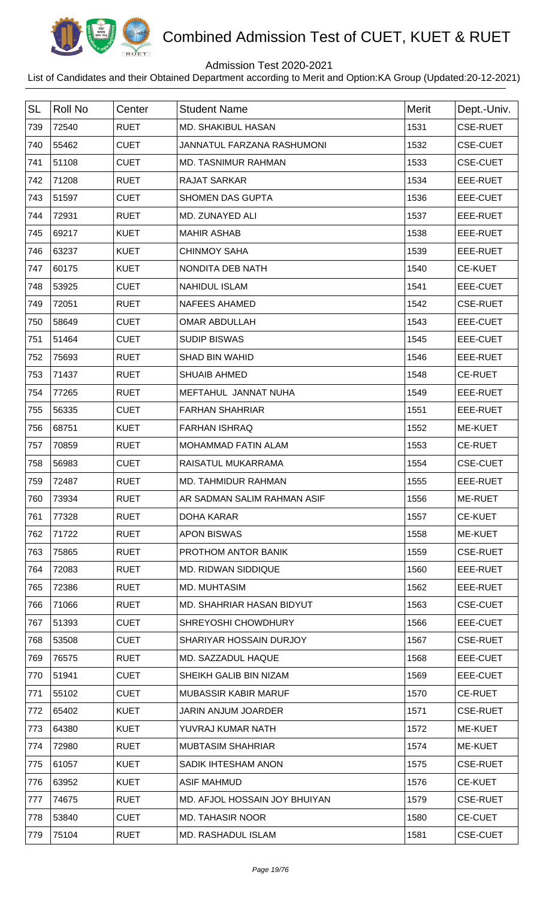

## Admission Test 2020-2021

| <b>SL</b> | <b>Roll No</b> | Center      | <b>Student Name</b>           | Merit | Dept.-Univ.     |
|-----------|----------------|-------------|-------------------------------|-------|-----------------|
| 739       | 72540          | <b>RUET</b> | <b>MD. SHAKIBUL HASAN</b>     | 1531  | <b>CSE-RUET</b> |
| 740       | 55462          | <b>CUET</b> | JANNATUL FARZANA RASHUMONI    | 1532  | <b>CSE-CUET</b> |
| 741       | 51108          | <b>CUET</b> | <b>MD. TASNIMUR RAHMAN</b>    | 1533  | <b>CSE-CUET</b> |
| 742       | 71208          | <b>RUET</b> | <b>RAJAT SARKAR</b>           | 1534  | EEE-RUET        |
| 743       | 51597          | <b>CUET</b> | <b>SHOMEN DAS GUPTA</b>       | 1536  | EEE-CUET        |
| 744       | 72931          | <b>RUET</b> | MD. ZUNAYED ALI               | 1537  | EEE-RUET        |
| 745       | 69217          | <b>KUET</b> | <b>MAHIR ASHAB</b>            | 1538  | EEE-RUET        |
| 746       | 63237          | <b>KUET</b> | <b>CHINMOY SAHA</b>           | 1539  | EEE-RUET        |
| 747       | 60175          | <b>KUET</b> | NONDITA DEB NATH              | 1540  | <b>CE-KUET</b>  |
| 748       | 53925          | <b>CUET</b> | <b>NAHIDUL ISLAM</b>          | 1541  | <b>EEE-CUET</b> |
| 749       | 72051          | <b>RUET</b> | <b>NAFEES AHAMED</b>          | 1542  | <b>CSE-RUET</b> |
| 750       | 58649          | <b>CUET</b> | <b>OMAR ABDULLAH</b>          | 1543  | EEE-CUET        |
| 751       | 51464          | <b>CUET</b> | <b>SUDIP BISWAS</b>           | 1545  | <b>EEE-CUET</b> |
| 752       | 75693          | <b>RUET</b> | <b>SHAD BIN WAHID</b>         | 1546  | EEE-RUET        |
| 753       | 71437          | <b>RUET</b> | <b>SHUAIB AHMED</b>           | 1548  | <b>CE-RUET</b>  |
| 754       | 77265          | <b>RUET</b> | MEFTAHUL JANNAT NUHA          | 1549  | EEE-RUET        |
| 755       | 56335          | <b>CUET</b> | <b>FARHAN SHAHRIAR</b>        | 1551  | EEE-RUET        |
| 756       | 68751          | <b>KUET</b> | <b>FARHAN ISHRAQ</b>          | 1552  | <b>ME-KUET</b>  |
| 757       | 70859          | <b>RUET</b> | MOHAMMAD FATIN ALAM           | 1553  | <b>CE-RUET</b>  |
| 758       | 56983          | <b>CUET</b> | RAISATUL MUKARRAMA            | 1554  | <b>CSE-CUET</b> |
| 759       | 72487          | <b>RUET</b> | <b>MD. TAHMIDUR RAHMAN</b>    | 1555  | EEE-RUET        |
| 760       | 73934          | <b>RUET</b> | AR SADMAN SALIM RAHMAN ASIF   | 1556  | <b>ME-RUET</b>  |
| 761       | 77328          | <b>RUET</b> | <b>DOHA KARAR</b>             | 1557  | <b>CE-KUET</b>  |
| 762       | 71722          | <b>RUET</b> | <b>APON BISWAS</b>            | 1558  | ME-KUET         |
| 763       | 75865          | <b>RUET</b> | PROTHOM ANTOR BANIK           | 1559  | <b>CSE-RUET</b> |
| 764       | 72083          | <b>RUET</b> | MD. RIDWAN SIDDIQUE           | 1560  | EEE-RUET        |
| 765       | 72386          | <b>RUET</b> | MD. MUHTASIM                  | 1562  | EEE-RUET        |
| 766       | 71066          | <b>RUET</b> | MD. SHAHRIAR HASAN BIDYUT     | 1563  | <b>CSE-CUET</b> |
| 767       | 51393          | <b>CUET</b> | SHREYOSHI CHOWDHURY           | 1566  | EEE-CUET        |
| 768       | 53508          | <b>CUET</b> | SHARIYAR HOSSAIN DURJOY       | 1567  | <b>CSE-RUET</b> |
| 769       | 76575          | <b>RUET</b> | MD. SAZZADUL HAQUE            | 1568  | EEE-CUET        |
| 770       | 51941          | <b>CUET</b> | SHEIKH GALIB BIN NIZAM        | 1569  | EEE-CUET        |
| 771       | 55102          | <b>CUET</b> | <b>MUBASSIR KABIR MARUF</b>   | 1570  | <b>CE-RUET</b>  |
| 772       | 65402          | <b>KUET</b> | <b>JARIN ANJUM JOARDER</b>    | 1571  | <b>CSE-RUET</b> |
| 773       | 64380          | <b>KUET</b> | YUVRAJ KUMAR NATH             | 1572  | ME-KUET         |
| 774       | 72980          | <b>RUET</b> | <b>MUBTASIM SHAHRIAR</b>      | 1574  | ME-KUET         |
| 775       | 61057          | <b>KUET</b> | SADIK IHTESHAM ANON           | 1575  | <b>CSE-RUET</b> |
| 776       | 63952          | <b>KUET</b> | <b>ASIF MAHMUD</b>            | 1576  | <b>CE-KUET</b>  |
| 777       | 74675          | <b>RUET</b> | MD. AFJOL HOSSAIN JOY BHUIYAN | 1579  | <b>CSE-RUET</b> |
| 778       | 53840          | <b>CUET</b> | <b>MD. TAHASIR NOOR</b>       | 1580  | <b>CE-CUET</b>  |
| 779       | 75104          | <b>RUET</b> | MD. RASHADUL ISLAM            | 1581  | <b>CSE-CUET</b> |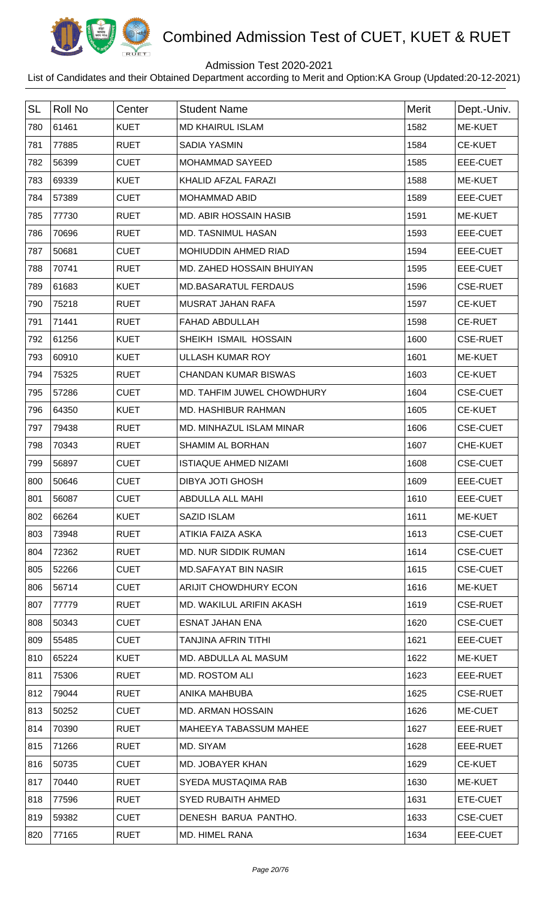

## Admission Test 2020-2021

| <b>SL</b> | <b>Roll No</b> | Center      | <b>Student Name</b>           | <b>Merit</b> | Dept.-Univ.     |
|-----------|----------------|-------------|-------------------------------|--------------|-----------------|
| 780       | 61461          | <b>KUET</b> | <b>MD KHAIRUL ISLAM</b>       | 1582         | ME-KUET         |
| 781       | 77885          | <b>RUET</b> | <b>SADIA YASMIN</b>           | 1584         | <b>CE-KUET</b>  |
| 782       | 56399          | <b>CUET</b> | <b>MOHAMMAD SAYEED</b>        | 1585         | EEE-CUET        |
| 783       | 69339          | <b>KUET</b> | KHALID AFZAL FARAZI           | 1588         | ME-KUET         |
| 784       | 57389          | <b>CUET</b> | <b>MOHAMMAD ABID</b>          | 1589         | EEE-CUET        |
| 785       | 77730          | <b>RUET</b> | <b>MD. ABIR HOSSAIN HASIB</b> | 1591         | ME-KUET         |
| 786       | 70696          | <b>RUET</b> | <b>MD. TASNIMUL HASAN</b>     | 1593         | EEE-CUET        |
| 787       | 50681          | <b>CUET</b> | MOHIUDDIN AHMED RIAD          | 1594         | EEE-CUET        |
| 788       | 70741          | <b>RUET</b> | MD. ZAHED HOSSAIN BHUIYAN     | 1595         | EEE-CUET        |
| 789       | 61683          | <b>KUET</b> | <b>MD.BASARATUL FERDAUS</b>   | 1596         | <b>CSE-RUET</b> |
| 790       | 75218          | <b>RUET</b> | MUSRAT JAHAN RAFA             | 1597         | <b>CE-KUET</b>  |
| 791       | 71441          | <b>RUET</b> | <b>FAHAD ABDULLAH</b>         | 1598         | <b>CE-RUET</b>  |
| 792       | 61256          | <b>KUET</b> | SHEIKH ISMAIL HOSSAIN         | 1600         | <b>CSE-RUET</b> |
| 793       | 60910          | <b>KUET</b> | <b>ULLASH KUMAR ROY</b>       | 1601         | <b>ME-KUET</b>  |
| 794       | 75325          | <b>RUET</b> | <b>CHANDAN KUMAR BISWAS</b>   | 1603         | <b>CE-KUET</b>  |
| 795       | 57286          | <b>CUET</b> | MD. TAHFIM JUWEL CHOWDHURY    | 1604         | <b>CSE-CUET</b> |
| 796       | 64350          | <b>KUET</b> | MD. HASHIBUR RAHMAN           | 1605         | <b>CE-KUET</b>  |
| 797       | 79438          | <b>RUET</b> | MD. MINHAZUL ISLAM MINAR      | 1606         | <b>CSE-CUET</b> |
| 798       | 70343          | <b>RUET</b> | <b>SHAMIM AL BORHAN</b>       | 1607         | CHE-KUET        |
| 799       | 56897          | <b>CUET</b> | <b>ISTIAQUE AHMED NIZAMI</b>  | 1608         | <b>CSE-CUET</b> |
| 800       | 50646          | <b>CUET</b> | <b>DIBYA JOTI GHOSH</b>       | 1609         | EEE-CUET        |
| 801       | 56087          | <b>CUET</b> | ABDULLA ALL MAHI              | 1610         | EEE-CUET        |
| 802       | 66264          | <b>KUET</b> | SAZID ISLAM                   | 1611         | <b>ME-KUET</b>  |
| 803       | 73948          | <b>RUET</b> | ATIKIA FAIZA ASKA             | 1613         | <b>CSE-CUET</b> |
| 804       | 72362          | <b>RUET</b> | <b>MD. NUR SIDDIK RUMAN</b>   | 1614         | <b>CSE-CUET</b> |
| 805       | 52266          | <b>CUET</b> | <b>MD.SAFAYAT BIN NASIR</b>   | 1615         | <b>CSE-CUET</b> |
| 806       | 56714          | <b>CUET</b> | ARIJIT CHOWDHURY ECON         | 1616         | ME-KUET         |
| 807       | 77779          | <b>RUET</b> | MD. WAKILUL ARIFIN AKASH      | 1619         | <b>CSE-RUET</b> |
| 808       | 50343          | <b>CUET</b> | <b>ESNAT JAHAN ENA</b>        | 1620         | <b>CSE-CUET</b> |
| 809       | 55485          | <b>CUET</b> | TANJINA AFRIN TITHI           | 1621         | EEE-CUET        |
| 810       | 65224          | <b>KUET</b> | MD. ABDULLA AL MASUM          | 1622         | ME-KUET         |
| 811       | 75306          | <b>RUET</b> | <b>MD. ROSTOM ALI</b>         | 1623         | EEE-RUET        |
| 812       | 79044          | <b>RUET</b> | ANIKA MAHBUBA                 | 1625         | <b>CSE-RUET</b> |
| 813       | 50252          | <b>CUET</b> | <b>MD. ARMAN HOSSAIN</b>      | 1626         | ME-CUET         |
| 814       | 70390          | <b>RUET</b> | MAHEEYA TABASSUM MAHEE        | 1627         | EEE-RUET        |
| 815       | 71266          | <b>RUET</b> | MD. SIYAM                     | 1628         | EEE-RUET        |
| 816       | 50735          | <b>CUET</b> | MD. JOBAYER KHAN              | 1629         | <b>CE-KUET</b>  |
| 817       | 70440          | <b>RUET</b> | SYEDA MUSTAQIMA RAB           | 1630         | ME-KUET         |
| 818       | 77596          | <b>RUET</b> | <b>SYED RUBAITH AHMED</b>     | 1631         | ETE-CUET        |
| 819       | 59382          | <b>CUET</b> | DENESH BARUA PANTHO.          | 1633         | <b>CSE-CUET</b> |
| 820       | 77165          | <b>RUET</b> | MD. HIMEL RANA                | 1634         | EEE-CUET        |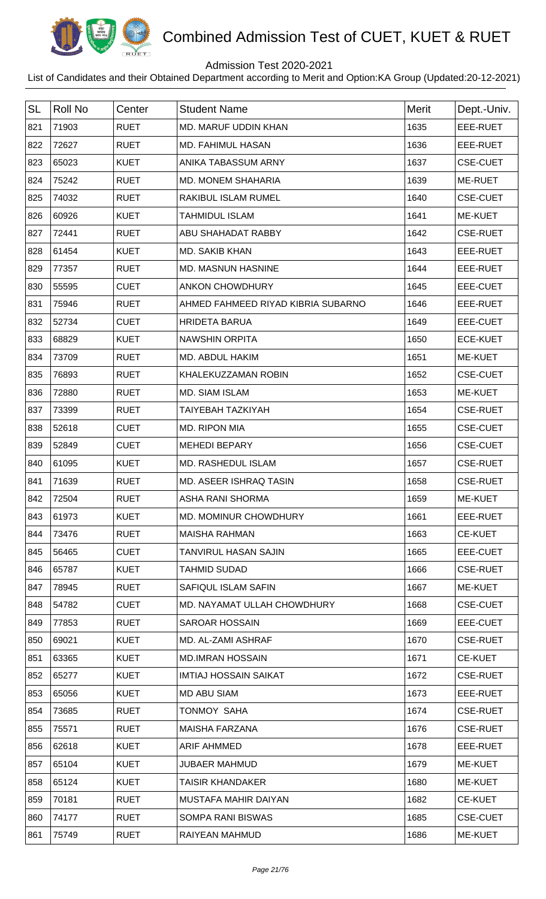

## Admission Test 2020-2021

| <b>SL</b> | <b>Roll No</b> | Center      | <b>Student Name</b>                | Merit | Dept.-Univ.     |
|-----------|----------------|-------------|------------------------------------|-------|-----------------|
| 821       | 71903          | <b>RUET</b> | MD. MARUF UDDIN KHAN               | 1635  | EEE-RUET        |
| 822       | 72627          | <b>RUET</b> | MD. FAHIMUL HASAN                  | 1636  | EEE-RUET        |
| 823       | 65023          | <b>KUET</b> | ANIKA TABASSUM ARNY                | 1637  | <b>CSE-CUET</b> |
| 824       | 75242          | <b>RUET</b> | MD. MONEM SHAHARIA                 | 1639  | ME-RUET         |
| 825       | 74032          | <b>RUET</b> | RAKIBUL ISLAM RUMEL                | 1640  | <b>CSE-CUET</b> |
| 826       | 60926          | <b>KUET</b> | <b>TAHMIDUL ISLAM</b>              | 1641  | ME-KUET         |
| 827       | 72441          | <b>RUET</b> | ABU SHAHADAT RABBY                 | 1642  | <b>CSE-RUET</b> |
| 828       | 61454          | <b>KUET</b> | <b>MD. SAKIB KHAN</b>              | 1643  | EEE-RUET        |
| 829       | 77357          | <b>RUET</b> | MD. MASNUN HASNINE                 | 1644  | EEE-RUET        |
| 830       | 55595          | <b>CUET</b> | <b>ANKON CHOWDHURY</b>             | 1645  | EEE-CUET        |
| 831       | 75946          | <b>RUET</b> | AHMED FAHMEED RIYAD KIBRIA SUBARNO | 1646  | EEE-RUET        |
| 832       | 52734          | <b>CUET</b> | <b>HRIDETA BARUA</b>               | 1649  | EEE-CUET        |
| 833       | 68829          | <b>KUET</b> | <b>NAWSHIN ORPITA</b>              | 1650  | <b>ECE-KUET</b> |
| 834       | 73709          | <b>RUET</b> | MD. ABDUL HAKIM                    | 1651  | ME-KUET         |
| 835       | 76893          | <b>RUET</b> | KHALEKUZZAMAN ROBIN                | 1652  | <b>CSE-CUET</b> |
| 836       | 72880          | <b>RUET</b> | MD. SIAM ISLAM                     | 1653  | ME-KUET         |
| 837       | 73399          | <b>RUET</b> | <b>TAIYEBAH TAZKIYAH</b>           | 1654  | <b>CSE-RUET</b> |
| 838       | 52618          | <b>CUET</b> | MD. RIPON MIA                      | 1655  | <b>CSE-CUET</b> |
| 839       | 52849          | <b>CUET</b> | <b>MEHEDI BEPARY</b>               | 1656  | <b>CSE-CUET</b> |
| 840       | 61095          | <b>KUET</b> | MD. RASHEDUL ISLAM                 | 1657  | <b>CSE-RUET</b> |
| 841       | 71639          | <b>RUET</b> | <b>MD. ASEER ISHRAQ TASIN</b>      | 1658  | <b>CSE-RUET</b> |
| 842       | 72504          | <b>RUET</b> | <b>ASHA RANI SHORMA</b>            | 1659  | <b>ME-KUET</b>  |
| 843       | 61973          | <b>KUET</b> | MD. MOMINUR CHOWDHURY              | 1661  | EEE-RUET        |
| 844       | 73476          | <b>RUET</b> | <b>MAISHA RAHMAN</b>               | 1663  | <b>CE-KUET</b>  |
| 845       | 56465          | <b>CUET</b> | TANVIRUL HASAN SAJIN               | 1665  | EEE-CUET        |
| 846       | 65787          | <b>KUET</b> | <b>TAHMID SUDAD</b>                | 1666  | <b>CSE-RUET</b> |
| 847       | 78945          | <b>RUET</b> | SAFIQUL ISLAM SAFIN                | 1667  | ME-KUET         |
| 848       | 54782          | <b>CUET</b> | MD. NAYAMAT ULLAH CHOWDHURY        | 1668  | <b>CSE-CUET</b> |
| 849       | 77853          | <b>RUET</b> | <b>SAROAR HOSSAIN</b>              | 1669  | EEE-CUET        |
| 850       | 69021          | <b>KUET</b> | MD. AL-ZAMI ASHRAF                 | 1670  | <b>CSE-RUET</b> |
| 851       | 63365          | <b>KUET</b> | <b>MD.IMRAN HOSSAIN</b>            | 1671  | <b>CE-KUET</b>  |
| 852       | 65277          | <b>KUET</b> | <b>IMTIAJ HOSSAIN SAIKAT</b>       | 1672  | <b>CSE-RUET</b> |
| 853       | 65056          | <b>KUET</b> | <b>MD ABU SIAM</b>                 | 1673  | EEE-RUET        |
| 854       | 73685          | <b>RUET</b> | TONMOY SAHA                        | 1674  | <b>CSE-RUET</b> |
| 855       | 75571          | <b>RUET</b> | <b>MAISHA FARZANA</b>              | 1676  | <b>CSE-RUET</b> |
| 856       | 62618          | <b>KUET</b> | <b>ARIF AHMMED</b>                 | 1678  | EEE-RUET        |
| 857       | 65104          | <b>KUET</b> | <b>JUBAER MAHMUD</b>               | 1679  | ME-KUET         |
| 858       | 65124          | <b>KUET</b> | <b>TAISIR KHANDAKER</b>            | 1680  | ME-KUET         |
| 859       | 70181          | <b>RUET</b> | MUSTAFA MAHIR DAIYAN               | 1682  | <b>CE-KUET</b>  |
| 860       | 74177          | <b>RUET</b> | <b>SOMPA RANI BISWAS</b>           | 1685  | <b>CSE-CUET</b> |
| 861       | 75749          | <b>RUET</b> | RAIYEAN MAHMUD                     | 1686  | ME-KUET         |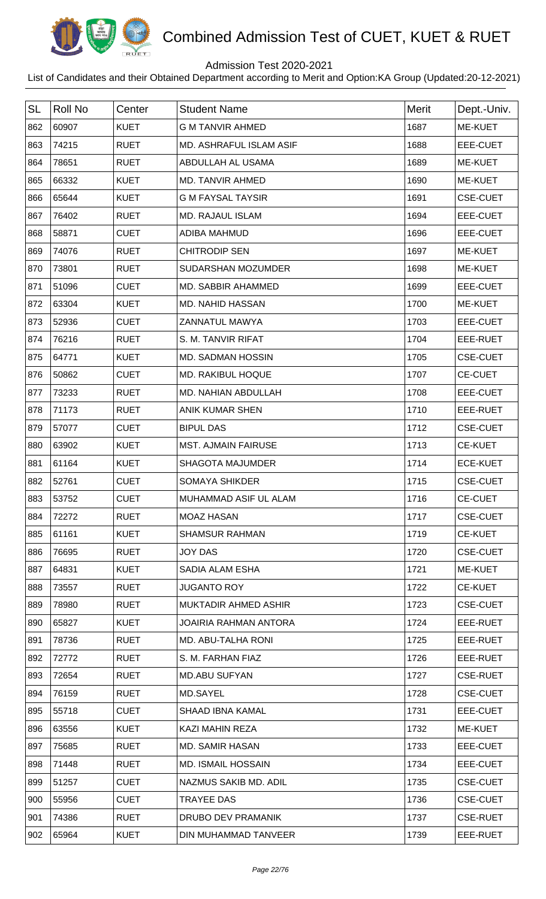

## Admission Test 2020-2021

| <b>SL</b> | <b>Roll No</b> | Center      | <b>Student Name</b>            | Merit | Dept.-Univ.     |
|-----------|----------------|-------------|--------------------------------|-------|-----------------|
| 862       | 60907          | <b>KUET</b> | <b>G M TANVIR AHMED</b>        | 1687  | <b>ME-KUET</b>  |
| 863       | 74215          | <b>RUET</b> | <b>MD. ASHRAFUL ISLAM ASIF</b> | 1688  | EEE-CUET        |
| 864       | 78651          | <b>RUET</b> | ABDULLAH AL USAMA              | 1689  | ME-KUET         |
| 865       | 66332          | <b>KUET</b> | MD. TANVIR AHMED               | 1690  | <b>ME-KUET</b>  |
| 866       | 65644          | <b>KUET</b> | <b>G M FAYSAL TAYSIR</b>       | 1691  | <b>CSE-CUET</b> |
| 867       | 76402          | <b>RUET</b> | <b>MD. RAJAUL ISLAM</b>        | 1694  | EEE-CUET        |
| 868       | 58871          | <b>CUET</b> | ADIBA MAHMUD                   | 1696  | EEE-CUET        |
| 869       | 74076          | <b>RUET</b> | <b>CHITRODIP SEN</b>           | 1697  | <b>ME-KUET</b>  |
| 870       | 73801          | <b>RUET</b> | SUDARSHAN MOZUMDER             | 1698  | <b>ME-KUET</b>  |
| 871       | 51096          | <b>CUET</b> | MD. SABBIR AHAMMED             | 1699  | EEE-CUET        |
| 872       | 63304          | <b>KUET</b> | MD. NAHID HASSAN               | 1700  | ME-KUET         |
| 873       | 52936          | <b>CUET</b> | <b>ZANNATUL MAWYA</b>          | 1703  | <b>EEE-CUET</b> |
| 874       | 76216          | <b>RUET</b> | S. M. TANVIR RIFAT             | 1704  | EEE-RUET        |
| 875       | 64771          | <b>KUET</b> | MD. SADMAN HOSSIN              | 1705  | <b>CSE-CUET</b> |
| 876       | 50862          | <b>CUET</b> | <b>MD. RAKIBUL HOQUE</b>       | 1707  | <b>CE-CUET</b>  |
| 877       | 73233          | <b>RUET</b> | MD. NAHIAN ABDULLAH            | 1708  | EEE-CUET        |
| 878       | 71173          | <b>RUET</b> | <b>ANIK KUMAR SHEN</b>         | 1710  | EEE-RUET        |
| 879       | 57077          | <b>CUET</b> | <b>BIPUL DAS</b>               | 1712  | <b>CSE-CUET</b> |
| 880       | 63902          | <b>KUET</b> | <b>MST. AJMAIN FAIRUSE</b>     | 1713  | <b>CE-KUET</b>  |
| 881       | 61164          | <b>KUET</b> | <b>SHAGOTA MAJUMDER</b>        | 1714  | <b>ECE-KUET</b> |
| 882       | 52761          | <b>CUET</b> | <b>SOMAYA SHIKDER</b>          | 1715  | <b>CSE-CUET</b> |
| 883       | 53752          | <b>CUET</b> | MUHAMMAD ASIF UL ALAM          | 1716  | <b>CE-CUET</b>  |
| 884       | 72272          | <b>RUET</b> | <b>MOAZ HASAN</b>              | 1717  | <b>CSE-CUET</b> |
| 885       | 61161          | <b>KUET</b> | <b>SHAMSUR RAHMAN</b>          | 1719  | <b>CE-KUET</b>  |
| 886       | 76695          | <b>RUET</b> | <b>JOY DAS</b>                 | 1720  | <b>CSE-CUET</b> |
| 887       | 64831          | <b>KUET</b> | SADIA ALAM ESHA                | 1721  | ME-KUET         |
| 888       | 73557          | <b>RUET</b> | <b>JUGANTO ROY</b>             | 1722  | <b>CE-KUET</b>  |
| 889       | 78980          | <b>RUET</b> | MUKTADIR AHMED ASHIR           | 1723  | <b>CSE-CUET</b> |
| 890       | 65827          | <b>KUET</b> | <b>JOAIRIA RAHMAN ANTORA</b>   | 1724  | EEE-RUET        |
| 891       | 78736          | <b>RUET</b> | MD. ABU-TALHA RONI             | 1725  | EEE-RUET        |
| 892       | 72772          | <b>RUET</b> | S. M. FARHAN FIAZ              | 1726  | EEE-RUET        |
| 893       | 72654          | <b>RUET</b> | <b>MD.ABU SUFYAN</b>           | 1727  | <b>CSE-RUET</b> |
| 894       | 76159          | <b>RUET</b> | MD.SAYEL                       | 1728  | <b>CSE-CUET</b> |
| 895       | 55718          | <b>CUET</b> | <b>SHAAD IBNA KAMAL</b>        | 1731  | EEE-CUET        |
| 896       | 63556          | <b>KUET</b> | KAZI MAHIN REZA                | 1732  | ME-KUET         |
| 897       | 75685          | <b>RUET</b> | <b>MD. SAMIR HASAN</b>         | 1733  | EEE-CUET        |
| 898       | 71448          | <b>RUET</b> | <b>MD. ISMAIL HOSSAIN</b>      | 1734  | EEE-CUET        |
| 899       | 51257          | <b>CUET</b> | NAZMUS SAKIB MD. ADIL          | 1735  | <b>CSE-CUET</b> |
| 900       | 55956          | <b>CUET</b> | <b>TRAYEE DAS</b>              | 1736  | <b>CSE-CUET</b> |
| 901       | 74386          | <b>RUET</b> | DRUBO DEV PRAMANIK             | 1737  | <b>CSE-RUET</b> |
| 902       | 65964          | <b>KUET</b> | DIN MUHAMMAD TANVEER           | 1739  | EEE-RUET        |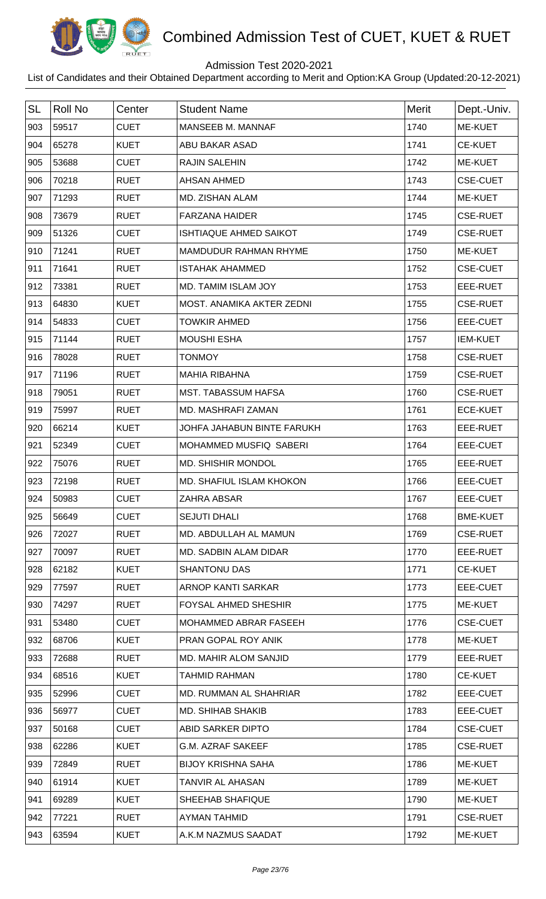

## Admission Test 2020-2021

| <b>SL</b> | <b>Roll No</b> | Center      | <b>Student Name</b>             | Merit | Dept.-Univ.     |
|-----------|----------------|-------------|---------------------------------|-------|-----------------|
| 903       | 59517          | <b>CUET</b> | MANSEEB M. MANNAF               | 1740  | <b>ME-KUET</b>  |
| 904       | 65278          | <b>KUET</b> | ABU BAKAR ASAD                  | 1741  | <b>CE-KUET</b>  |
| 905       | 53688          | <b>CUET</b> | <b>RAJIN SALEHIN</b>            | 1742  | ME-KUET         |
| 906       | 70218          | <b>RUET</b> | <b>AHSAN AHMED</b>              | 1743  | <b>CSE-CUET</b> |
| 907       | 71293          | <b>RUET</b> | MD. ZISHAN ALAM                 | 1744  | ME-KUET         |
| 908       | 73679          | <b>RUET</b> | <b>FARZANA HAIDER</b>           | 1745  | <b>CSE-RUET</b> |
| 909       | 51326          | <b>CUET</b> | <b>ISHTIAQUE AHMED SAIKOT</b>   | 1749  | <b>CSE-RUET</b> |
| 910       | 71241          | <b>RUET</b> | MAMDUDUR RAHMAN RHYME           | 1750  | ME-KUET         |
| 911       | 71641          | <b>RUET</b> | <b>ISTAHAK AHAMMED</b>          | 1752  | <b>CSE-CUET</b> |
| 912       | 73381          | <b>RUET</b> | MD. TAMIM ISLAM JOY             | 1753  | EEE-RUET        |
| 913       | 64830          | <b>KUET</b> | MOST. ANAMIKA AKTER ZEDNI       | 1755  | <b>CSE-RUET</b> |
| 914       | 54833          | <b>CUET</b> | <b>TOWKIR AHMED</b>             | 1756  | <b>EEE-CUET</b> |
| 915       | 71144          | <b>RUET</b> | <b>MOUSHI ESHA</b>              | 1757  | <b>IEM-KUET</b> |
| 916       | 78028          | <b>RUET</b> | <b>TONMOY</b>                   | 1758  | <b>CSE-RUET</b> |
| 917       | 71196          | <b>RUET</b> | <b>MAHIA RIBAHNA</b>            | 1759  | <b>CSE-RUET</b> |
| 918       | 79051          | <b>RUET</b> | <b>MST. TABASSUM HAFSA</b>      | 1760  | <b>CSE-RUET</b> |
| 919       | 75997          | <b>RUET</b> | MD. MASHRAFI ZAMAN              | 1761  | <b>ECE-KUET</b> |
| 920       | 66214          | <b>KUET</b> | JOHFA JAHABUN BINTE FARUKH      | 1763  | EEE-RUET        |
| 921       | 52349          | <b>CUET</b> | MOHAMMED MUSFIQ SABERI          | 1764  | EEE-CUET        |
| 922       | 75076          | <b>RUET</b> | MD. SHISHIR MONDOL              | 1765  | EEE-RUET        |
| 923       | 72198          | <b>RUET</b> | <b>MD. SHAFIUL ISLAM KHOKON</b> | 1766  | EEE-CUET        |
| 924       | 50983          | <b>CUET</b> | ZAHRA ABSAR                     | 1767  | EEE-CUET        |
| 925       | 56649          | <b>CUET</b> | <b>SEJUTI DHALI</b>             | 1768  | <b>BME-KUET</b> |
| 926       | 72027          | <b>RUET</b> | MD. ABDULLAH AL MAMUN           | 1769  | <b>CSE-RUET</b> |
| 927       | 70097          | <b>RUET</b> | MD. SADBIN ALAM DIDAR           | 1770  | EEE-RUET        |
| 928       | 62182          | <b>KUET</b> | <b>SHANTONU DAS</b>             | 1771  | <b>CE-KUET</b>  |
| 929       | 77597          | <b>RUET</b> | ARNOP KANTI SARKAR              | 1773  | EEE-CUET        |
| 930       | 74297          | <b>RUET</b> | <b>FOYSAL AHMED SHESHIR</b>     | 1775  | ME-KUET         |
| 931       | 53480          | <b>CUET</b> | MOHAMMED ABRAR FASEEH           | 1776  | <b>CSE-CUET</b> |
| 932       | 68706          | <b>KUET</b> | PRAN GOPAL ROY ANIK             | 1778  | ME-KUET         |
| 933       | 72688          | <b>RUET</b> | MD. MAHIR ALOM SANJID           | 1779  | EEE-RUET        |
| 934       | 68516          | <b>KUET</b> | <b>TAHMID RAHMAN</b>            | 1780  | <b>CE-KUET</b>  |
| 935       | 52996          | <b>CUET</b> | MD. RUMMAN AL SHAHRIAR          | 1782  | EEE-CUET        |
| 936       | 56977          | <b>CUET</b> | MD. SHIHAB SHAKIB               | 1783  | EEE-CUET        |
| 937       | 50168          | <b>CUET</b> | ABID SARKER DIPTO               | 1784  | <b>CSE-CUET</b> |
| 938       | 62286          | <b>KUET</b> | <b>G.M. AZRAF SAKEEF</b>        | 1785  | <b>CSE-RUET</b> |
| 939       | 72849          | <b>RUET</b> | <b>BIJOY KRISHNA SAHA</b>       | 1786  | ME-KUET         |
| 940       | 61914          | <b>KUET</b> | TANVIR AL AHASAN                | 1789  | ME-KUET         |
| 941       | 69289          | <b>KUET</b> | SHEEHAB SHAFIQUE                | 1790  | <b>ME-KUET</b>  |
| 942       | 77221          | <b>RUET</b> | <b>AYMAN TAHMID</b>             | 1791  | <b>CSE-RUET</b> |
| 943       | 63594          | <b>KUET</b> | A.K.M NAZMUS SAADAT             | 1792  | ME-KUET         |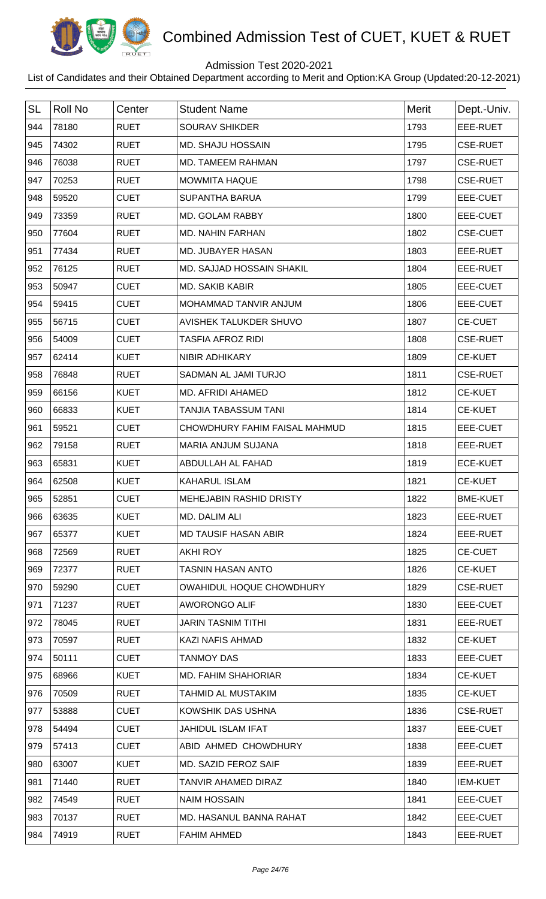

## Admission Test 2020-2021

| <b>SL</b> | <b>Roll No</b> | Center      | <b>Student Name</b>             | Merit | Dept.-Univ.     |
|-----------|----------------|-------------|---------------------------------|-------|-----------------|
| 944       | 78180          | <b>RUET</b> | <b>SOURAV SHIKDER</b>           | 1793  | EEE-RUET        |
| 945       | 74302          | <b>RUET</b> | MD. SHAJU HOSSAIN               | 1795  | <b>CSE-RUET</b> |
| 946       | 76038          | <b>RUET</b> | MD. TAMEEM RAHMAN               | 1797  | <b>CSE-RUET</b> |
| 947       | 70253          | <b>RUET</b> | <b>MOWMITA HAQUE</b>            | 1798  | <b>CSE-RUET</b> |
| 948       | 59520          | <b>CUET</b> | <b>SUPANTHA BARUA</b>           | 1799  | EEE-CUET        |
| 949       | 73359          | <b>RUET</b> | MD. GOLAM RABBY                 | 1800  | EEE-CUET        |
| 950       | 77604          | <b>RUET</b> | MD. NAHIN FARHAN                | 1802  | <b>CSE-CUET</b> |
| 951       | 77434          | <b>RUET</b> | MD. JUBAYER HASAN               | 1803  | EEE-RUET        |
| 952       | 76125          | <b>RUET</b> | MD. SAJJAD HOSSAIN SHAKIL       | 1804  | EEE-RUET        |
| 953       | 50947          | <b>CUET</b> | MD. SAKIB KABIR                 | 1805  | <b>EEE-CUET</b> |
| 954       | 59415          | <b>CUET</b> | MOHAMMAD TANVIR ANJUM           | 1806  | <b>EEE-CUET</b> |
| 955       | 56715          | <b>CUET</b> | AVISHEK TALUKDER SHUVO          | 1807  | <b>CE-CUET</b>  |
| 956       | 54009          | <b>CUET</b> | <b>TASFIA AFROZ RIDI</b>        | 1808  | <b>CSE-RUET</b> |
| 957       | 62414          | <b>KUET</b> | NIBIR ADHIKARY                  | 1809  | <b>CE-KUET</b>  |
| 958       | 76848          | <b>RUET</b> | SADMAN AL JAMI TURJO            | 1811  | <b>CSE-RUET</b> |
| 959       | 66156          | <b>KUET</b> | MD. AFRIDI AHAMED               | 1812  | <b>CE-KUET</b>  |
| 960       | 66833          | <b>KUET</b> | <b>TANJIA TABASSUM TANI</b>     | 1814  | <b>CE-KUET</b>  |
| 961       | 59521          | <b>CUET</b> | CHOWDHURY FAHIM FAISAL MAHMUD   | 1815  | EEE-CUET        |
| 962       | 79158          | <b>RUET</b> | <b>MARIA ANJUM SUJANA</b>       | 1818  | EEE-RUET        |
| 963       | 65831          | <b>KUET</b> | ABDULLAH AL FAHAD               | 1819  | <b>ECE-KUET</b> |
| 964       | 62508          | <b>KUET</b> | <b>KAHARUL ISLAM</b>            | 1821  | <b>CE-KUET</b>  |
| 965       | 52851          | <b>CUET</b> | MEHEJABIN RASHID DRISTY         | 1822  | <b>BME-KUET</b> |
| 966       | 63635          | <b>KUET</b> | MD. DALIM ALI                   | 1823  | EEE-RUET        |
| 967       | 65377          | <b>KUET</b> | <b>MD TAUSIF HASAN ABIR</b>     | 1824  | EEE-RUET        |
| 968       | 72569          | <b>RUET</b> | <b>AKHI ROY</b>                 | 1825  | <b>CE-CUET</b>  |
| 969       | 72377          | <b>RUET</b> | <b>TASNIN HASAN ANTO</b>        | 1826  | <b>CE-KUET</b>  |
| 970       | 59290          | <b>CUET</b> | <b>OWAHIDUL HOQUE CHOWDHURY</b> | 1829  | <b>CSE-RUET</b> |
| 971       | 71237          | <b>RUET</b> | <b>AWORONGO ALIF</b>            | 1830  | EEE-CUET        |
| 972       | 78045          | <b>RUET</b> | <b>JARIN TASNIM TITHI</b>       | 1831  | EEE-RUET        |
| 973       | 70597          | <b>RUET</b> | KAZI NAFIS AHMAD                | 1832  | <b>CE-KUET</b>  |
| 974       | 50111          | <b>CUET</b> | <b>TANMOY DAS</b>               | 1833  | EEE-CUET        |
| 975       | 68966          | <b>KUET</b> | <b>MD. FAHIM SHAHORIAR</b>      | 1834  | <b>CE-KUET</b>  |
| 976       | 70509          | <b>RUET</b> | <b>TAHMID AL MUSTAKIM</b>       | 1835  | <b>CE-KUET</b>  |
| 977       | 53888          | <b>CUET</b> | KOWSHIK DAS USHNA               | 1836  | <b>CSE-RUET</b> |
| 978       | 54494          | <b>CUET</b> | <b>JAHIDUL ISLAM IFAT</b>       | 1837  | EEE-CUET        |
| 979       | 57413          | <b>CUET</b> | ABID AHMED CHOWDHURY            | 1838  | EEE-CUET        |
| 980       | 63007          | <b>KUET</b> | MD. SAZID FEROZ SAIF            | 1839  | EEE-RUET        |
| 981       | 71440          | <b>RUET</b> | <b>TANVIR AHAMED DIRAZ</b>      | 1840  | <b>IEM-KUET</b> |
| 982       | 74549          | <b>RUET</b> | <b>NAIM HOSSAIN</b>             | 1841  | EEE-CUET        |
| 983       | 70137          | <b>RUET</b> | MD. HASANUL BANNA RAHAT         | 1842  | EEE-CUET        |
| 984       | 74919          | <b>RUET</b> | <b>FAHIM AHMED</b>              | 1843  | EEE-RUET        |
|           |                |             |                                 |       |                 |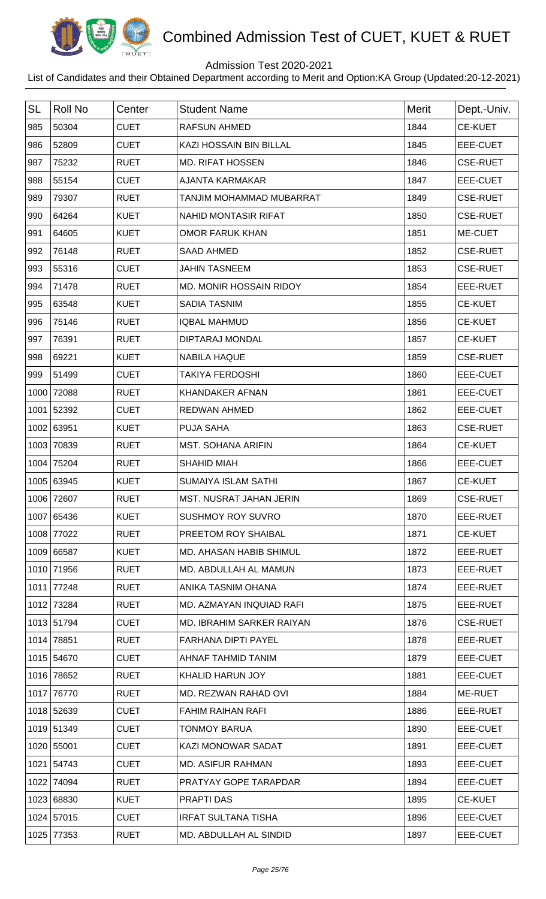

## Admission Test 2020-2021

| <b>SL</b> | <b>Roll No</b> | Center      | <b>Student Name</b>        | <b>Merit</b> | Dept.-Univ.     |
|-----------|----------------|-------------|----------------------------|--------------|-----------------|
| 985       | 50304          | <b>CUET</b> | <b>RAFSUN AHMED</b>        | 1844         | <b>CE-KUET</b>  |
| 986       | 52809          | <b>CUET</b> | KAZI HOSSAIN BIN BILLAL    | 1845         | EEE-CUET        |
| 987       | 75232          | <b>RUET</b> | <b>MD. RIFAT HOSSEN</b>    | 1846         | <b>CSE-RUET</b> |
| 988       | 55154          | <b>CUET</b> | <b>AJANTA KARMAKAR</b>     | 1847         | EEE-CUET        |
| 989       | 79307          | <b>RUET</b> | TANJIM MOHAMMAD MUBARRAT   | 1849         | <b>CSE-RUET</b> |
| 990       | 64264          | <b>KUET</b> | NAHID MONTASIR RIFAT       | 1850         | <b>CSE-RUET</b> |
| 991       | 64605          | <b>KUET</b> | <b>OMOR FARUK KHAN</b>     | 1851         | ME-CUET         |
| 992       | 76148          | <b>RUET</b> | <b>SAAD AHMED</b>          | 1852         | <b>CSE-RUET</b> |
| 993       | 55316          | <b>CUET</b> | <b>JAHIN TASNEEM</b>       | 1853         | <b>CSE-RUET</b> |
| 994       | 71478          | <b>RUET</b> | MD. MONIR HOSSAIN RIDOY    | 1854         | EEE-RUET        |
| 995       | 63548          | <b>KUET</b> | <b>SADIA TASNIM</b>        | 1855         | <b>CE-KUET</b>  |
| 996       | 75146          | <b>RUET</b> | <b>IQBAL MAHMUD</b>        | 1856         | <b>CE-KUET</b>  |
| 997       | 76391          | <b>RUET</b> | <b>DIPTARAJ MONDAL</b>     | 1857         | <b>CE-KUET</b>  |
| 998       | 69221          | <b>KUET</b> | <b>NABILA HAQUE</b>        | 1859         | <b>CSE-RUET</b> |
| 999       | 51499          | <b>CUET</b> | <b>TAKIYA FERDOSHI</b>     | 1860         | EEE-CUET        |
| 1000      | 72088          | <b>RUET</b> | <b>KHANDAKER AFNAN</b>     | 1861         | EEE-CUET        |
| 1001      | 52392          | <b>CUET</b> | <b>REDWAN AHMED</b>        | 1862         | EEE-CUET        |
|           | 1002 63951     | <b>KUET</b> | <b>PUJA SAHA</b>           | 1863         | <b>CSE-RUET</b> |
|           | 1003 70839     | <b>RUET</b> | <b>MST. SOHANA ARIFIN</b>  | 1864         | <b>CE-KUET</b>  |
| 1004      | 75204          | <b>RUET</b> | <b>SHAHID MIAH</b>         | 1866         | EEE-CUET        |
|           | 1005 63945     | <b>KUET</b> | <b>SUMAIYA ISLAM SATHI</b> | 1867         | <b>CE-KUET</b>  |
|           | 1006 72607     | <b>RUET</b> | MST. NUSRAT JAHAN JERIN    | 1869         | <b>CSE-RUET</b> |
|           | 1007 65436     | <b>KUET</b> | <b>SUSHMOY ROY SUVRO</b>   | 1870         | EEE-RUET        |
|           | 1008 77022     | <b>RUET</b> | PREETOM ROY SHAIBAL        | 1871         | <b>CE-KUET</b>  |
|           | 1009 66587     | <b>KUET</b> | MD. AHASAN HABIB SHIMUL    | 1872         | EEE-RUET        |
|           | 1010 71956     | <b>RUET</b> | MD. ABDULLAH AL MAMUN      | 1873         | EEE-RUET        |
|           | 1011 77248     | <b>RUET</b> | ANIKA TASNIM OHANA         | 1874         | EEE-RUET        |
|           | 1012 73284     | <b>RUET</b> | MD. AZMAYAN INQUIAD RAFI   | 1875         | EEE-RUET        |
|           | 1013 51794     | <b>CUET</b> | MD. IBRAHIM SARKER RAIYAN  | 1876         | <b>CSE-RUET</b> |
|           | 1014 78851     | <b>RUET</b> | <b>FARHANA DIPTI PAYEL</b> | 1878         | EEE-RUET        |
|           | 1015 54670     | <b>CUET</b> | AHNAF TAHMID TANIM         | 1879         | EEE-CUET        |
|           | 1016 78652     | <b>RUET</b> | <b>KHALID HARUN JOY</b>    | 1881         | EEE-CUET        |
|           | 1017 76770     | <b>RUET</b> | MD. REZWAN RAHAD OVI       | 1884         | ME-RUET         |
|           | 1018 52639     | <b>CUET</b> | <b>FAHIM RAIHAN RAFI</b>   | 1886         | EEE-RUET        |
|           | 1019 51349     | <b>CUET</b> | <b>TONMOY BARUA</b>        | 1890         | EEE-CUET        |
|           | 1020 55001     | <b>CUET</b> | <b>KAZI MONOWAR SADAT</b>  | 1891         | EEE-CUET        |
|           | 1021 54743     | <b>CUET</b> | <b>MD. ASIFUR RAHMAN</b>   | 1893         | EEE-CUET        |
|           | 1022 74094     | <b>RUET</b> | PRATYAY GOPE TARAPDAR      | 1894         | EEE-CUET        |
|           | 1023 68830     | <b>KUET</b> | <b>PRAPTI DAS</b>          | 1895         | <b>CE-KUET</b>  |
|           | 1024 57015     | <b>CUET</b> | <b>IRFAT SULTANA TISHA</b> | 1896         | EEE-CUET        |
|           | 1025 77353     | <b>RUET</b> | MD. ABDULLAH AL SINDID     | 1897         | EEE-CUET        |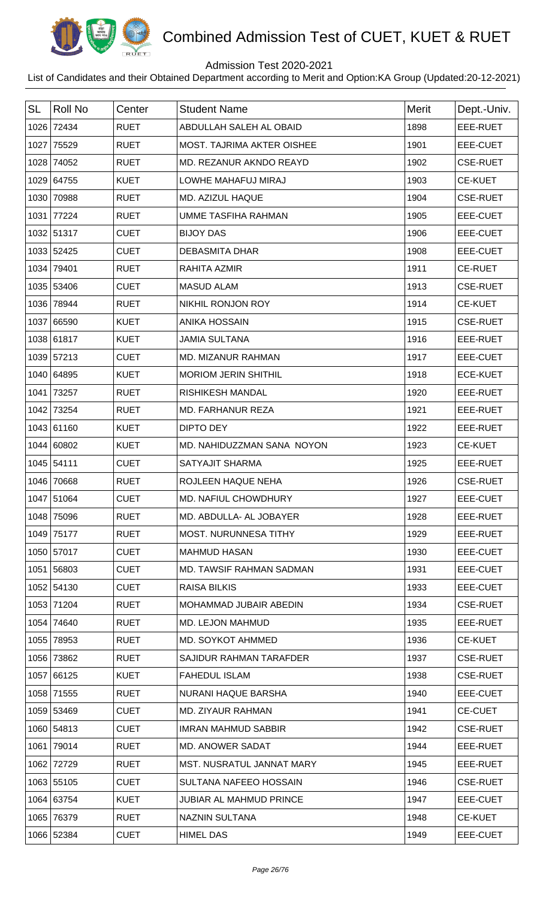

## Admission Test 2020-2021

| <b>SL</b> | <b>Roll No</b> | Center      | <b>Student Name</b>               | Merit | Dept.-Univ.     |
|-----------|----------------|-------------|-----------------------------------|-------|-----------------|
|           | 1026 72434     | <b>RUET</b> | ABDULLAH SALEH AL OBAID           | 1898  | EEE-RUET        |
|           | 1027 75529     | <b>RUET</b> | <b>MOST. TAJRIMA AKTER OISHEE</b> | 1901  | EEE-CUET        |
| 1028      | 74052          | <b>RUET</b> | MD. REZANUR AKNDO REAYD           | 1902  | <b>CSE-RUET</b> |
|           | 1029 64755     | <b>KUET</b> | LOWHE MAHAFUJ MIRAJ               | 1903  | <b>CE-KUET</b>  |
| 1030      | 70988          | <b>RUET</b> | MD. AZIZUL HAQUE                  | 1904  | <b>CSE-RUET</b> |
| 1031      | 77224          | <b>RUET</b> | UMME TASFIHA RAHMAN               | 1905  | EEE-CUET        |
|           | 1032 51317     | <b>CUET</b> | <b>BIJOY DAS</b>                  | 1906  | EEE-CUET        |
|           | 1033 52425     | <b>CUET</b> | <b>DEBASMITA DHAR</b>             | 1908  | <b>EEE-CUET</b> |
| 1034      | 79401          | <b>RUET</b> | RAHITA AZMIR                      | 1911  | <b>CE-RUET</b>  |
|           | 1035 53406     | <b>CUET</b> | <b>MASUD ALAM</b>                 | 1913  | <b>CSE-RUET</b> |
|           | 1036 78944     | <b>RUET</b> | NIKHIL RONJON ROY                 | 1914  | <b>CE-KUET</b>  |
| 1037      | 66590          | <b>KUET</b> | <b>ANIKA HOSSAIN</b>              | 1915  | <b>CSE-RUET</b> |
|           | 1038 61817     | <b>KUET</b> | <b>JAMIA SULTANA</b>              | 1916  | EEE-RUET        |
|           | 1039 57213     | <b>CUET</b> | MD. MIZANUR RAHMAN                | 1917  | EEE-CUET        |
|           | 1040 64895     | <b>KUET</b> | <b>MORIOM JERIN SHITHIL</b>       | 1918  | <b>ECE-KUET</b> |
| 1041      | 73257          | <b>RUET</b> | <b>RISHIKESH MANDAL</b>           | 1920  | EEE-RUET        |
|           | 1042 73254     | <b>RUET</b> | <b>MD. FARHANUR REZA</b>          | 1921  | EEE-RUET        |
|           | 1043 61160     | <b>KUET</b> | <b>DIPTO DEY</b>                  | 1922  | EEE-RUET        |
|           | 1044 60802     | <b>KUET</b> | MD. NAHIDUZZMAN SANA NOYON        | 1923  | <b>CE-KUET</b>  |
|           | 1045 54111     | <b>CUET</b> | SATYAJIT SHARMA                   | 1925  | EEE-RUET        |
| 1046      | 70668          | <b>RUET</b> | ROJLEEN HAQUE NEHA                | 1926  | <b>CSE-RUET</b> |
|           | 1047 51064     | <b>CUET</b> | MD. NAFIUL CHOWDHURY              | 1927  | EEE-CUET        |
|           | 1048 75096     | <b>RUET</b> | MD. ABDULLA- AL JOBAYER           | 1928  | EEE-RUET        |
|           | 1049 75177     | <b>RUET</b> | <b>MOST. NURUNNESA TITHY</b>      | 1929  | EEE-RUET        |
|           | 1050 57017     | <b>CUET</b> | <b>MAHMUD HASAN</b>               | 1930  | EEE-CUET        |
|           | 1051 56803     | <b>CUET</b> | MD. TAWSIF RAHMAN SADMAN          | 1931  | EEE-CUET        |
|           | 1052 54130     | <b>CUET</b> | <b>RAISA BILKIS</b>               | 1933  | EEE-CUET        |
|           | 1053 71204     | <b>RUET</b> | MOHAMMAD JUBAIR ABEDIN            | 1934  | <b>CSE-RUET</b> |
|           | 1054 74640     | <b>RUET</b> | MD. LEJON MAHMUD                  | 1935  | EEE-RUET        |
|           | 1055 78953     | <b>RUET</b> | MD. SOYKOT AHMMED                 | 1936  | <b>CE-KUET</b>  |
|           | 1056 73862     | <b>RUET</b> | SAJIDUR RAHMAN TARAFDER           | 1937  | <b>CSE-RUET</b> |
|           | 1057 66125     | <b>KUET</b> | <b>FAHEDUL ISLAM</b>              | 1938  | <b>CSE-RUET</b> |
|           | 1058 71555     | <b>RUET</b> | NURANI HAQUE BARSHA               | 1940  | EEE-CUET        |
|           | 1059 53469     | <b>CUET</b> | <b>MD. ZIYAUR RAHMAN</b>          | 1941  | <b>CE-CUET</b>  |
|           | 1060 54813     | <b>CUET</b> | <b>IMRAN MAHMUD SABBIR</b>        | 1942  | <b>CSE-RUET</b> |
|           | 1061 79014     | <b>RUET</b> | <b>MD. ANOWER SADAT</b>           | 1944  | EEE-RUET        |
|           | 1062 72729     | <b>RUET</b> | MST. NUSRATUL JANNAT MARY         | 1945  | EEE-RUET        |
|           | 1063 55105     | <b>CUET</b> | SULTANA NAFEEO HOSSAIN            | 1946  | <b>CSE-RUET</b> |
|           | 1064 63754     | <b>KUET</b> | JUBIAR AL MAHMUD PRINCE           | 1947  | EEE-CUET        |
|           | 1065 76379     | <b>RUET</b> | NAZNIN SULTANA                    | 1948  | <b>CE-KUET</b>  |
|           | 1066 52384     | <b>CUET</b> | <b>HIMEL DAS</b>                  | 1949  | EEE-CUET        |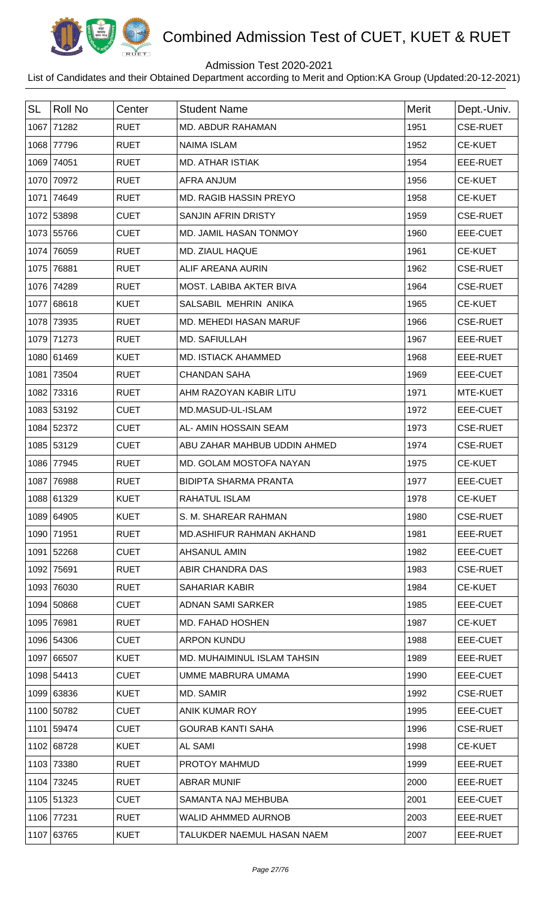

## Admission Test 2020-2021

| <b>SL</b> | <b>Roll No</b> | Center      | <b>Student Name</b>           | <b>Merit</b> | Dept.-Univ.     |
|-----------|----------------|-------------|-------------------------------|--------------|-----------------|
|           | 1067 71282     | <b>RUET</b> | MD. ABDUR RAHAMAN             | 1951         | <b>CSE-RUET</b> |
|           | 1068 77796     | <b>RUET</b> | <b>NAIMA ISLAM</b>            | 1952         | <b>CE-KUET</b>  |
|           | 1069 74051     | <b>RUET</b> | <b>MD. ATHAR ISTIAK</b>       | 1954         | EEE-RUET        |
|           | 1070 70972     | <b>RUET</b> | <b>AFRA ANJUM</b>             | 1956         | <b>CE-KUET</b>  |
|           | 1071 74649     | <b>RUET</b> | <b>MD. RAGIB HASSIN PREYO</b> | 1958         | <b>CE-KUET</b>  |
|           | 1072 53898     | <b>CUET</b> | <b>SANJIN AFRIN DRISTY</b>    | 1959         | <b>CSE-RUET</b> |
|           | 1073 55766     | <b>CUET</b> | MD. JAMIL HASAN TONMOY        | 1960         | <b>EEE-CUET</b> |
|           | 1074 76059     | <b>RUET</b> | MD. ZIAUL HAQUE               | 1961         | CE-KUET         |
|           | 1075 76881     | <b>RUET</b> | ALIF AREANA AURIN             | 1962         | <b>CSE-RUET</b> |
|           | 1076 74289     | <b>RUET</b> | MOST, LABIBA AKTER BIVA       | 1964         | <b>CSE-RUET</b> |
|           | 1077 68618     | <b>KUET</b> | SALSABIL MEHRIN ANIKA         | 1965         | <b>CE-KUET</b>  |
|           | 1078 73935     | <b>RUET</b> | MD. MEHEDI HASAN MARUF        | 1966         | <b>CSE-RUET</b> |
|           | 1079 71273     | <b>RUET</b> | MD. SAFIULLAH                 | 1967         | EEE-RUET        |
|           | 1080 61469     | <b>KUET</b> | <b>MD. ISTIACK AHAMMED</b>    | 1968         | EEE-RUET        |
| 1081      | 73504          | <b>RUET</b> | <b>CHANDAN SAHA</b>           | 1969         | <b>EEE-CUET</b> |
| 1082      | 73316          | <b>RUET</b> | AHM RAZOYAN KABIR LITU        | 1971         | MTE-KUET        |
|           | 1083 53192     | <b>CUET</b> | MD.MASUD-UL-ISLAM             | 1972         | <b>EEE-CUET</b> |
|           | 1084 52372     | <b>CUET</b> | AL- AMIN HOSSAIN SEAM         | 1973         | <b>CSE-RUET</b> |
|           | 1085 53129     | <b>CUET</b> | ABU ZAHAR MAHBUB UDDIN AHMED  | 1974         | <b>CSE-RUET</b> |
|           | 1086 77945     | <b>RUET</b> | MD. GOLAM MOSTOFA NAYAN       | 1975         | <b>CE-KUET</b>  |
|           | 1087 76988     | <b>RUET</b> | <b>BIDIPTA SHARMA PRANTA</b>  | 1977         | EEE-CUET        |
|           | 1088 61329     | <b>KUET</b> | <b>RAHATUL ISLAM</b>          | 1978         | <b>CE-KUET</b>  |
|           | 1089 64905     | <b>KUET</b> | S. M. SHAREAR RAHMAN          | 1980         | <b>CSE-RUET</b> |
|           | 1090 71951     | <b>RUET</b> | MD.ASHIFUR RAHMAN AKHAND      | 1981         | EEE-RUET        |
|           | 1091 52268     | <b>CUET</b> | AHSANUL AMIN                  | 1982         | EEE-CUET        |
|           | 1092 75691     | <b>RUET</b> | ABIR CHANDRA DAS              | 1983         | <b>CSE-RUET</b> |
|           | 1093 76030     | <b>RUET</b> | <b>SAHARIAR KABIR</b>         | 1984         | <b>CE-KUET</b>  |
|           | 1094 50868     | <b>CUET</b> | <b>ADNAN SAMI SARKER</b>      | 1985         | EEE-CUET        |
|           | 1095 76981     | <b>RUET</b> | <b>MD. FAHAD HOSHEN</b>       | 1987         | <b>CE-KUET</b>  |
|           | 1096 54306     | <b>CUET</b> | <b>ARPON KUNDU</b>            | 1988         | EEE-CUET        |
|           | 1097 66507     | <b>KUET</b> | MD. MUHAIMINUL ISLAM TAHSIN   | 1989         | EEE-RUET        |
|           | 1098 54413     | <b>CUET</b> | UMME MABRURA UMAMA            | 1990         | EEE-CUET        |
|           | 1099 63836     | <b>KUET</b> | MD. SAMIR                     | 1992         | <b>CSE-RUET</b> |
|           | 1100 50782     | <b>CUET</b> | ANIK KUMAR ROY                | 1995         | EEE-CUET        |
|           | 1101 59474     | <b>CUET</b> | <b>GOURAB KANTI SAHA</b>      | 1996         | <b>CSE-RUET</b> |
|           | 1102 68728     | <b>KUET</b> | <b>AL SAMI</b>                | 1998         | <b>CE-KUET</b>  |
|           | 1103 73380     | <b>RUET</b> | PROTOY MAHMUD                 | 1999         | EEE-RUET        |
|           | 1104 73245     | <b>RUET</b> | <b>ABRAR MUNIF</b>            | 2000         | EEE-RUET        |
|           | 1105 51323     | <b>CUET</b> | SAMANTA NAJ MEHBUBA           | 2001         | EEE-CUET        |
|           | 1106 77231     | <b>RUET</b> | <b>WALID AHMMED AURNOB</b>    | 2003         | EEE-RUET        |
|           | 1107 63765     | <b>KUET</b> | TALUKDER NAEMUL HASAN NAEM    | 2007         | EEE-RUET        |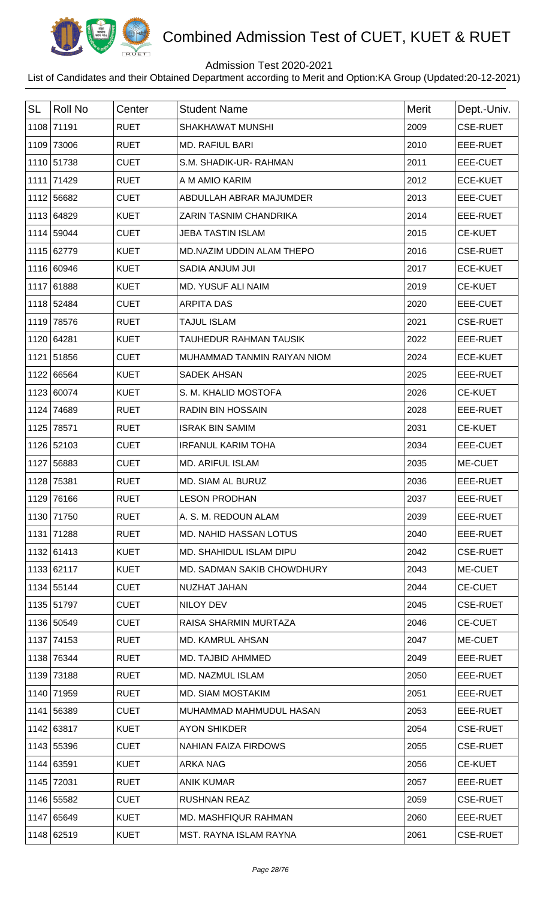

## Admission Test 2020-2021

| <b>SL</b> | <b>Roll No</b> | Center      | <b>Student Name</b>           | Merit | Dept.-Univ.     |
|-----------|----------------|-------------|-------------------------------|-------|-----------------|
|           | 1108 71191     | <b>RUET</b> | SHAKHAWAT MUNSHI              | 2009  | <b>CSE-RUET</b> |
|           | 1109 73006     | <b>RUET</b> | <b>MD. RAFIUL BARI</b>        | 2010  | EEE-RUET        |
|           | 1110 51738     | <b>CUET</b> | S.M. SHADIK-UR-RAHMAN         | 2011  | <b>EEE-CUET</b> |
|           | 1111 71429     | <b>RUET</b> | A M AMIO KARIM                | 2012  | <b>ECE-KUET</b> |
|           | 1112 56682     | <b>CUET</b> | ABDULLAH ABRAR MAJUMDER       | 2013  | <b>EEE-CUET</b> |
|           | 1113 64829     | <b>KUET</b> | ZARIN TASNIM CHANDRIKA        | 2014  | EEE-RUET        |
|           | 1114 59044     | <b>CUET</b> | <b>JEBA TASTIN ISLAM</b>      | 2015  | <b>CE-KUET</b>  |
|           | 1115 62779     | <b>KUET</b> | MD.NAZIM UDDIN ALAM THEPO     | 2016  | <b>CSE-RUET</b> |
|           | 1116 60946     | <b>KUET</b> | SADIA ANJUM JUI               | 2017  | <b>ECE-KUET</b> |
|           | 1117 61888     | <b>KUET</b> | MD. YUSUF ALI NAIM            | 2019  | <b>CE-KUET</b>  |
|           | 1118 52484     | <b>CUET</b> | <b>ARPITA DAS</b>             | 2020  | EEE-CUET        |
| 1119      | 78576          | <b>RUET</b> | <b>TAJUL ISLAM</b>            | 2021  | <b>CSE-RUET</b> |
|           | 1120 64281     | <b>KUET</b> | <b>TAUHEDUR RAHMAN TAUSIK</b> | 2022  | EEE-RUET        |
|           | 1121 51856     | <b>CUET</b> | MUHAMMAD TANMIN RAIYAN NIOM   | 2024  | <b>ECE-KUET</b> |
|           | 1122 66564     | <b>KUET</b> | <b>SADEK AHSAN</b>            | 2025  | EEE-RUET        |
|           | 1123 60074     | <b>KUET</b> | S. M. KHALID MOSTOFA          | 2026  | <b>CE-KUET</b>  |
|           | 1124 74689     | <b>RUET</b> | <b>RADIN BIN HOSSAIN</b>      | 2028  | EEE-RUET        |
| 1125      | 78571          | <b>RUET</b> | <b>ISRAK BIN SAMIM</b>        | 2031  | <b>CE-KUET</b>  |
|           | 1126 52103     | <b>CUET</b> | <b>IRFANUL KARIM TOHA</b>     | 2034  | EEE-CUET        |
|           | 1127 56883     | <b>CUET</b> | <b>MD. ARIFUL ISLAM</b>       | 2035  | ME-CUET         |
| 1128      | 75381          | <b>RUET</b> | MD. SIAM AL BURUZ             | 2036  | EEE-RUET        |
|           | 1129 76166     | <b>RUET</b> | <b>LESON PRODHAN</b>          | 2037  | EEE-RUET        |
|           | 1130 71750     | <b>RUET</b> | A. S. M. REDOUN ALAM          | 2039  | EEE-RUET        |
|           | 1131 71288     | <b>RUET</b> | <b>MD. NAHID HASSAN LOTUS</b> | 2040  | EEE-RUET        |
|           | 1132 61413     | <b>KUET</b> | MD. SHAHIDUL ISLAM DIPU       | 2042  | <b>CSE-RUET</b> |
|           | 1133 62117     | <b>KUET</b> | MD. SADMAN SAKIB CHOWDHURY    | 2043  | ME-CUET         |
|           | 1134 55144     | <b>CUET</b> | NUZHAT JAHAN                  | 2044  | <b>CE-CUET</b>  |
|           | 1135 51797     | <b>CUET</b> | NILOY DEV                     | 2045  | <b>CSE-RUET</b> |
|           | 1136 50549     | <b>CUET</b> | RAISA SHARMIN MURTAZA         | 2046  | <b>CE-CUET</b>  |
|           | 1137 74153     | <b>RUET</b> | <b>MD. KAMRUL AHSAN</b>       | 2047  | ME-CUET         |
|           | 1138 76344     | <b>RUET</b> | MD. TAJBID AHMMED             | 2049  | EEE-RUET        |
|           | 1139 73188     | <b>RUET</b> | MD. NAZMUL ISLAM              | 2050  | EEE-RUET        |
|           | 1140 71959     | <b>RUET</b> | MD. SIAM MOSTAKIM             | 2051  | EEE-RUET        |
|           | 1141 56389     | <b>CUET</b> | MUHAMMAD MAHMUDUL HASAN       | 2053  | EEE-RUET        |
|           | 1142 63817     | <b>KUET</b> | <b>AYON SHIKDER</b>           | 2054  | <b>CSE-RUET</b> |
|           | 1143 55396     | <b>CUET</b> | NAHIAN FAIZA FIRDOWS          | 2055  | <b>CSE-RUET</b> |
|           | 1144 63591     | <b>KUET</b> | ARKA NAG                      | 2056  | <b>CE-KUET</b>  |
|           | 1145 72031     | <b>RUET</b> | <b>ANIK KUMAR</b>             | 2057  | EEE-RUET        |
|           | 1146 55582     | <b>CUET</b> | <b>RUSHNAN REAZ</b>           | 2059  | <b>CSE-RUET</b> |
|           | 1147 65649     | <b>KUET</b> | <b>MD. MASHFIQUR RAHMAN</b>   | 2060  | EEE-RUET        |
|           | 1148 62519     | <b>KUET</b> | MST. RAYNA ISLAM RAYNA        | 2061  | <b>CSE-RUET</b> |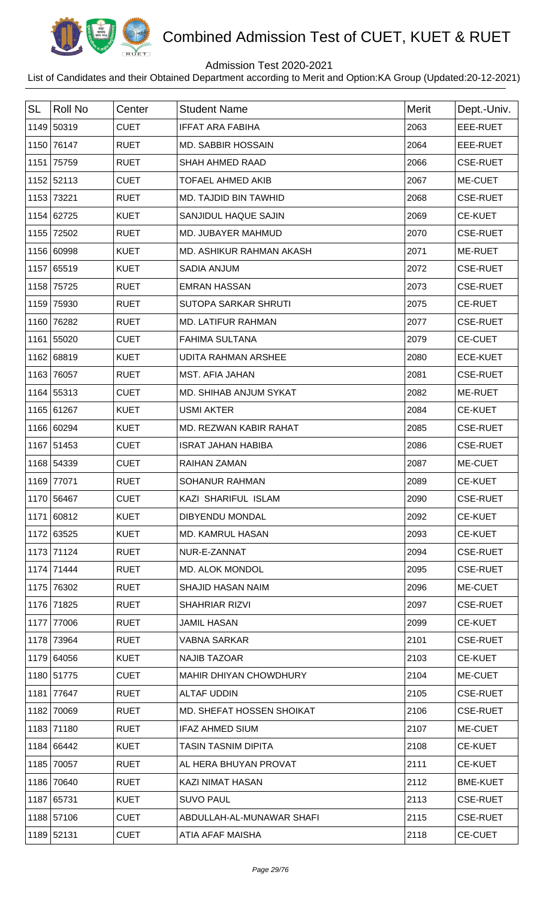

## Admission Test 2020-2021

| <b>SL</b> | <b>Roll No</b> | Center      | <b>Student Name</b>        | <b>Merit</b> | Dept.-Univ.     |
|-----------|----------------|-------------|----------------------------|--------------|-----------------|
|           | 1149 50319     | <b>CUET</b> | <b>IFFAT ARA FABIHA</b>    | 2063         | EEE-RUET        |
|           | 1150 76147     | <b>RUET</b> | <b>MD. SABBIR HOSSAIN</b>  | 2064         | EEE-RUET        |
|           | 1151 75759     | <b>RUET</b> | <b>SHAH AHMED RAAD</b>     | 2066         | <b>CSE-RUET</b> |
|           | 1152 52113     | <b>CUET</b> | <b>TOFAEL AHMED AKIB</b>   | 2067         | ME-CUET         |
|           | 1153 73221     | <b>RUET</b> | MD. TAJDID BIN TAWHID      | 2068         | <b>CSE-RUET</b> |
|           | 1154 62725     | <b>KUET</b> | SANJIDUL HAQUE SAJIN       | 2069         | <b>CE-KUET</b>  |
|           | 1155 72502     | <b>RUET</b> | MD. JUBAYER MAHMUD         | 2070         | <b>CSE-RUET</b> |
|           | 1156 60998     | <b>KUET</b> | MD. ASHIKUR RAHMAN AKASH   | 2071         | ME-RUET         |
|           | 1157 65519     | <b>KUET</b> | <b>SADIA ANJUM</b>         | 2072         | <b>CSE-RUET</b> |
|           | 1158 75725     | <b>RUET</b> | <b>EMRAN HASSAN</b>        | 2073         | <b>CSE-RUET</b> |
|           | 1159 75930     | <b>RUET</b> | SUTOPA SARKAR SHRUTI       | 2075         | <b>CE-RUET</b>  |
|           | 1160 76282     | <b>RUET</b> | <b>MD. LATIFUR RAHMAN</b>  | 2077         | <b>CSE-RUET</b> |
|           | 1161 55020     | <b>CUET</b> | <b>FAHIMA SULTANA</b>      | 2079         | <b>CE-CUET</b>  |
|           | 1162 68819     | <b>KUET</b> | <b>UDITA RAHMAN ARSHEE</b> | 2080         | <b>ECE-KUET</b> |
|           | 1163 76057     | <b>RUET</b> | <b>MST. AFIA JAHAN</b>     | 2081         | <b>CSE-RUET</b> |
|           | 1164 55313     | <b>CUET</b> | MD. SHIHAB ANJUM SYKAT     | 2082         | ME-RUET         |
|           | 1165 61267     | <b>KUET</b> | <b>USMI AKTER</b>          | 2084         | <b>CE-KUET</b>  |
|           | 1166 60294     | <b>KUET</b> | MD. REZWAN KABIR RAHAT     | 2085         | <b>CSE-RUET</b> |
|           | 1167 51453     | <b>CUET</b> | <b>ISRAT JAHAN HABIBA</b>  | 2086         | <b>CSE-RUET</b> |
|           | 1168 54339     | <b>CUET</b> | <b>RAIHAN ZAMAN</b>        | 2087         | ME-CUET         |
|           | 1169 77071     | <b>RUET</b> | <b>SOHANUR RAHMAN</b>      | 2089         | <b>CE-KUET</b>  |
|           | 1170 56467     | <b>CUET</b> | KAZI SHARIFUL ISLAM        | 2090         | <b>CSE-RUET</b> |
|           | 1171 60812     | <b>KUET</b> | <b>DIBYENDU MONDAL</b>     | 2092         | <b>CE-KUET</b>  |
|           | 1172 63525     | <b>KUET</b> | <b>MD. KAMRUL HASAN</b>    | 2093         | <b>CE-KUET</b>  |
|           | 1173 71124     | <b>RUET</b> | NUR-E-ZANNAT               | 2094         | <b>CSE-RUET</b> |
|           | 1174 71444     | <b>RUET</b> | MD. ALOK MONDOL            | 2095         | <b>CSE-RUET</b> |
|           | 1175 76302     | <b>RUET</b> | <b>SHAJID HASAN NAIM</b>   | 2096         | ME-CUET         |
|           | 1176 71825     | <b>RUET</b> | <b>SHAHRIAR RIZVI</b>      | 2097         | <b>CSE-RUET</b> |
|           | 1177 77006     | <b>RUET</b> | <b>JAMIL HASAN</b>         | 2099         | <b>CE-KUET</b>  |
|           | 1178 73964     | <b>RUET</b> | <b>VABNA SARKAR</b>        | 2101         | <b>CSE-RUET</b> |
|           | 1179 64056     | <b>KUET</b> | <b>NAJIB TAZOAR</b>        | 2103         | <b>CE-KUET</b>  |
|           | 1180 51775     | <b>CUET</b> | MAHIR DHIYAN CHOWDHURY     | 2104         | ME-CUET         |
|           | 1181 77647     | <b>RUET</b> | <b>ALTAF UDDIN</b>         | 2105         | <b>CSE-RUET</b> |
|           | 1182 70069     | <b>RUET</b> | MD. SHEFAT HOSSEN SHOIKAT  | 2106         | <b>CSE-RUET</b> |
|           | 1183 71180     | <b>RUET</b> | <b>IFAZ AHMED SIUM</b>     | 2107         | ME-CUET         |
|           | 1184 66442     | <b>KUET</b> | <b>TASIN TASNIM DIPITA</b> | 2108         | <b>CE-KUET</b>  |
|           | 1185 70057     | <b>RUET</b> | AL HERA BHUYAN PROVAT      | 2111         | <b>CE-KUET</b>  |
|           | 1186 70640     | <b>RUET</b> | <b>KAZI NIMAT HASAN</b>    | 2112         | <b>BME-KUET</b> |
|           | 1187 65731     | <b>KUET</b> | <b>SUVO PAUL</b>           | 2113         | <b>CSE-RUET</b> |
|           | 1188 57106     | <b>CUET</b> | ABDULLAH-AL-MUNAWAR SHAFI  | 2115         | <b>CSE-RUET</b> |
|           | 1189 52131     | <b>CUET</b> | ATIA AFAF MAISHA           | 2118         | <b>CE-CUET</b>  |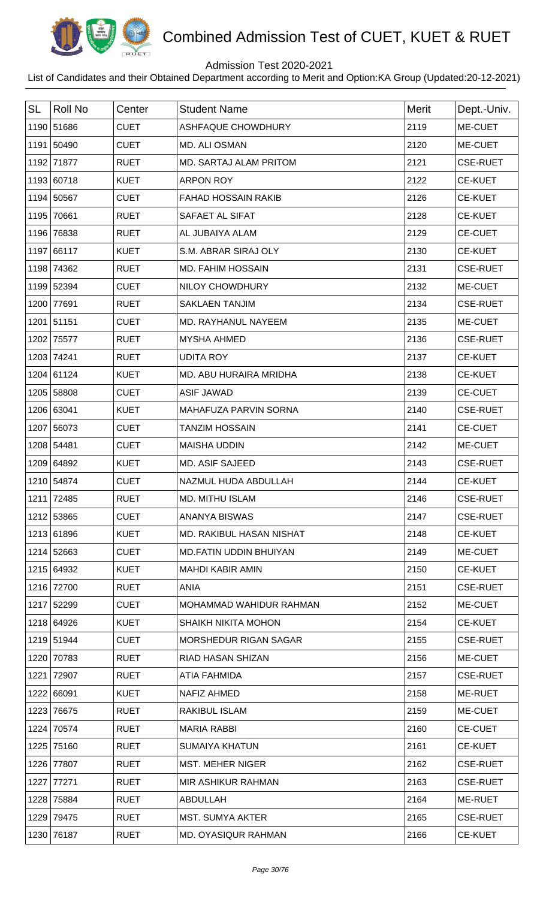

## Admission Test 2020-2021

| <b>SL</b> | <b>Roll No</b> | Center      | <b>Student Name</b>           | Merit | Dept.-Univ.     |
|-----------|----------------|-------------|-------------------------------|-------|-----------------|
|           | 1190 51686     | <b>CUET</b> | <b>ASHFAQUE CHOWDHURY</b>     | 2119  | ME-CUET         |
|           | 1191 50490     | <b>CUET</b> | MD. ALI OSMAN                 | 2120  | ME-CUET         |
|           | 1192 71877     | <b>RUET</b> | MD. SARTAJ ALAM PRITOM        | 2121  | <b>CSE-RUET</b> |
|           | 1193 60718     | <b>KUET</b> | <b>ARPON ROY</b>              | 2122  | <b>CE-KUET</b>  |
|           | 1194 50567     | <b>CUET</b> | <b>FAHAD HOSSAIN RAKIB</b>    | 2126  | <b>CE-KUET</b>  |
|           | 1195 70661     | <b>RUET</b> | SAFAET AL SIFAT               | 2128  | <b>CE-KUET</b>  |
|           | 1196 76838     | <b>RUET</b> | AL JUBAIYA ALAM               | 2129  | <b>CE-CUET</b>  |
|           | 1197 66117     | <b>KUET</b> | S.M. ABRAR SIRAJ OLY          | 2130  | <b>CE-KUET</b>  |
| 1198      | 74362          | <b>RUET</b> | <b>MD. FAHIM HOSSAIN</b>      | 2131  | <b>CSE-RUET</b> |
|           | 1199 52394     | <b>CUET</b> | NILOY CHOWDHURY               | 2132  | ME-CUET         |
|           | 1200 77691     | <b>RUET</b> | <b>SAKLAEN TANJIM</b>         | 2134  | <b>CSE-RUET</b> |
| 1201      | 51151          | <b>CUET</b> | MD. RAYHANUL NAYEEM           | 2135  | ME-CUET         |
| 1202      | 75577          | <b>RUET</b> | <b>MYSHA AHMED</b>            | 2136  | <b>CSE-RUET</b> |
|           | 1203 74241     | <b>RUET</b> | <b>UDITA ROY</b>              | 2137  | <b>CE-KUET</b>  |
|           | 1204 61124     | <b>KUET</b> | MD. ABU HURAIRA MRIDHA        | 2138  | <b>CE-KUET</b>  |
|           | 1205 58808     | <b>CUET</b> | <b>ASIF JAWAD</b>             | 2139  | <b>CE-CUET</b>  |
|           | 1206 63041     | <b>KUET</b> | MAHAFUZA PARVIN SORNA         | 2140  | <b>CSE-RUET</b> |
|           | 1207 56073     | <b>CUET</b> | <b>TANZIM HOSSAIN</b>         | 2141  | <b>CE-CUET</b>  |
|           | 1208 54481     | <b>CUET</b> | <b>MAISHA UDDIN</b>           | 2142  | ME-CUET         |
|           | 1209 64892     | <b>KUET</b> | <b>MD. ASIF SAJEED</b>        | 2143  | <b>CSE-RUET</b> |
|           | 1210 54874     | <b>CUET</b> | NAZMUL HUDA ABDULLAH          | 2144  | <b>CE-KUET</b>  |
|           | 1211 72485     | <b>RUET</b> | <b>MD. MITHU ISLAM</b>        | 2146  | <b>CSE-RUET</b> |
|           | 1212 53865     | <b>CUET</b> | <b>ANANYA BISWAS</b>          | 2147  | <b>CSE-RUET</b> |
|           | 1213 61896     | <b>KUET</b> | MD. RAKIBUL HASAN NISHAT      | 2148  | <b>CE-KUET</b>  |
|           | 1214 52663     | <b>CUET</b> | <b>MD.FATIN UDDIN BHUIYAN</b> | 2149  | ME-CUET         |
|           | 1215 64932     | <b>KUET</b> | <b>MAHDI KABIR AMIN</b>       | 2150  | <b>CE-KUET</b>  |
|           | 1216 72700     | <b>RUET</b> | <b>ANIA</b>                   | 2151  | <b>CSE-RUET</b> |
|           | 1217 52299     | <b>CUET</b> | MOHAMMAD WAHIDUR RAHMAN       | 2152  | ME-CUET         |
|           | 1218 64926     | <b>KUET</b> | SHAIKH NIKITA MOHON           | 2154  | <b>CE-KUET</b>  |
|           | 1219 51944     | <b>CUET</b> | <b>MORSHEDUR RIGAN SAGAR</b>  | 2155  | <b>CSE-RUET</b> |
| 1220      | 70783          | <b>RUET</b> | RIAD HASAN SHIZAN             | 2156  | ME-CUET         |
|           | 1221 72907     | <b>RUET</b> | ATIA FAHMIDA                  | 2157  | <b>CSE-RUET</b> |
|           | 1222 66091     | <b>KUET</b> | NAFIZ AHMED                   | 2158  | ME-RUET         |
| 1223      | 76675          | <b>RUET</b> | <b>RAKIBUL ISLAM</b>          | 2159  | ME-CUET         |
|           | 1224 70574     | <b>RUET</b> | <b>MARIA RABBI</b>            | 2160  | <b>CE-CUET</b>  |
|           | 1225 75160     | <b>RUET</b> | <b>SUMAIYA KHATUN</b>         | 2161  | <b>CE-KUET</b>  |
|           | 1226 77807     | <b>RUET</b> | <b>MST. MEHER NIGER</b>       | 2162  | <b>CSE-RUET</b> |
|           | 1227 77271     | <b>RUET</b> | MIR ASHIKUR RAHMAN            | 2163  | <b>CSE-RUET</b> |
| 1228      | 75884          | <b>RUET</b> | ABDULLAH                      | 2164  | ME-RUET         |
|           | 1229 79475     | <b>RUET</b> | <b>MST. SUMYA AKTER</b>       | 2165  | <b>CSE-RUET</b> |
|           | 1230 76187     | <b>RUET</b> | <b>MD. OYASIQUR RAHMAN</b>    | 2166  | <b>CE-KUET</b>  |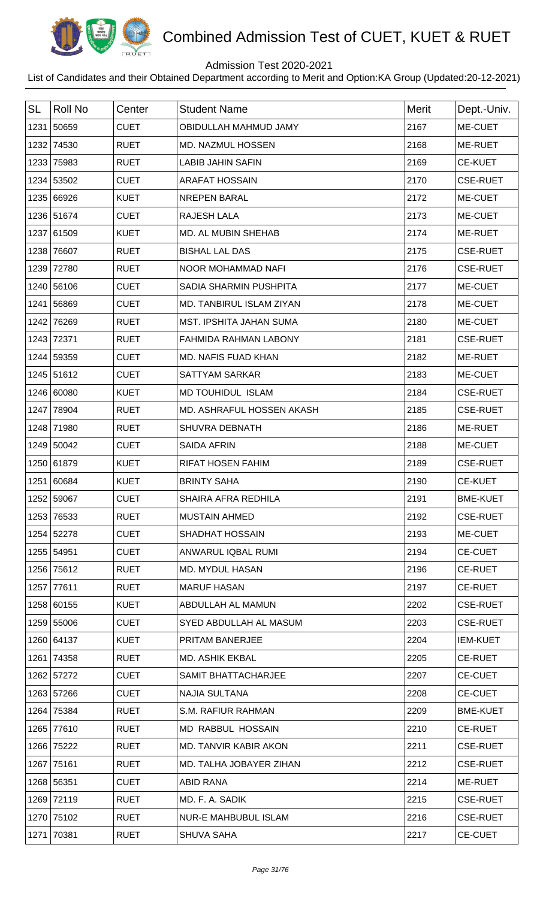

## Admission Test 2020-2021

| <b>SL</b> | <b>Roll No</b> | Center      | <b>Student Name</b>            | Merit | Dept.-Univ.     |
|-----------|----------------|-------------|--------------------------------|-------|-----------------|
| 1231      | 50659          | <b>CUET</b> | OBIDULLAH MAHMUD JAMY          | 2167  | ME-CUET         |
|           | 1232 74530     | <b>RUET</b> | MD. NAZMUL HOSSEN              | 2168  | ME-RUET         |
| 1233      | 75983          | <b>RUET</b> | <b>LABIB JAHIN SAFIN</b>       | 2169  | <b>CE-KUET</b>  |
|           | 1234 53502     | <b>CUET</b> | <b>ARAFAT HOSSAIN</b>          | 2170  | <b>CSE-RUET</b> |
|           | 1235 66926     | <b>KUET</b> | <b>NREPEN BARAL</b>            | 2172  | ME-CUET         |
|           | 1236 51674     | <b>CUET</b> | <b>RAJESH LALA</b>             | 2173  | ME-CUET         |
|           | 1237 61509     | <b>KUET</b> | MD. AL MUBIN SHEHAB            | 2174  | ME-RUET         |
| 1238      | 76607          | <b>RUET</b> | <b>BISHAL LAL DAS</b>          | 2175  | <b>CSE-RUET</b> |
| 1239      | 72780          | <b>RUET</b> | NOOR MOHAMMAD NAFI             | 2176  | <b>CSE-RUET</b> |
|           | 1240 56106     | <b>CUET</b> | <b>SADIA SHARMIN PUSHPITA</b>  | 2177  | ME-CUET         |
|           | 1241 56869     | <b>CUET</b> | MD. TANBIRUL ISLAM ZIYAN       | 2178  | ME-CUET         |
| 1242      | 76269          | <b>RUET</b> | <b>MST. IPSHITA JAHAN SUMA</b> | 2180  | ME-CUET         |
| 1243      | 72371          | <b>RUET</b> | FAHMIDA RAHMAN LABONY          | 2181  | <b>CSE-RUET</b> |
|           | 1244 59359     | <b>CUET</b> | MD. NAFIS FUAD KHAN            | 2182  | ME-RUET         |
|           | 1245 51612     | <b>CUET</b> | <b>SATTYAM SARKAR</b>          | 2183  | ME-CUET         |
|           | 1246 60080     | <b>KUET</b> | MD TOUHIDUL ISLAM              | 2184  | <b>CSE-RUET</b> |
|           | 1247 78904     | <b>RUET</b> | MD. ASHRAFUL HOSSEN AKASH      | 2185  | <b>CSE-RUET</b> |
| 1248      | 71980          | <b>RUET</b> | SHUVRA DEBNATH                 | 2186  | ME-RUET         |
|           | 1249 50042     | <b>CUET</b> | <b>SAIDA AFRIN</b>             | 2188  | ME-CUET         |
|           | 1250 61879     | <b>KUET</b> | <b>RIFAT HOSEN FAHIM</b>       | 2189  | <b>CSE-RUET</b> |
| 1251      | 60684          | <b>KUET</b> | <b>BRINTY SAHA</b>             | 2190  | <b>CE-KUET</b>  |
|           | 1252 59067     | <b>CUET</b> | SHAIRA AFRA REDHILA            | 2191  | <b>BME-KUET</b> |
|           | 1253 76533     | <b>RUET</b> | <b>MUSTAIN AHMED</b>           | 2192  | <b>CSE-RUET</b> |
|           | 1254 52278     | <b>CUET</b> | <b>SHADHAT HOSSAIN</b>         | 2193  | ME-CUET         |
|           | 1255 54951     | <b>CUET</b> | ANWARUL IQBAL RUMI             | 2194  | <b>CE-CUET</b>  |
|           | 1256 75612     | <b>RUET</b> | <b>MD. MYDUL HASAN</b>         | 2196  | <b>CE-RUET</b>  |
|           | 1257 77611     | <b>RUET</b> | <b>MARUF HASAN</b>             | 2197  | <b>CE-RUET</b>  |
|           | 1258 60155     | <b>KUET</b> | ABDULLAH AL MAMUN              | 2202  | <b>CSE-RUET</b> |
|           | 1259 55006     | <b>CUET</b> | SYED ABDULLAH AL MASUM         | 2203  | <b>CSE-RUET</b> |
|           | 1260 64137     | <b>KUET</b> | PRITAM BANERJEE                | 2204  | <b>IEM-KUET</b> |
|           | 1261 74358     | <b>RUET</b> | <b>MD. ASHIK EKBAL</b>         | 2205  | <b>CE-RUET</b>  |
|           | 1262 57272     | <b>CUET</b> | SAMIT BHATTACHARJEE            | 2207  | <b>CE-CUET</b>  |
|           | 1263 57266     | <b>CUET</b> | NAJIA SULTANA                  | 2208  | <b>CE-CUET</b>  |
|           | 1264 75384     | <b>RUET</b> | S.M. RAFIUR RAHMAN             | 2209  | <b>BME-KUET</b> |
|           | 1265 77610     | <b>RUET</b> | MD RABBUL HOSSAIN              | 2210  | <b>CE-RUET</b>  |
|           | 1266 75222     | <b>RUET</b> | MD. TANVIR KABIR AKON          | 2211  | <b>CSE-RUET</b> |
|           | 1267 75161     | <b>RUET</b> | MD. TALHA JOBAYER ZIHAN        | 2212  | <b>CSE-RUET</b> |
|           | 1268 56351     | <b>CUET</b> | <b>ABID RANA</b>               | 2214  | ME-RUET         |
|           | 1269 72119     | <b>RUET</b> | MD. F. A. SADIK                | 2215  | <b>CSE-RUET</b> |
|           | 1270 75102     | <b>RUET</b> | <b>NUR-E MAHBUBUL ISLAM</b>    | 2216  | <b>CSE-RUET</b> |
|           | 1271 70381     | <b>RUET</b> | <b>SHUVA SAHA</b>              | 2217  | <b>CE-CUET</b>  |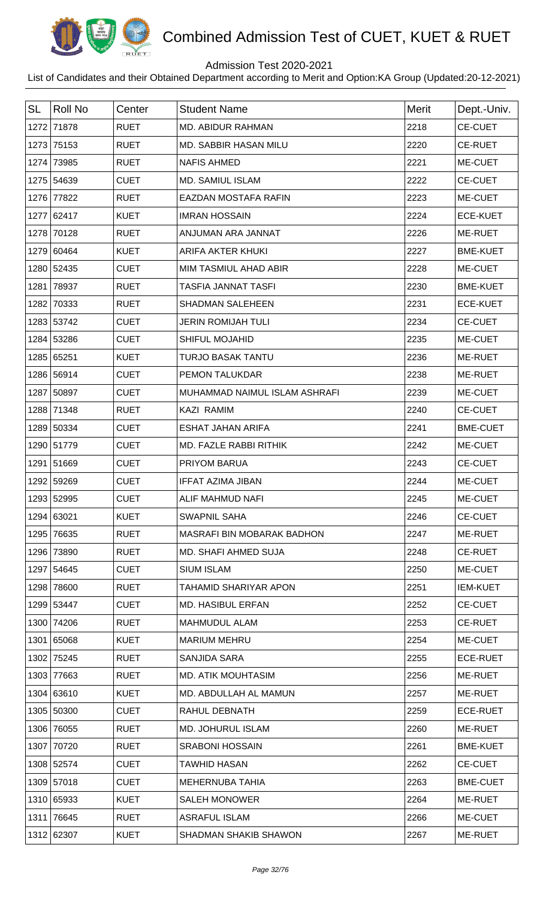

## Admission Test 2020-2021

| <b>SL</b> | Roll No    | Center      | <b>Student Name</b>               | <b>Merit</b> | Dept.-Univ.     |
|-----------|------------|-------------|-----------------------------------|--------------|-----------------|
|           | 1272 71878 | <b>RUET</b> | <b>MD. ABIDUR RAHMAN</b>          | 2218         | <b>CE-CUET</b>  |
|           | 1273 75153 | <b>RUET</b> | MD. SABBIR HASAN MILU             | 2220         | <b>CE-RUET</b>  |
|           | 1274 73985 | <b>RUET</b> | <b>NAFIS AHMED</b>                | 2221         | ME-CUET         |
|           | 1275 54639 | <b>CUET</b> | <b>MD. SAMIUL ISLAM</b>           | 2222         | <b>CE-CUET</b>  |
|           | 1276 77822 | <b>RUET</b> | <b>EAZDAN MOSTAFA RAFIN</b>       | 2223         | ME-CUET         |
|           | 1277 62417 | <b>KUET</b> | <b>IMRAN HOSSAIN</b>              | 2224         | <b>ECE-KUET</b> |
|           | 1278 70128 | <b>RUET</b> | ANJUMAN ARA JANNAT                | 2226         | ME-RUET         |
|           | 1279 60464 | <b>KUET</b> | <b>ARIFA AKTER KHUKI</b>          | 2227         | <b>BME-KUET</b> |
|           | 1280 52435 | <b>CUET</b> | MIM TASMIUL AHAD ABIR             | 2228         | ME-CUET         |
|           | 1281 78937 | <b>RUET</b> | <b>TASFIA JANNAT TASFI</b>        | 2230         | <b>BME-KUET</b> |
|           | 1282 70333 | <b>RUET</b> | <b>SHADMAN SALEHEEN</b>           | 2231         | <b>ECE-KUET</b> |
|           | 1283 53742 | <b>CUET</b> | <b>JERIN ROMIJAH TULI</b>         | 2234         | <b>CE-CUET</b>  |
|           | 1284 53286 | <b>CUET</b> | <b>SHIFUL MOJAHID</b>             | 2235         | ME-CUET         |
|           | 1285 65251 | <b>KUET</b> | <b>TURJO BASAK TANTU</b>          | 2236         | ME-RUET         |
|           | 1286 56914 | <b>CUET</b> | <b>PEMON TALUKDAR</b>             | 2238         | ME-RUET         |
|           | 1287 50897 | <b>CUET</b> | MUHAMMAD NAIMUL ISLAM ASHRAFI     | 2239         | ME-CUET         |
|           | 1288 71348 | <b>RUET</b> | <b>KAZI RAMIM</b>                 | 2240         | <b>CE-CUET</b>  |
|           | 1289 50334 | <b>CUET</b> | <b>ESHAT JAHAN ARIFA</b>          | 2241         | <b>BME-CUET</b> |
|           | 1290 51779 | <b>CUET</b> | MD. FAZLE RABBI RITHIK            | 2242         | ME-CUET         |
|           | 1291 51669 | <b>CUET</b> | PRIYOM BARUA                      | 2243         | <b>CE-CUET</b>  |
|           | 1292 59269 | <b>CUET</b> | <b>IFFAT AZIMA JIBAN</b>          | 2244         | ME-CUET         |
|           | 1293 52995 | <b>CUET</b> | ALIF MAHMUD NAFI                  | 2245         | ME-CUET         |
|           | 1294 63021 | <b>KUET</b> | <b>SWAPNIL SAHA</b>               | 2246         | <b>CE-CUET</b>  |
|           | 1295 76635 | <b>RUET</b> | <b>MASRAFI BIN MOBARAK BADHON</b> | 2247         | ME-RUET         |
|           | 1296 73890 | <b>RUET</b> | <b>MD. SHAFI AHMED SUJA</b>       | 2248         | <b>CE-RUET</b>  |
|           | 1297 54645 | <b>CUET</b> | <b>SIUM ISLAM</b>                 | 2250         | ME-CUET         |
|           | 1298 78600 | <b>RUET</b> | TAHAMID SHARIYAR APON             | 2251         | <b>IEM-KUET</b> |
|           | 1299 53447 | <b>CUET</b> | <b>MD. HASIBUL ERFAN</b>          | 2252         | <b>CE-CUET</b>  |
|           | 1300 74206 | <b>RUET</b> | MAHMUDUL ALAM                     | 2253         | <b>CE-RUET</b>  |
|           | 1301 65068 | <b>KUET</b> | <b>MARIUM MEHRU</b>               | 2254         | ME-CUET         |
|           | 1302 75245 | <b>RUET</b> | SANJIDA SARA                      | 2255         | <b>ECE-RUET</b> |
|           | 1303 77663 | <b>RUET</b> | <b>MD. ATIK MOUHTASIM</b>         | 2256         | ME-RUET         |
|           | 1304 63610 | <b>KUET</b> | MD. ABDULLAH AL MAMUN             | 2257         | ME-RUET         |
|           | 1305 50300 | <b>CUET</b> | RAHUL DEBNATH                     | 2259         | <b>ECE-RUET</b> |
|           | 1306 76055 | <b>RUET</b> | <b>MD. JOHURUL ISLAM</b>          | 2260         | ME-RUET         |
|           | 1307 70720 | <b>RUET</b> | <b>SRABONI HOSSAIN</b>            | 2261         | <b>BME-KUET</b> |
|           | 1308 52574 | <b>CUET</b> | <b>TAWHID HASAN</b>               | 2262         | <b>CE-CUET</b>  |
|           | 1309 57018 | <b>CUET</b> | MEHERNUBA TAHIA                   | 2263         | <b>BME-CUET</b> |
|           | 1310 65933 | <b>KUET</b> | <b>SALEH MONOWER</b>              | 2264         | ME-RUET         |
|           | 1311 76645 | <b>RUET</b> | <b>ASRAFUL ISLAM</b>              | 2266         | ME-CUET         |
|           | 1312 62307 | <b>KUET</b> | SHADMAN SHAKIB SHAWON             | 2267         | ME-RUET         |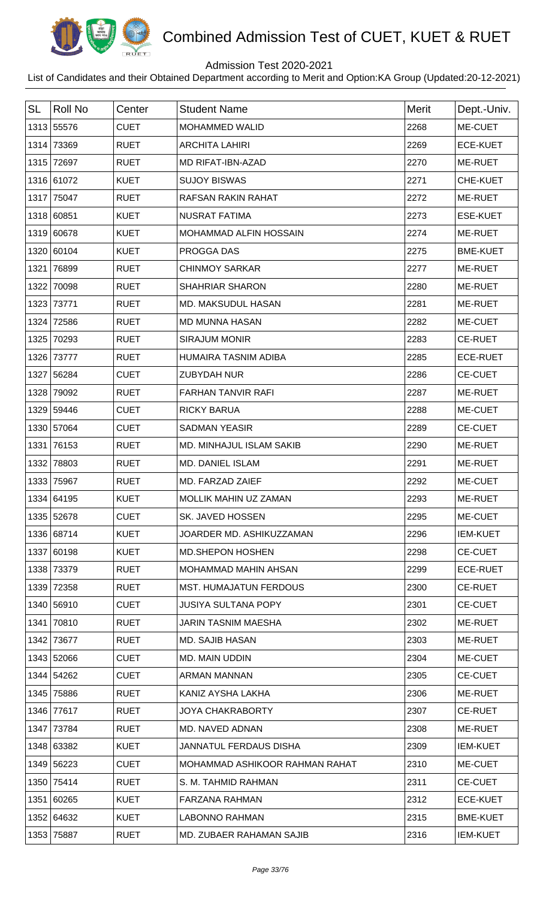

## Admission Test 2020-2021

| <b>SL</b> | <b>Roll No</b> | Center      | <b>Student Name</b>            | <b>Merit</b> | Dept.-Univ.     |
|-----------|----------------|-------------|--------------------------------|--------------|-----------------|
|           | 1313 55576     | <b>CUET</b> | <b>MOHAMMED WALID</b>          | 2268         | ME-CUET         |
|           | 1314 73369     | <b>RUET</b> | <b>ARCHITA LAHIRI</b>          | 2269         | <b>ECE-KUET</b> |
| 1315      | 72697          | <b>RUET</b> | MD RIFAT-IBN-AZAD              | 2270         | ME-RUET         |
|           | 1316 61072     | <b>KUET</b> | <b>SUJOY BISWAS</b>            | 2271         | CHE-KUET        |
|           | 1317 75047     | <b>RUET</b> | <b>RAFSAN RAKIN RAHAT</b>      | 2272         | ME-RUET         |
|           | 1318 60851     | <b>KUET</b> | <b>NUSRAT FATIMA</b>           | 2273         | <b>ESE-KUET</b> |
|           | 1319 60678     | <b>KUET</b> | MOHAMMAD ALFIN HOSSAIN         | 2274         | ME-RUET         |
|           | 1320 60104     | <b>KUET</b> | PROGGA DAS                     | 2275         | <b>BME-KUET</b> |
| 1321      | 76899          | <b>RUET</b> | <b>CHINMOY SARKAR</b>          | 2277         | ME-RUET         |
| 1322      | 70098          | <b>RUET</b> | <b>SHAHRIAR SHARON</b>         | 2280         | ME-RUET         |
|           | 1323 73771     | <b>RUET</b> | MD. MAKSUDUL HASAN             | 2281         | ME-RUET         |
| 1324      | 72586          | <b>RUET</b> | <b>MD MUNNA HASAN</b>          | 2282         | ME-CUET         |
| 1325      | 70293          | <b>RUET</b> | <b>SIRAJUM MONIR</b>           | 2283         | <b>CE-RUET</b>  |
|           | 1326 73777     | <b>RUET</b> | HUMAIRA TASNIM ADIBA           | 2285         | <b>ECE-RUET</b> |
|           | 1327 56284     | <b>CUET</b> | <b>ZUBYDAH NUR</b>             | 2286         | <b>CE-CUET</b>  |
|           | 1328 79092     | <b>RUET</b> | <b>FARHAN TANVIR RAFI</b>      | 2287         | ME-RUET         |
|           | 1329 59446     | <b>CUET</b> | <b>RICKY BARUA</b>             | 2288         | ME-CUET         |
|           | 1330 57064     | <b>CUET</b> | <b>SADMAN YEASIR</b>           | 2289         | <b>CE-CUET</b>  |
| 1331      | 76153          | <b>RUET</b> | MD. MINHAJUL ISLAM SAKIB       | 2290         | ME-RUET         |
| 1332      | 78803          | <b>RUET</b> | <b>MD. DANIEL ISLAM</b>        | 2291         | ME-RUET         |
| 1333      | 75967          | <b>RUET</b> | MD. FARZAD ZAIEF               | 2292         | ME-CUET         |
|           | 1334 64195     | <b>KUET</b> | <b>MOLLIK MAHIN UZ ZAMAN</b>   | 2293         | <b>ME-RUET</b>  |
|           | 1335 52678     | <b>CUET</b> | SK. JAVED HOSSEN               | 2295         | ME-CUET         |
|           | 1336 68714     | <b>KUET</b> | JOARDER MD. ASHIKUZZAMAN       | 2296         | <b>IEM-KUET</b> |
|           | 1337 60198     | <b>KUET</b> | <b>MD.SHEPON HOSHEN</b>        | 2298         | <b>CE-CUET</b>  |
|           | 1338 73379     | <b>RUET</b> | MOHAMMAD MAHIN AHSAN           | 2299         | <b>ECE-RUET</b> |
|           | 1339 72358     | <b>RUET</b> | <b>MST. HUMAJATUN FERDOUS</b>  | 2300         | <b>CE-RUET</b>  |
|           | 1340 56910     | <b>CUET</b> | <b>JUSIYA SULTANA POPY</b>     | 2301         | <b>CE-CUET</b>  |
| 1341      | 70810          | <b>RUET</b> | JARIN TASNIM MAESHA            | 2302         | ME-RUET         |
|           | 1342 73677     | <b>RUET</b> | <b>MD. SAJIB HASAN</b>         | 2303         | ME-RUET         |
|           | 1343 52066     | <b>CUET</b> | <b>MD. MAIN UDDIN</b>          | 2304         | ME-CUET         |
|           | 1344 54262     | <b>CUET</b> | ARMAN MANNAN                   | 2305         | <b>CE-CUET</b>  |
|           | 1345 75886     | <b>RUET</b> | KANIZ AYSHA LAKHA              | 2306         | ME-RUET         |
|           | 1346 77617     | <b>RUET</b> | <b>JOYA CHAKRABORTY</b>        | 2307         | <b>CE-RUET</b>  |
|           | 1347 73784     | <b>RUET</b> | MD. NAVED ADNAN                | 2308         | <b>ME-RUET</b>  |
|           | 1348 63382     | <b>KUET</b> | JANNATUL FERDAUS DISHA         | 2309         | <b>IEM-KUET</b> |
|           | 1349 56223     | <b>CUET</b> | MOHAMMAD ASHIKOOR RAHMAN RAHAT | 2310         | ME-CUET         |
|           | 1350 75414     | <b>RUET</b> | S. M. TAHMID RAHMAN            | 2311         | <b>CE-CUET</b>  |
|           | 1351 60265     | <b>KUET</b> | <b>FARZANA RAHMAN</b>          | 2312         | <b>ECE-KUET</b> |
|           | 1352 64632     | <b>KUET</b> | <b>LABONNO RAHMAN</b>          | 2315         | <b>BME-KUET</b> |
|           | 1353 75887     | <b>RUET</b> | MD. ZUBAER RAHAMAN SAJIB       | 2316         | <b>IEM-KUET</b> |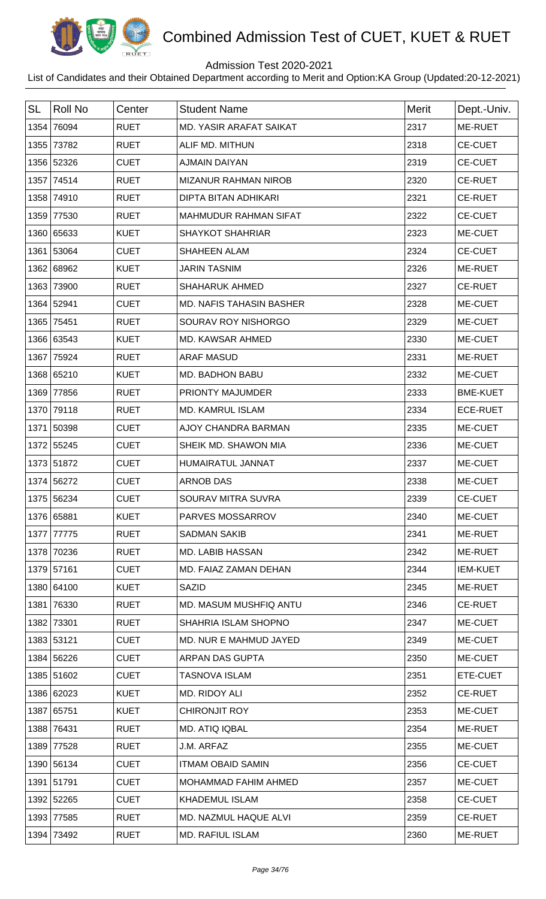

## Admission Test 2020-2021

| <b>SL</b> | Roll No    | Center      | <b>Student Name</b>             | <b>Merit</b> | Dept.-Univ.     |
|-----------|------------|-------------|---------------------------------|--------------|-----------------|
|           | 1354 76094 | <b>RUET</b> | <b>MD. YASIR ARAFAT SAIKAT</b>  | 2317         | ME-RUET         |
|           | 1355 73782 | <b>RUET</b> | ALIF MD. MITHUN                 | 2318         | <b>CE-CUET</b>  |
|           | 1356 52326 | <b>CUET</b> | <b>AJMAIN DAIYAN</b>            | 2319         | <b>CE-CUET</b>  |
|           | 1357 74514 | <b>RUET</b> | MIZANUR RAHMAN NIROB            | 2320         | <b>CE-RUET</b>  |
|           | 1358 74910 | <b>RUET</b> | <b>DIPTA BITAN ADHIKARI</b>     | 2321         | <b>CE-RUET</b>  |
|           | 1359 77530 | <b>RUET</b> | <b>MAHMUDUR RAHMAN SIFAT</b>    | 2322         | <b>CE-CUET</b>  |
|           | 1360 65633 | <b>KUET</b> | <b>SHAYKOT SHAHRIAR</b>         | 2323         | ME-CUET         |
|           | 1361 53064 | <b>CUET</b> | <b>SHAHEEN ALAM</b>             | 2324         | <b>CE-CUET</b>  |
|           | 1362 68962 | <b>KUET</b> | <b>JARIN TASNIM</b>             | 2326         | ME-RUET         |
|           | 1363 73900 | <b>RUET</b> | <b>SHAHARUK AHMED</b>           | 2327         | <b>CE-RUET</b>  |
|           | 1364 52941 | <b>CUET</b> | <b>MD. NAFIS TAHASIN BASHER</b> | 2328         | ME-CUET         |
|           | 1365 75451 | <b>RUET</b> | SOURAV ROY NISHORGO             | 2329         | ME-CUET         |
|           | 1366 63543 | <b>KUET</b> | MD. KAWSAR AHMED                | 2330         | ME-CUET         |
|           | 1367 75924 | <b>RUET</b> | <b>ARAF MASUD</b>               | 2331         | ME-RUET         |
|           | 1368 65210 | <b>KUET</b> | MD. BADHON BABU                 | 2332         | ME-CUET         |
| 1369      | 77856      | <b>RUET</b> | PRIONTY MAJUMDER                | 2333         | <b>BME-KUET</b> |
|           | 1370 79118 | <b>RUET</b> | <b>MD. KAMRUL ISLAM</b>         | 2334         | <b>ECE-RUET</b> |
|           | 1371 50398 | <b>CUET</b> | AJOY CHANDRA BARMAN             | 2335         | ME-CUET         |
|           | 1372 55245 | <b>CUET</b> | SHEIK MD. SHAWON MIA            | 2336         | ME-CUET         |
|           | 1373 51872 | <b>CUET</b> | HUMAIRATUL JANNAT               | 2337         | ME-CUET         |
|           | 1374 56272 | <b>CUET</b> | <b>ARNOB DAS</b>                | 2338         | ME-CUET         |
|           | 1375 56234 | <b>CUET</b> | SOURAV MITRA SUVRA              | 2339         | <b>CE-CUET</b>  |
|           | 1376 65881 | <b>KUET</b> | PARVES MOSSARROV                | 2340         | ME-CUET         |
|           | 1377 77775 | <b>RUET</b> | <b>SADMAN SAKIB</b>             | 2341         | ME-RUET         |
|           | 1378 70236 | <b>RUET</b> | <b>MD. LABIB HASSAN</b>         | 2342         | ME-RUET         |
|           | 1379 57161 | <b>CUET</b> | MD. FAIAZ ZAMAN DEHAN           | 2344         | <b>IEM-KUET</b> |
|           | 1380 64100 | <b>KUET</b> | <b>SAZID</b>                    | 2345         | ME-RUET         |
|           | 1381 76330 | <b>RUET</b> | MD. MASUM MUSHFIQ ANTU          | 2346         | <b>CE-RUET</b>  |
|           | 1382 73301 | <b>RUET</b> | SHAHRIA ISLAM SHOPNO            | 2347         | ME-CUET         |
|           | 1383 53121 | <b>CUET</b> | MD. NUR E MAHMUD JAYED          | 2349         | ME-CUET         |
|           | 1384 56226 | <b>CUET</b> | ARPAN DAS GUPTA                 | 2350         | ME-CUET         |
|           | 1385 51602 | <b>CUET</b> | <b>TASNOVA ISLAM</b>            | 2351         | ETE-CUET        |
|           | 1386 62023 | <b>KUET</b> | MD. RIDOY ALI                   | 2352         | <b>CE-RUET</b>  |
|           | 1387 65751 | <b>KUET</b> | <b>CHIRONJIT ROY</b>            | 2353         | ME-CUET         |
|           | 1388 76431 | <b>RUET</b> | MD. ATIQ IQBAL                  | 2354         | ME-RUET         |
|           | 1389 77528 | <b>RUET</b> | J.M. ARFAZ                      | 2355         | ME-CUET         |
|           | 1390 56134 | <b>CUET</b> | <b>ITMAM OBAID SAMIN</b>        | 2356         | <b>CE-CUET</b>  |
|           | 1391 51791 | <b>CUET</b> | MOHAMMAD FAHIM AHMED            | 2357         | ME-CUET         |
|           | 1392 52265 | <b>CUET</b> | <b>KHADEMUL ISLAM</b>           | 2358         | <b>CE-CUET</b>  |
|           | 1393 77585 | <b>RUET</b> | MD. NAZMUL HAQUE ALVI           | 2359         | <b>CE-RUET</b>  |
|           | 1394 73492 | <b>RUET</b> | <b>MD. RAFIUL ISLAM</b>         | 2360         | ME-RUET         |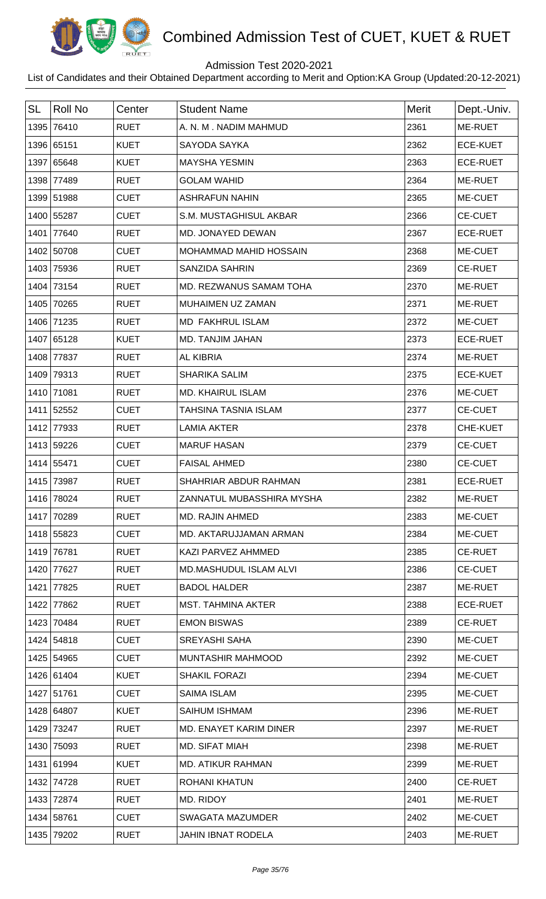

## Admission Test 2020-2021

| <b>SL</b> | <b>Roll No</b> | Center      | <b>Student Name</b>         | <b>Merit</b> | Dept.-Univ.     |
|-----------|----------------|-------------|-----------------------------|--------------|-----------------|
| 1395      | 76410          | <b>RUET</b> | A. N. M. NADIM MAHMUD       | 2361         | ME-RUET         |
|           | 1396 65151     | <b>KUET</b> | SAYODA SAYKA                | 2362         | <b>ECE-KUET</b> |
|           | 1397 65648     | <b>KUET</b> | <b>MAYSHA YESMIN</b>        | 2363         | <b>ECE-RUET</b> |
| 1398      | 77489          | <b>RUET</b> | <b>GOLAM WAHID</b>          | 2364         | ME-RUET         |
|           | 1399 51988     | <b>CUET</b> | <b>ASHRAFUN NAHIN</b>       | 2365         | ME-CUET         |
|           | 1400 55287     | <b>CUET</b> | S.M. MUSTAGHISUL AKBAR      | 2366         | <b>CE-CUET</b>  |
| 1401      | 77640          | <b>RUET</b> | MD. JONAYED DEWAN           | 2367         | <b>ECE-RUET</b> |
|           | 1402 50708     | <b>CUET</b> | MOHAMMAD MAHID HOSSAIN      | 2368         | ME-CUET         |
| 1403      | 75936          | <b>RUET</b> | <b>SANZIDA SAHRIN</b>       | 2369         | <b>CE-RUET</b>  |
| 1404      | 73154          | <b>RUET</b> | MD. REZWANUS SAMAM TOHA     | 2370         | ME-RUET         |
| 1405      | 70265          | <b>RUET</b> | MUHAIMEN UZ ZAMAN           | 2371         | ME-RUET         |
|           | 1406 71235     | <b>RUET</b> | <b>MD FAKHRUL ISLAM</b>     | 2372         | ME-CUET         |
|           | 1407 65128     | <b>KUET</b> | MD. TANJIM JAHAN            | 2373         | <b>ECE-RUET</b> |
| 1408      | 77837          | <b>RUET</b> | <b>AL KIBRIA</b>            | 2374         | ME-RUET         |
| 1409      | 79313          | <b>RUET</b> | <b>SHARIKA SALIM</b>        | 2375         | <b>ECE-KUET</b> |
| 1410      | 71081          | <b>RUET</b> | <b>MD. KHAIRUL ISLAM</b>    | 2376         | ME-CUET         |
| 1411      | 52552          | <b>CUET</b> | <b>TAHSINA TASNIA ISLAM</b> | 2377         | <b>CE-CUET</b>  |
| 1412      | 77933          | <b>RUET</b> | <b>LAMIA AKTER</b>          | 2378         | CHE-KUET        |
|           | 1413 59226     | <b>CUET</b> | <b>MARUF HASAN</b>          | 2379         | <b>CE-CUET</b>  |
|           | 1414 55471     | <b>CUET</b> | <b>FAISAL AHMED</b>         | 2380         | <b>CE-CUET</b>  |
| 1415      | 73987          | <b>RUET</b> | SHAHRIAR ABDUR RAHMAN       | 2381         | <b>ECE-RUET</b> |
|           | 1416 78024     | <b>RUET</b> | ZANNATUL MUBASSHIRA MYSHA   | 2382         | ME-RUET         |
|           | 1417 70289     | <b>RUET</b> | <b>MD. RAJIN AHMED</b>      | 2383         | ME-CUET         |
|           | 1418 55823     | <b>CUET</b> | MD. AKTARUJJAMAN ARMAN      | 2384         | ME-CUET         |
| 1419      | 76781          | <b>RUET</b> | KAZI PARVEZ AHMMED          | 2385         | CE-RUET         |
|           | 1420 77627     | <b>RUET</b> | MD.MASHUDUL ISLAM ALVI      | 2386         | <b>CE-CUET</b>  |
| 1421      | 77825          | <b>RUET</b> | <b>BADOL HALDER</b>         | 2387         | ME-RUET         |
| 1422      | 77862          | <b>RUET</b> | <b>MST. TAHMINA AKTER</b>   | 2388         | <b>ECE-RUET</b> |
|           | 1423 70484     | <b>RUET</b> | <b>EMON BISWAS</b>          | 2389         | <b>CE-RUET</b>  |
|           | 1424 54818     | <b>CUET</b> | <b>SREYASHI SAHA</b>        | 2390         | ME-CUET         |
|           | 1425 54965     | <b>CUET</b> | <b>MUNTASHIR MAHMOOD</b>    | 2392         | ME-CUET         |
|           | 1426 61404     | <b>KUET</b> | <b>SHAKIL FORAZI</b>        | 2394         | ME-CUET         |
|           | 1427 51761     | <b>CUET</b> | <b>SAIMA ISLAM</b>          | 2395         | ME-CUET         |
|           | 1428 64807     | <b>KUET</b> | SAIHUM ISHMAM               | 2396         | ME-RUET         |
|           | 1429 73247     | <b>RUET</b> | MD. ENAYET KARIM DINER      | 2397         | ME-RUET         |
|           | 1430 75093     | <b>RUET</b> | <b>MD. SIFAT MIAH</b>       | 2398         | ME-RUET         |
|           | 1431 61994     | <b>KUET</b> | <b>MD. ATIKUR RAHMAN</b>    | 2399         | ME-RUET         |
|           | 1432 74728     | <b>RUET</b> | <b>ROHANI KHATUN</b>        | 2400         | <b>CE-RUET</b>  |
|           | 1433 72874     | <b>RUET</b> | MD. RIDOY                   | 2401         | ME-RUET         |
|           | 1434 58761     | <b>CUET</b> | <b>SWAGATA MAZUMDER</b>     | 2402         | ME-CUET         |
|           | 1435 79202     | <b>RUET</b> | <b>JAHIN IBNAT RODELA</b>   | 2403         | ME-RUET         |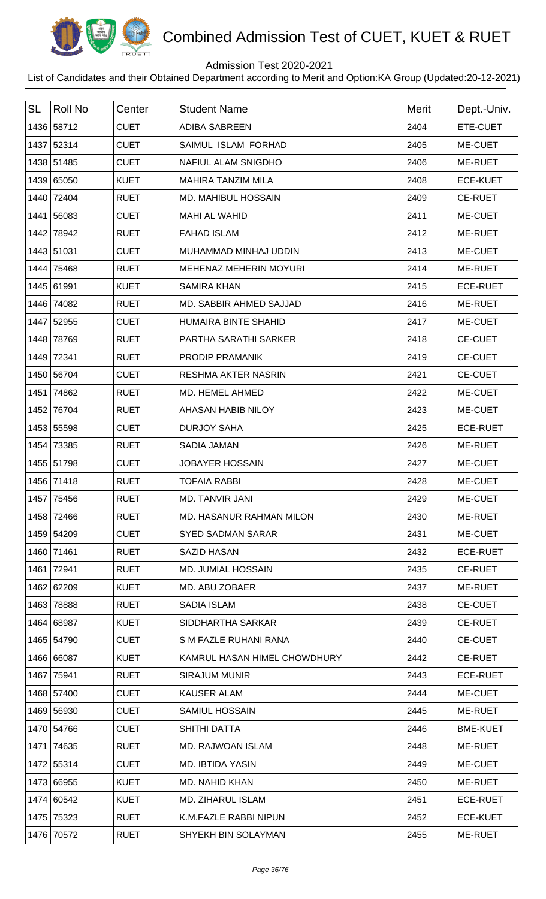

## Admission Test 2020-2021

| <b>SL</b> | Roll No      | Center      | <b>Student Name</b>            | <b>Merit</b> | Dept.-Univ.     |
|-----------|--------------|-------------|--------------------------------|--------------|-----------------|
|           | 1436 58712   | <b>CUET</b> | <b>ADIBA SABREEN</b>           | 2404         | ETE-CUET        |
|           | 1437 52314   | <b>CUET</b> | SAIMUL ISLAM FORHAD            | 2405         | ME-CUET         |
|           | 1438 51485   | <b>CUET</b> | NAFIUL ALAM SNIGDHO            | 2406         | ME-RUET         |
|           | 1439 65050   | <b>KUET</b> | <b>MAHIRA TANZIM MILA</b>      | 2408         | <b>ECE-KUET</b> |
|           | 1440 72404   | <b>RUET</b> | <b>MD. MAHIBUL HOSSAIN</b>     | 2409         | <b>CE-RUET</b>  |
|           | 1441 56083   | <b>CUET</b> | <b>MAHI AL WAHID</b>           | 2411         | ME-CUET         |
|           | 1442 78942   | <b>RUET</b> | <b>FAHAD ISLAM</b>             | 2412         | ME-RUET         |
|           | 1443 51031   | <b>CUET</b> | MUHAMMAD MINHAJ UDDIN          | 2413         | ME-CUET         |
|           | 1444 75468   | <b>RUET</b> | MEHENAZ MEHERIN MOYURI         | 2414         | ME-RUET         |
|           | 1445 61991   | <b>KUET</b> | <b>SAMIRA KHAN</b>             | 2415         | <b>ECE-RUET</b> |
|           | 1446 74082   | <b>RUET</b> | <b>MD. SABBIR AHMED SAJJAD</b> | 2416         | ME-RUET         |
|           | 1447 52955   | <b>CUET</b> | <b>HUMAIRA BINTE SHAHID</b>    | 2417         | ME-CUET         |
|           | 1448 78769   | <b>RUET</b> | PARTHA SARATHI SARKER          | 2418         | <b>CE-CUET</b>  |
|           | 1449 72341   | <b>RUET</b> | PRODIP PRAMANIK                | 2419         | <b>CE-CUET</b>  |
|           | 1450 56704   | <b>CUET</b> | <b>RESHMA AKTER NASRIN</b>     | 2421         | CE-CUET         |
|           | 1451 74862   | <b>RUET</b> | MD. HEMEL AHMED                | 2422         | ME-CUET         |
|           | 1452 76704   | <b>RUET</b> | AHASAN HABIB NILOY             | 2423         | ME-CUET         |
|           | 1453 55598   | <b>CUET</b> | <b>DURJOY SAHA</b>             | 2425         | <b>ECE-RUET</b> |
|           | 1454 73385   | <b>RUET</b> | SADIA JAMAN                    | 2426         | ME-RUET         |
|           | 1455 51798   | <b>CUET</b> | <b>JOBAYER HOSSAIN</b>         | 2427         | ME-CUET         |
|           | 1456 71418   | <b>RUET</b> | <b>TOFAIA RABBI</b>            | 2428         | ME-CUET         |
|           | 1457   75456 | <b>RUET</b> | MD. TANVIR JANI                | 2429         | <b>ME-CUET</b>  |
|           | 1458 72466   | <b>RUET</b> | MD. HASANUR RAHMAN MILON       | 2430         | ME-RUET         |
|           | 1459 54209   | <b>CUET</b> | <b>SYED SADMAN SARAR</b>       | 2431         | ME-CUET         |
|           | 1460 71461   | <b>RUET</b> | <b>SAZID HASAN</b>             | 2432         | <b>ECE-RUET</b> |
|           | 1461 72941   | <b>RUET</b> | MD. JUMIAL HOSSAIN             | 2435         | <b>CE-RUET</b>  |
|           | 1462 62209   | <b>KUET</b> | MD. ABU ZOBAER                 | 2437         | ME-RUET         |
|           | 1463 78888   | <b>RUET</b> | <b>SADIA ISLAM</b>             | 2438         | <b>CE-CUET</b>  |
|           | 1464 68987   | <b>KUET</b> | SIDDHARTHA SARKAR              | 2439         | <b>CE-RUET</b>  |
|           | 1465 54790   | <b>CUET</b> | S M FAZLE RUHANI RANA          | 2440         | <b>CE-CUET</b>  |
|           | 1466 66087   | <b>KUET</b> | KAMRUL HASAN HIMEL CHOWDHURY   | 2442         | <b>CE-RUET</b>  |
|           | 1467 75941   | <b>RUET</b> | <b>SIRAJUM MUNIR</b>           | 2443         | <b>ECE-RUET</b> |
|           | 1468 57400   | <b>CUET</b> | <b>KAUSER ALAM</b>             | 2444         | ME-CUET         |
|           | 1469 56930   | <b>CUET</b> | SAMIUL HOSSAIN                 | 2445         | ME-RUET         |
|           | 1470 54766   | <b>CUET</b> | SHITHI DATTA                   | 2446         | <b>BME-KUET</b> |
|           | 1471 74635   | <b>RUET</b> | MD. RAJWOAN ISLAM              | 2448         | ME-RUET         |
|           | 1472 55314   | <b>CUET</b> | <b>MD. IBTIDA YASIN</b>        | 2449         | ME-CUET         |
|           | 1473 66955   | <b>KUET</b> | MD. NAHID KHAN                 | 2450         | ME-RUET         |
|           | 1474 60542   | <b>KUET</b> | <b>MD. ZIHARUL ISLAM</b>       | 2451         | <b>ECE-RUET</b> |
|           | 1475 75323   | <b>RUET</b> | K.M.FAZLE RABBI NIPUN          | 2452         | <b>ECE-KUET</b> |
|           | 1476 70572   | <b>RUET</b> | SHYEKH BIN SOLAYMAN            | 2455         | ME-RUET         |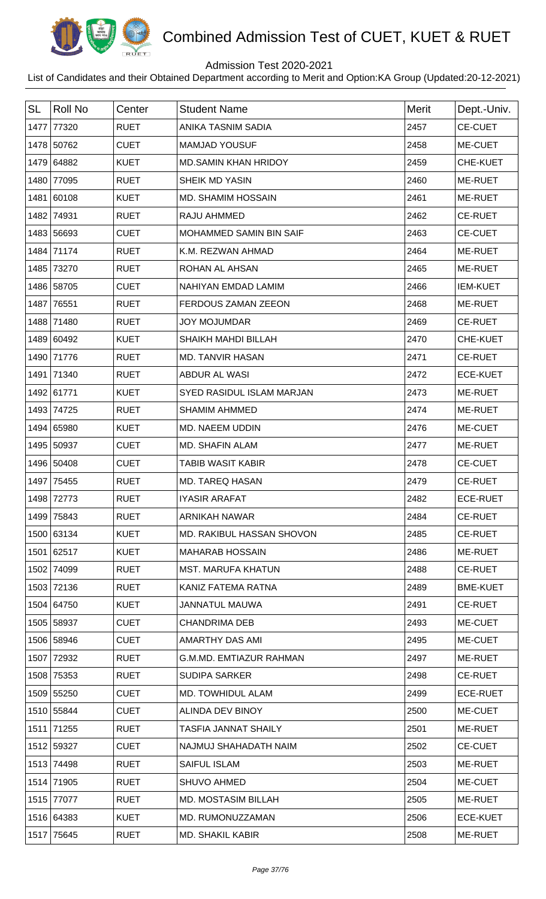

## Admission Test 2020-2021

| <b>SL</b> | <b>Roll No</b> | Center      | <b>Student Name</b>            | <b>Merit</b> | Dept.-Univ.     |
|-----------|----------------|-------------|--------------------------------|--------------|-----------------|
| 1477      | 77320          | <b>RUET</b> | ANIKA TASNIM SADIA             | 2457         | <b>CE-CUET</b>  |
|           | 1478 50762     | <b>CUET</b> | <b>MAMJAD YOUSUF</b>           | 2458         | ME-CUET         |
|           | 1479 64882     | <b>KUET</b> | <b>MD.SAMIN KHAN HRIDOY</b>    | 2459         | CHE-KUET        |
|           | 1480 77095     | <b>RUET</b> | <b>SHEIK MD YASIN</b>          | 2460         | ME-RUET         |
|           | 1481 60108     | <b>KUET</b> | MD. SHAMIM HOSSAIN             | 2461         | ME-RUET         |
| 1482      | 74931          | <b>RUET</b> | RAJU AHMMED                    | 2462         | <b>CE-RUET</b>  |
|           | 1483 56693     | <b>CUET</b> | MOHAMMED SAMIN BIN SAIF        | 2463         | <b>CE-CUET</b>  |
|           | 1484 71174     | <b>RUET</b> | K.M. REZWAN AHMAD              | 2464         | ME-RUET         |
| 1485      | 73270          | <b>RUET</b> | ROHAN AL AHSAN                 | 2465         | ME-RUET         |
|           | 1486 58705     | <b>CUET</b> | <b>NAHIYAN EMDAD LAMIM</b>     | 2466         | <b>IEM-KUET</b> |
| 1487      | 76551          | <b>RUET</b> | FERDOUS ZAMAN ZEEON            | 2468         | ME-RUET         |
|           | 1488 71480     | <b>RUET</b> | <b>JOY MOJUMDAR</b>            | 2469         | <b>CE-RUET</b>  |
|           | 1489 60492     | <b>KUET</b> | <b>SHAIKH MAHDI BILLAH</b>     | 2470         | CHE-KUET        |
|           | 1490 71776     | <b>RUET</b> | <b>MD. TANVIR HASAN</b>        | 2471         | <b>CE-RUET</b>  |
| 1491      | 71340          | <b>RUET</b> | <b>ABDUR AL WASI</b>           | 2472         | <b>ECE-KUET</b> |
|           | 1492 61771     | <b>KUET</b> | SYED RASIDUL ISLAM MARJAN      | 2473         | ME-RUET         |
|           | 1493 74725     | <b>RUET</b> | <b>SHAMIM AHMMED</b>           | 2474         | ME-RUET         |
|           | 1494 65980     | <b>KUET</b> | <b>MD. NAEEM UDDIN</b>         | 2476         | ME-CUET         |
|           | 1495 50937     | <b>CUET</b> | <b>MD. SHAFIN ALAM</b>         | 2477         | ME-RUET         |
|           | 1496 50408     | <b>CUET</b> | <b>TABIB WASIT KABIR</b>       | 2478         | <b>CE-CUET</b>  |
| 1497      | 75455          | <b>RUET</b> | <b>MD. TAREQ HASAN</b>         | 2479         | <b>CE-RUET</b>  |
|           | 1498 72773     | <b>RUET</b> | <b>IYASIR ARAFAT</b>           | 2482         | <b>ECE-RUET</b> |
|           | 1499 75843     | <b>RUET</b> | <b>ARNIKAH NAWAR</b>           | 2484         | <b>CE-RUET</b>  |
|           | 1500 63134     | <b>KUET</b> | MD. RAKIBUL HASSAN SHOVON      | 2485         | <b>CE-RUET</b>  |
|           | 1501 62517     | <b>KUET</b> | <b>MAHARAB HOSSAIN</b>         | 2486         | <b>ME-RUET</b>  |
|           | 1502 74099     | <b>RUET</b> | <b>MST. MARUFA KHATUN</b>      | 2488         | <b>CE-RUET</b>  |
|           | 1503 72136     | <b>RUET</b> | KANIZ FATEMA RATNA             | 2489         | <b>BME-KUET</b> |
|           | 1504 64750     | <b>KUET</b> | <b>JANNATUL MAUWA</b>          | 2491         | <b>CE-RUET</b>  |
|           | 1505 58937     | <b>CUET</b> | <b>CHANDRIMA DEB</b>           | 2493         | ME-CUET         |
|           | 1506 58946     | <b>CUET</b> | AMARTHY DAS AMI                | 2495         | ME-CUET         |
|           | 1507 72932     | <b>RUET</b> | <b>G.M.MD. EMTIAZUR RAHMAN</b> | 2497         | ME-RUET         |
|           | 1508 75353     | <b>RUET</b> | <b>SUDIPA SARKER</b>           | 2498         | <b>CE-RUET</b>  |
|           | 1509 55250     | <b>CUET</b> | MD. TOWHIDUL ALAM              | 2499         | <b>ECE-RUET</b> |
|           | 1510 55844     | <b>CUET</b> | ALINDA DEV BINOY               | 2500         | ME-CUET         |
|           | 1511 71255     | <b>RUET</b> | <b>TASFIA JANNAT SHAILY</b>    | 2501         | ME-RUET         |
|           | 1512 59327     | <b>CUET</b> | NAJMUJ SHAHADATH NAIM          | 2502         | <b>CE-CUET</b>  |
|           | 1513 74498     | <b>RUET</b> | SAIFUL ISLAM                   | 2503         | ME-RUET         |
|           | 1514 71905     | <b>RUET</b> | <b>SHUVO AHMED</b>             | 2504         | ME-CUET         |
|           | 1515 77077     | <b>RUET</b> | <b>MD. MOSTASIM BILLAH</b>     | 2505         | ME-RUET         |
|           | 1516 64383     | <b>KUET</b> | MD. RUMONUZZAMAN               | 2506         | <b>ECE-KUET</b> |
|           | 1517 75645     | <b>RUET</b> | <b>MD. SHAKIL KABIR</b>        | 2508         | ME-RUET         |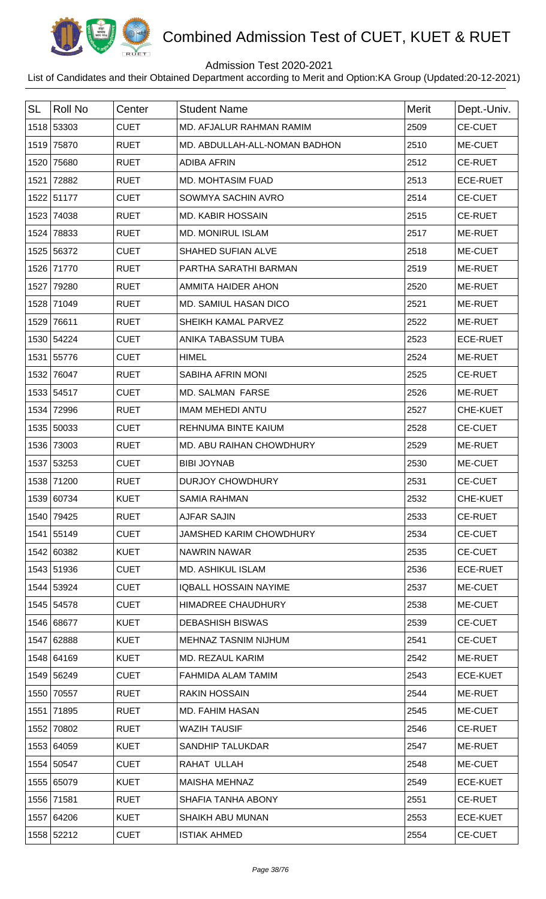

## Admission Test 2020-2021

| <b>SL</b> | Roll No    | Center      | <b>Student Name</b>            | Merit | Dept.-Univ.     |
|-----------|------------|-------------|--------------------------------|-------|-----------------|
|           | 1518 53303 | <b>CUET</b> | MD. AFJALUR RAHMAN RAMIM       | 2509  | <b>CE-CUET</b>  |
|           | 1519 75870 | <b>RUET</b> | MD. ABDULLAH-ALL-NOMAN BADHON  | 2510  | ME-CUET         |
|           | 1520 75680 | <b>RUET</b> | <b>ADIBA AFRIN</b>             | 2512  | <b>CE-RUET</b>  |
|           | 1521 72882 | <b>RUET</b> | <b>MD. MOHTASIM FUAD</b>       | 2513  | <b>ECE-RUET</b> |
|           | 1522 51177 | <b>CUET</b> | SOWMYA SACHIN AVRO             | 2514  | <b>CE-CUET</b>  |
|           | 1523 74038 | <b>RUET</b> | <b>MD. KABIR HOSSAIN</b>       | 2515  | <b>CE-RUET</b>  |
|           | 1524 78833 | <b>RUET</b> | <b>MD. MONIRUL ISLAM</b>       | 2517  | ME-RUET         |
|           | 1525 56372 | <b>CUET</b> | SHAHED SUFIAN ALVE             | 2518  | ME-CUET         |
|           | 1526 71770 | <b>RUET</b> | PARTHA SARATHI BARMAN          | 2519  | <b>ME-RUET</b>  |
|           | 1527 79280 | <b>RUET</b> | AMMITA HAIDER AHON             | 2520  | ME-RUET         |
|           | 1528 71049 | <b>RUET</b> | MD. SAMIUL HASAN DICO          | 2521  | ME-RUET         |
|           | 1529 76611 | <b>RUET</b> | SHEIKH KAMAL PARVEZ            | 2522  | ME-RUET         |
|           | 1530 54224 | <b>CUET</b> | ANIKA TABASSUM TUBA            | 2523  | <b>ECE-RUET</b> |
|           | 1531 55776 | <b>CUET</b> | <b>HIMEL</b>                   | 2524  | ME-RUET         |
|           | 1532 76047 | <b>RUET</b> | SABIHA AFRIN MONI              | 2525  | <b>CE-RUET</b>  |
|           | 1533 54517 | <b>CUET</b> | <b>MD. SALMAN FARSE</b>        | 2526  | ME-RUET         |
|           | 1534 72996 | <b>RUET</b> | <b>IMAM MEHEDI ANTU</b>        | 2527  | CHE-KUET        |
|           | 1535 50033 | <b>CUET</b> | REHNUMA BINTE KAIUM            | 2528  | <b>CE-CUET</b>  |
|           | 1536 73003 | <b>RUET</b> | MD. ABU RAIHAN CHOWDHURY       | 2529  | ME-RUET         |
|           | 1537 53253 | <b>CUET</b> | <b>BIBI JOYNAB</b>             | 2530  | ME-CUET         |
|           | 1538 71200 | <b>RUET</b> | <b>DURJOY CHOWDHURY</b>        | 2531  | <b>CE-CUET</b>  |
|           | 1539 60734 | <b>KUET</b> | <b>SAMIA RAHMAN</b>            | 2532  | CHE-KUET        |
|           | 1540 79425 | <b>RUET</b> | <b>AJFAR SAJIN</b>             | 2533  | <b>CE-RUET</b>  |
|           | 1541 55149 | <b>CUET</b> | <b>JAMSHED KARIM CHOWDHURY</b> | 2534  | <b>CE-CUET</b>  |
|           | 1542 60382 | <b>KUET</b> | NAWRIN NAWAR                   | 2535  | <b>CE-CUET</b>  |
|           | 1543 51936 | <b>CUET</b> | MD. ASHIKUL ISLAM              | 2536  | <b>ECE-RUET</b> |
|           | 1544 53924 | <b>CUET</b> | <b>IQBALL HOSSAIN NAYIME</b>   | 2537  | ME-CUET         |
|           | 1545 54578 | <b>CUET</b> | HIMADREE CHAUDHURY             | 2538  | ME-CUET         |
|           | 1546 68677 | <b>KUET</b> | <b>DEBASHISH BISWAS</b>        | 2539  | <b>CE-CUET</b>  |
|           | 1547 62888 | <b>KUET</b> | MEHNAZ TASNIM NIJHUM           | 2541  | <b>CE-CUET</b>  |
|           | 1548 64169 | <b>KUET</b> | MD. REZAUL KARIM               | 2542  | ME-RUET         |
|           | 1549 56249 | <b>CUET</b> | FAHMIDA ALAM TAMIM             | 2543  | <b>ECE-KUET</b> |
|           | 1550 70557 | <b>RUET</b> | <b>RAKIN HOSSAIN</b>           | 2544  | ME-RUET         |
|           | 1551 71895 | <b>RUET</b> | MD. FAHIM HASAN                | 2545  | ME-CUET         |
|           | 1552 70802 | <b>RUET</b> | <b>WAZIH TAUSIF</b>            | 2546  | <b>CE-RUET</b>  |
|           | 1553 64059 | <b>KUET</b> | <b>SANDHIP TALUKDAR</b>        | 2547  | ME-RUET         |
|           | 1554 50547 | <b>CUET</b> | RAHAT ULLAH                    | 2548  | ME-CUET         |
|           | 1555 65079 | <b>KUET</b> | <b>MAISHA MEHNAZ</b>           | 2549  | <b>ECE-KUET</b> |
|           | 1556 71581 | <b>RUET</b> | SHAFIA TANHA ABONY             | 2551  | <b>CE-RUET</b>  |
|           | 1557 64206 | <b>KUET</b> | <b>SHAIKH ABU MUNAN</b>        | 2553  | <b>ECE-KUET</b> |
|           | 1558 52212 | <b>CUET</b> | <b>ISTIAK AHMED</b>            | 2554  | <b>CE-CUET</b>  |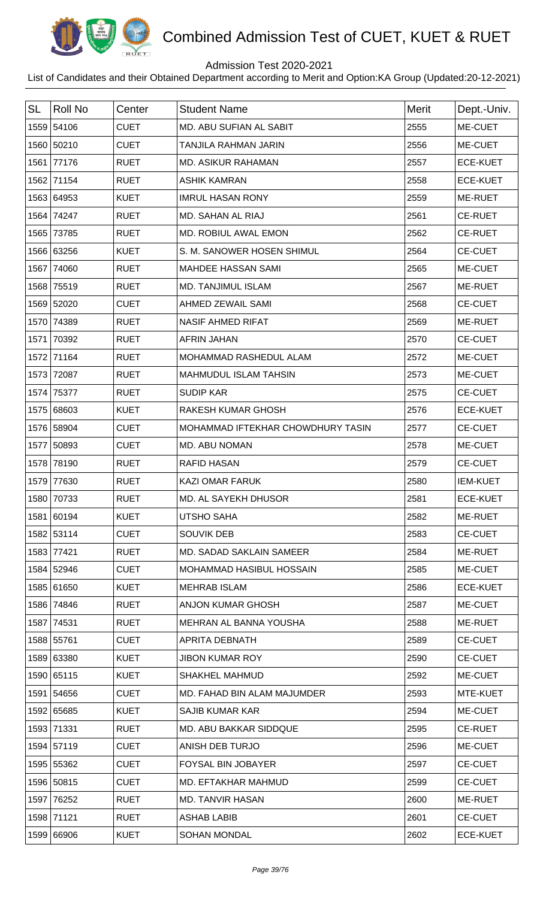

## Admission Test 2020-2021

| <b>SL</b> | <b>Roll No</b> | Center      | <b>Student Name</b>               | <b>Merit</b> | Dept.-Univ.     |
|-----------|----------------|-------------|-----------------------------------|--------------|-----------------|
|           | 1559 54106     | <b>CUET</b> | MD. ABU SUFIAN AL SABIT           | 2555         | ME-CUET         |
|           | 1560 50210     | <b>CUET</b> | TANJILA RAHMAN JARIN              | 2556         | ME-CUET         |
| 1561      | 77176          | <b>RUET</b> | <b>MD. ASIKUR RAHAMAN</b>         | 2557         | <b>ECE-KUET</b> |
|           | 1562 71154     | <b>RUET</b> | <b>ASHIK KAMRAN</b>               | 2558         | <b>ECE-KUET</b> |
|           | 1563 64953     | <b>KUET</b> | <b>IMRUL HASAN RONY</b>           | 2559         | ME-RUET         |
| 1564      | 74247          | <b>RUET</b> | MD. SAHAN AL RIAJ                 | 2561         | <b>CE-RUET</b>  |
| 1565      | 73785          | <b>RUET</b> | MD. ROBIUL AWAL EMON              | 2562         | <b>CE-RUET</b>  |
|           | 1566 63256     | <b>KUET</b> | S. M. SANOWER HOSEN SHIMUL        | 2564         | <b>CE-CUET</b>  |
| 1567      | 74060          | <b>RUET</b> | <b>MAHDEE HASSAN SAMI</b>         | 2565         | ME-CUET         |
| 1568      | 75519          | <b>RUET</b> | <b>MD. TANJIMUL ISLAM</b>         | 2567         | ME-RUET         |
|           | 1569 52020     | <b>CUET</b> | AHMED ZEWAIL SAMI                 | 2568         | <b>CE-CUET</b>  |
| 1570      | 74389          | <b>RUET</b> | <b>NASIF AHMED RIFAT</b>          | 2569         | ME-RUET         |
| 1571      | 70392          | <b>RUET</b> | <b>AFRIN JAHAN</b>                | 2570         | <b>CE-CUET</b>  |
| 1572      | 71164          | <b>RUET</b> | MOHAMMAD RASHEDUL ALAM            | 2572         | ME-CUET         |
| 1573      | 72087          | <b>RUET</b> | <b>MAHMUDUL ISLAM TAHSIN</b>      | 2573         | ME-CUET         |
| 1574      | 75377          | <b>RUET</b> | <b>SUDIP KAR</b>                  | 2575         | <b>CE-CUET</b>  |
|           | 1575 68603     | <b>KUET</b> | <b>RAKESH KUMAR GHOSH</b>         | 2576         | <b>ECE-KUET</b> |
|           | 1576 58904     | <b>CUET</b> | MOHAMMAD IFTEKHAR CHOWDHURY TASIN | 2577         | <b>CE-CUET</b>  |
|           | 1577 50893     | <b>CUET</b> | MD. ABU NOMAN                     | 2578         | ME-CUET         |
| 1578      | 78190          | <b>RUET</b> | <b>RAFID HASAN</b>                | 2579         | <b>CE-CUET</b>  |
| 1579      | 77630          | <b>RUET</b> | <b>KAZI OMAR FARUK</b>            | 2580         | <b>IEM-KUET</b> |
|           | 1580 70733     | <b>RUET</b> | MD. AL SAYEKH DHUSOR              | 2581         | <b>ECE-KUET</b> |
|           | 1581 60194     | <b>KUET</b> | <b>UTSHO SAHA</b>                 | 2582         | ME-RUET         |
|           | 1582 53114     | <b>CUET</b> | <b>SOUVIK DEB</b>                 | 2583         | <b>CE-CUET</b>  |
|           | 1583 77421     | <b>RUET</b> | <b>MD. SADAD SAKLAIN SAMEER</b>   | 2584         | ME-RUET         |
|           | 1584 52946     | <b>CUET</b> | MOHAMMAD HASIBUL HOSSAIN          | 2585         | ME-CUET         |
|           | 1585 61650     | <b>KUET</b> | <b>MEHRAB ISLAM</b>               | 2586         | <b>ECE-KUET</b> |
|           | 1586 74846     | <b>RUET</b> | <b>ANJON KUMAR GHOSH</b>          | 2587         | ME-CUET         |
|           | 1587 74531     | <b>RUET</b> | MEHRAN AL BANNA YOUSHA            | 2588         | ME-RUET         |
|           | 1588 55761     | <b>CUET</b> | APRITA DEBNATH                    | 2589         | <b>CE-CUET</b>  |
|           | 1589 63380     | <b>KUET</b> | <b>JIBON KUMAR ROY</b>            | 2590         | <b>CE-CUET</b>  |
|           | 1590 65115     | <b>KUET</b> | <b>SHAKHEL MAHMUD</b>             | 2592         | ME-CUET         |
|           | 1591 54656     | <b>CUET</b> | MD. FAHAD BIN ALAM MAJUMDER       | 2593         | MTE-KUET        |
|           | 1592 65685     | <b>KUET</b> | <b>SAJIB KUMAR KAR</b>            | 2594         | ME-CUET         |
|           | 1593 71331     | <b>RUET</b> | MD. ABU BAKKAR SIDDQUE            | 2595         | <b>CE-RUET</b>  |
|           | 1594 57119     | <b>CUET</b> | ANISH DEB TURJO                   | 2596         | ME-CUET         |
|           | 1595 55362     | <b>CUET</b> | <b>FOYSAL BIN JOBAYER</b>         | 2597         | <b>CE-CUET</b>  |
|           | 1596 50815     | <b>CUET</b> | MD. EFTAKHAR MAHMUD               | 2599         | <b>CE-CUET</b>  |
| 1597      | 76252          | <b>RUET</b> | <b>MD. TANVIR HASAN</b>           | 2600         | ME-RUET         |
|           | 1598 71121     | <b>RUET</b> | <b>ASHAB LABIB</b>                | 2601         | <b>CE-CUET</b>  |
|           | 1599 66906     | <b>KUET</b> | <b>SOHAN MONDAL</b>               | 2602         | <b>ECE-KUET</b> |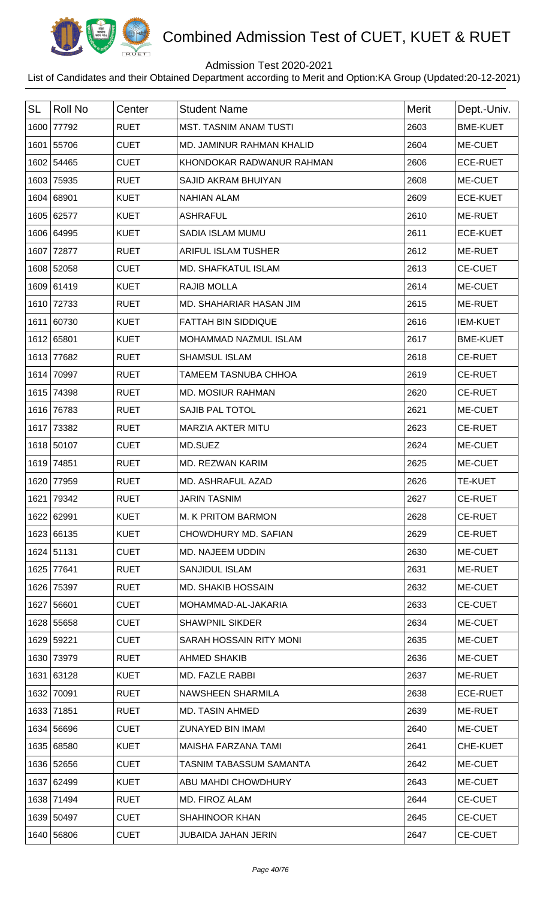

## Admission Test 2020-2021

| <b>SL</b> | <b>Roll No</b> | Center      | <b>Student Name</b>            | <b>Merit</b> | Dept.-Univ.     |
|-----------|----------------|-------------|--------------------------------|--------------|-----------------|
| 1600      | 77792          | <b>RUET</b> | <b>MST. TASNIM ANAM TUSTI</b>  | 2603         | <b>BME-KUET</b> |
|           | 1601 55706     | <b>CUET</b> | MD. JAMINUR RAHMAN KHALID      | 2604         | ME-CUET         |
| 1602      | 54465          | <b>CUET</b> | KHONDOKAR RADWANUR RAHMAN      | 2606         | <b>ECE-RUET</b> |
| 1603      | 75935          | <b>RUET</b> | SAJID AKRAM BHUIYAN            | 2608         | ME-CUET         |
|           | 1604 68901     | <b>KUET</b> | <b>NAHIAN ALAM</b>             | 2609         | <b>ECE-KUET</b> |
|           | 1605 62577     | <b>KUET</b> | <b>ASHRAFUL</b>                | 2610         | ME-RUET         |
|           | 1606 64995     | <b>KUET</b> | SADIA ISLAM MUMU               | 2611         | <b>ECE-KUET</b> |
| 1607      | 72877          | <b>RUET</b> | <b>ARIFUL ISLAM TUSHER</b>     | 2612         | ME-RUET         |
|           | 1608 52058     | <b>CUET</b> | <b>MD. SHAFKATUL ISLAM</b>     | 2613         | <b>CE-CUET</b>  |
|           | 1609 61419     | <b>KUET</b> | <b>RAJIB MOLLA</b>             | 2614         | ME-CUET         |
|           | 1610 72733     | <b>RUET</b> | MD. SHAHARIAR HASAN JIM        | 2615         | ME-RUET         |
| 1611      | 60730          | <b>KUET</b> | <b>FATTAH BIN SIDDIQUE</b>     | 2616         | <b>IEM-KUET</b> |
|           | 1612 65801     | <b>KUET</b> | <b>MOHAMMAD NAZMUL ISLAM</b>   | 2617         | <b>BME-KUET</b> |
|           | 1613 77682     | <b>RUET</b> | <b>SHAMSUL ISLAM</b>           | 2618         | <b>CE-RUET</b>  |
| 1614      | 70997          | <b>RUET</b> | <b>TAMEEM TASNUBA CHHOA</b>    | 2619         | <b>CE-RUET</b>  |
| 1615      | 74398          | <b>RUET</b> | <b>MD. MOSIUR RAHMAN</b>       | 2620         | <b>CE-RUET</b>  |
|           | 1616 76783     | <b>RUET</b> | <b>SAJIB PAL TOTOL</b>         | 2621         | ME-CUET         |
| 1617      | 73382          | <b>RUET</b> | <b>MARZIA AKTER MITU</b>       | 2623         | <b>CE-RUET</b>  |
|           | 1618 50107     | <b>CUET</b> | MD.SUEZ                        | 2624         | ME-CUET         |
| 1619      | 74851          | <b>RUET</b> | MD. REZWAN KARIM               | 2625         | ME-CUET         |
| 1620      | 77959          | <b>RUET</b> | MD. ASHRAFUL AZAD              | 2626         | <b>TE-KUET</b>  |
|           | 1621 79342     | <b>RUET</b> | <b>JARIN TASNIM</b>            | 2627         | <b>CE-RUET</b>  |
|           | 1622 62991     | <b>KUET</b> | M. K PRITOM BARMON             | 2628         | <b>CE-RUET</b>  |
|           | 1623 66135     | <b>KUET</b> | CHOWDHURY MD. SAFIAN           | 2629         | <b>CE-RUET</b>  |
|           | 1624 51131     | <b>CUET</b> | <b>MD. NAJEEM UDDIN</b>        | 2630         | ME-CUET         |
| 1625      | 77641          | <b>RUET</b> | <b>SANJIDUL ISLAM</b>          | 2631         | ME-RUET         |
|           | 1626 75397     | <b>RUET</b> | <b>MD. SHAKIB HOSSAIN</b>      | 2632         | ME-CUET         |
|           | 1627 56601     | <b>CUET</b> | MOHAMMAD-AL-JAKARIA            | 2633         | <b>CE-CUET</b>  |
|           | 1628 55658     | <b>CUET</b> | <b>SHAWPNIL SIKDER</b>         | 2634         | ME-CUET         |
|           | 1629 59221     | <b>CUET</b> | SARAH HOSSAIN RITY MONI        | 2635         | ME-CUET         |
|           | 1630 73979     | <b>RUET</b> | <b>AHMED SHAKIB</b>            | 2636         | ME-CUET         |
|           | 1631 63128     | <b>KUET</b> | MD. FAZLE RABBI                | 2637         | ME-RUET         |
| 1632      | 70091          | <b>RUET</b> | NAWSHEEN SHARMILA              | 2638         | <b>ECE-RUET</b> |
|           | 1633 71851     | <b>RUET</b> | <b>MD. TASIN AHMED</b>         | 2639         | <b>ME-RUET</b>  |
|           | 1634 56696     | <b>CUET</b> | ZUNAYED BIN IMAM               | 2640         | ME-CUET         |
|           | 1635 68580     | <b>KUET</b> | MAISHA FARZANA TAMI            | 2641         | CHE-KUET        |
|           | 1636 52656     | <b>CUET</b> | <b>TASNIM TABASSUM SAMANTA</b> | 2642         | ME-CUET         |
|           | 1637 62499     | <b>KUET</b> | ABU MAHDI CHOWDHURY            | 2643         | ME-CUET         |
|           | 1638 71494     | <b>RUET</b> | MD. FIROZ ALAM                 | 2644         | <b>CE-CUET</b>  |
|           | 1639 50497     | <b>CUET</b> | <b>SHAHINOOR KHAN</b>          | 2645         | <b>CE-CUET</b>  |
|           | 1640 56806     | <b>CUET</b> | <b>JUBAIDA JAHAN JERIN</b>     | 2647         | <b>CE-CUET</b>  |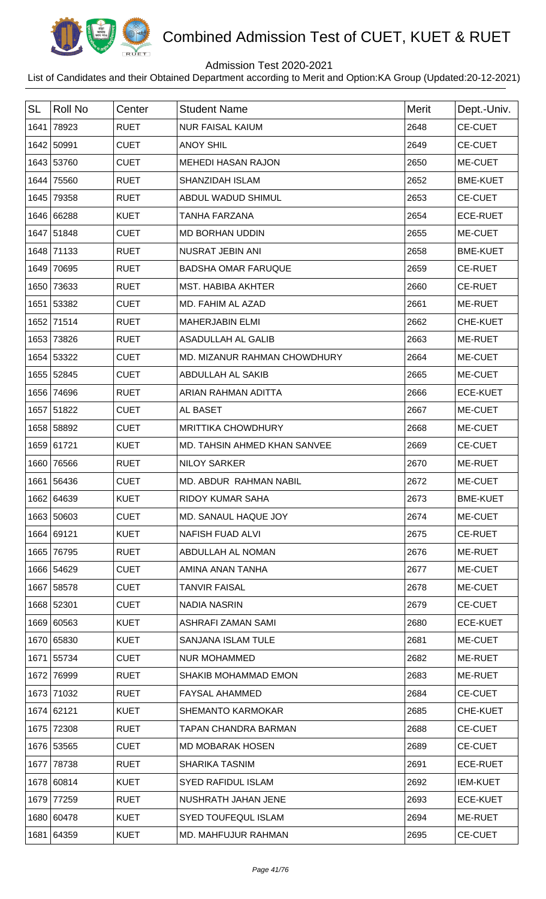

## Admission Test 2020-2021

| <b>SL</b> | <b>Roll No</b> | Center      | <b>Student Name</b>          | <b>Merit</b> | Dept.-Univ.     |
|-----------|----------------|-------------|------------------------------|--------------|-----------------|
| 1641      | 78923          | <b>RUET</b> | <b>NUR FAISAL KAIUM</b>      | 2648         | <b>CE-CUET</b>  |
|           | 1642 50991     | <b>CUET</b> | <b>ANOY SHIL</b>             | 2649         | <b>CE-CUET</b>  |
|           | 1643 53760     | <b>CUET</b> | <b>MEHEDI HASAN RAJON</b>    | 2650         | ME-CUET         |
|           | 1644 75560     | <b>RUET</b> | SHANZIDAH ISLAM              | 2652         | <b>BME-KUET</b> |
|           | 1645 79358     | <b>RUET</b> | ABDUL WADUD SHIMUL           | 2653         | <b>CE-CUET</b>  |
|           | 1646 66288     | <b>KUET</b> | <b>TANHA FARZANA</b>         | 2654         | <b>ECE-RUET</b> |
|           | 1647 51848     | <b>CUET</b> | <b>MD BORHAN UDDIN</b>       | 2655         | ME-CUET         |
|           | 1648 71133     | <b>RUET</b> | NUSRAT JEBIN ANI             | 2658         | <b>BME-KUET</b> |
|           | 1649 70695     | <b>RUET</b> | <b>BADSHA OMAR FARUQUE</b>   | 2659         | <b>CE-RUET</b>  |
|           | 1650 73633     | <b>RUET</b> | <b>MST. HABIBA AKHTER</b>    | 2660         | <b>CE-RUET</b>  |
|           | 1651 53382     | <b>CUET</b> | MD. FAHIM AL AZAD            | 2661         | ME-RUET         |
|           | 1652 71514     | <b>RUET</b> | <b>MAHERJABIN ELMI</b>       | 2662         | CHE-KUET        |
|           | 1653 73826     | <b>RUET</b> | ASADULLAH AL GALIB           | 2663         | ME-RUET         |
|           | 1654 53322     | <b>CUET</b> | MD. MIZANUR RAHMAN CHOWDHURY | 2664         | ME-CUET         |
|           | 1655 52845     | <b>CUET</b> | ABDULLAH AL SAKIB            | 2665         | ME-CUET         |
|           | 1656 74696     | <b>RUET</b> | ARIAN RAHMAN ADITTA          | 2666         | <b>ECE-KUET</b> |
|           | 1657 51822     | <b>CUET</b> | AL BASET                     | 2667         | ME-CUET         |
|           | 1658 58892     | <b>CUET</b> | <b>MRITTIKA CHOWDHURY</b>    | 2668         | ME-CUET         |
|           | 1659 61721     | <b>KUET</b> | MD. TAHSIN AHMED KHAN SANVEE | 2669         | <b>CE-CUET</b>  |
|           | 1660 76566     | <b>RUET</b> | <b>NILOY SARKER</b>          | 2670         | ME-RUET         |
|           | 1661 56436     | <b>CUET</b> | MD. ABDUR RAHMAN NABIL       | 2672         | ME-CUET         |
|           | 1662 64639     | KUET        | RIDOY KUMAR SAHA             | 2673         | <b>BME-KUET</b> |
|           | 1663 50603     | <b>CUET</b> | MD. SANAUL HAQUE JOY         | 2674         | ME-CUET         |
|           | 1664 69121     | <b>KUET</b> | <b>NAFISH FUAD ALVI</b>      | 2675         | <b>CE-RUET</b>  |
|           | 1665 76795     | <b>RUET</b> | ABDULLAH AL NOMAN            | 2676         | ME-RUET         |
|           | 1666 54629     | <b>CUET</b> | AMINA ANAN TANHA             | 2677         | ME-CUET         |
|           | 1667 58578     | <b>CUET</b> | <b>TANVIR FAISAL</b>         | 2678         | ME-CUET         |
|           | 1668 52301     | <b>CUET</b> | <b>NADIA NASRIN</b>          | 2679         | <b>CE-CUET</b>  |
|           | 1669 60563     | <b>KUET</b> | ASHRAFI ZAMAN SAMI           | 2680         | <b>ECE-KUET</b> |
|           | 1670 65830     | <b>KUET</b> | SANJANA ISLAM TULE           | 2681         | ME-CUET         |
|           | 1671 55734     | <b>CUET</b> | <b>NUR MOHAMMED</b>          | 2682         | ME-RUET         |
|           | 1672 76999     | <b>RUET</b> | SHAKIB MOHAMMAD EMON         | 2683         | ME-RUET         |
|           | 1673 71032     | <b>RUET</b> | <b>FAYSAL AHAMMED</b>        | 2684         | <b>CE-CUET</b>  |
|           | 1674 62121     | <b>KUET</b> | <b>SHEMANTO KARMOKAR</b>     | 2685         | CHE-KUET        |
|           | 1675 72308     | <b>RUET</b> | TAPAN CHANDRA BARMAN         | 2688         | <b>CE-CUET</b>  |
|           | 1676 53565     | <b>CUET</b> | <b>MD MOBARAK HOSEN</b>      | 2689         | <b>CE-CUET</b>  |
|           | 1677 78738     | <b>RUET</b> | <b>SHARIKA TASNIM</b>        | 2691         | <b>ECE-RUET</b> |
|           | 1678 60814     | <b>KUET</b> | <b>SYED RAFIDUL ISLAM</b>    | 2692         | <b>IEM-KUET</b> |
|           | 1679 77259     | <b>RUET</b> | NUSHRATH JAHAN JENE          | 2693         | <b>ECE-KUET</b> |
|           | 1680 60478     | <b>KUET</b> | <b>SYED TOUFEQUL ISLAM</b>   | 2694         | ME-RUET         |
|           | 1681 64359     | <b>KUET</b> | MD. MAHFUJUR RAHMAN          | 2695         | <b>CE-CUET</b>  |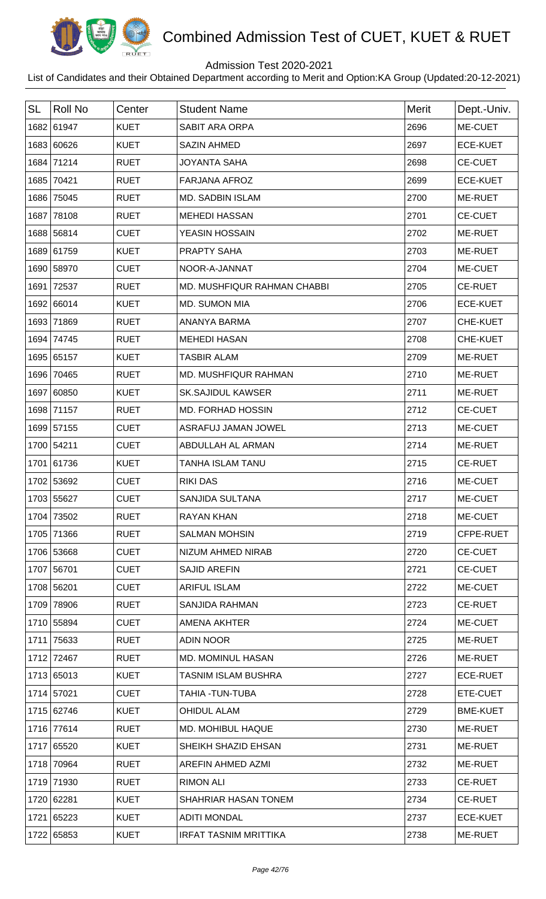

## Admission Test 2020-2021

| <b>SL</b> | <b>Roll No</b> | Center      | <b>Student Name</b>          | Merit | Dept.-Univ.     |
|-----------|----------------|-------------|------------------------------|-------|-----------------|
|           | 1682 61947     | <b>KUET</b> | <b>SABIT ARA ORPA</b>        | 2696  | ME-CUET         |
|           | 1683 60626     | <b>KUET</b> | <b>SAZIN AHMED</b>           | 2697  | <b>ECE-KUET</b> |
|           | 1684 71214     | <b>RUET</b> | <b>JOYANTA SAHA</b>          | 2698  | <b>CE-CUET</b>  |
|           | 1685 70421     | <b>RUET</b> | <b>FARJANA AFROZ</b>         | 2699  | <b>ECE-KUET</b> |
|           | 1686 75045     | <b>RUET</b> | <b>MD. SADBIN ISLAM</b>      | 2700  | ME-RUET         |
|           | 1687 78108     | <b>RUET</b> | <b>MEHEDI HASSAN</b>         | 2701  | <b>CE-CUET</b>  |
|           | 1688 56814     | <b>CUET</b> | YEASIN HOSSAIN               | 2702  | ME-RUET         |
|           | 1689 61759     | <b>KUET</b> | PRAPTY SAHA                  | 2703  | ME-RUET         |
|           | 1690 58970     | <b>CUET</b> | NOOR-A-JANNAT                | 2704  | ME-CUET         |
|           | 1691 72537     | <b>RUET</b> | MD. MUSHFIQUR RAHMAN CHABBI  | 2705  | <b>CE-RUET</b>  |
|           | 1692 66014     | <b>KUET</b> | MD. SUMON MIA                | 2706  | <b>ECE-KUET</b> |
|           | 1693 71869     | <b>RUET</b> | ANANYA BARMA                 | 2707  | CHE-KUET        |
|           | 1694 74745     | <b>RUET</b> | <b>MEHEDI HASAN</b>          | 2708  | CHE-KUET        |
|           | 1695 65157     | <b>KUET</b> | <b>TASBIR ALAM</b>           | 2709  | ME-RUET         |
|           | 1696 70465     | <b>RUET</b> | MD. MUSHFIQUR RAHMAN         | 2710  | ME-RUET         |
|           | 1697 60850     | <b>KUET</b> | <b>SK.SAJIDUL KAWSER</b>     | 2711  | ME-RUET         |
|           | 1698 71157     | <b>RUET</b> | MD. FORHAD HOSSIN            | 2712  | <b>CE-CUET</b>  |
|           | 1699 57155     | <b>CUET</b> | ASRAFUJ JAMAN JOWEL          | 2713  | ME-CUET         |
|           | 1700 54211     | <b>CUET</b> | ABDULLAH AL ARMAN            | 2714  | ME-RUET         |
|           | 1701 61736     | <b>KUET</b> | <b>TANHA ISLAM TANU</b>      | 2715  | <b>CE-RUET</b>  |
|           | 1702 53692     | <b>CUET</b> | <b>RIKI DAS</b>              | 2716  | ME-CUET         |
|           | 1703 55627     | <b>CUET</b> | SANJIDA SULTANA              | 2717  | <b>ME-CUET</b>  |
|           | 1704 73502     | <b>RUET</b> | RAYAN KHAN                   | 2718  | ME-CUET         |
|           | 1705 71366     | <b>RUET</b> | <b>SALMAN MOHSIN</b>         | 2719  | CFPE-RUET       |
|           | 1706 53668     | <b>CUET</b> | NIZUM AHMED NIRAB            | 2720  | <b>CE-CUET</b>  |
|           | 1707 56701     | <b>CUET</b> | <b>SAJID AREFIN</b>          | 2721  | <b>CE-CUET</b>  |
|           | 1708 56201     | <b>CUET</b> | <b>ARIFUL ISLAM</b>          | 2722  | ME-CUET         |
|           | 1709 78906     | <b>RUET</b> | SANJIDA RAHMAN               | 2723  | <b>CE-RUET</b>  |
|           | 1710 55894     | <b>CUET</b> | AMENA AKHTER                 | 2724  | ME-CUET         |
|           | 1711 75633     | <b>RUET</b> | <b>ADIN NOOR</b>             | 2725  | ME-RUET         |
|           | 1712 72467     | <b>RUET</b> | <b>MD. MOMINUL HASAN</b>     | 2726  | ME-RUET         |
|           | 1713 65013     | <b>KUET</b> | TASNIM ISLAM BUSHRA          | 2727  | <b>ECE-RUET</b> |
|           | 1714 57021     | <b>CUET</b> | TAHIA -TUN-TUBA              | 2728  | ETE-CUET        |
|           | 1715 62746     | <b>KUET</b> | <b>OHIDUL ALAM</b>           | 2729  | <b>BME-KUET</b> |
|           | 1716 77614     | <b>RUET</b> | MD. MOHIBUL HAQUE            | 2730  | ME-RUET         |
|           | 1717 65520     | <b>KUET</b> | SHEIKH SHAZID EHSAN          | 2731  | ME-RUET         |
|           | 1718 70964     | <b>RUET</b> | AREFIN AHMED AZMI            | 2732  | ME-RUET         |
|           | 1719 71930     | <b>RUET</b> | <b>RIMON ALI</b>             | 2733  | CE-RUET         |
|           | 1720 62281     | <b>KUET</b> | SHAHRIAR HASAN TONEM         | 2734  | <b>CE-RUET</b>  |
|           | 1721 65223     | <b>KUET</b> | <b>ADITI MONDAL</b>          | 2737  | <b>ECE-KUET</b> |
|           | 1722 65853     | <b>KUET</b> | <b>IRFAT TASNIM MRITTIKA</b> | 2738  | ME-RUET         |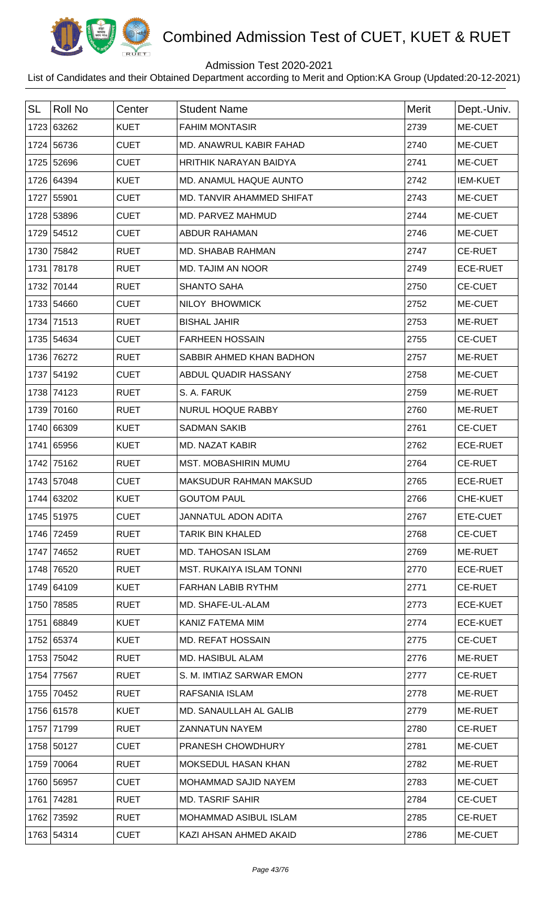

## Admission Test 2020-2021

| <b>SL</b> | <b>Roll No</b> | Center      | <b>Student Name</b>             | <b>Merit</b> | Dept.-Univ.     |
|-----------|----------------|-------------|---------------------------------|--------------|-----------------|
|           | 1723 63262     | <b>KUET</b> | <b>FAHIM MONTASIR</b>           | 2739         | ME-CUET         |
|           | 1724 56736     | <b>CUET</b> | MD. ANAWRUL KABIR FAHAD         | 2740         | ME-CUET         |
|           | 1725 52696     | <b>CUET</b> | <b>HRITHIK NARAYAN BAIDYA</b>   | 2741         | ME-CUET         |
|           | 1726 64394     | <b>KUET</b> | MD. ANAMUL HAQUE AUNTO          | 2742         | <b>IEM-KUET</b> |
|           | 1727 55901     | <b>CUET</b> | MD. TANVIR AHAMMED SHIFAT       | 2743         | ME-CUET         |
|           | 1728 53896     | <b>CUET</b> | MD. PARVEZ MAHMUD               | 2744         | ME-CUET         |
|           | 1729 54512     | <b>CUET</b> | <b>ABDUR RAHAMAN</b>            | 2746         | ME-CUET         |
|           | 1730 75842     | <b>RUET</b> | MD. SHABAB RAHMAN               | 2747         | <b>CE-RUET</b>  |
| 1731      | 78178          | <b>RUET</b> | <b>MD. TAJIM AN NOOR</b>        | 2749         | <b>ECE-RUET</b> |
| 1732      | 70144          | <b>RUET</b> | <b>SHANTO SAHA</b>              | 2750         | <b>CE-CUET</b>  |
|           | 1733 54660     | <b>CUET</b> | NILOY BHOWMICK                  | 2752         | ME-CUET         |
| 1734      | 71513          | <b>RUET</b> | <b>BISHAL JAHIR</b>             | 2753         | ME-RUET         |
|           | 1735 54634     | <b>CUET</b> | <b>FARHEEN HOSSAIN</b>          | 2755         | <b>CE-CUET</b>  |
|           | 1736 76272     | <b>RUET</b> | SABBIR AHMED KHAN BADHON        | 2757         | <b>ME-RUET</b>  |
|           | 1737 54192     | <b>CUET</b> | ABDUL QUADIR HASSANY            | 2758         | ME-CUET         |
|           | 1738 74123     | <b>RUET</b> | S. A. FARUK                     | 2759         | ME-RUET         |
| 1739      | 70160          | <b>RUET</b> | <b>NURUL HOQUE RABBY</b>        | 2760         | ME-RUET         |
|           | 1740 66309     | <b>KUET</b> | <b>SADMAN SAKIB</b>             | 2761         | <b>CE-CUET</b>  |
|           | 1741 65956     | <b>KUET</b> | <b>MD. NAZAT KABIR</b>          | 2762         | <b>ECE-RUET</b> |
|           | 1742 75162     | <b>RUET</b> | MST. MOBASHIRIN MUMU            | 2764         | <b>CE-RUET</b>  |
|           | 1743 57048     | <b>CUET</b> | <b>MAKSUDUR RAHMAN MAKSUD</b>   | 2765         | <b>ECE-RUET</b> |
|           | 1744 63202     | <b>KUET</b> | <b>GOUTOM PAUL</b>              | 2766         | <b>CHE-KUET</b> |
|           | 1745 51975     | <b>CUET</b> | <b>JANNATUL ADON ADITA</b>      | 2767         | ETE-CUET        |
|           | 1746 72459     | <b>RUET</b> | TARIK BIN KHALED                | 2768         | <b>CE-CUET</b>  |
|           | 1747 74652     | <b>RUET</b> | <b>MD. TAHOSAN ISLAM</b>        | 2769         | ME-RUET         |
|           | 1748 76520     | <b>RUET</b> | <b>MST. RUKAIYA ISLAM TONNI</b> | 2770         | <b>ECE-RUET</b> |
|           | 1749 64109     | <b>KUET</b> | <b>FARHAN LABIB RYTHM</b>       | 2771         | <b>CE-RUET</b>  |
|           | 1750 78585     | <b>RUET</b> | MD. SHAFE-UL-ALAM               | 2773         | <b>ECE-KUET</b> |
|           | 1751 68849     | <b>KUET</b> | KANIZ FATEMA MIM                | 2774         | <b>ECE-KUET</b> |
|           | 1752 65374     | <b>KUET</b> | <b>MD. REFAT HOSSAIN</b>        | 2775         | <b>CE-CUET</b>  |
|           | 1753 75042     | <b>RUET</b> | MD. HASIBUL ALAM                | 2776         | ME-RUET         |
|           | 1754 77567     | <b>RUET</b> | S. M. IMTIAZ SARWAR EMON        | 2777         | <b>CE-RUET</b>  |
|           | 1755 70452     | <b>RUET</b> | RAFSANIA ISLAM                  | 2778         | ME-RUET         |
|           | 1756 61578     | <b>KUET</b> | MD. SANAULLAH AL GALIB          | 2779         | ME-RUET         |
|           | 1757 71799     | <b>RUET</b> | <b>ZANNATUN NAYEM</b>           | 2780         | <b>CE-RUET</b>  |
|           | 1758 50127     | <b>CUET</b> | <b>PRANESH CHOWDHURY</b>        | 2781         | ME-CUET         |
|           | 1759 70064     | <b>RUET</b> | MOKSEDUL HASAN KHAN             | 2782         | ME-RUET         |
|           | 1760 56957     | <b>CUET</b> | MOHAMMAD SAJID NAYEM            | 2783         | ME-CUET         |
|           | 1761 74281     | <b>RUET</b> | <b>MD. TASRIF SAHIR</b>         | 2784         | <b>CE-CUET</b>  |
|           | 1762 73592     | <b>RUET</b> | MOHAMMAD ASIBUL ISLAM           | 2785         | <b>CE-RUET</b>  |
|           | 1763 54314     | <b>CUET</b> | KAZI AHSAN AHMED AKAID          | 2786         | ME-CUET         |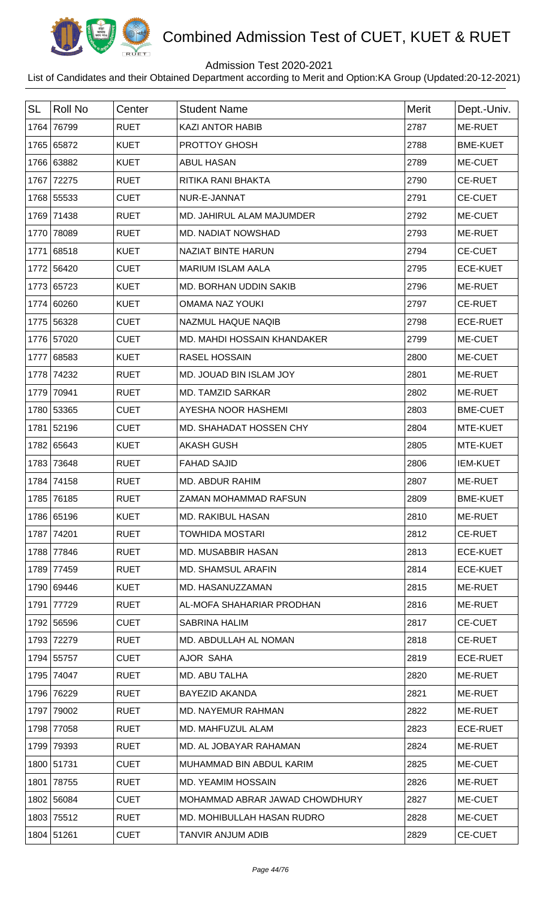

## Admission Test 2020-2021

| <b>SL</b> | <b>Roll No</b> | Center      | <b>Student Name</b>            | <b>Merit</b> | Dept.-Univ.     |
|-----------|----------------|-------------|--------------------------------|--------------|-----------------|
|           | 1764 76799     | <b>RUET</b> | <b>KAZI ANTOR HABIB</b>        | 2787         | <b>ME-RUET</b>  |
|           | 1765 65872     | <b>KUET</b> | PROTTOY GHOSH                  | 2788         | <b>BME-KUET</b> |
|           | 1766 63882     | <b>KUET</b> | <b>ABUL HASAN</b>              | 2789         | ME-CUET         |
|           | 1767 72275     | <b>RUET</b> | RITIKA RANI BHAKTA             | 2790         | <b>CE-RUET</b>  |
|           | 1768 55533     | <b>CUET</b> | NUR-E-JANNAT                   | 2791         | <b>CE-CUET</b>  |
|           | 1769 71438     | <b>RUET</b> | MD. JAHIRUL ALAM MAJUMDER      | 2792         | ME-CUET         |
|           | 1770 78089     | <b>RUET</b> | MD. NADIAT NOWSHAD             | 2793         | ME-RUET         |
|           | 1771 68518     | <b>KUET</b> | <b>NAZIAT BINTE HARUN</b>      | 2794         | <b>CE-CUET</b>  |
|           | 1772 56420     | <b>CUET</b> | <b>MARIUM ISLAM AALA</b>       | 2795         | <b>ECE-KUET</b> |
|           | 1773 65723     | <b>KUET</b> | MD. BORHAN UDDIN SAKIB         | 2796         | ME-RUET         |
|           | 1774 60260     | <b>KUET</b> | <b>OMAMA NAZ YOUKI</b>         | 2797         | <b>CE-RUET</b>  |
|           | 1775 56328     | <b>CUET</b> | <b>NAZMUL HAQUE NAQIB</b>      | 2798         | <b>ECE-RUET</b> |
|           | 1776 57020     | <b>CUET</b> | MD. MAHDI HOSSAIN KHANDAKER    | 2799         | ME-CUET         |
|           | 1777 68583     | <b>KUET</b> | <b>RASEL HOSSAIN</b>           | 2800         | ME-CUET         |
|           | 1778 74232     | <b>RUET</b> | MD. JOUAD BIN ISLAM JOY        | 2801         | ME-RUET         |
|           | 1779 70941     | <b>RUET</b> | <b>MD. TAMZID SARKAR</b>       | 2802         | ME-RUET         |
|           | 1780 53365     | <b>CUET</b> | AYESHA NOOR HASHEMI            | 2803         | <b>BME-CUET</b> |
|           | 1781 52196     | <b>CUET</b> | MD. SHAHADAT HOSSEN CHY        | 2804         | MTE-KUET        |
|           | 1782 65643     | <b>KUET</b> | <b>AKASH GUSH</b>              | 2805         | MTE-KUET        |
|           | 1783 73648     | <b>RUET</b> | <b>FAHAD SAJID</b>             | 2806         | <b>IEM-KUET</b> |
|           | 1784 74158     | <b>RUET</b> | <b>MD. ABDUR RAHIM</b>         | 2807         | ME-RUET         |
|           | 1785 76185     | <b>RUET</b> | ZAMAN MOHAMMAD RAFSUN          | 2809         | <b>BME-KUET</b> |
|           | 1786 65196     | <b>KUET</b> | <b>MD. RAKIBUL HASAN</b>       | 2810         | ME-RUET         |
|           | 1787 74201     | <b>RUET</b> | <b>TOWHIDA MOSTARI</b>         | 2812         | <b>CE-RUET</b>  |
|           | 1788 77846     | <b>RUET</b> | MD. MUSABBIR HASAN             | 2813         | <b>ECE-KUET</b> |
|           | 1789 77459     | <b>RUET</b> | <b>MD. SHAMSUL ARAFIN</b>      | 2814         | <b>ECE-KUET</b> |
|           | 1790 69446     | <b>KUET</b> | MD. HASANUZZAMAN               | 2815         | <b>ME-RUET</b>  |
|           | 1791 77729     | <b>RUET</b> | AL-MOFA SHAHARIAR PRODHAN      | 2816         | <b>ME-RUET</b>  |
|           | 1792 56596     | <b>CUET</b> | <b>SABRINA HALIM</b>           | 2817         | <b>CE-CUET</b>  |
|           | 1793 72279     | <b>RUET</b> | MD. ABDULLAH AL NOMAN          | 2818         | <b>CE-RUET</b>  |
|           | 1794 55757     | <b>CUET</b> | AJOR SAHA                      | 2819         | <b>ECE-RUET</b> |
|           | 1795 74047     | <b>RUET</b> | MD. ABU TALHA                  | 2820         | <b>ME-RUET</b>  |
|           | 1796 76229     | <b>RUET</b> | <b>BAYEZID AKANDA</b>          | 2821         | ME-RUET         |
|           | 1797 79002     | <b>RUET</b> | <b>MD. NAYEMUR RAHMAN</b>      | 2822         | ME-RUET         |
|           | 1798 77058     | <b>RUET</b> | MD. MAHFUZUL ALAM              | 2823         | <b>ECE-RUET</b> |
|           | 1799 79393     | <b>RUET</b> | MD. AL JOBAYAR RAHAMAN         | 2824         | ME-RUET         |
|           | 1800 51731     | <b>CUET</b> | MUHAMMAD BIN ABDUL KARIM       | 2825         | ME-CUET         |
|           | 1801 78755     | <b>RUET</b> | MD. YEAMIM HOSSAIN             | 2826         | ME-RUET         |
|           | 1802 56084     | <b>CUET</b> | MOHAMMAD ABRAR JAWAD CHOWDHURY | 2827         | ME-CUET         |
|           | 1803 75512     | <b>RUET</b> | MD. MOHIBULLAH HASAN RUDRO     | 2828         | ME-CUET         |
|           | 1804 51261     | <b>CUET</b> | TANVIR ANJUM ADIB              | 2829         | <b>CE-CUET</b>  |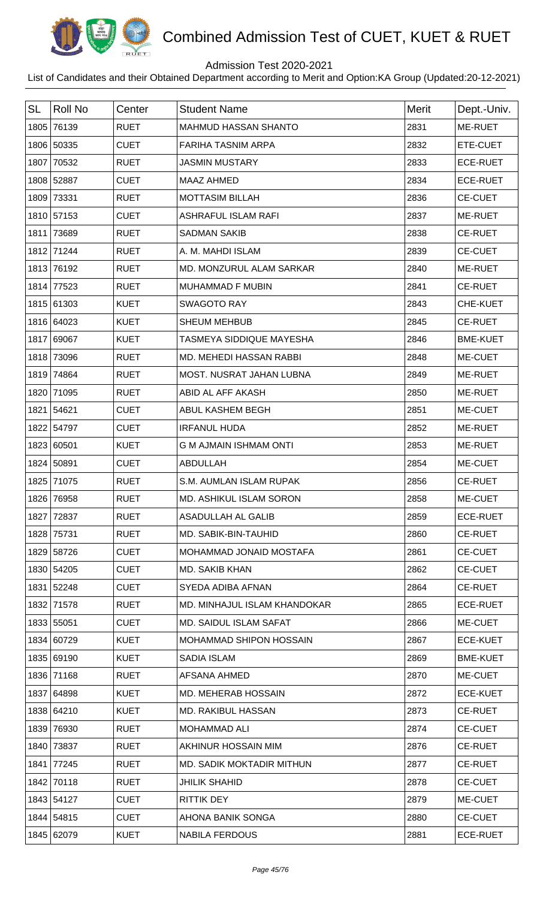

## Admission Test 2020-2021

| <b>SL</b> | <b>Roll No</b> | Center      | <b>Student Name</b>              | <b>Merit</b> | Dept.-Univ.     |
|-----------|----------------|-------------|----------------------------------|--------------|-----------------|
| 1805      | 76139          | <b>RUET</b> | <b>MAHMUD HASSAN SHANTO</b>      | 2831         | ME-RUET         |
|           | 1806 50335     | <b>CUET</b> | <b>FARIHA TASNIM ARPA</b>        | 2832         | ETE-CUET        |
| 1807      | 70532          | <b>RUET</b> | <b>JASMIN MUSTARY</b>            | 2833         | <b>ECE-RUET</b> |
|           | 1808 52887     | <b>CUET</b> | <b>MAAZ AHMED</b>                | 2834         | <b>ECE-RUET</b> |
| 1809      | 73331          | <b>RUET</b> | <b>MOTTASIM BILLAH</b>           | 2836         | <b>CE-CUET</b>  |
|           | 1810 57153     | <b>CUET</b> | <b>ASHRAFUL ISLAM RAFI</b>       | 2837         | ME-RUET         |
| 1811      | 73689          | <b>RUET</b> | <b>SADMAN SAKIB</b>              | 2838         | <b>CE-RUET</b>  |
|           | 1812 71244     | <b>RUET</b> | A. M. MAHDI ISLAM                | 2839         | CE-CUET         |
| 1813      | 76192          | <b>RUET</b> | MD. MONZURUL ALAM SARKAR         | 2840         | ME-RUET         |
| 1814      | 77523          | <b>RUET</b> | <b>MUHAMMAD F MUBIN</b>          | 2841         | <b>CE-RUET</b>  |
|           | 1815 61303     | <b>KUET</b> | <b>SWAGOTO RAY</b>               | 2843         | CHE-KUET        |
|           | 1816 64023     | <b>KUET</b> | <b>SHEUM MEHBUB</b>              | 2845         | <b>CE-RUET</b>  |
|           | 1817 69067     | <b>KUET</b> | TASMEYA SIDDIQUE MAYESHA         | 2846         | <b>BME-KUET</b> |
|           | 1818 73096     | <b>RUET</b> | MD. MEHEDI HASSAN RABBI          | 2848         | ME-CUET         |
| 1819      | 74864          | <b>RUET</b> | MOST. NUSRAT JAHAN LUBNA         | 2849         | ME-RUET         |
|           | 1820 71095     | <b>RUET</b> | ABID AL AFF AKASH                | 2850         | ME-RUET         |
| 1821      | 54621          | <b>CUET</b> | ABUL KASHEM BEGH                 | 2851         | ME-CUET         |
|           | 1822 54797     | <b>CUET</b> | <b>IRFANUL HUDA</b>              | 2852         | ME-RUET         |
|           | 1823 60501     | <b>KUET</b> | <b>G M AJMAIN ISHMAM ONTI</b>    | 2853         | ME-RUET         |
|           | 1824 50891     | <b>CUET</b> | <b>ABDULLAH</b>                  | 2854         | ME-CUET         |
| 1825      | 71075          | <b>RUET</b> | S.M. AUMLAN ISLAM RUPAK          | 2856         | <b>CE-RUET</b>  |
|           | 1826 76958     | <b>RUET</b> | MD. ASHIKUL ISLAM SORON          | 2858         | ME-CUET         |
|           | 1827 72837     | <b>RUET</b> | ASADULLAH AL GALIB               | 2859         | <b>ECE-RUET</b> |
|           | 1828 75731     | <b>RUET</b> | MD. SABIK-BIN-TAUHID             | 2860         | <b>CE-RUET</b>  |
|           | 1829 58726     | <b>CUET</b> | MOHAMMAD JONAID MOSTAFA          | 2861         | <b>CE-CUET</b>  |
|           | 1830 54205     | <b>CUET</b> | <b>MD. SAKIB KHAN</b>            | 2862         | <b>CE-CUET</b>  |
|           | 1831 52248     | <b>CUET</b> | SYEDA ADIBA AFNAN                | 2864         | <b>CE-RUET</b>  |
|           | 1832 71578     | <b>RUET</b> | MD. MINHAJUL ISLAM KHANDOKAR     | 2865         | <b>ECE-RUET</b> |
|           | 1833 55051     | <b>CUET</b> | MD. SAIDUL ISLAM SAFAT           | 2866         | ME-CUET         |
|           | 1834 60729     | <b>KUET</b> | MOHAMMAD SHIPON HOSSAIN          | 2867         | <b>ECE-KUET</b> |
|           | 1835 69190     | <b>KUET</b> | <b>SADIA ISLAM</b>               | 2869         | <b>BME-KUET</b> |
|           | 1836 71168     | <b>RUET</b> | AFSANA AHMED                     | 2870         | ME-CUET         |
|           | 1837 64898     | <b>KUET</b> | MD. MEHERAB HOSSAIN              | 2872         | <b>ECE-KUET</b> |
|           | 1838 64210     | <b>KUET</b> | <b>MD. RAKIBUL HASSAN</b>        | 2873         | <b>CE-RUET</b>  |
| 1839      | 76930          | <b>RUET</b> | <b>MOHAMMAD ALI</b>              | 2874         | <b>CE-CUET</b>  |
|           | 1840 73837     | <b>RUET</b> | AKHINUR HOSSAIN MIM              | 2876         | <b>CE-RUET</b>  |
| 1841      | 77245          | <b>RUET</b> | <b>MD. SADIK MOKTADIR MITHUN</b> | 2877         | <b>CE-RUET</b>  |
|           | 1842 70118     | <b>RUET</b> | <b>JHILIK SHAHID</b>             | 2878         | <b>CE-CUET</b>  |
|           | 1843 54127     | <b>CUET</b> | <b>RITTIK DEY</b>                | 2879         | ME-CUET         |
|           | 1844 54815     | <b>CUET</b> | AHONA BANIK SONGA                | 2880         | <b>CE-CUET</b>  |
|           | 1845 62079     | <b>KUET</b> | <b>NABILA FERDOUS</b>            | 2881         | <b>ECE-RUET</b> |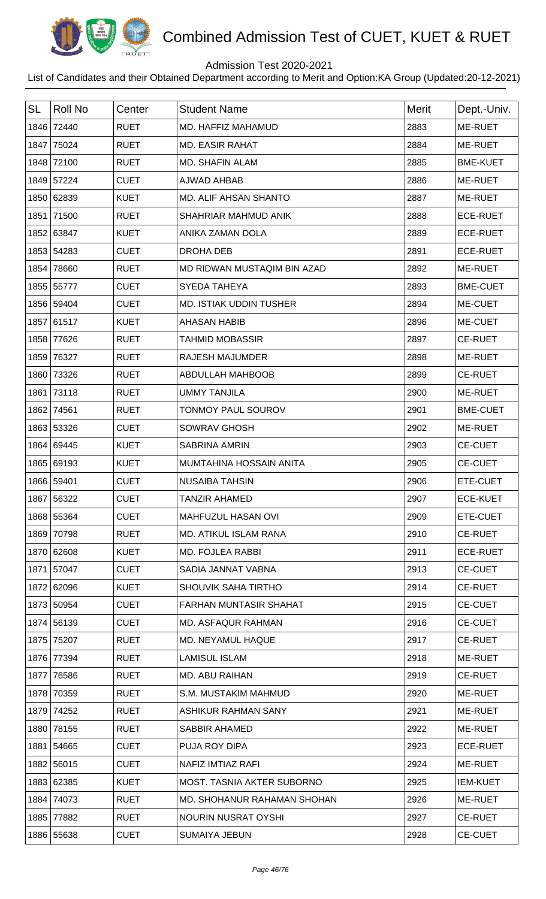

## Admission Test 2020-2021

| <b>SL</b> | <b>Roll No</b> | Center      | <b>Student Name</b>               | <b>Merit</b> | Dept.-Univ.     |
|-----------|----------------|-------------|-----------------------------------|--------------|-----------------|
| 1846      | 72440          | <b>RUET</b> | MD. HAFFIZ MAHAMUD                | 2883         | ME-RUET         |
| 1847      | 75024          | <b>RUET</b> | <b>MD. EASIR RAHAT</b>            | 2884         | ME-RUET         |
|           | 1848 72100     | <b>RUET</b> | <b>MD. SHAFIN ALAM</b>            | 2885         | <b>BME-KUET</b> |
|           | 1849 57224     | <b>CUET</b> | AJWAD AHBAB                       | 2886         | ME-RUET         |
|           | 1850 62839     | <b>KUET</b> | MD. ALIF AHSAN SHANTO             | 2887         | ME-RUET         |
|           | 1851 71500     | <b>RUET</b> | SHAHRIAR MAHMUD ANIK              | 2888         | <b>ECE-RUET</b> |
|           | 1852 63847     | <b>KUET</b> | ANIKA ZAMAN DOLA                  | 2889         | <b>ECE-RUET</b> |
|           | 1853 54283     | <b>CUET</b> | DROHA DEB                         | 2891         | <b>ECE-RUET</b> |
| 1854      | 78660          | <b>RUET</b> | MD RIDWAN MUSTAQIM BIN AZAD       | 2892         | ME-RUET         |
|           | 1855 55777     | <b>CUET</b> | SYEDA TAHEYA                      | 2893         | <b>BME-CUET</b> |
|           | 1856 59404     | <b>CUET</b> | <b>MD. ISTIAK UDDIN TUSHER</b>    | 2894         | ME-CUET         |
|           | 1857 61517     | <b>KUET</b> | <b>AHASAN HABIB</b>               | 2896         | ME-CUET         |
|           | 1858 77626     | <b>RUET</b> | <b>TAHMID MOBASSIR</b>            | 2897         | <b>CE-RUET</b>  |
|           | 1859 76327     | <b>RUET</b> | <b>RAJESH MAJUMDER</b>            | 2898         | ME-RUET         |
|           | 1860 73326     | <b>RUET</b> | <b>ABDULLAH MAHBOOB</b>           | 2899         | <b>CE-RUET</b>  |
| 1861      | 73118          | <b>RUET</b> | <b>UMMY TANJILA</b>               | 2900         | ME-RUET         |
|           | 1862 74561     | <b>RUET</b> | TONMOY PAUL SOUROV                | 2901         | <b>BME-CUET</b> |
|           | 1863 53326     | <b>CUET</b> | <b>SOWRAV GHOSH</b>               | 2902         | ME-RUET         |
|           | 1864 69445     | <b>KUET</b> | <b>SABRINA AMRIN</b>              | 2903         | <b>CE-CUET</b>  |
|           | 1865 69193     | <b>KUET</b> | MUMTAHINA HOSSAIN ANITA           | 2905         | CE-CUET         |
|           | 1866 59401     | <b>CUET</b> | <b>NUSAIBA TAHSIN</b>             | 2906         | ETE-CUET        |
|           | 1867 56322     | CUET        | TANZIR AHAMED                     | 2907         | <b>ECE-KUET</b> |
|           | 1868 55364     | <b>CUET</b> | MAHFUZUL HASAN OVI                | 2909         | ETE-CUET        |
|           | 1869 70798     | <b>RUET</b> | MD. ATIKUL ISLAM RANA             | 2910         | <b>CE-RUET</b>  |
|           | 1870 62608     | <b>KUET</b> | <b>MD. FOJLEA RABBI</b>           | 2911         | <b>ECE-RUET</b> |
|           | 1871 57047     | <b>CUET</b> | SADIA JANNAT VABNA                | 2913         | <b>CE-CUET</b>  |
|           | 1872 62096     | <b>KUET</b> | <b>SHOUVIK SAHA TIRTHO</b>        | 2914         | <b>CE-RUET</b>  |
|           | 1873 50954     | <b>CUET</b> | FARHAN MUNTASIR SHAHAT            | 2915         | <b>CE-CUET</b>  |
|           | 1874 56139     | <b>CUET</b> | <b>MD. ASFAQUR RAHMAN</b>         | 2916         | <b>CE-CUET</b>  |
| 1875      | 75207          | <b>RUET</b> | MD. NEYAMUL HAQUE                 | 2917         | <b>CE-RUET</b>  |
|           | 1876 77394     | <b>RUET</b> | <b>LAMISUL ISLAM</b>              | 2918         | ME-RUET         |
| 1877      | 76586          | <b>RUET</b> | MD. ABU RAIHAN                    | 2919         | <b>CE-RUET</b>  |
| 1878      | 70359          | <b>RUET</b> | S.M. MUSTAKIM MAHMUD              | 2920         | ME-RUET         |
|           | 1879 74252     | <b>RUET</b> | ASHIKUR RAHMAN SANY               | 2921         | ME-RUET         |
|           | 1880 78155     | <b>RUET</b> | <b>SABBIR AHAMED</b>              | 2922         | ME-RUET         |
|           | 1881 54665     | <b>CUET</b> | PUJA ROY DIPA                     | 2923         | <b>ECE-RUET</b> |
|           | 1882 56015     | <b>CUET</b> | NAFIZ IMTIAZ RAFI                 | 2924         | ME-RUET         |
|           | 1883 62385     | <b>KUET</b> | <b>MOST. TASNIA AKTER SUBORNO</b> | 2925         | <b>IEM-KUET</b> |
| 1884      | 74073          | <b>RUET</b> | MD. SHOHANUR RAHAMAN SHOHAN       | 2926         | ME-RUET         |
| 1885      | 77882          | <b>RUET</b> | NOURIN NUSRAT OYSHI               | 2927         | <b>CE-RUET</b>  |
|           | 1886 55638     | <b>CUET</b> | <b>SUMAIYA JEBUN</b>              | 2928         | <b>CE-CUET</b>  |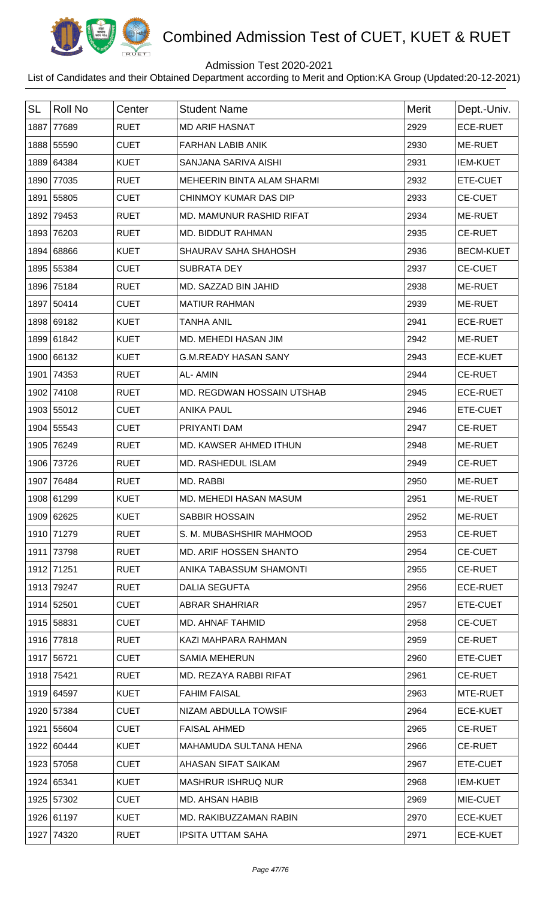

## Admission Test 2020-2021

| <b>SL</b> | <b>Roll No</b> | Center      | <b>Student Name</b>             | <b>Merit</b> | Dept.-Univ.      |
|-----------|----------------|-------------|---------------------------------|--------------|------------------|
| 1887      | 77689          | <b>RUET</b> | <b>MD ARIF HASNAT</b>           | 2929         | <b>ECE-RUET</b>  |
|           | 1888 55590     | <b>CUET</b> | <b>FARHAN LABIB ANIK</b>        | 2930         | ME-RUET          |
|           | 1889 64384     | <b>KUET</b> | SANJANA SARIVA AISHI            | 2931         | <b>IEM-KUET</b>  |
|           | 1890 77035     | <b>RUET</b> | MEHEERIN BINTA ALAM SHARMI      | 2932         | ETE-CUET         |
|           | 1891 55805     | <b>CUET</b> | CHINMOY KUMAR DAS DIP           | 2933         | <b>CE-CUET</b>   |
|           | 1892 79453     | <b>RUET</b> | <b>MD. MAMUNUR RASHID RIFAT</b> | 2934         | ME-RUET          |
| 1893      | 76203          | <b>RUET</b> | MD. BIDDUT RAHMAN               | 2935         | <b>CE-RUET</b>   |
|           | 1894 68866     | <b>KUET</b> | SHAURAV SAHA SHAHOSH            | 2936         | <b>BECM-KUET</b> |
|           | 1895 55384     | <b>CUET</b> | <b>SUBRATA DEY</b>              | 2937         | <b>CE-CUET</b>   |
|           | 1896 75184     | <b>RUET</b> | MD. SAZZAD BIN JAHID            | 2938         | ME-RUET          |
|           | 1897 50414     | <b>CUET</b> | <b>MATIUR RAHMAN</b>            | 2939         | ME-RUET          |
|           | 1898 69182     | <b>KUET</b> | <b>TANHA ANIL</b>               | 2941         | <b>ECE-RUET</b>  |
|           | 1899 61842     | <b>KUET</b> | MD. MEHEDI HASAN JIM            | 2942         | ME-RUET          |
|           | 1900 66132     | <b>KUET</b> | <b>G.M.READY HASAN SANY</b>     | 2943         | <b>ECE-KUET</b>  |
|           | 1901 74353     | <b>RUET</b> | AL-AMIN                         | 2944         | <b>CE-RUET</b>   |
|           | 1902 74108     | <b>RUET</b> | MD. REGDWAN HOSSAIN UTSHAB      | 2945         | <b>ECE-RUET</b>  |
|           | 1903 55012     | <b>CUET</b> | <b>ANIKA PAUL</b>               | 2946         | ETE-CUET         |
|           | 1904 55543     | <b>CUET</b> | PRIYANTI DAM                    | 2947         | <b>CE-RUET</b>   |
|           | 1905 76249     | <b>RUET</b> | MD. KAWSER AHMED ITHUN          | 2948         | ME-RUET          |
|           | 1906 73726     | <b>RUET</b> | MD. RASHEDUL ISLAM              | 2949         | <b>CE-RUET</b>   |
|           | 1907 76484     | <b>RUET</b> | MD. RABBI                       | 2950         | ME-RUET          |
|           | 1908 61299     | KUET        | MD. MEHEDI HASAN MASUM          | 2951         | <b>ME-RUET</b>   |
|           | 1909 62625     | <b>KUET</b> | <b>SABBIR HOSSAIN</b>           | 2952         | ME-RUET          |
|           | 1910 71279     | <b>RUET</b> | S. M. MUBASHSHIR MAHMOOD        | 2953         | <b>CE-RUET</b>   |
|           | 1911 73798     | <b>RUET</b> | MD. ARIF HOSSEN SHANTO          | 2954         | <b>CE-CUET</b>   |
|           | 1912 71251     | <b>RUET</b> | ANIKA TABASSUM SHAMONTI         | 2955         | <b>CE-RUET</b>   |
|           | 1913 79247     | <b>RUET</b> | <b>DALIA SEGUFTA</b>            | 2956         | <b>ECE-RUET</b>  |
|           | 1914 52501     | <b>CUET</b> | ABRAR SHAHRIAR                  | 2957         | ETE-CUET         |
|           | 1915 58831     | <b>CUET</b> | MD. AHNAF TAHMID                | 2958         | <b>CE-CUET</b>   |
|           | 1916 77818     | <b>RUET</b> | KAZI MAHPARA RAHMAN             | 2959         | <b>CE-RUET</b>   |
|           | 1917 56721     | <b>CUET</b> | <b>SAMIA MEHERUN</b>            | 2960         | ETE-CUET         |
|           | 1918 75421     | <b>RUET</b> | MD. REZAYA RABBI RIFAT          | 2961         | <b>CE-RUET</b>   |
|           | 1919 64597     | <b>KUET</b> | <b>FAHIM FAISAL</b>             | 2963         | MTE-RUET         |
|           | 1920 57384     | <b>CUET</b> | NIZAM ABDULLA TOWSIF            | 2964         | <b>ECE-KUET</b>  |
|           | 1921 55604     | <b>CUET</b> | <b>FAISAL AHMED</b>             | 2965         | <b>CE-RUET</b>   |
|           | 1922 60444     | <b>KUET</b> | MAHAMUDA SULTANA HENA           | 2966         | <b>CE-RUET</b>   |
|           | 1923 57058     | <b>CUET</b> | AHASAN SIFAT SAIKAM             | 2967         | ETE-CUET         |
|           | 1924 65341     | <b>KUET</b> | <b>MASHRUR ISHRUQ NUR</b>       | 2968         | <b>IEM-KUET</b>  |
|           | 1925 57302     | <b>CUET</b> | <b>MD. AHSAN HABIB</b>          | 2969         | MIE-CUET         |
|           | 1926 61197     | <b>KUET</b> | MD. RAKIBUZZAMAN RABIN          | 2970         | <b>ECE-KUET</b>  |
|           | 1927 74320     | <b>RUET</b> | <b>IPSITA UTTAM SAHA</b>        | 2971         | <b>ECE-KUET</b>  |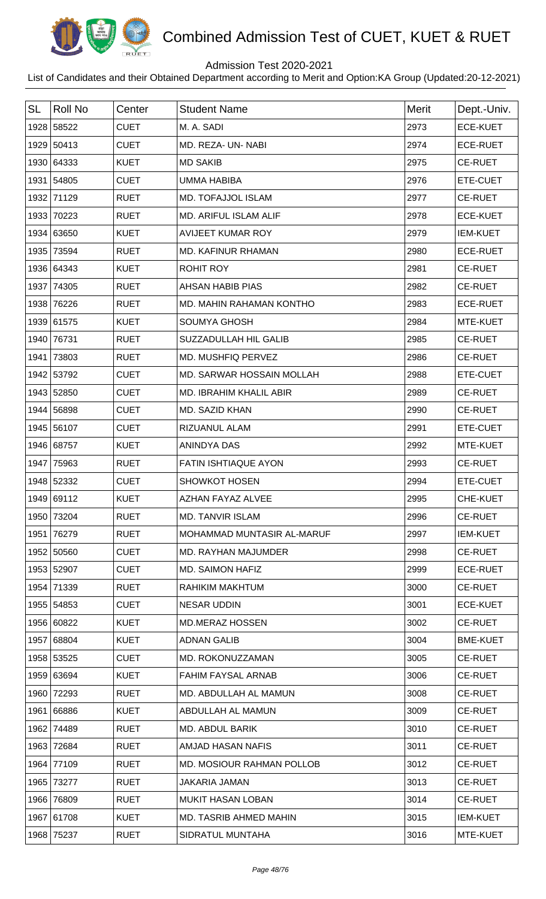

## Admission Test 2020-2021

| <b>SL</b> | <b>Roll No</b> | Center      | <b>Student Name</b>            | <b>Merit</b> | Dept.-Univ.     |
|-----------|----------------|-------------|--------------------------------|--------------|-----------------|
|           | 1928 58522     | <b>CUET</b> | M. A. SADI                     | 2973         | <b>ECE-KUET</b> |
|           | 1929 50413     | <b>CUET</b> | MD. REZA- UN- NABI             | 2974         | <b>ECE-RUET</b> |
|           | 1930 64333     | <b>KUET</b> | <b>MD SAKIB</b>                | 2975         | <b>CE-RUET</b>  |
|           | 1931 54805     | <b>CUET</b> | <b>UMMA HABIBA</b>             | 2976         | ETE-CUET        |
|           | 1932 71129     | <b>RUET</b> | MD. TOFAJJOL ISLAM             | 2977         | <b>CE-RUET</b>  |
|           | 1933 70223     | <b>RUET</b> | <b>MD. ARIFUL ISLAM ALIF</b>   | 2978         | <b>ECE-KUET</b> |
|           | 1934 63650     | <b>KUET</b> | <b>AVIJEET KUMAR ROY</b>       | 2979         | <b>IEM-KUET</b> |
|           | 1935 73594     | <b>RUET</b> | MD. KAFINUR RHAMAN             | 2980         | <b>ECE-RUET</b> |
|           | 1936 64343     | <b>KUET</b> | <b>ROHIT ROY</b>               | 2981         | <b>CE-RUET</b>  |
|           | 1937 74305     | <b>RUET</b> | <b>AHSAN HABIB PIAS</b>        | 2982         | <b>CE-RUET</b>  |
|           | 1938 76226     | <b>RUET</b> | MD. MAHIN RAHAMAN KONTHO       | 2983         | <b>ECE-RUET</b> |
|           | 1939 61575     | <b>KUET</b> | <b>SOUMYA GHOSH</b>            | 2984         | MTE-KUET        |
|           | 1940 76731     | <b>RUET</b> | SUZZADULLAH HIL GALIB          | 2985         | <b>CE-RUET</b>  |
| 1941      | 73803          | <b>RUET</b> | MD. MUSHFIQ PERVEZ             | 2986         | <b>CE-RUET</b>  |
|           | 1942 53792     | <b>CUET</b> | MD. SARWAR HOSSAIN MOLLAH      | 2988         | ETE-CUET        |
|           | 1943 52850     | <b>CUET</b> | <b>MD. IBRAHIM KHALIL ABIR</b> | 2989         | <b>CE-RUET</b>  |
|           | 1944 56898     | <b>CUET</b> | MD. SAZID KHAN                 | 2990         | <b>CE-RUET</b>  |
|           | 1945 56107     | <b>CUET</b> | RIZUANUL ALAM                  | 2991         | ETE-CUET        |
|           | 1946 68757     | <b>KUET</b> | ANINDYA DAS                    | 2992         | MTE-KUET        |
|           | 1947 75963     | <b>RUET</b> | FATIN ISHTIAQUE AYON           | 2993         | <b>CE-RUET</b>  |
|           | 1948 52332     | <b>CUET</b> | <b>SHOWKOT HOSEN</b>           | 2994         | ETE-CUET        |
|           | 1949 69112     | KUET        | AZHAN FAYAZ ALVEE              | 2995         | <b>CHE-KUET</b> |
|           | 1950 73204     | <b>RUET</b> | <b>MD. TANVIR ISLAM</b>        | 2996         | <b>CE-RUET</b>  |
| 1951      | 76279          | <b>RUET</b> | MOHAMMAD MUNTASIR AL-MARUF     | 2997         | <b>IEM-KUET</b> |
|           | 1952 50560     | <b>CUET</b> | MD. RAYHAN MAJUMDER            | 2998         | <b>CE-RUET</b>  |
|           | 1953 52907     | <b>CUET</b> | MD. SAIMON HAFIZ               | 2999         | <b>ECE-RUET</b> |
| 1954      | 71339          | <b>RUET</b> | RAHIKIM MAKHTUM                | 3000         | <b>CE-RUET</b>  |
|           | 1955 54853     | <b>CUET</b> | <b>NESAR UDDIN</b>             | 3001         | <b>ECE-KUET</b> |
|           | 1956 60822     | <b>KUET</b> | <b>MD.MERAZ HOSSEN</b>         | 3002         | <b>CE-RUET</b>  |
|           | 1957 68804     | <b>KUET</b> | <b>ADNAN GALIB</b>             | 3004         | <b>BME-KUET</b> |
|           | 1958 53525     | <b>CUET</b> | MD. ROKONUZZAMAN               | 3005         | <b>CE-RUET</b>  |
|           | 1959 63694     | <b>KUET</b> | <b>FAHIM FAYSAL ARNAB</b>      | 3006         | <b>CE-RUET</b>  |
|           | 1960 72293     | <b>RUET</b> | MD. ABDULLAH AL MAMUN          | 3008         | <b>CE-RUET</b>  |
|           | 1961 66886     | <b>KUET</b> | ABDULLAH AL MAMUN              | 3009         | <b>CE-RUET</b>  |
|           | 1962 74489     | <b>RUET</b> | <b>MD. ABDUL BARIK</b>         | 3010         | <b>CE-RUET</b>  |
| 1963      | 72684          | <b>RUET</b> | AMJAD HASAN NAFIS              | 3011         | <b>CE-RUET</b>  |
|           | 1964 77109     | <b>RUET</b> | MD. MOSIOUR RAHMAN POLLOB      | 3012         | <b>CE-RUET</b>  |
|           | 1965 73277     | <b>RUET</b> | JAKARIA JAMAN                  | 3013         | <b>CE-RUET</b>  |
|           | 1966 76809     | <b>RUET</b> | <b>MUKIT HASAN LOBAN</b>       | 3014         | <b>CE-RUET</b>  |
|           | 1967 61708     | <b>KUET</b> | <b>MD. TASRIB AHMED MAHIN</b>  | 3015         | <b>IEM-KUET</b> |
|           | 1968 75237     | <b>RUET</b> | SIDRATUL MUNTAHA               | 3016         | MTE-KUET        |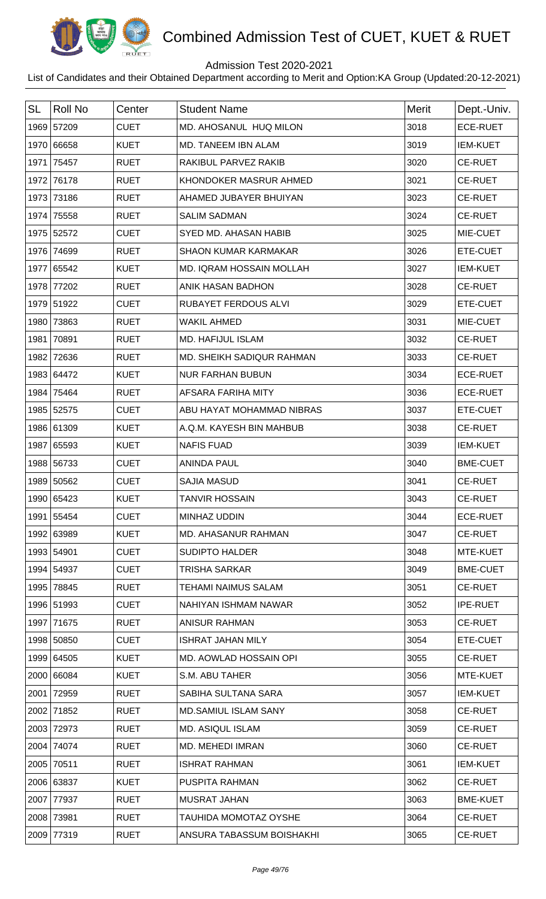

## Admission Test 2020-2021

| <b>SL</b> | <b>Roll No</b> | Center      | <b>Student Name</b>          | <b>Merit</b> | Dept.-Univ.     |
|-----------|----------------|-------------|------------------------------|--------------|-----------------|
|           | 1969 57209     | <b>CUET</b> | MD. AHOSANUL HUQ MILON       | 3018         | <b>ECE-RUET</b> |
|           | 1970 66658     | <b>KUET</b> | MD. TANEEM IBN ALAM          | 3019         | <b>IEM-KUET</b> |
|           | 1971 75457     | <b>RUET</b> | RAKIBUL PARVEZ RAKIB         | 3020         | <b>CE-RUET</b>  |
|           | 1972 76178     | <b>RUET</b> | KHONDOKER MASRUR AHMED       | 3021         | <b>CE-RUET</b>  |
|           | 1973 73186     | <b>RUET</b> | AHAMED JUBAYER BHUIYAN       | 3023         | <b>CE-RUET</b>  |
| 1974      | 75558          | <b>RUET</b> | <b>SALIM SADMAN</b>          | 3024         | <b>CE-RUET</b>  |
|           | 1975 52572     | <b>CUET</b> | SYED MD. AHASAN HABIB        | 3025         | MIE-CUET        |
|           | 1976 74699     | <b>RUET</b> | <b>SHAON KUMAR KARMAKAR</b>  | 3026         | ETE-CUET        |
|           | 1977 65542     | <b>KUET</b> | MD. IQRAM HOSSAIN MOLLAH     | 3027         | <b>IEM-KUET</b> |
|           | 1978 77202     | <b>RUET</b> | ANIK HASAN BADHON            | 3028         | <b>CE-RUET</b>  |
|           | 1979 51922     | <b>CUET</b> | RUBAYET FERDOUS ALVI         | 3029         | ETE-CUET        |
| 1980      | 73863          | <b>RUET</b> | <b>WAKIL AHMED</b>           | 3031         | MIE-CUET        |
| 1981      | 70891          | <b>RUET</b> | MD. HAFIJUL ISLAM            | 3032         | <b>CE-RUET</b>  |
|           | 1982 72636     | <b>RUET</b> | MD. SHEIKH SADIQUR RAHMAN    | 3033         | <b>CE-RUET</b>  |
|           | 1983 64472     | <b>KUET</b> | <b>NUR FARHAN BUBUN</b>      | 3034         | <b>ECE-RUET</b> |
|           | 1984 75464     | <b>RUET</b> | AFSARA FARIHA MITY           | 3036         | <b>ECE-RUET</b> |
|           | 1985 52575     | <b>CUET</b> | ABU HAYAT MOHAMMAD NIBRAS    | 3037         | ETE-CUET        |
|           | 1986 61309     | <b>KUET</b> | A.Q.M. KAYESH BIN MAHBUB     | 3038         | <b>CE-RUET</b>  |
|           | 1987 65593     | <b>KUET</b> | <b>NAFIS FUAD</b>            | 3039         | <b>IEM-KUET</b> |
|           | 1988 56733     | <b>CUET</b> | <b>ANINDA PAUL</b>           | 3040         | <b>BME-CUET</b> |
|           | 1989 50562     | <b>CUET</b> | <b>SAJIA MASUD</b>           | 3041         | <b>CE-RUET</b>  |
|           | 1990 65423     | <b>KUET</b> | TANVIR HOSSAIN               | 3043         | <b>CE-RUET</b>  |
|           | 1991 55454     | <b>CUET</b> | MINHAZ UDDIN                 | 3044         | <b>ECE-RUET</b> |
|           | 1992 63989     | <b>KUET</b> | <b>MD. AHASANUR RAHMAN</b>   | 3047         | <b>CE-RUET</b>  |
|           | 1993 54901     | <b>CUET</b> | <b>SUDIPTO HALDER</b>        | 3048         | MTE-KUET        |
|           | 1994 54937     | <b>CUET</b> | TRISHA SARKAR                | 3049         | <b>BME-CUET</b> |
|           | 1995 78845     | <b>RUET</b> | TEHAMI NAIMUS SALAM          | 3051         | <b>CE-RUET</b>  |
|           | 1996 51993     | <b>CUET</b> | NAHIYAN ISHMAM NAWAR         | 3052         | <b>IPE-RUET</b> |
|           | 1997 71675     | <b>RUET</b> | <b>ANISUR RAHMAN</b>         | 3053         | <b>CE-RUET</b>  |
|           | 1998 50850     | <b>CUET</b> | <b>ISHRAT JAHAN MILY</b>     | 3054         | ETE-CUET        |
|           | 1999 64505     | <b>KUET</b> | MD. AOWLAD HOSSAIN OPI       | 3055         | <b>CE-RUET</b>  |
|           | 2000 66084     | <b>KUET</b> | S.M. ABU TAHER               | 3056         | MTE-KUET        |
| 2001      | 72959          | <b>RUET</b> | SABIHA SULTANA SARA          | 3057         | <b>IEM-KUET</b> |
|           | 2002 71852     | <b>RUET</b> | <b>MD.SAMIUL ISLAM SANY</b>  | 3058         | <b>CE-RUET</b>  |
|           | 2003 72973     | <b>RUET</b> | <b>MD. ASIQUL ISLAM</b>      | 3059         | <b>CE-RUET</b>  |
|           | 2004 74074     | <b>RUET</b> | <b>MD. MEHEDI IMRAN</b>      | 3060         | <b>CE-RUET</b>  |
|           | 2005 70511     | <b>RUET</b> | <b>ISHRAT RAHMAN</b>         | 3061         | <b>IEM-KUET</b> |
|           | 2006 63837     | <b>KUET</b> | PUSPITA RAHMAN               | 3062         | <b>CE-RUET</b>  |
| 2007      | 77937          | <b>RUET</b> | <b>MUSRAT JAHAN</b>          | 3063         | <b>BME-KUET</b> |
|           | 2008 73981     | <b>RUET</b> | <b>TAUHIDA MOMOTAZ OYSHE</b> | 3064         | <b>CE-RUET</b>  |
|           | 2009 77319     | <b>RUET</b> | ANSURA TABASSUM BOISHAKHI    | 3065         | <b>CE-RUET</b>  |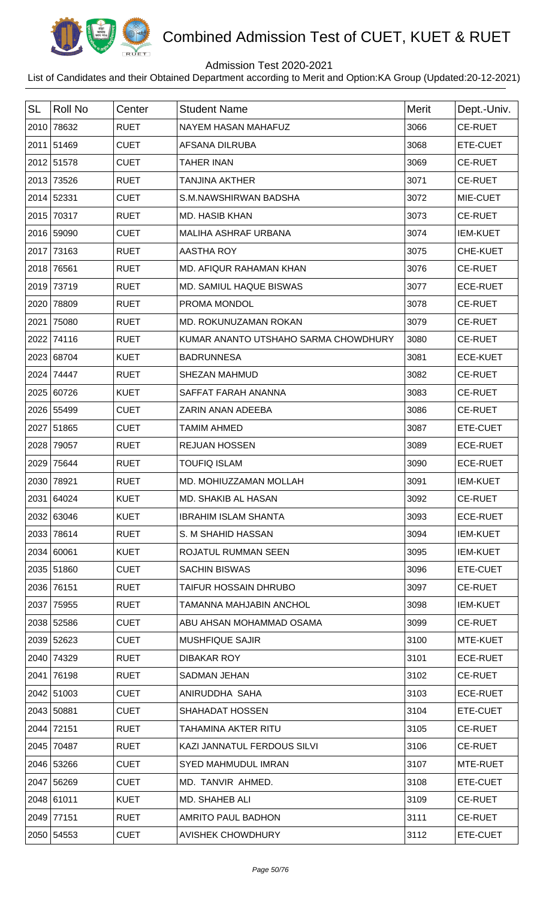

## Admission Test 2020-2021

| <b>SL</b> | <b>Roll No</b> | Center      | <b>Student Name</b>                  | <b>Merit</b> | Dept.-Univ.     |
|-----------|----------------|-------------|--------------------------------------|--------------|-----------------|
|           | 2010 78632     | <b>RUET</b> | NAYEM HASAN MAHAFUZ                  | 3066         | CE-RUET         |
|           | 2011 51469     | <b>CUET</b> | AFSANA DILRUBA                       | 3068         | ETE-CUET        |
|           | 2012 51578     | <b>CUET</b> | <b>TAHER INAN</b>                    | 3069         | <b>CE-RUET</b>  |
|           | 2013 73526     | <b>RUET</b> | <b>TANJINA AKTHER</b>                | 3071         | <b>CE-RUET</b>  |
|           | 2014 52331     | <b>CUET</b> | S.M.NAWSHIRWAN BADSHA                | 3072         | MIE-CUET        |
|           | 2015 70317     | <b>RUET</b> | <b>MD. HASIB KHAN</b>                | 3073         | <b>CE-RUET</b>  |
|           | 2016 59090     | <b>CUET</b> | MALIHA ASHRAF URBANA                 | 3074         | <b>IEM-KUET</b> |
|           | 2017 73163     | <b>RUET</b> | AASTHA ROY                           | 3075         | CHE-KUET        |
|           | 2018 76561     | <b>RUET</b> | MD. AFIQUR RAHAMAN KHAN              | 3076         | <b>CE-RUET</b>  |
|           | 2019 73719     | <b>RUET</b> | MD. SAMIUL HAQUE BISWAS              | 3077         | <b>ECE-RUET</b> |
|           | 2020 78809     | <b>RUET</b> | PROMA MONDOL                         | 3078         | <b>CE-RUET</b>  |
| 2021      | 75080          | <b>RUET</b> | MD. ROKUNUZAMAN ROKAN                | 3079         | <b>CE-RUET</b>  |
|           | 2022 74116     | <b>RUET</b> | KUMAR ANANTO UTSHAHO SARMA CHOWDHURY | 3080         | <b>CE-RUET</b>  |
|           | 2023 68704     | <b>KUET</b> | <b>BADRUNNESA</b>                    | 3081         | <b>ECE-KUET</b> |
|           | 2024 74447     | <b>RUET</b> | <b>SHEZAN MAHMUD</b>                 | 3082         | <b>CE-RUET</b>  |
|           | 2025 60726     | <b>KUET</b> | SAFFAT FARAH ANANNA                  | 3083         | <b>CE-RUET</b>  |
|           | 2026 55499     | <b>CUET</b> | ZARIN ANAN ADEEBA                    | 3086         | <b>CE-RUET</b>  |
|           | 2027 51865     | <b>CUET</b> | <b>TAMIM AHMED</b>                   | 3087         | ETE-CUET        |
|           | 2028 79057     | <b>RUET</b> | <b>REJUAN HOSSEN</b>                 | 3089         | <b>ECE-RUET</b> |
| 2029      | 75644          | <b>RUET</b> | <b>TOUFIQ ISLAM</b>                  | 3090         | <b>ECE-RUET</b> |
|           | 2030 78921     | <b>RUET</b> | MD. MOHIUZZAMAN MOLLAH               | 3091         | <b>IEM-KUET</b> |
|           | 2031 64024     | KUET        | MD. SHAKIB AL HASAN                  | 3092         | <b>CE-RUET</b>  |
|           | 2032 63046     | <b>KUET</b> | <b>IBRAHIM ISLAM SHANTA</b>          | 3093         | <b>ECE-RUET</b> |
|           | 2033 78614     | <b>RUET</b> | S. M SHAHID HASSAN                   | 3094         | <b>IEM-KUET</b> |
|           | 2034 60061     | <b>KUET</b> | ROJATUL RUMMAN SEEN                  | 3095         | <b>IEM-KUET</b> |
|           | 2035 51860     | <b>CUET</b> | <b>SACHIN BISWAS</b>                 | 3096         | ETE-CUET        |
|           | 2036 76151     | <b>RUET</b> | <b>TAIFUR HOSSAIN DHRUBO</b>         | 3097         | <b>CE-RUET</b>  |
|           | 2037 75955     | <b>RUET</b> | <b>TAMANNA MAHJABIN ANCHOL</b>       | 3098         | <b>IEM-KUET</b> |
|           | 2038 52586     | <b>CUET</b> | ABU AHSAN MOHAMMAD OSAMA             | 3099         | <b>CE-RUET</b>  |
|           | 2039 52623     | <b>CUET</b> | <b>MUSHFIQUE SAJIR</b>               | 3100         | MTE-KUET        |
|           | 2040 74329     | <b>RUET</b> | <b>DIBAKAR ROY</b>                   | 3101         | <b>ECE-RUET</b> |
| 2041      | 76198          | <b>RUET</b> | <b>SADMAN JEHAN</b>                  | 3102         | <b>CE-RUET</b>  |
|           | 2042 51003     | <b>CUET</b> | ANIRUDDHA SAHA                       | 3103         | <b>ECE-RUET</b> |
|           | 2043 50881     | <b>CUET</b> | <b>SHAHADAT HOSSEN</b>               | 3104         | ETE-CUET        |
|           | 2044 72151     | <b>RUET</b> | TAHAMINA AKTER RITU                  | 3105         | <b>CE-RUET</b>  |
|           | 2045 70487     | <b>RUET</b> | KAZI JANNATUL FERDOUS SILVI          | 3106         | <b>CE-RUET</b>  |
|           | 2046 53266     | <b>CUET</b> | <b>SYED MAHMUDUL IMRAN</b>           | 3107         | MTE-RUET        |
|           | 2047 56269     | <b>CUET</b> | MD. TANVIR AHMED.                    | 3108         | ETE-CUET        |
|           | 2048 61011     | <b>KUET</b> | MD. SHAHEB ALI                       | 3109         | <b>CE-RUET</b>  |
|           | 2049 77151     | <b>RUET</b> | AMRITO PAUL BADHON                   | 3111         | <b>CE-RUET</b>  |
|           | 2050 54553     | <b>CUET</b> | <b>AVISHEK CHOWDHURY</b>             | 3112         | ETE-CUET        |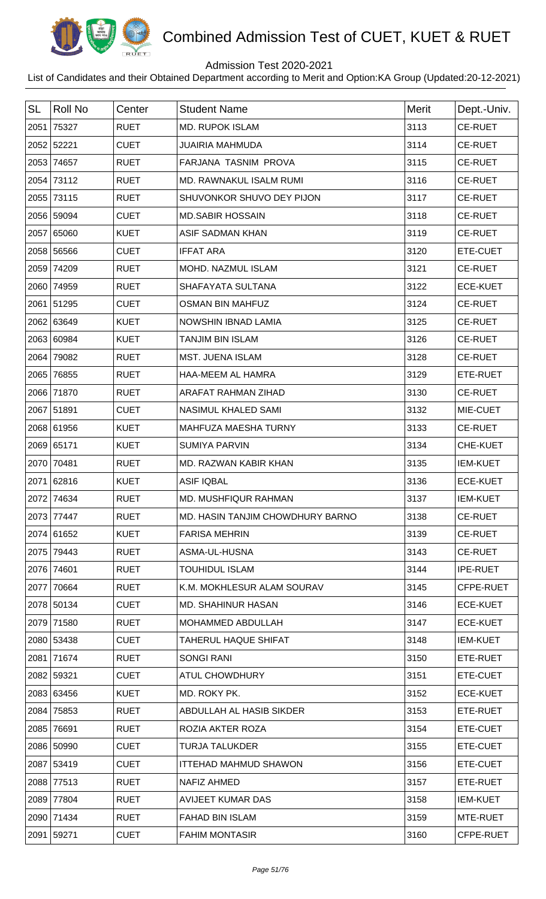

## Admission Test 2020-2021

| <b>SL</b> | <b>Roll No</b> | Center      | <b>Student Name</b>              | <b>Merit</b> | Dept.-Univ.     |
|-----------|----------------|-------------|----------------------------------|--------------|-----------------|
|           | 2051 75327     | <b>RUET</b> | <b>MD. RUPOK ISLAM</b>           | 3113         | <b>CE-RUET</b>  |
|           | 2052 52221     | <b>CUET</b> | <b>JUAIRIA MAHMUDA</b>           | 3114         | <b>CE-RUET</b>  |
|           | 2053 74657     | <b>RUET</b> | FARJANA TASNIM PROVA             | 3115         | <b>CE-RUET</b>  |
|           | 2054 73112     | <b>RUET</b> | MD. RAWNAKUL ISALM RUMI          | 3116         | <b>CE-RUET</b>  |
|           | 2055 73115     | <b>RUET</b> | SHUVONKOR SHUVO DEY PIJON        | 3117         | <b>CE-RUET</b>  |
|           | 2056 59094     | <b>CUET</b> | <b>MD.SABIR HOSSAIN</b>          | 3118         | <b>CE-RUET</b>  |
|           | 2057 65060     | <b>KUET</b> | <b>ASIF SADMAN KHAN</b>          | 3119         | <b>CE-RUET</b>  |
|           | 2058 56566     | <b>CUET</b> | <b>IFFAT ARA</b>                 | 3120         | ETE-CUET        |
|           | 2059 74209     | <b>RUET</b> | <b>MOHD. NAZMUL ISLAM</b>        | 3121         | <b>CE-RUET</b>  |
|           | 2060 74959     | <b>RUET</b> | SHAFAYATA SULTANA                | 3122         | <b>ECE-KUET</b> |
|           | 2061 51295     | <b>CUET</b> | <b>OSMAN BIN MAHFUZ</b>          | 3124         | <b>CE-RUET</b>  |
|           | 2062 63649     | <b>KUET</b> | <b>NOWSHIN IBNAD LAMIA</b>       | 3125         | <b>CE-RUET</b>  |
|           | 2063 60984     | <b>KUET</b> | <b>TANJIM BIN ISLAM</b>          | 3126         | <b>CE-RUET</b>  |
|           | 2064 79082     | <b>RUET</b> | <b>MST. JUENA ISLAM</b>          | 3128         | <b>CE-RUET</b>  |
|           | 2065 76855     | <b>RUET</b> | HAA-MEEM AL HAMRA                | 3129         | ETE-RUET        |
|           | 2066 71870     | <b>RUET</b> | ARAFAT RAHMAN ZIHAD              | 3130         | <b>CE-RUET</b>  |
|           | 2067 51891     | <b>CUET</b> | NASIMUL KHALED SAMI              | 3132         | MIE-CUET        |
|           | 2068 61956     | <b>KUET</b> | MAHFUZA MAESHA TURNY             | 3133         | <b>CE-RUET</b>  |
|           | 2069 65171     | <b>KUET</b> | <b>SUMIYA PARVIN</b>             | 3134         | CHE-KUET        |
|           | 2070 70481     | <b>RUET</b> | MD. RAZWAN KABIR KHAN            | 3135         | <b>IEM-KUET</b> |
|           | 2071 62816     | <b>KUET</b> | <b>ASIF IQBAL</b>                | 3136         | <b>ECE-KUET</b> |
|           | 2072 74634     | <b>RUET</b> | MD. MUSHFIQUR RAHMAN             | 3137         | <b>IEM-KUET</b> |
|           | 2073 77447     | <b>RUET</b> | MD. HASIN TANJIM CHOWDHURY BARNO | 3138         | <b>CE-RUET</b>  |
|           | 2074 61652     | <b>KUET</b> | <b>FARISA MEHRIN</b>             | 3139         | <b>CE-RUET</b>  |
|           | 2075 79443     | <b>RUET</b> | ASMA-UL-HUSNA                    | 3143         | <b>CE-RUET</b>  |
|           | 2076 74601     | <b>RUET</b> | <b>TOUHIDUL ISLAM</b>            | 3144         | <b>IPE-RUET</b> |
|           | 2077 70664     | <b>RUET</b> | K.M. MOKHLESUR ALAM SOURAV       | 3145         | CFPE-RUET       |
|           | 2078 50134     | <b>CUET</b> | <b>MD. SHAHINUR HASAN</b>        | 3146         | <b>ECE-KUET</b> |
|           | 2079 71580     | <b>RUET</b> | MOHAMMED ABDULLAH                | 3147         | <b>ECE-KUET</b> |
|           | 2080 53438     | <b>CUET</b> | TAHERUL HAQUE SHIFAT             | 3148         | <b>IEM-KUET</b> |
|           | 2081 71674     | <b>RUET</b> | <b>SONGI RANI</b>                | 3150         | ETE-RUET        |
|           | 2082 59321     | <b>CUET</b> | ATUL CHOWDHURY                   | 3151         | ETE-CUET        |
|           | 2083 63456     | <b>KUET</b> | MD. ROKY PK.                     | 3152         | <b>ECE-KUET</b> |
|           | 2084 75853     | <b>RUET</b> | ABDULLAH AL HASIB SIKDER         | 3153         | ETE-RUET        |
|           | 2085 76691     | <b>RUET</b> | ROZIA AKTER ROZA                 | 3154         | ETE-CUET        |
|           | 2086 50990     | <b>CUET</b> | <b>TURJA TALUKDER</b>            | 3155         | ETE-CUET        |
|           | 2087 53419     | <b>CUET</b> | <b>ITTEHAD MAHMUD SHAWON</b>     | 3156         | ETE-CUET        |
|           | 2088 77513     | <b>RUET</b> | NAFIZ AHMED                      | 3157         | ETE-RUET        |
|           | 2089 77804     | <b>RUET</b> | <b>AVIJEET KUMAR DAS</b>         | 3158         | <b>IEM-KUET</b> |
|           | 2090 71434     | <b>RUET</b> | <b>FAHAD BIN ISLAM</b>           | 3159         | MTE-RUET        |
|           | 2091 59271     | <b>CUET</b> | <b>FAHIM MONTASIR</b>            | 3160         | CFPE-RUET       |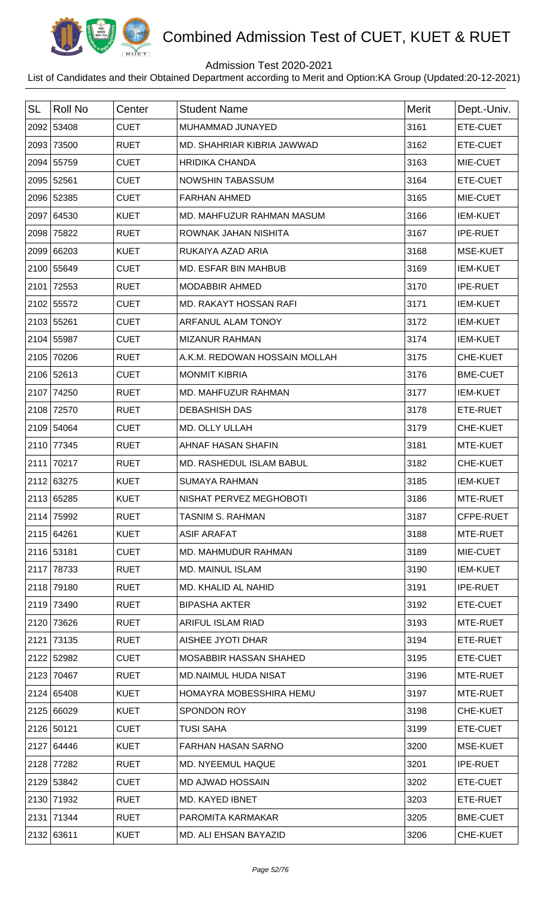

## Admission Test 2020-2021

| <b>SL</b> | <b>Roll No</b> | Center      | <b>Student Name</b>           | <b>Merit</b> | Dept.-Univ.     |
|-----------|----------------|-------------|-------------------------------|--------------|-----------------|
|           | 2092 53408     | <b>CUET</b> | MUHAMMAD JUNAYED              | 3161         | ETE-CUET        |
|           | 2093 73500     | <b>RUET</b> | MD. SHAHRIAR KIBRIA JAWWAD    | 3162         | ETE-CUET        |
|           | 2094 55759     | <b>CUET</b> | <b>HRIDIKA CHANDA</b>         | 3163         | MIE-CUET        |
|           | 2095 52561     | <b>CUET</b> | <b>NOWSHIN TABASSUM</b>       | 3164         | ETE-CUET        |
|           | 2096 52385     | <b>CUET</b> | <b>FARHAN AHMED</b>           | 3165         | MIE-CUET        |
|           | 2097 64530     | <b>KUET</b> | MD. MAHFUZUR RAHMAN MASUM     | 3166         | <b>IEM-KUET</b> |
|           | 2098 75822     | <b>RUET</b> | ROWNAK JAHAN NISHITA          | 3167         | <b>IPE-RUET</b> |
|           | 2099 66203     | <b>KUET</b> | RUKAIYA AZAD ARIA             | 3168         | <b>MSE-KUET</b> |
|           | 2100 55649     | <b>CUET</b> | MD. ESFAR BIN MAHBUB          | 3169         | <b>IEM-KUET</b> |
|           | 2101 72553     | <b>RUET</b> | MODABBIR AHMED                | 3170         | <b>IPE-RUET</b> |
|           | 2102 55572     | <b>CUET</b> | <b>MD. RAKAYT HOSSAN RAFI</b> | 3171         | <b>IEM-KUET</b> |
|           | 2103 55261     | <b>CUET</b> | ARFANUL ALAM TONOY            | 3172         | <b>IEM-KUET</b> |
|           | 2104 55987     | <b>CUET</b> | <b>MIZANUR RAHMAN</b>         | 3174         | <b>IEM-KUET</b> |
|           | 2105 70206     | <b>RUET</b> | A.K.M. REDOWAN HOSSAIN MOLLAH | 3175         | CHE-KUET        |
|           | 2106 52613     | <b>CUET</b> | <b>MONMIT KIBRIA</b>          | 3176         | <b>BME-CUET</b> |
|           | 2107 74250     | <b>RUET</b> | MD. MAHFUZUR RAHMAN           | 3177         | <b>IEM-KUET</b> |
|           | 2108 72570     | <b>RUET</b> | <b>DEBASHISH DAS</b>          | 3178         | ETE-RUET        |
|           | 2109 54064     | <b>CUET</b> | MD. OLLY ULLAH                | 3179         | CHE-KUET        |
|           | 2110 77345     | <b>RUET</b> | AHNAF HASAN SHAFIN            | 3181         | MTE-KUET        |
|           | 2111 70217     | <b>RUET</b> | MD. RASHEDUL ISLAM BABUL      | 3182         | CHE-KUET        |
|           | 2112 63275     | <b>KUET</b> | <b>SUMAYA RAHMAN</b>          | 3185         | <b>IEM-KUET</b> |
|           | 2113 65285     | <b>KUET</b> | NISHAT PERVEZ MEGHOBOTI       | 3186         | MTE-RUET        |
|           | 2114 75992     | <b>RUET</b> | <b>TASNIM S. RAHMAN</b>       | 3187         | CFPE-RUET       |
|           | 2115 64261     | <b>KUET</b> | <b>ASIF ARAFAT</b>            | 3188         | MTE-RUET        |
|           | 2116 53181     | <b>CUET</b> | <b>MD. MAHMUDUR RAHMAN</b>    | 3189         | MIE-CUET        |
|           | 2117 78733     | <b>RUET</b> | <b>MD. MAINUL ISLAM</b>       | 3190         | <b>IEM-KUET</b> |
|           | 2118 79180     | <b>RUET</b> | MD. KHALID AL NAHID           | 3191         | <b>IPE-RUET</b> |
|           | 2119 73490     | <b>RUET</b> | <b>BIPASHA AKTER</b>          | 3192         | ETE-CUET        |
|           | 2120 73626     | <b>RUET</b> | ARIFUL ISLAM RIAD             | 3193         | MTE-RUET        |
|           | 2121 73135     | <b>RUET</b> | AISHEE JYOTI DHAR             | 3194         | ETE-RUET        |
|           | 2122 52982     | <b>CUET</b> | MOSABBIR HASSAN SHAHED        | 3195         | ETE-CUET        |
|           | 2123 70467     | <b>RUET</b> | MD.NAIMUL HUDA NISAT          | 3196         | MTE-RUET        |
|           | 2124 65408     | <b>KUET</b> | HOMAYRA MOBESSHIRA HEMU       | 3197         | MTE-RUET        |
|           | 2125 66029     | <b>KUET</b> | <b>SPONDON ROY</b>            | 3198         | <b>CHE-KUET</b> |
|           | 2126 50121     | <b>CUET</b> | <b>TUSI SAHA</b>              | 3199         | ETE-CUET        |
|           | 2127 64446     | <b>KUET</b> | FARHAN HASAN SARNO            | 3200         | MSE-KUET        |
|           | 2128 77282     | <b>RUET</b> | MD. NYEEMUL HAQUE             | 3201         | <b>IPE-RUET</b> |
|           | 2129 53842     | <b>CUET</b> | <b>MD AJWAD HOSSAIN</b>       | 3202         | ETE-CUET        |
|           | 2130 71932     | <b>RUET</b> | MD. KAYED IBNET               | 3203         | ETE-RUET        |
|           | 2131 71344     | <b>RUET</b> | PAROMITA KARMAKAR             | 3205         | <b>BME-CUET</b> |
|           | 2132 63611     | <b>KUET</b> | MD. ALI EHSAN BAYAZID         | 3206         | CHE-KUET        |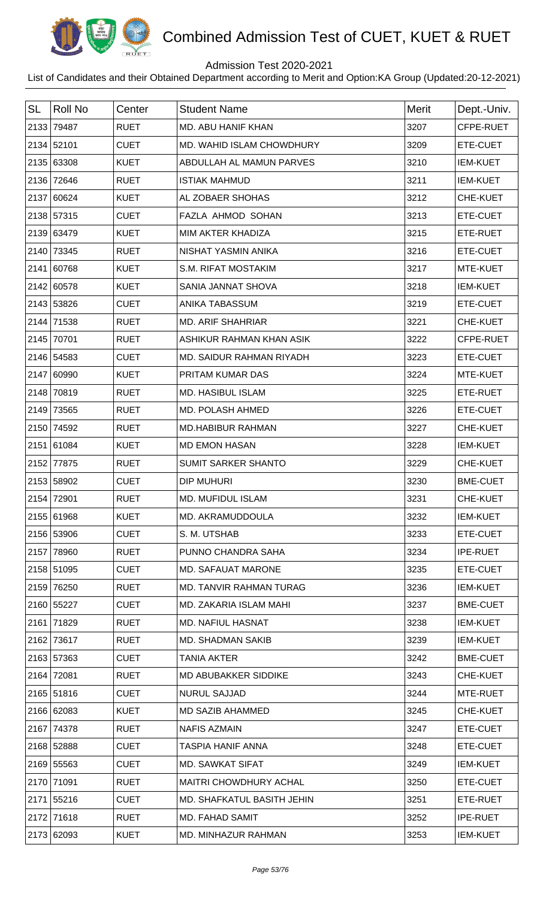

## Admission Test 2020-2021

| <b>SL</b> | <b>Roll No</b> | Center      | <b>Student Name</b>        | Merit | Dept.-Univ.     |
|-----------|----------------|-------------|----------------------------|-------|-----------------|
|           | 2133 79487     | <b>RUET</b> | MD. ABU HANIF KHAN         | 3207  | CFPE-RUET       |
|           | 2134 52101     | <b>CUET</b> | MD. WAHID ISLAM CHOWDHURY  | 3209  | ETE-CUET        |
|           | 2135 63308     | <b>KUET</b> | ABDULLAH AL MAMUN PARVES   | 3210  | <b>IEM-KUET</b> |
|           | 2136 72646     | <b>RUET</b> | <b>ISTIAK MAHMUD</b>       | 3211  | <b>IEM-KUET</b> |
|           | 2137 60624     | <b>KUET</b> | AL ZOBAER SHOHAS           | 3212  | CHE-KUET        |
|           | 2138 57315     | <b>CUET</b> | <b>FAZLA AHMOD SOHAN</b>   | 3213  | ETE-CUET        |
|           | 2139 63479     | <b>KUET</b> | MIM AKTER KHADIZA          | 3215  | ETE-RUET        |
|           | 2140 73345     | <b>RUET</b> | NISHAT YASMIN ANIKA        | 3216  | ETE-CUET        |
|           | 2141 60768     | <b>KUET</b> | S.M. RIFAT MOSTAKIM        | 3217  | MTE-KUET        |
|           | 2142 60578     | <b>KUET</b> | SANIA JANNAT SHOVA         | 3218  | <b>IEM-KUET</b> |
|           | 2143 53826     | <b>CUET</b> | ANIKA TABASSUM             | 3219  | ETE-CUET        |
|           | 2144 71538     | <b>RUET</b> | <b>MD. ARIF SHAHRIAR</b>   | 3221  | CHE-KUET        |
|           | 2145 70701     | <b>RUET</b> | ASHIKUR RAHMAN KHAN ASIK   | 3222  | CFPE-RUET       |
|           | 2146 54583     | <b>CUET</b> | MD. SAIDUR RAHMAN RIYADH   | 3223  | ETE-CUET        |
|           | 2147 60990     | <b>KUET</b> | PRITAM KUMAR DAS           | 3224  | MTE-KUET        |
|           | 2148 70819     | <b>RUET</b> | <b>MD. HASIBUL ISLAM</b>   | 3225  | ETE-RUET        |
|           | 2149 73565     | <b>RUET</b> | MD. POLASH AHMED           | 3226  | ETE-CUET        |
|           | 2150 74592     | <b>RUET</b> | <b>MD.HABIBUR RAHMAN</b>   | 3227  | CHE-KUET        |
|           | 2151 61084     | <b>KUET</b> | <b>MD EMON HASAN</b>       | 3228  | <b>IEM-KUET</b> |
|           | 2152 77875     | <b>RUET</b> | <b>SUMIT SARKER SHANTO</b> | 3229  | CHE-KUET        |
|           | 2153 58902     | <b>CUET</b> | <b>DIP MUHURI</b>          | 3230  | <b>BME-CUET</b> |
|           | 2154 72901     | <b>RUET</b> | <b>MD. MUFIDUL ISLAM</b>   | 3231  | <b>CHE-KUET</b> |
|           | 2155 61968     | <b>KUET</b> | MD. AKRAMUDDOULA           | 3232  | <b>IEM-KUET</b> |
|           | 2156 53906     | <b>CUET</b> | S. M. UTSHAB               | 3233  | ETE-CUET        |
|           | 2157 78960     | <b>RUET</b> | PUNNO CHANDRA SAHA         | 3234  | <b>IPE-RUET</b> |
|           | 2158 51095     | <b>CUET</b> | <b>MD. SAFAUAT MARONE</b>  | 3235  | ETE-CUET        |
|           | 2159 76250     | <b>RUET</b> | MD. TANVIR RAHMAN TURAG    | 3236  | <b>IEM-KUET</b> |
|           | 2160 55227     | <b>CUET</b> | MD. ZAKARIA ISLAM MAHI     | 3237  | <b>BME-CUET</b> |
|           | 2161 71829     | <b>RUET</b> | <b>MD. NAFIUL HASNAT</b>   | 3238  | <b>IEM-KUET</b> |
|           | 2162 73617     | <b>RUET</b> | <b>MD. SHADMAN SAKIB</b>   | 3239  | <b>IEM-KUET</b> |
|           | 2163 57363     | <b>CUET</b> | <b>TANIA AKTER</b>         | 3242  | <b>BME-CUET</b> |
|           | 2164 72081     | <b>RUET</b> | MD ABUBAKKER SIDDIKE       | 3243  | CHE-KUET        |
|           | 2165 51816     | <b>CUET</b> | <b>NURUL SAJJAD</b>        | 3244  | MTE-RUET        |
|           | 2166 62083     | <b>KUET</b> | MD SAZIB AHAMMED           | 3245  | <b>CHE-KUET</b> |
|           | 2167 74378     | <b>RUET</b> | <b>NAFIS AZMAIN</b>        | 3247  | ETE-CUET        |
|           | 2168 52888     | <b>CUET</b> | <b>TASPIA HANIF ANNA</b>   | 3248  | ETE-CUET        |
|           | 2169 55563     | <b>CUET</b> | <b>MD. SAWKAT SIFAT</b>    | 3249  | <b>IEM-KUET</b> |
|           | 2170 71091     | <b>RUET</b> | MAITRI CHOWDHURY ACHAL     | 3250  | ETE-CUET        |
|           | 2171 55216     | <b>CUET</b> | MD. SHAFKATUL BASITH JEHIN | 3251  | ETE-RUET        |
|           | 2172 71618     | <b>RUET</b> | <b>MD. FAHAD SAMIT</b>     | 3252  | <b>IPE-RUET</b> |
|           | 2173 62093     | <b>KUET</b> | MD. MINHAZUR RAHMAN        | 3253  | <b>IEM-KUET</b> |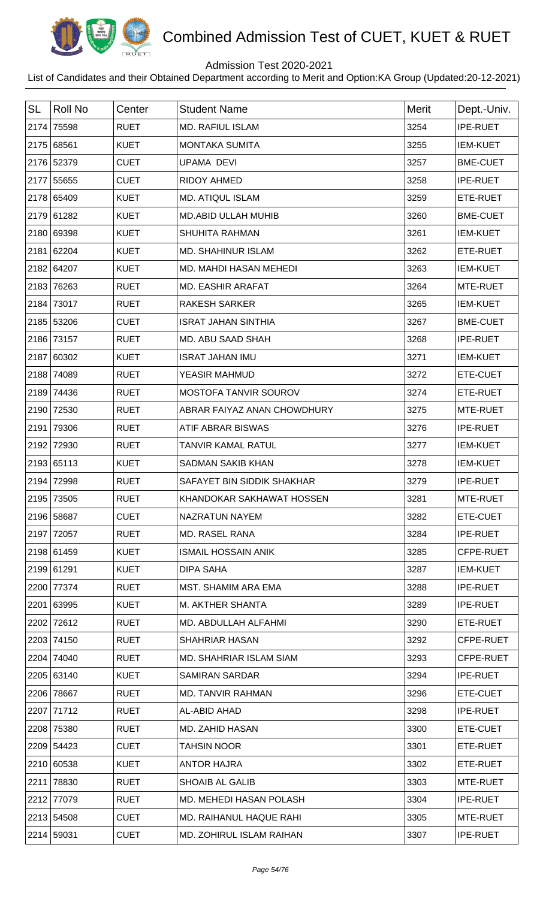

## Admission Test 2020-2021

| <b>SL</b> | Roll No    | Center      | <b>Student Name</b>            | <b>Merit</b> | Dept.-Univ.     |
|-----------|------------|-------------|--------------------------------|--------------|-----------------|
|           | 2174 75598 | <b>RUET</b> | <b>MD. RAFIUL ISLAM</b>        | 3254         | <b>IPE-RUET</b> |
|           | 2175 68561 | <b>KUET</b> | <b>MONTAKA SUMITA</b>          | 3255         | <b>IEM-KUET</b> |
|           | 2176 52379 | <b>CUET</b> | <b>UPAMA DEVI</b>              | 3257         | <b>BME-CUET</b> |
|           | 2177 55655 | <b>CUET</b> | <b>RIDOY AHMED</b>             | 3258         | IPE-RUET        |
|           | 2178 65409 | <b>KUET</b> | <b>MD. ATIQUL ISLAM</b>        | 3259         | ETE-RUET        |
|           | 2179 61282 | <b>KUET</b> | <b>MD.ABID ULLAH MUHIB</b>     | 3260         | <b>BME-CUET</b> |
|           | 2180 69398 | <b>KUET</b> | <b>SHUHITA RAHMAN</b>          | 3261         | <b>IEM-KUET</b> |
|           | 2181 62204 | <b>KUET</b> | <b>MD. SHAHINUR ISLAM</b>      | 3262         | ETE-RUET        |
|           | 2182 64207 | <b>KUET</b> | MD. MAHDI HASAN MEHEDI         | 3263         | <b>IEM-KUET</b> |
|           | 2183 76263 | <b>RUET</b> | <b>MD. EASHIR ARAFAT</b>       | 3264         | MTE-RUET        |
|           | 2184 73017 | <b>RUET</b> | <b>RAKESH SARKER</b>           | 3265         | <b>IEM-KUET</b> |
|           | 2185 53206 | <b>CUET</b> | <b>ISRAT JAHAN SINTHIA</b>     | 3267         | <b>BME-CUET</b> |
|           | 2186 73157 | <b>RUET</b> | MD. ABU SAAD SHAH              | 3268         | <b>IPE-RUET</b> |
|           | 2187 60302 | <b>KUET</b> | <b>ISRAT JAHAN IMU</b>         | 3271         | <b>IEM-KUET</b> |
|           | 2188 74089 | <b>RUET</b> | <b>YEASIR MAHMUD</b>           | 3272         | ETE-CUET        |
|           | 2189 74436 | <b>RUET</b> | MOSTOFA TANVIR SOUROV          | 3274         | ETE-RUET        |
|           | 2190 72530 | <b>RUET</b> | ABRAR FAIYAZ ANAN CHOWDHURY    | 3275         | MTE-RUET        |
|           | 2191 79306 | <b>RUET</b> | ATIF ABRAR BISWAS              | 3276         | <b>IPE-RUET</b> |
|           | 2192 72930 | <b>RUET</b> | <b>TANVIR KAMAL RATUL</b>      | 3277         | <b>IEM-KUET</b> |
|           | 2193 65113 | <b>KUET</b> | <b>SADMAN SAKIB KHAN</b>       | 3278         | <b>IEM-KUET</b> |
|           | 2194 72998 | <b>RUET</b> | SAFAYET BIN SIDDIK SHAKHAR     | 3279         | <b>IPE-RUET</b> |
|           | 2195 73505 | <b>RUET</b> | KHANDOKAR SAKHAWAT HOSSEN      | 3281         | MTE-RUET        |
|           | 2196 58687 | <b>CUET</b> | NAZRATUN NAYEM                 | 3282         | ETE-CUET        |
|           | 2197 72057 | <b>RUET</b> | MD. RASEL RANA                 | 3284         | <b>IPE-RUET</b> |
|           | 2198 61459 | <b>KUET</b> | <b>ISMAIL HOSSAIN ANIK</b>     | 3285         | CFPE-RUET       |
|           | 2199 61291 | <b>KUET</b> | DIPA SAHA                      | 3287         | <b>IEM-KUET</b> |
|           | 2200 77374 | <b>RUET</b> | MST. SHAMIM ARA EMA            | 3288         | <b>IPE-RUET</b> |
|           | 2201 63995 | <b>KUET</b> | M. AKTHER SHANTA               | 3289         | <b>IPE-RUET</b> |
|           | 2202 72612 | <b>RUET</b> | MD. ABDULLAH ALFAHMI           | 3290         | ETE-RUET        |
|           | 2203 74150 | <b>RUET</b> | <b>SHAHRIAR HASAN</b>          | 3292         | CFPE-RUET       |
|           | 2204 74040 | <b>RUET</b> | <b>MD. SHAHRIAR ISLAM SIAM</b> | 3293         | CFPE-RUET       |
|           | 2205 63140 | <b>KUET</b> | <b>SAMIRAN SARDAR</b>          | 3294         | <b>IPE-RUET</b> |
|           | 2206 78667 | <b>RUET</b> | MD. TANVIR RAHMAN              | 3296         | ETE-CUET        |
|           | 2207 71712 | <b>RUET</b> | AL-ABID AHAD                   | 3298         | <b>IPE-RUET</b> |
|           | 2208 75380 | <b>RUET</b> | <b>MD. ZAHID HASAN</b>         | 3300         | ETE-CUET        |
|           | 2209 54423 | <b>CUET</b> | <b>TAHSIN NOOR</b>             | 3301         | ETE-RUET        |
|           | 2210 60538 | <b>KUET</b> | <b>ANTOR HAJRA</b>             | 3302         | ETE-RUET        |
|           | 2211 78830 | <b>RUET</b> | <b>SHOAIB AL GALIB</b>         | 3303         | MTE-RUET        |
|           | 2212 77079 | <b>RUET</b> | MD. MEHEDI HASAN POLASH        | 3304         | <b>IPE-RUET</b> |
|           | 2213 54508 | <b>CUET</b> | MD. RAIHANUL HAQUE RAHI        | 3305         | MTE-RUET        |
|           | 2214 59031 | <b>CUET</b> | MD. ZOHIRUL ISLAM RAIHAN       | 3307         | IPE-RUET        |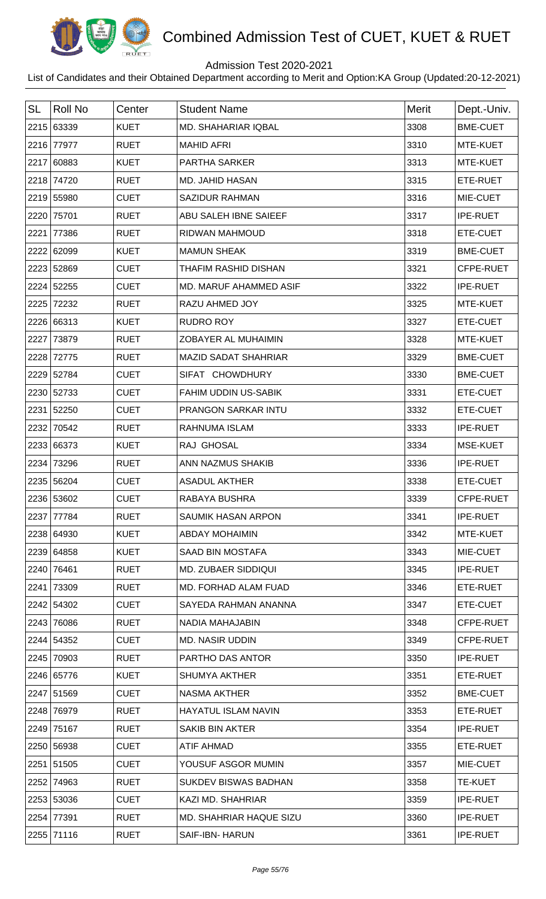

## Admission Test 2020-2021

| <b>SL</b> | <b>Roll No</b> | Center      | <b>Student Name</b>           | <b>Merit</b> | Dept.-Univ.     |
|-----------|----------------|-------------|-------------------------------|--------------|-----------------|
|           | 2215 63339     | <b>KUET</b> | MD. SHAHARIAR IQBAL           | 3308         | <b>BME-CUET</b> |
|           | 2216 77977     | <b>RUET</b> | <b>MAHID AFRI</b>             | 3310         | MTE-KUET        |
|           | 2217 60883     | <b>KUET</b> | <b>PARTHA SARKER</b>          | 3313         | MTE-KUET        |
|           | 2218 74720     | <b>RUET</b> | <b>MD. JAHID HASAN</b>        | 3315         | ETE-RUET        |
|           | 2219 55980     | <b>CUET</b> | <b>SAZIDUR RAHMAN</b>         | 3316         | MIE-CUET        |
| 2220      | 75701          | <b>RUET</b> | ABU SALEH IBNE SAIEEF         | 3317         | <b>IPE-RUET</b> |
| 2221      | 77386          | <b>RUET</b> | <b>RIDWAN MAHMOUD</b>         | 3318         | ETE-CUET        |
|           | 2222 62099     | <b>KUET</b> | <b>MAMUN SHEAK</b>            | 3319         | <b>BME-CUET</b> |
|           | 2223 52869     | <b>CUET</b> | <b>THAFIM RASHID DISHAN</b>   | 3321         | CFPE-RUET       |
|           | 2224 52255     | <b>CUET</b> | <b>MD. MARUF AHAMMED ASIF</b> | 3322         | <b>IPE-RUET</b> |
| 2225      | 72232          | <b>RUET</b> | <b>RAZU AHMED JOY</b>         | 3325         | MTE-KUET        |
|           | 2226 66313     | <b>KUET</b> | <b>RUDRO ROY</b>              | 3327         | ETE-CUET        |
| 2227      | 73879          | <b>RUET</b> | ZOBAYER AL MUHAIMIN           | 3328         | MTE-KUET        |
| 2228      | 72775          | <b>RUET</b> | <b>MAZID SADAT SHAHRIAR</b>   | 3329         | <b>BME-CUET</b> |
| 2229      | 52784          | <b>CUET</b> | SIFAT CHOWDHURY               | 3330         | <b>BME-CUET</b> |
|           | 2230 52733     | <b>CUET</b> | <b>FAHIM UDDIN US-SABIK</b>   | 3331         | ETE-CUET        |
| 2231      | 52250          | <b>CUET</b> | PRANGON SARKAR INTU           | 3332         | ETE-CUET        |
| 2232      | 70542          | <b>RUET</b> | RAHNUMA ISLAM                 | 3333         | <b>IPE-RUET</b> |
|           | 2233 66373     | <b>KUET</b> | RAJ GHOSAL                    | 3334         | MSE-KUET        |
| 2234      | 73296          | <b>RUET</b> | ANN NAZMUS SHAKIB             | 3336         | <b>IPE-RUET</b> |
|           | 2235 56204     | <b>CUET</b> | <b>ASADUL AKTHER</b>          | 3338         | ETE-CUET        |
|           | 2236 53602     | <b>CUET</b> | <b>RABAYA BUSHRA</b>          | 3339         | CFPE-RUET       |
|           | 2237 77784     | <b>RUET</b> | <b>SAUMIK HASAN ARPON</b>     | 3341         | <b>IPE-RUET</b> |
|           | 2238 64930     | <b>KUET</b> | <b>ABDAY MOHAIMIN</b>         | 3342         | MTE-KUET        |
|           | 2239 64858     | <b>KUET</b> | SAAD BIN MOSTAFA              | 3343         | MIE-CUET        |
|           | 2240 76461     | <b>RUET</b> | <b>MD. ZUBAER SIDDIQUI</b>    | 3345         | <b>IPE-RUET</b> |
| 2241      | 73309          | <b>RUET</b> | MD. FORHAD ALAM FUAD          | 3346         | ETE-RUET        |
|           | 2242 54302     | <b>CUET</b> | SAYEDA RAHMAN ANANNA          | 3347         | ETE-CUET        |
| 2243      | 76086          | <b>RUET</b> | NADIA MAHAJABIN               | 3348         | CFPE-RUET       |
|           | 2244 54352     | <b>CUET</b> | <b>MD. NASIR UDDIN</b>        | 3349         | CFPE-RUET       |
|           | 2245 70903     | <b>RUET</b> | PARTHO DAS ANTOR              | 3350         | <b>IPE-RUET</b> |
|           | 2246 65776     | <b>KUET</b> | <b>SHUMYA AKTHER</b>          | 3351         | ETE-RUET        |
|           | 2247 51569     | <b>CUET</b> | <b>NASMA AKTHER</b>           | 3352         | <b>BME-CUET</b> |
|           | 2248 76979     | <b>RUET</b> | <b>HAYATUL ISLAM NAVIN</b>    | 3353         | ETE-RUET        |
|           | 2249 75167     | <b>RUET</b> | <b>SAKIB BIN AKTER</b>        | 3354         | <b>IPE-RUET</b> |
|           | 2250 56938     | <b>CUET</b> | <b>ATIF AHMAD</b>             | 3355         | ETE-RUET        |
|           | 2251 51505     | <b>CUET</b> | YOUSUF ASGOR MUMIN            | 3357         | MIE-CUET        |
|           | 2252 74963     | <b>RUET</b> | <b>SUKDEV BISWAS BADHAN</b>   | 3358         | <b>TE-KUET</b>  |
|           | 2253 53036     | <b>CUET</b> | KAZI MD. SHAHRIAR             | 3359         | <b>IPE-RUET</b> |
|           | 2254 77391     | <b>RUET</b> | MD. SHAHRIAR HAQUE SIZU       | 3360         | <b>IPE-RUET</b> |
|           | 2255 71116     | <b>RUET</b> | <b>SAIF-IBN- HARUN</b>        | 3361         | <b>IPE-RUET</b> |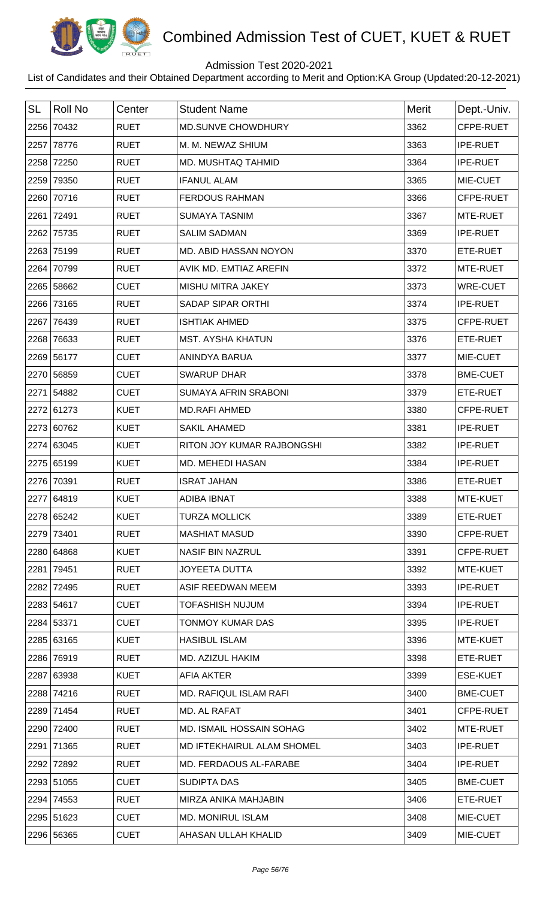

## Admission Test 2020-2021

| <b>SL</b> | <b>Roll No</b> | Center      | <b>Student Name</b>         | <b>Merit</b> | Dept.-Univ.     |
|-----------|----------------|-------------|-----------------------------|--------------|-----------------|
| 2256      | 70432          | <b>RUET</b> | <b>MD.SUNVE CHOWDHURY</b>   | 3362         | CFPE-RUET       |
| 2257      | 78776          | <b>RUET</b> | M. M. NEWAZ SHIUM           | 3363         | <b>IPE-RUET</b> |
| 2258      | 72250          | <b>RUET</b> | MD. MUSHTAQ TAHMID          | 3364         | <b>IPE-RUET</b> |
| 2259      | 79350          | <b>RUET</b> | <b>IFANUL ALAM</b>          | 3365         | MIE-CUET        |
| 2260      | 70716          | <b>RUET</b> | <b>FERDOUS RAHMAN</b>       | 3366         | CFPE-RUET       |
| 2261      | 72491          | <b>RUET</b> | <b>SUMAYA TASNIM</b>        | 3367         | MTE-RUET        |
| 2262      | 75735          | <b>RUET</b> | <b>SALIM SADMAN</b>         | 3369         | <b>IPE-RUET</b> |
| 2263      | 75199          | <b>RUET</b> | MD. ABID HASSAN NOYON       | 3370         | ETE-RUET        |
| 2264      | 70799          | <b>RUET</b> | AVIK MD. EMTIAZ AREFIN      | 3372         | MTE-RUET        |
| 2265      | 58662          | <b>CUET</b> | MISHU MITRA JAKEY           | 3373         | <b>WRE-CUET</b> |
| 2266      | 73165          | <b>RUET</b> | <b>SADAP SIPAR ORTHI</b>    | 3374         | <b>IPE-RUET</b> |
| 2267      | 76439          | <b>RUET</b> | <b>ISHTIAK AHMED</b>        | 3375         | CFPE-RUET       |
| 2268      | 76633          | <b>RUET</b> | <b>MST. AYSHA KHATUN</b>    | 3376         | ETE-RUET        |
|           | 2269 56177     | <b>CUET</b> | ANINDYA BARUA               | 3377         | MIE-CUET        |
|           | 2270 56859     | <b>CUET</b> | <b>SWARUP DHAR</b>          | 3378         | <b>BME-CUET</b> |
| 2271      | 54882          | <b>CUET</b> | <b>SUMAYA AFRIN SRABONI</b> | 3379         | ETE-RUET        |
|           | 2272 61273     | <b>KUET</b> | <b>MD.RAFI AHMED</b>        | 3380         | CFPE-RUET       |
| 2273      | 60762          | <b>KUET</b> | <b>SAKIL AHAMED</b>         | 3381         | <b>IPE-RUET</b> |
|           | 2274 63045     | <b>KUET</b> | RITON JOY KUMAR RAJBONGSHI  | 3382         | <b>IPE-RUET</b> |
|           | 2275 65199     | <b>KUET</b> | MD. MEHEDI HASAN            | 3384         | <b>IPE-RUET</b> |
| 2276      | 70391          | <b>RUET</b> | <b>ISRAT JAHAN</b>          | 3386         | ETE-RUET        |
|           | 2277 64819     | <b>KUET</b> | <b>ADIBA IBNAT</b>          | 3388         | MTE-KUET        |
|           | 2278 65242     | <b>KUET</b> | <b>TURZA MOLLICK</b>        | 3389         | ETE-RUET        |
|           | 2279 73401     | <b>RUET</b> | <b>MASHIAT MASUD</b>        | 3390         | CFPE-RUET       |
|           | 2280 64868     | <b>KUET</b> | <b>NASIF BIN NAZRUL</b>     | 3391         | CFPE-RUET       |
| 2281      | 79451          | <b>RUET</b> | <b>JOYEETA DUTTA</b>        | 3392         | MTE-KUET        |
| 2282      | 72495          | <b>RUET</b> | ASIF REEDWAN MEEM           | 3393         | <b>IPE-RUET</b> |
|           | 2283 54617     | <b>CUET</b> | <b>TOFASHISH NUJUM</b>      | 3394         | <b>IPE-RUET</b> |
|           | 2284 53371     | <b>CUET</b> | <b>TONMOY KUMAR DAS</b>     | 3395         | <b>IPE-RUET</b> |
|           | 2285 63165     | <b>KUET</b> | <b>HASIBUL ISLAM</b>        | 3396         | MTE-KUET        |
|           | 2286 76919     | <b>RUET</b> | MD. AZIZUL HAKIM            | 3398         | ETE-RUET        |
|           | 2287 63938     | <b>KUET</b> | <b>AFIA AKTER</b>           | 3399         | <b>ESE-KUET</b> |
| 2288      | 74216          | <b>RUET</b> | MD. RAFIQUL ISLAM RAFI      | 3400         | <b>BME-CUET</b> |
|           | 2289 71454     | <b>RUET</b> | MD. AL RAFAT                | 3401         | CFPE-RUET       |
| 2290      | 72400          | <b>RUET</b> | MD. ISMAIL HOSSAIN SOHAG    | 3402         | MTE-RUET        |
| 2291      | 71365          | <b>RUET</b> | MD IFTEKHAIRUL ALAM SHOMEL  | 3403         | <b>IPE-RUET</b> |
| 2292      | 72892          | <b>RUET</b> | MD. FERDAOUS AL-FARABE      | 3404         | <b>IPE-RUET</b> |
|           | 2293 51055     | <b>CUET</b> | SUDIPTA DAS                 | 3405         | <b>BME-CUET</b> |
| 2294      | 74553          | <b>RUET</b> | MIRZA ANIKA MAHJABIN        | 3406         | ETE-RUET        |
|           | 2295 51623     | <b>CUET</b> | <b>MD. MONIRUL ISLAM</b>    | 3408         | MIE-CUET        |
|           | 2296 56365     | <b>CUET</b> | AHASAN ULLAH KHALID         | 3409         | MIE-CUET        |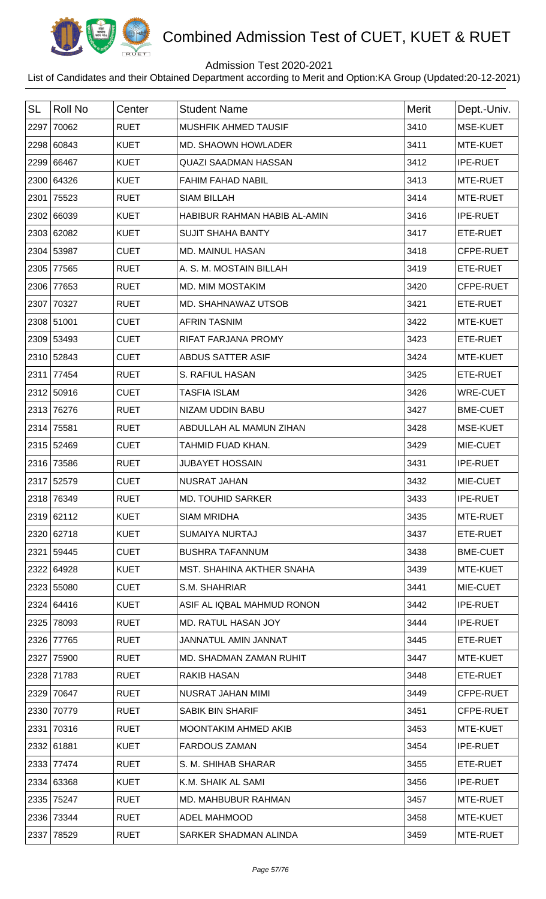

## Admission Test 2020-2021

| <b>SL</b> | Roll No    |             | <b>Student Name</b>          | <b>Merit</b> |                 |
|-----------|------------|-------------|------------------------------|--------------|-----------------|
|           |            | Center      |                              |              | Dept.-Univ.     |
| 2297      | 70062      | <b>RUET</b> | MUSHFIK AHMED TAUSIF         | 3410         | MSE-KUET        |
|           | 2298 60843 | <b>KUET</b> | MD. SHAOWN HOWLADER          | 3411         | MTE-KUET        |
|           | 2299 66467 | <b>KUET</b> | <b>QUAZI SAADMAN HASSAN</b>  | 3412         | <b>IPE-RUET</b> |
|           | 2300 64326 | <b>KUET</b> | <b>FAHIM FAHAD NABIL</b>     | 3413         | MTE-RUET        |
|           | 2301 75523 | <b>RUET</b> | <b>SIAM BILLAH</b>           | 3414         | MTE-RUET        |
|           | 2302 66039 | <b>KUET</b> | HABIBUR RAHMAN HABIB AL-AMIN | 3416         | <b>IPE-RUET</b> |
|           | 2303 62082 | <b>KUET</b> | <b>SUJIT SHAHA BANTY</b>     | 3417         | ETE-RUET        |
|           | 2304 53987 | <b>CUET</b> | <b>MD. MAINUL HASAN</b>      | 3418         | CFPE-RUET       |
| 2305      | 77565      | <b>RUET</b> | A. S. M. MOSTAIN BILLAH      | 3419         | ETE-RUET        |
|           | 2306 77653 | <b>RUET</b> | MD. MIM MOSTAKIM             | 3420         | CFPE-RUET       |
|           | 2307 70327 | <b>RUET</b> | MD. SHAHNAWAZ UTSOB          | 3421         | ETE-RUET        |
|           | 2308 51001 | <b>CUET</b> | <b>AFRIN TASNIM</b>          | 3422         | MTE-KUET        |
|           | 2309 53493 | <b>CUET</b> | RIFAT FARJANA PROMY          | 3423         | ETE-RUET        |
|           | 2310 52843 | <b>CUET</b> | <b>ABDUS SATTER ASIF</b>     | 3424         | MTE-KUET        |
|           | 2311 77454 | <b>RUET</b> | S. RAFIUL HASAN              | 3425         | ETE-RUET        |
|           | 2312 50916 | <b>CUET</b> | <b>TASFIA ISLAM</b>          | 3426         | <b>WRE-CUET</b> |
|           | 2313 76276 | <b>RUET</b> | NIZAM UDDIN BABU             | 3427         | <b>BME-CUET</b> |
|           | 2314 75581 | <b>RUET</b> | ABDULLAH AL MAMUN ZIHAN      | 3428         | MSE-KUET        |
|           | 2315 52469 | <b>CUET</b> | TAHMID FUAD KHAN.            | 3429         | MIE-CUET        |
|           | 2316 73586 | <b>RUET</b> | <b>JUBAYET HOSSAIN</b>       | 3431         | <b>IPE-RUET</b> |
|           | 2317 52579 | <b>CUET</b> | <b>NUSRAT JAHAN</b>          | 3432         | MIE-CUET        |
|           | 2318 76349 | <b>RUET</b> | <b>MD. TOUHID SARKER</b>     | 3433         | <b>IPE-RUET</b> |
|           | 2319 62112 | <b>KUET</b> | <b>SIAM MRIDHA</b>           | 3435         | MTE-RUET        |
|           | 2320 62718 | <b>KUET</b> | <b>SUMAIYA NURTAJ</b>        | 3437         | ETE-RUET        |
|           | 2321 59445 | <b>CUET</b> | <b>BUSHRA TAFANNUM</b>       | 3438         | <b>BME-CUET</b> |
|           | 2322 64928 | <b>KUET</b> | MST. SHAHINA AKTHER SNAHA    | 3439         | MTE-KUET        |
|           | 2323 55080 | <b>CUET</b> | S.M. SHAHRIAR                | 3441         | MIE-CUET        |
|           | 2324 64416 | <b>KUET</b> | ASIF AL IQBAL MAHMUD RONON   | 3442         | <b>IPE-RUET</b> |
|           | 2325 78093 | <b>RUET</b> | MD. RATUL HASAN JOY          | 3444         | <b>IPE-RUET</b> |
|           | 2326 77765 | <b>RUET</b> | <b>JANNATUL AMIN JANNAT</b>  | 3445         | ETE-RUET        |
|           | 2327 75900 | <b>RUET</b> | MD. SHADMAN ZAMAN RUHIT      | 3447         | MTE-KUET        |
|           | 2328 71783 | <b>RUET</b> | <b>RAKIB HASAN</b>           | 3448         | ETE-RUET        |
|           | 2329 70647 | <b>RUET</b> | NUSRAT JAHAN MIMI            | 3449         | CFPE-RUET       |
|           | 2330 70779 | <b>RUET</b> | <b>SABIK BIN SHARIF</b>      | 3451         | CFPE-RUET       |
|           | 2331 70316 | <b>RUET</b> | MOONTAKIM AHMED AKIB         | 3453         | MTE-KUET        |
|           | 2332 61881 | <b>KUET</b> | <b>FARDOUS ZAMAN</b>         | 3454         | <b>IPE-RUET</b> |
|           | 2333 77474 | <b>RUET</b> | S. M. SHIHAB SHARAR          | 3455         | ETE-RUET        |
|           | 2334 63368 | <b>KUET</b> | K.M. SHAIK AL SAMI           | 3456         | <b>IPE-RUET</b> |
|           | 2335 75247 | <b>RUET</b> | <b>MD. MAHBUBUR RAHMAN</b>   | 3457         | MTE-RUET        |
|           | 2336 73344 | <b>RUET</b> | <b>ADEL MAHMOOD</b>          | 3458         | MTE-KUET        |
|           | 2337 78529 | <b>RUET</b> | SARKER SHADMAN ALINDA        | 3459         | MTE-RUET        |
|           |            |             |                              |              |                 |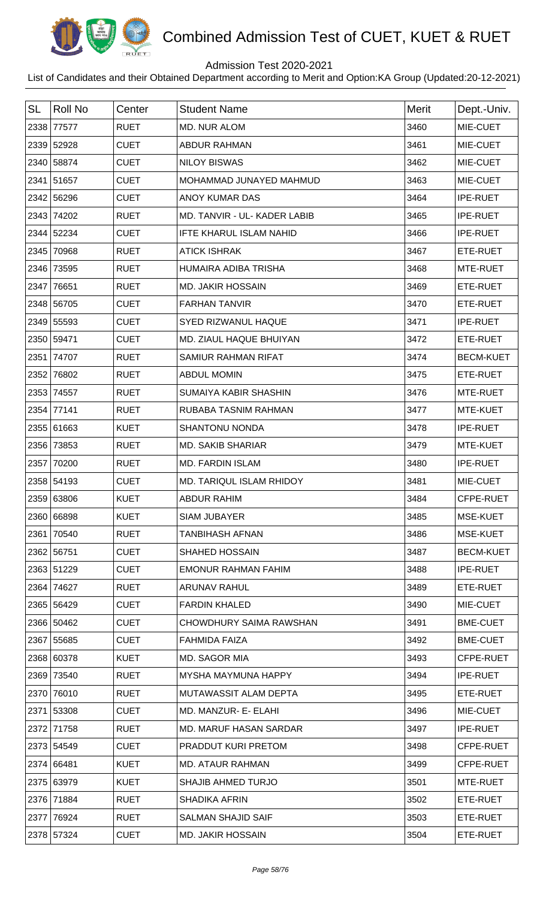

## Admission Test 2020-2021

| <b>SL</b> | Roll No    | Center      | <b>Student Name</b>          | <b>Merit</b> | Dept.-Univ.      |
|-----------|------------|-------------|------------------------------|--------------|------------------|
|           | 2338 77577 | <b>RUET</b> | <b>MD. NUR ALOM</b>          | 3460         | MIE-CUET         |
|           | 2339 52928 | <b>CUET</b> | <b>ABDUR RAHMAN</b>          | 3461         | MIE-CUET         |
|           | 2340 58874 | <b>CUET</b> | <b>NILOY BISWAS</b>          | 3462         | MIE-CUET         |
|           | 2341 51657 | <b>CUET</b> | MOHAMMAD JUNAYED MAHMUD      | 3463         | MIE-CUET         |
|           | 2342 56296 | <b>CUET</b> | ANOY KUMAR DAS               | 3464         | <b>IPE-RUET</b>  |
|           | 2343 74202 | <b>RUET</b> | MD. TANVIR - UL- KADER LABIB | 3465         | <b>IPE-RUET</b>  |
|           | 2344 52234 | <b>CUET</b> | IFTE KHARUL ISLAM NAHID      | 3466         | <b>IPE-RUET</b>  |
|           | 2345 70968 | <b>RUET</b> | <b>ATICK ISHRAK</b>          | 3467         | ETE-RUET         |
|           | 2346 73595 | <b>RUET</b> | HUMAIRA ADIBA TRISHA         | 3468         | MTE-RUET         |
|           | 2347 76651 | <b>RUET</b> | <b>MD. JAKIR HOSSAIN</b>     | 3469         | ETE-RUET         |
|           | 2348 56705 | <b>CUET</b> | <b>FARHAN TANVIR</b>         | 3470         | ETE-RUET         |
|           | 2349 55593 | <b>CUET</b> | <b>SYED RIZWANUL HAQUE</b>   | 3471         | <b>IPE-RUET</b>  |
|           | 2350 59471 | <b>CUET</b> | MD. ZIAUL HAQUE BHUIYAN      | 3472         | ETE-RUET         |
|           | 2351 74707 | <b>RUET</b> | SAMIUR RAHMAN RIFAT          | 3474         | <b>BECM-KUET</b> |
|           | 2352 76802 | <b>RUET</b> | <b>ABDUL MOMIN</b>           | 3475         | ETE-RUET         |
|           | 2353 74557 | <b>RUET</b> | <b>SUMAIYA KABIR SHASHIN</b> | 3476         | MTE-RUET         |
|           | 2354 77141 | <b>RUET</b> | RUBABA TASNIM RAHMAN         | 3477         | MTE-KUET         |
|           | 2355 61663 | <b>KUET</b> | <b>SHANTONU NONDA</b>        | 3478         | <b>IPE-RUET</b>  |
|           | 2356 73853 | <b>RUET</b> | <b>MD. SAKIB SHARIAR</b>     | 3479         | MTE-KUET         |
|           | 2357 70200 | <b>RUET</b> | <b>MD. FARDIN ISLAM</b>      | 3480         | <b>IPE-RUET</b>  |
|           | 2358 54193 | <b>CUET</b> | MD. TARIQUL ISLAM RHIDOY     | 3481         | MIE-CUET         |
|           | 2359 63806 | <b>KUET</b> | ABDUR RAHIM                  | 3484         | <b>CFPE-RUET</b> |
|           | 2360 66898 | <b>KUET</b> | <b>SIAM JUBAYER</b>          | 3485         | MSE-KUET         |
|           | 2361 70540 | <b>RUET</b> | <b>TANBIHASH AFNAN</b>       | 3486         | MSE-KUET         |
|           | 2362 56751 | <b>CUET</b> | <b>SHAHED HOSSAIN</b>        | 3487         | <b>BECM-KUET</b> |
|           | 2363 51229 | <b>CUET</b> | <b>EMONUR RAHMAN FAHIM</b>   | 3488         | <b>IPE-RUET</b>  |
|           | 2364 74627 | <b>RUET</b> | <b>ARUNAV RAHUL</b>          | 3489         | ETE-RUET         |
|           | 2365 56429 | <b>CUET</b> | <b>FARDIN KHALED</b>         | 3490         | MIE-CUET         |
|           | 2366 50462 | <b>CUET</b> | CHOWDHURY SAIMA RAWSHAN      | 3491         | <b>BME-CUET</b>  |
|           | 2367 55685 | <b>CUET</b> | <b>FAHMIDA FAIZA</b>         | 3492         | <b>BME-CUET</b>  |
|           | 2368 60378 | <b>KUET</b> | MD. SAGOR MIA                | 3493         | CFPE-RUET        |
|           | 2369 73540 | <b>RUET</b> | MYSHA MAYMUNA HAPPY          | 3494         | <b>IPE-RUET</b>  |
|           | 2370 76010 | <b>RUET</b> | MUTAWASSIT ALAM DEPTA        | 3495         | ETE-RUET         |
|           | 2371 53308 | <b>CUET</b> | MD. MANZUR- E- ELAHI         | 3496         | MIE-CUET         |
|           | 2372 71758 | <b>RUET</b> | MD. MARUF HASAN SARDAR       | 3497         | <b>IPE-RUET</b>  |
|           | 2373 54549 | <b>CUET</b> | PRADDUT KURI PRETOM          | 3498         | CFPE-RUET        |
|           | 2374 66481 | <b>KUET</b> | <b>MD. ATAUR RAHMAN</b>      | 3499         | CFPE-RUET        |
|           | 2375 63979 | <b>KUET</b> | <b>SHAJIB AHMED TURJO</b>    | 3501         | MTE-RUET         |
|           | 2376 71884 | <b>RUET</b> | <b>SHADIKA AFRIN</b>         | 3502         | ETE-RUET         |
|           | 2377 76924 | <b>RUET</b> | <b>SALMAN SHAJID SAIF</b>    | 3503         | ETE-RUET         |
|           | 2378 57324 | <b>CUET</b> | <b>MD. JAKIR HOSSAIN</b>     | 3504         | ETE-RUET         |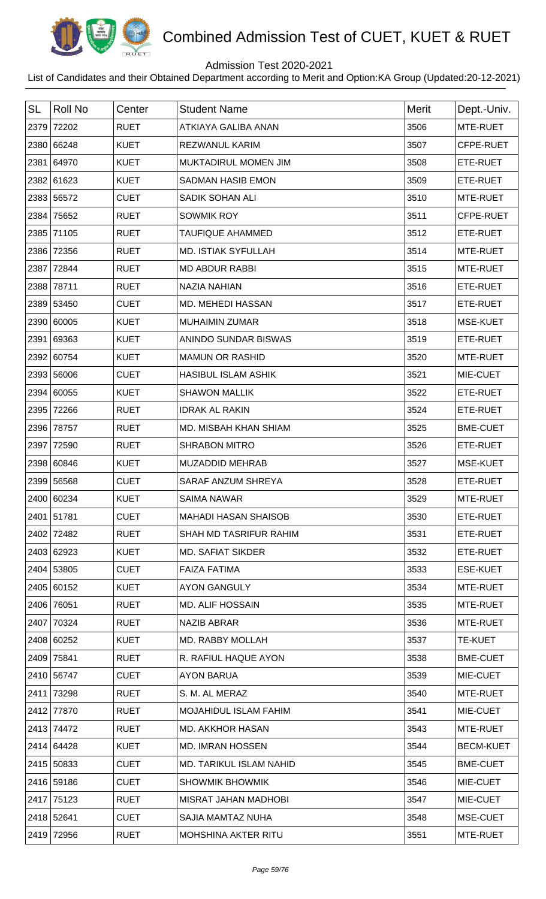

## Admission Test 2020-2021

| <b>SL</b> | <b>Roll No</b> | Center      | <b>Student Name</b>         | Merit | Dept.-Univ.      |
|-----------|----------------|-------------|-----------------------------|-------|------------------|
|           | 2379 72202     | <b>RUET</b> | <b>ATKIAYA GALIBA ANAN</b>  | 3506  | MTE-RUET         |
|           | 2380 66248     | <b>KUET</b> | <b>REZWANUL KARIM</b>       | 3507  | CFPE-RUET        |
|           | 2381 64970     | <b>KUET</b> | MUKTADIRUL MOMEN JIM        | 3508  | ETE-RUET         |
|           | 2382 61623     | <b>KUET</b> | <b>SADMAN HASIB EMON</b>    | 3509  | ETE-RUET         |
|           | 2383 56572     | <b>CUET</b> | SADIK SOHAN ALI             | 3510  | MTE-RUET         |
|           | 2384 75652     | <b>RUET</b> | <b>SOWMIK ROY</b>           | 3511  | CFPE-RUET        |
|           | 2385 71105     | <b>RUET</b> | <b>TAUFIQUE AHAMMED</b>     | 3512  | ETE-RUET         |
|           | 2386 72356     | <b>RUET</b> | <b>MD. ISTIAK SYFULLAH</b>  | 3514  | MTE-RUET         |
| 2387      | 72844          | <b>RUET</b> | <b>MD ABDUR RABBI</b>       | 3515  | MTE-RUET         |
|           | 2388 78711     | <b>RUET</b> | <b>NAZIA NAHIAN</b>         | 3516  | ETE-RUET         |
|           | 2389 53450     | <b>CUET</b> | MD. MEHEDI HASSAN           | 3517  | ETE-RUET         |
|           | 2390 60005     | <b>KUET</b> | <b>MUHAIMIN ZUMAR</b>       | 3518  | <b>MSE-KUET</b>  |
|           | 2391 69363     | <b>KUET</b> | ANINDO SUNDAR BISWAS        | 3519  | ETE-RUET         |
|           | 2392 60754     | <b>KUET</b> | <b>MAMUN OR RASHID</b>      | 3520  | MTE-RUET         |
|           | 2393 56006     | <b>CUET</b> | <b>HASIBUL ISLAM ASHIK</b>  | 3521  | MIE-CUET         |
|           | 2394 60055     | <b>KUET</b> | <b>SHAWON MALLIK</b>        | 3522  | ETE-RUET         |
|           | 2395 72266     | <b>RUET</b> | <b>IDRAK AL RAKIN</b>       | 3524  | ETE-RUET         |
|           | 2396 78757     | <b>RUET</b> | MD. MISBAH KHAN SHIAM       | 3525  | <b>BME-CUET</b>  |
|           | 2397 72590     | <b>RUET</b> | <b>SHRABON MITRO</b>        | 3526  | ETE-RUET         |
|           | 2398 60846     | <b>KUET</b> | MUZADDID MEHRAB             | 3527  | MSE-KUET         |
|           | 2399 56568     | <b>CUET</b> | SARAF ANZUM SHREYA          | 3528  | ETE-RUET         |
|           | 2400 60234     | <b>KUET</b> | <b>SAIMA NAWAR</b>          | 3529  | MTE-RUET         |
|           | 2401 51781     | <b>CUET</b> | <b>MAHADI HASAN SHAISOB</b> | 3530  | ETE-RUET         |
|           | 2402 72482     | <b>RUET</b> | SHAH MD TASRIFUR RAHIM      | 3531  | ETE-RUET         |
|           | 2403 62923     | <b>KUET</b> | <b>MD. SAFIAT SIKDER</b>    | 3532  | ETE-RUET         |
|           | 2404 53805     | <b>CUET</b> | <b>FAIZA FATIMA</b>         | 3533  | <b>ESE-KUET</b>  |
|           | 2405 60152     | <b>KUET</b> | <b>AYON GANGULY</b>         | 3534  | MTE-RUET         |
|           | 2406 76051     | <b>RUET</b> | <b>MD. ALIF HOSSAIN</b>     | 3535  | MTE-RUET         |
|           | 2407 70324     | <b>RUET</b> | <b>NAZIB ABRAR</b>          | 3536  | MTE-RUET         |
|           | 2408 60252     | <b>KUET</b> | MD. RABBY MOLLAH            | 3537  | <b>TE-KUET</b>   |
|           | 2409 75841     | <b>RUET</b> | R. RAFIUL HAQUE AYON        | 3538  | <b>BME-CUET</b>  |
|           | 2410 56747     | <b>CUET</b> | <b>AYON BARUA</b>           | 3539  | MIE-CUET         |
|           | 2411 73298     | <b>RUET</b> | S. M. AL MERAZ              | 3540  | MTE-RUET         |
|           | 2412 77870     | <b>RUET</b> | MOJAHIDUL ISLAM FAHIM       | 3541  | MIE-CUET         |
|           | 2413 74472     | <b>RUET</b> | <b>MD. AKKHOR HASAN</b>     | 3543  | MTE-RUET         |
|           | 2414 64428     | <b>KUET</b> | <b>MD. IMRAN HOSSEN</b>     | 3544  | <b>BECM-KUET</b> |
|           | 2415 50833     | <b>CUET</b> | MD. TARIKUL ISLAM NAHID     | 3545  | <b>BME-CUET</b>  |
|           | 2416 59186     | <b>CUET</b> | <b>SHOWMIK BHOWMIK</b>      | 3546  | MIE-CUET         |
|           | 2417 75123     | <b>RUET</b> | MISRAT JAHAN MADHOBI        | 3547  | MIE-CUET         |
|           | 2418 52641     | <b>CUET</b> | SAJIA MAMTAZ NUHA           | 3548  | MSE-CUET         |
|           | 2419 72956     | <b>RUET</b> | <b>MOHSHINA AKTER RITU</b>  | 3551  | MTE-RUET         |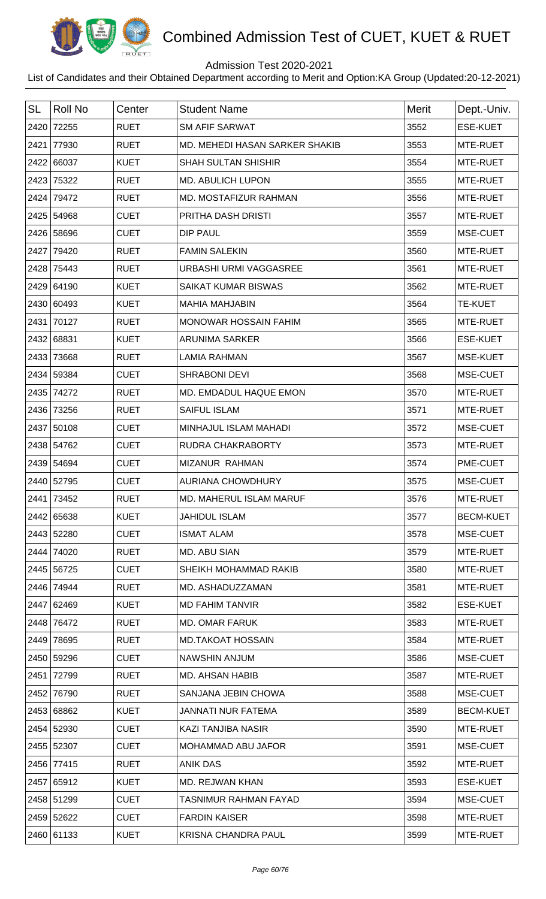

## Admission Test 2020-2021

| <b>SL</b> | Roll No    | Center      | <b>Student Name</b>            | <b>Merit</b> | Dept.-Univ.      |
|-----------|------------|-------------|--------------------------------|--------------|------------------|
|           | 2420 72255 | <b>RUET</b> | <b>SM AFIF SARWAT</b>          | 3552         | <b>ESE-KUET</b>  |
|           | 2421 77930 | <b>RUET</b> | MD. MEHEDI HASAN SARKER SHAKIB | 3553         | MTE-RUET         |
|           | 2422 66037 | <b>KUET</b> | <b>SHAH SULTAN SHISHIR</b>     | 3554         | MTE-RUET         |
|           | 2423 75322 | <b>RUET</b> | MD. ABULICH LUPON              | 3555         | MTE-RUET         |
|           | 2424 79472 | <b>RUET</b> | MD. MOSTAFIZUR RAHMAN          | 3556         | MTE-RUET         |
|           | 2425 54968 | <b>CUET</b> | PRITHA DASH DRISTI             | 3557         | MTE-RUET         |
|           | 2426 58696 | <b>CUET</b> | <b>DIP PAUL</b>                | 3559         | MSE-CUET         |
|           | 2427 79420 | <b>RUET</b> | <b>FAMIN SALEKIN</b>           | 3560         | MTE-RUET         |
|           | 2428 75443 | <b>RUET</b> | <b>URBASHI URMI VAGGASREE</b>  | 3561         | MTE-RUET         |
|           | 2429 64190 | <b>KUET</b> | <b>SAIKAT KUMAR BISWAS</b>     | 3562         | MTE-RUET         |
|           | 2430 60493 | <b>KUET</b> | <b>MAHIA MAHJABIN</b>          | 3564         | <b>TE-KUET</b>   |
|           | 2431 70127 | <b>RUET</b> | MONOWAR HOSSAIN FAHIM          | 3565         | MTE-RUET         |
|           | 2432 68831 | <b>KUET</b> | <b>ARUNIMA SARKER</b>          | 3566         | <b>ESE-KUET</b>  |
|           | 2433 73668 | <b>RUET</b> | <b>LAMIA RAHMAN</b>            | 3567         | MSE-KUET         |
|           | 2434 59384 | <b>CUET</b> | <b>SHRABONI DEVI</b>           | 3568         | MSE-CUET         |
|           | 2435 74272 | <b>RUET</b> | MD. EMDADUL HAQUE EMON         | 3570         | MTE-RUET         |
|           | 2436 73256 | <b>RUET</b> | <b>SAIFUL ISLAM</b>            | 3571         | MTE-RUET         |
|           | 2437 50108 | <b>CUET</b> | MINHAJUL ISLAM MAHADI          | 3572         | MSE-CUET         |
|           | 2438 54762 | <b>CUET</b> | <b>RUDRA CHAKRABORTY</b>       | 3573         | MTE-RUET         |
|           | 2439 54694 | <b>CUET</b> | MIZANUR RAHMAN                 | 3574         | PME-CUET         |
|           | 2440 52795 | <b>CUET</b> | <b>AURIANA CHOWDHURY</b>       | 3575         | MSE-CUET         |
|           | 2441 73452 | <b>RUET</b> | MD. MAHERUL ISLAM MARUF        | 3576         | MTE-RUET         |
|           | 2442 65638 | <b>KUET</b> | <b>JAHIDUL ISLAM</b>           | 3577         | <b>BECM-KUET</b> |
|           | 2443 52280 | <b>CUET</b> | <b>ISMAT ALAM</b>              | 3578         | MSE-CUET         |
|           | 2444 74020 | <b>RUET</b> | MD. ABU SIAN                   | 3579         | MTE-RUET         |
|           | 2445 56725 | <b>CUET</b> | SHEIKH MOHAMMAD RAKIB          | 3580         | MTE-RUET         |
|           | 2446 74944 | <b>RUET</b> | MD. ASHADUZZAMAN               | 3581         | MTE-RUET         |
|           | 2447 62469 | <b>KUET</b> | <b>MD FAHIM TANVIR</b>         | 3582         | <b>ESE-KUET</b>  |
|           | 2448 76472 | <b>RUET</b> | <b>MD. OMAR FARUK</b>          | 3583         | MTE-RUET         |
|           | 2449 78695 | <b>RUET</b> | <b>MD.TAKOAT HOSSAIN</b>       | 3584         | MTE-RUET         |
|           | 2450 59296 | <b>CUET</b> | NAWSHIN ANJUM                  | 3586         | MSE-CUET         |
|           | 2451 72799 | <b>RUET</b> | <b>MD. AHSAN HABIB</b>         | 3587         | MTE-RUET         |
|           | 2452 76790 | <b>RUET</b> | SANJANA JEBIN CHOWA            | 3588         | MSE-CUET         |
|           | 2453 68862 | <b>KUET</b> | <b>JANNATI NUR FATEMA</b>      | 3589         | <b>BECM-KUET</b> |
|           | 2454 52930 | <b>CUET</b> | KAZI TANJIBA NASIR             | 3590         | MTE-RUET         |
|           | 2455 52307 | <b>CUET</b> | MOHAMMAD ABU JAFOR             | 3591         | MSE-CUET         |
|           | 2456 77415 | <b>RUET</b> | <b>ANIK DAS</b>                | 3592         | MTE-RUET         |
|           | 2457 65912 | <b>KUET</b> | MD. REJWAN KHAN                | 3593         | <b>ESE-KUET</b>  |
|           | 2458 51299 | <b>CUET</b> | <b>TASNIMUR RAHMAN FAYAD</b>   | 3594         | MSE-CUET         |
|           | 2459 52622 | <b>CUET</b> | <b>FARDIN KAISER</b>           | 3598         | MTE-RUET         |
|           | 2460 61133 | <b>KUET</b> | <b>KRISNA CHANDRA PAUL</b>     | 3599         | MTE-RUET         |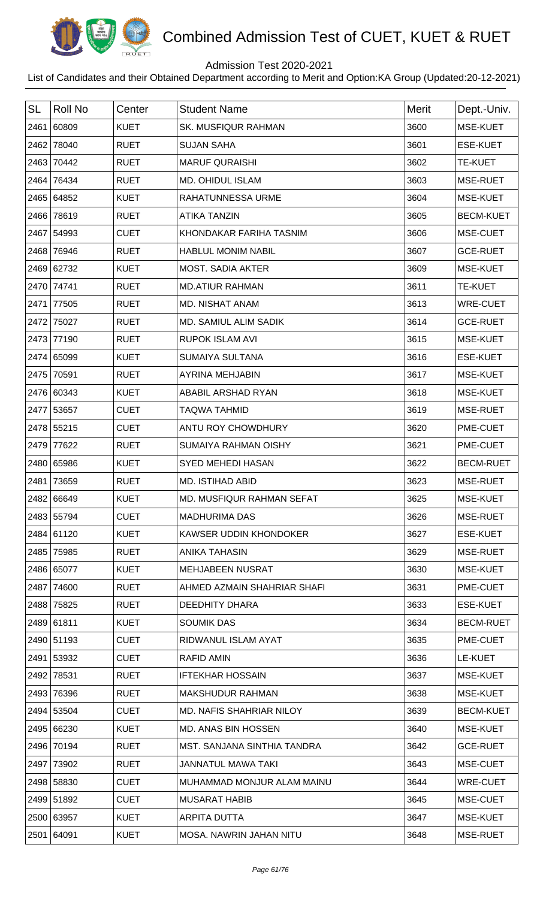

## Admission Test 2020-2021

| <b>SL</b> | <b>Roll No</b> | Center      | <b>Student Name</b>             | Merit | Dept.-Univ.      |
|-----------|----------------|-------------|---------------------------------|-------|------------------|
| 2461      | 60809          | <b>KUET</b> | <b>SK. MUSFIQUR RAHMAN</b>      | 3600  | MSE-KUET         |
| 2462      | 78040          | <b>RUET</b> | <b>SUJAN SAHA</b>               | 3601  | <b>ESE-KUET</b>  |
| 2463      | 70442          | <b>RUET</b> | <b>MARUF QURAISHI</b>           | 3602  | <b>TE-KUET</b>   |
| 2464      | 76434          | <b>RUET</b> | <b>MD. OHIDUL ISLAM</b>         | 3603  | MSE-RUET         |
|           | 2465 64852     | <b>KUET</b> | RAHATUNNESSA URME               | 3604  | MSE-KUET         |
|           | 2466 78619     | <b>RUET</b> | <b>ATIKA TANZIN</b>             | 3605  | <b>BECM-KUET</b> |
|           | 2467 54993     | <b>CUET</b> | KHONDAKAR FARIHA TASNIM         | 3606  | MSE-CUET         |
| 2468      | 76946          | <b>RUET</b> | <b>HABLUL MONIM NABIL</b>       | 3607  | <b>GCE-RUET</b>  |
|           | 2469 62732     | <b>KUET</b> | <b>MOST. SADIA AKTER</b>        | 3609  | MSE-KUET         |
|           | 2470 74741     | <b>RUET</b> | <b>MD.ATIUR RAHMAN</b>          | 3611  | TE-KUET          |
| 2471      | 77505          | <b>RUET</b> | MD. NISHAT ANAM                 | 3613  | <b>WRE-CUET</b>  |
| 2472      | 75027          | <b>RUET</b> | <b>MD. SAMIUL ALIM SADIK</b>    | 3614  | <b>GCE-RUET</b>  |
| 2473      | 77190          | <b>RUET</b> | <b>RUPOK ISLAM AVI</b>          | 3615  | MSE-KUET         |
|           | 2474 65099     | <b>KUET</b> | <b>SUMAIYA SULTANA</b>          | 3616  | <b>ESE-KUET</b>  |
| 2475      | 70591          | <b>RUET</b> | <b>AYRINA MEHJABIN</b>          | 3617  | MSE-KUET         |
|           | 2476 60343     | <b>KUET</b> | ABABIL ARSHAD RYAN              | 3618  | MSE-KUET         |
|           | 2477 53657     | <b>CUET</b> | <b>TAQWA TAHMID</b>             | 3619  | MSE-RUET         |
|           | 2478 55215     | <b>CUET</b> | ANTU ROY CHOWDHURY              | 3620  | PME-CUET         |
| 2479      | 77622          | <b>RUET</b> | <b>SUMAIYA RAHMAN OISHY</b>     | 3621  | PME-CUET         |
|           | 2480 65986     | <b>KUET</b> | <b>SYED MEHEDI HASAN</b>        | 3622  | <b>BECM-RUET</b> |
| 2481      | 73659          | <b>RUET</b> | <b>MD. ISTIHAD ABID</b>         | 3623  | MSE-RUET         |
|           | 2482 66649     | <b>KUET</b> | MD. MUSFIQUR RAHMAN SEFAT       | 3625  | MSE-KUET         |
|           | 2483 55794     | <b>CUET</b> | <b>MADHURIMA DAS</b>            | 3626  | MSE-RUET         |
|           | 2484 61120     | <b>KUET</b> | KAWSER UDDIN KHONDOKER          | 3627  | <b>ESE-KUET</b>  |
|           | 2485 75985     | <b>RUET</b> | <b>ANIKA TAHASIN</b>            | 3629  | MSE-RUET         |
|           | 2486 65077     | <b>KUET</b> | <b>MEHJABEEN NUSRAT</b>         | 3630  | MSE-KUET         |
|           | 2487 74600     | <b>RUET</b> | AHMED AZMAIN SHAHRIAR SHAFI     | 3631  | PME-CUET         |
|           | 2488 75825     | <b>RUET</b> | <b>DEEDHITY DHARA</b>           | 3633  | <b>ESE-KUET</b>  |
|           | 2489 61811     | <b>KUET</b> | <b>SOUMIK DAS</b>               | 3634  | <b>BECM-RUET</b> |
|           | 2490 51193     | <b>CUET</b> | RIDWANUL ISLAM AYAT             | 3635  | PME-CUET         |
|           | 2491 53932     | <b>CUET</b> | <b>RAFID AMIN</b>               | 3636  | LE-KUET          |
|           | 2492 78531     | <b>RUET</b> | <b>IFTEKHAR HOSSAIN</b>         | 3637  | MSE-KUET         |
| 2493      | 76396          | <b>RUET</b> | <b>MAKSHUDUR RAHMAN</b>         | 3638  | MSE-KUET         |
|           | 2494 53504     | <b>CUET</b> | <b>MD. NAFIS SHAHRIAR NILOY</b> | 3639  | <b>BECM-KUET</b> |
|           | 2495 66230     | <b>KUET</b> | <b>MD. ANAS BIN HOSSEN</b>      | 3640  | MSE-KUET         |
|           | 2496 70194     | <b>RUET</b> | MST. SANJANA SINTHIA TANDRA     | 3642  | <b>GCE-RUET</b>  |
|           | 2497 73902     | <b>RUET</b> | <b>JANNATUL MAWA TAKI</b>       | 3643  | MSE-CUET         |
|           | 2498 58830     | <b>CUET</b> | MUHAMMAD MONJUR ALAM MAINU      | 3644  | <b>WRE-CUET</b>  |
|           | 2499 51892     | <b>CUET</b> | <b>MUSARAT HABIB</b>            | 3645  | MSE-CUET         |
|           | 2500 63957     | <b>KUET</b> | ARPITA DUTTA                    | 3647  | MSE-KUET         |
|           | 2501 64091     | <b>KUET</b> | MOSA. NAWRIN JAHAN NITU         | 3648  | MSE-RUET         |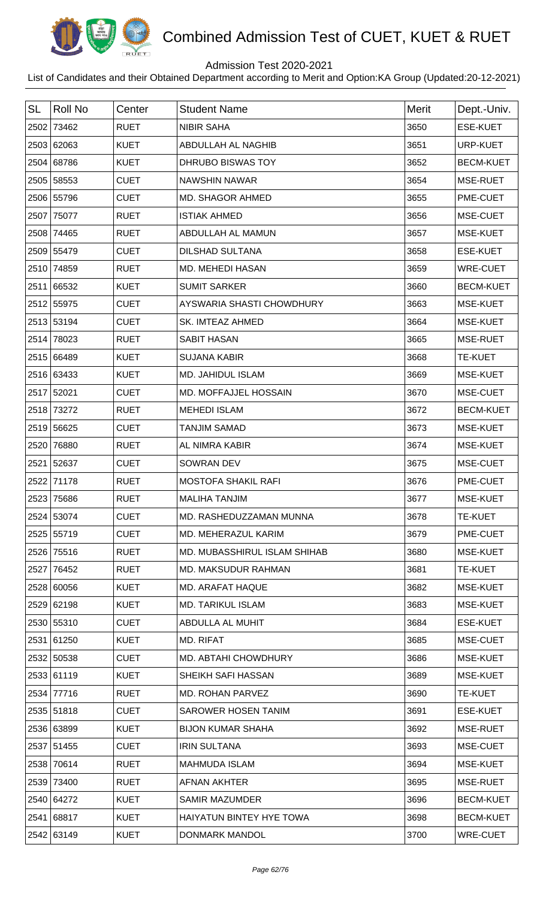

## Admission Test 2020-2021

| <b>SL</b> | <b>Roll No</b> | Center      | <b>Student Name</b>             | <b>Merit</b> | Dept.-Univ.      |
|-----------|----------------|-------------|---------------------------------|--------------|------------------|
| 2502      | 73462          | <b>RUET</b> | <b>NIBIR SAHA</b>               | 3650         | ESE-KUET         |
|           | 2503 62063     | <b>KUET</b> | ABDULLAH AL NAGHIB              | 3651         | URP-KUET         |
| 2504      | 68786          | <b>KUET</b> | DHRUBO BISWAS TOY               | 3652         | <b>BECM-KUET</b> |
|           | 2505 58553     | <b>CUET</b> | <b>NAWSHIN NAWAR</b>            | 3654         | MSE-RUET         |
|           | 2506 55796     | <b>CUET</b> | MD. SHAGOR AHMED                | 3655         | PME-CUET         |
| 2507      | 75077          | <b>RUET</b> | <b>ISTIAK AHMED</b>             | 3656         | MSE-CUET         |
| 2508      | 74465          | <b>RUET</b> | ABDULLAH AL MAMUN               | 3657         | MSE-KUET         |
|           | 2509 55479     | <b>CUET</b> | <b>DILSHAD SULTANA</b>          | 3658         | <b>ESE-KUET</b>  |
| 2510      | 74859          | <b>RUET</b> | MD. MEHEDI HASAN                | 3659         | <b>WRE-CUET</b>  |
| 2511      | 66532          | <b>KUET</b> | <b>SUMIT SARKER</b>             | 3660         | <b>BECM-KUET</b> |
|           | 2512 55975     | <b>CUET</b> | AYSWARIA SHASTI CHOWDHURY       | 3663         | MSE-KUET         |
|           | 2513 53194     | <b>CUET</b> | SK. IMTEAZ AHMED                | 3664         | MSE-KUET         |
| 2514      | 78023          | <b>RUET</b> | <b>SABIT HASAN</b>              | 3665         | MSE-RUET         |
|           | 2515 66489     | <b>KUET</b> | <b>SUJANA KABIR</b>             | 3668         | <b>TE-KUET</b>   |
|           | 2516 63433     | <b>KUET</b> | MD. JAHIDUL ISLAM               | 3669         | MSE-KUET         |
|           | 2517 52021     | <b>CUET</b> | MD. MOFFAJJEL HOSSAIN           | 3670         | MSE-CUET         |
| 2518      | 73272          | <b>RUET</b> | <b>MEHEDI ISLAM</b>             | 3672         | <b>BECM-KUET</b> |
| 2519      | 56625          | <b>CUET</b> | <b>TANJIM SAMAD</b>             | 3673         | MSE-KUET         |
| 2520      | 76880          | <b>RUET</b> | AL NIMRA KABIR                  | 3674         | MSE-KUET         |
| 2521      | 52637          | <b>CUET</b> | SOWRAN DEV                      | 3675         | MSE-CUET         |
| 2522      | 71178          | <b>RUET</b> | <b>MOSTOFA SHAKIL RAFI</b>      | 3676         | PME-CUET         |
|           | 2523 75686     | <b>RUET</b> | <b>MALIHA TANJIM</b>            | 3677         | <b>MSE-KUET</b>  |
|           | 2524 53074     | <b>CUET</b> | MD. RASHEDUZZAMAN MUNNA         | 3678         | <b>TE-KUET</b>   |
|           | 2525 55719     | <b>CUET</b> | MD. MEHERAZUL KARIM             | 3679         | PME-CUET         |
|           | 2526 75516     | <b>RUET</b> | MD. MUBASSHIRUL ISLAM SHIHAB    | 3680         | MSE-KUET         |
| 2527      | 76452          | <b>RUET</b> | <b>MD. MAKSUDUR RAHMAN</b>      | 3681         | <b>TE-KUET</b>   |
|           | 2528 60056     | <b>KUET</b> | MD. ARAFAT HAQUE                | 3682         | MSE-KUET         |
|           | 2529 62198     | <b>KUET</b> | <b>MD. TARIKUL ISLAM</b>        | 3683         | MSE-KUET         |
|           | 2530 55310     | <b>CUET</b> | ABDULLA AL MUHIT                | 3684         | <b>ESE-KUET</b>  |
|           | 2531 61250     | <b>KUET</b> | MD. RIFAT                       | 3685         | MSE-CUET         |
|           | 2532 50538     | <b>CUET</b> | <b>MD. ABTAHI CHOWDHURY</b>     | 3686         | MSE-KUET         |
|           | 2533 61119     | <b>KUET</b> | SHEIKH SAFI HASSAN              | 3689         | MSE-KUET         |
| 2534      | 77716          | <b>RUET</b> | MD. ROHAN PARVEZ                | 3690         | <b>TE-KUET</b>   |
|           | 2535 51818     | <b>CUET</b> | <b>SAROWER HOSEN TANIM</b>      | 3691         | <b>ESE-KUET</b>  |
|           | 2536 63899     | <b>KUET</b> | <b>BIJON KUMAR SHAHA</b>        | 3692         | MSE-RUET         |
|           | 2537 51455     | <b>CUET</b> | <b>IRIN SULTANA</b>             | 3693         | MSE-CUET         |
|           | 2538 70614     | <b>RUET</b> | <b>MAHMUDA ISLAM</b>            | 3694         | MSE-KUET         |
| 2539      | 73400          | <b>RUET</b> | AFNAN AKHTER                    | 3695         | MSE-RUET         |
|           | 2540 64272     | <b>KUET</b> | <b>SAMIR MAZUMDER</b>           | 3696         | <b>BECM-KUET</b> |
|           | 2541 68817     | <b>KUET</b> | <b>HAIYATUN BINTEY HYE TOWA</b> | 3698         | <b>BECM-KUET</b> |
|           | 2542 63149     | <b>KUET</b> | DONMARK MANDOL                  | 3700         | <b>WRE-CUET</b>  |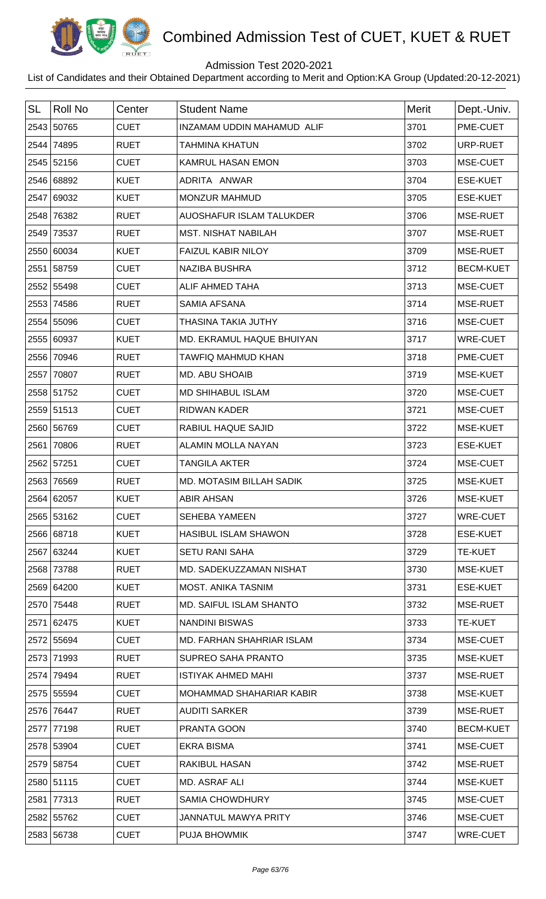

## Admission Test 2020-2021

| <b>SL</b> | <b>Roll No</b> | Center      | <b>Student Name</b>             | Merit | Dept.-Univ.      |
|-----------|----------------|-------------|---------------------------------|-------|------------------|
|           | 2543 50765     | <b>CUET</b> | INZAMAM UDDIN MAHAMUD ALIF      | 3701  | PME-CUET         |
|           | 2544 74895     | <b>RUET</b> | <b>TAHMINA KHATUN</b>           | 3702  | URP-RUET         |
|           | 2545 52156     | <b>CUET</b> | KAMRUL HASAN EMON               | 3703  | MSE-CUET         |
|           | 2546 68892     | <b>KUET</b> | ADRITA ANWAR                    | 3704  | <b>ESE-KUET</b>  |
|           | 2547 69032     | <b>KUET</b> | <b>MONZUR MAHMUD</b>            | 3705  | <b>ESE-KUET</b>  |
| 2548      | 76382          | <b>RUET</b> | AUOSHAFUR ISLAM TALUKDER        | 3706  | MSE-RUET         |
|           | 2549 73537     | <b>RUET</b> | <b>MST. NISHAT NABILAH</b>      | 3707  | MSE-RUET         |
|           | 2550 60034     | <b>KUET</b> | <b>FAIZUL KABIR NILOY</b>       | 3709  | MSE-RUET         |
|           | 2551 58759     | <b>CUET</b> | <b>NAZIBA BUSHRA</b>            | 3712  | <b>BECM-KUET</b> |
|           | 2552 55498     | <b>CUET</b> | ALIF AHMED TAHA                 | 3713  | MSE-CUET         |
|           | 2553 74586     | <b>RUET</b> | <b>SAMIA AFSANA</b>             | 3714  | MSE-RUET         |
|           | 2554 55096     | <b>CUET</b> | THASINA TAKIA JUTHY             | 3716  | MSE-CUET         |
|           | 2555 60937     | <b>KUET</b> | MD. EKRAMUL HAQUE BHUIYAN       | 3717  | <b>WRE-CUET</b>  |
|           | 2556 70946     | <b>RUET</b> | TAWFIQ MAHMUD KHAN              | 3718  | PME-CUET         |
|           | 2557 70807     | <b>RUET</b> | <b>MD. ABU SHOAIB</b>           | 3719  | MSE-KUET         |
|           | 2558 51752     | <b>CUET</b> | <b>MD SHIHABUL ISLAM</b>        | 3720  | MSE-CUET         |
|           | 2559 51513     | <b>CUET</b> | <b>RIDWAN KADER</b>             | 3721  | MSE-CUET         |
|           | 2560 56769     | <b>CUET</b> | RABIUL HAQUE SAJID              | 3722  | MSE-KUET         |
|           | 2561 70806     | <b>RUET</b> | ALAMIN MOLLA NAYAN              | 3723  | <b>ESE-KUET</b>  |
|           | 2562 57251     | <b>CUET</b> | <b>TANGILA AKTER</b>            | 3724  | MSE-CUET         |
| 2563      | 76569          | <b>RUET</b> | <b>MD. MOTASIM BILLAH SADIK</b> | 3725  | <b>MSE-KUET</b>  |
|           | 2564 62057     | <b>KUET</b> | <b>ABIR AHSAN</b>               | 3726  | <b>MSE-KUET</b>  |
|           | 2565 53162     | <b>CUET</b> | <b>SEHEBA YAMEEN</b>            | 3727  | <b>WRE-CUET</b>  |
|           | 2566 68718     | <b>KUET</b> | <b>HASIBUL ISLAM SHAWON</b>     | 3728  | <b>ESE-KUET</b>  |
|           | 2567 63244     | <b>KUET</b> | <b>SETU RANI SAHA</b>           | 3729  | <b>TE-KUET</b>   |
|           | 2568 73788     | <b>RUET</b> | MD. SADEKUZZAMAN NISHAT         | 3730  | MSE-KUET         |
|           | 2569 64200     | <b>KUET</b> | <b>MOST. ANIKA TASNIM</b>       | 3731  | <b>ESE-KUET</b>  |
|           | 2570 75448     | <b>RUET</b> | MD. SAIFUL ISLAM SHANTO         | 3732  | MSE-RUET         |
|           | 2571 62475     | <b>KUET</b> | <b>NANDINI BISWAS</b>           | 3733  | <b>TE-KUET</b>   |
|           | 2572 55694     | <b>CUET</b> | MD. FARHAN SHAHRIAR ISLAM       | 3734  | MSE-CUET         |
|           | 2573 71993     | <b>RUET</b> | <b>SUPREO SAHA PRANTO</b>       | 3735  | MSE-KUET         |
|           | 2574 79494     | <b>RUET</b> | <b>ISTIYAK AHMED MAHI</b>       | 3737  | MSE-RUET         |
|           | 2575 55594     | <b>CUET</b> | MOHAMMAD SHAHARIAR KABIR        | 3738  | MSE-KUET         |
|           | 2576 76447     | <b>RUET</b> | <b>AUDITI SARKER</b>            | 3739  | MSE-RUET         |
|           | 2577 77198     | <b>RUET</b> | PRANTA GOON                     | 3740  | <b>BECM-KUET</b> |
|           | 2578 53904     | <b>CUET</b> | <b>EKRA BISMA</b>               | 3741  | MSE-CUET         |
|           | 2579 58754     | <b>CUET</b> | <b>RAKIBUL HASAN</b>            | 3742  | MSE-RUET         |
|           | 2580 51115     | <b>CUET</b> | MD. ASRAF ALI                   | 3744  | MSE-KUET         |
|           | 2581 77313     | <b>RUET</b> | <b>SAMIA CHOWDHURY</b>          | 3745  | MSE-CUET         |
|           | 2582 55762     | <b>CUET</b> | <b>JANNATUL MAWYA PRITY</b>     | 3746  | MSE-CUET         |
|           | 2583 56738     | <b>CUET</b> | <b>PUJA BHOWMIK</b>             | 3747  | <b>WRE-CUET</b>  |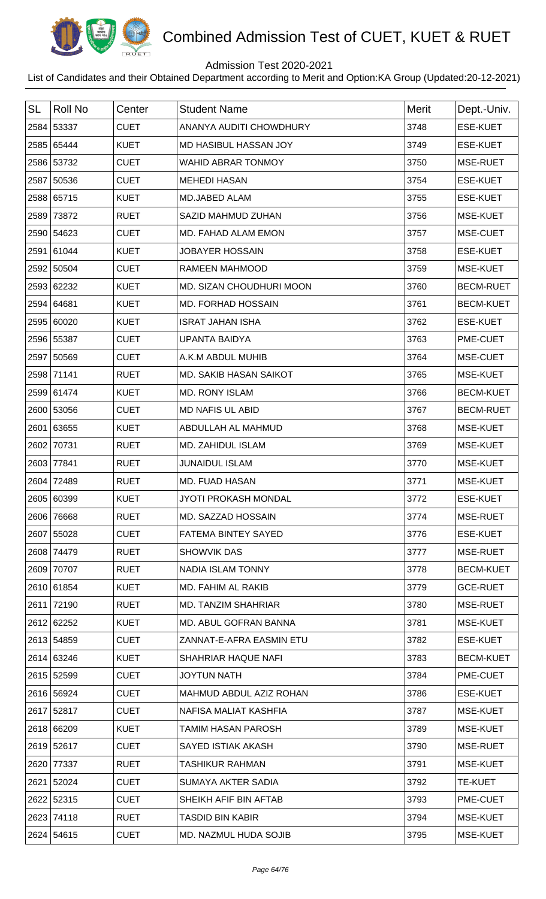

## Admission Test 2020-2021

| <b>SL</b> | <b>Roll No</b> | Center      | <b>Student Name</b>           | <b>Merit</b> | Dept.-Univ.      |
|-----------|----------------|-------------|-------------------------------|--------------|------------------|
|           | 2584 53337     | <b>CUET</b> | ANANYA AUDITI CHOWDHURY       | 3748         | <b>ESE-KUET</b>  |
|           | 2585 65444     | <b>KUET</b> | MD HASIBUL HASSAN JOY         | 3749         | <b>ESE-KUET</b>  |
|           | 2586 53732     | <b>CUET</b> | <b>WAHID ABRAR TONMOY</b>     | 3750         | MSE-RUET         |
|           | 2587 50536     | <b>CUET</b> | <b>MEHEDI HASAN</b>           | 3754         | <b>ESE-KUET</b>  |
|           | 2588 65715     | <b>KUET</b> | <b>MD.JABED ALAM</b>          | 3755         | <b>ESE-KUET</b>  |
|           | 2589 73872     | <b>RUET</b> | SAZID MAHMUD ZUHAN            | 3756         | MSE-KUET         |
|           | 2590 54623     | <b>CUET</b> | MD. FAHAD ALAM EMON           | 3757         | MSE-CUET         |
|           | 2591 61044     | <b>KUET</b> | <b>JOBAYER HOSSAIN</b>        | 3758         | <b>ESE-KUET</b>  |
|           | 2592 50504     | <b>CUET</b> | <b>RAMEEN MAHMOOD</b>         | 3759         | MSE-KUET         |
|           | 2593 62232     | <b>KUET</b> | MD. SIZAN CHOUDHURI MOON      | 3760         | <b>BECM-RUET</b> |
|           | 2594 64681     | <b>KUET</b> | MD. FORHAD HOSSAIN            | 3761         | <b>BECM-KUET</b> |
|           | 2595 60020     | <b>KUET</b> | <b>ISRAT JAHAN ISHA</b>       | 3762         | <b>ESE-KUET</b>  |
|           | 2596 55387     | <b>CUET</b> | <b>UPANTA BAIDYA</b>          | 3763         | PME-CUET         |
|           | 2597 50569     | <b>CUET</b> | A.K.M ABDUL MUHIB             | 3764         | MSE-CUET         |
|           | 2598 71141     | <b>RUET</b> | <b>MD. SAKIB HASAN SAIKOT</b> | 3765         | MSE-KUET         |
|           | 2599 61474     | <b>KUET</b> | <b>MD. RONY ISLAM</b>         | 3766         | <b>BECM-KUET</b> |
|           | 2600 53056     | <b>CUET</b> | <b>MD NAFIS UL ABID</b>       | 3767         | <b>BECM-RUET</b> |
|           | 2601 63655     | <b>KUET</b> | ABDULLAH AL MAHMUD            | 3768         | MSE-KUET         |
|           | 2602 70731     | <b>RUET</b> | MD. ZAHIDUL ISLAM             | 3769         | MSE-KUET         |
|           | 2603 77841     | <b>RUET</b> | <b>JUNAIDUL ISLAM</b>         | 3770         | MSE-KUET         |
| 2604      | 72489          | <b>RUET</b> | <b>MD. FUAD HASAN</b>         | 3771         | <b>MSE-KUET</b>  |
|           | 2605 60399     | <b>KUET</b> | <b>JYOTI PROKASH MONDAL</b>   | 3772         | <b>ESE-KUET</b>  |
|           | 2606 76668     | <b>RUET</b> | MD. SAZZAD HOSSAIN            | 3774         | MSE-RUET         |
|           | 2607 55028     | <b>CUET</b> | FATEMA BINTEY SAYED           | 3776         | <b>ESE-KUET</b>  |
|           | 2608 74479     | <b>RUET</b> | <b>SHOWVIK DAS</b>            | 3777         | MSE-RUET         |
|           | 2609 70707     | <b>RUET</b> | <b>NADIA ISLAM TONNY</b>      | 3778         | <b>BECM-KUET</b> |
|           | 2610 61854     | <b>KUET</b> | MD. FAHIM AL RAKIB            | 3779         | <b>GCE-RUET</b>  |
|           | 2611 72190     | <b>RUET</b> | MD. TANZIM SHAHRIAR           | 3780         | MSE-RUET         |
|           | 2612 62252     | <b>KUET</b> | MD. ABUL GOFRAN BANNA         | 3781         | MSE-KUET         |
|           | 2613 54859     | <b>CUET</b> | ZANNAT-E-AFRA EASMIN ETU      | 3782         | <b>ESE-KUET</b>  |
|           | 2614 63246     | <b>KUET</b> | SHAHRIAR HAQUE NAFI           | 3783         | <b>BECM-KUET</b> |
|           | 2615 52599     | <b>CUET</b> | <b>JOYTUN NATH</b>            | 3784         | PME-CUET         |
|           | 2616 56924     | <b>CUET</b> | MAHMUD ABDUL AZIZ ROHAN       | 3786         | <b>ESE-KUET</b>  |
|           | 2617 52817     | <b>CUET</b> | NAFISA MALIAT KASHFIA         | 3787         | MSE-KUET         |
|           | 2618 66209     | <b>KUET</b> | <b>TAMIM HASAN PAROSH</b>     | 3789         | MSE-KUET         |
|           | 2619 52617     | <b>CUET</b> | SAYED ISTIAK AKASH            | 3790         | MSE-RUET         |
|           | 2620 77337     | <b>RUET</b> | <b>TASHIKUR RAHMAN</b>        | 3791         | MSE-KUET         |
|           | 2621 52024     | <b>CUET</b> | SUMAYA AKTER SADIA            | 3792         | <b>TE-KUET</b>   |
|           | 2622 52315     | <b>CUET</b> | SHEIKH AFIF BIN AFTAB         | 3793         | PME-CUET         |
|           | 2623 74118     | <b>RUET</b> | <b>TASDID BIN KABIR</b>       | 3794         | MSE-KUET         |
|           | 2624 54615     | <b>CUET</b> | MD. NAZMUL HUDA SOJIB         | 3795         | MSE-KUET         |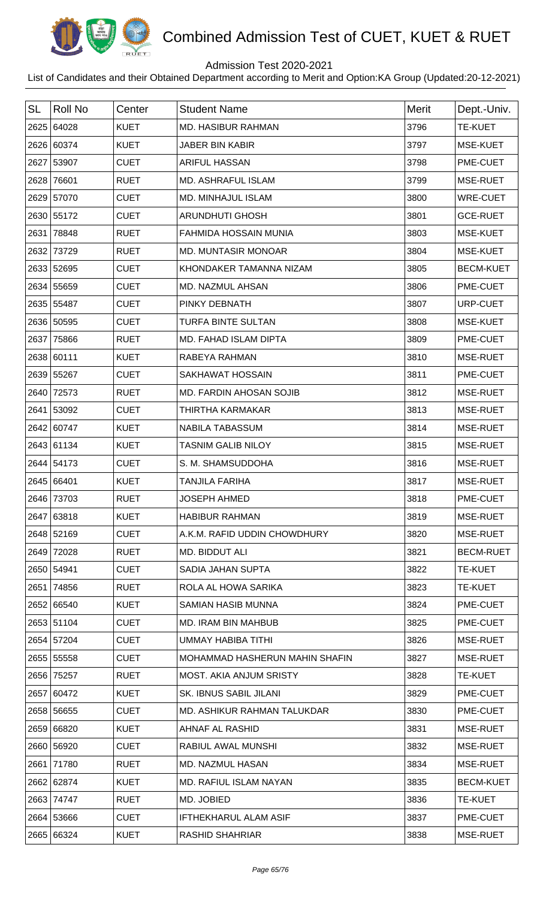

## Admission Test 2020-2021

| <b>SL</b> | <b>Roll No</b> | Center      | <b>Student Name</b>            | <b>Merit</b> | Dept.-Univ.      |
|-----------|----------------|-------------|--------------------------------|--------------|------------------|
|           | 2625 64028     | <b>KUET</b> | <b>MD. HASIBUR RAHMAN</b>      | 3796         | <b>TE-KUET</b>   |
|           | 2626 60374     | <b>KUET</b> | <b>JABER BIN KABIR</b>         | 3797         | MSE-KUET         |
|           | 2627 53907     | <b>CUET</b> | <b>ARIFUL HASSAN</b>           | 3798         | PME-CUET         |
| 2628      | 76601          | <b>RUET</b> | <b>MD. ASHRAFUL ISLAM</b>      | 3799         | MSE-RUET         |
|           | 2629 57070     | <b>CUET</b> | <b>MD. MINHAJUL ISLAM</b>      | 3800         | <b>WRE-CUET</b>  |
|           | 2630 55172     | <b>CUET</b> | <b>ARUNDHUTI GHOSH</b>         | 3801         | <b>GCE-RUET</b>  |
| 2631      | 78848          | <b>RUET</b> | <b>FAHMIDA HOSSAIN MUNIA</b>   | 3803         | MSE-KUET         |
| 2632      | 73729          | <b>RUET</b> | <b>MD. MUNTASIR MONOAR</b>     | 3804         | MSE-KUET         |
|           | 2633 52695     | <b>CUET</b> | KHONDAKER TAMANNA NIZAM        | 3805         | <b>BECM-KUET</b> |
|           | 2634 55659     | <b>CUET</b> | MD. NAZMUL AHSAN               | 3806         | PME-CUET         |
|           | 2635 55487     | <b>CUET</b> | PINKY DEBNATH                  | 3807         | URP-CUET         |
|           | 2636 50595     | <b>CUET</b> | <b>TURFA BINTE SULTAN</b>      | 3808         | MSE-KUET         |
| 2637      | 75866          | <b>RUET</b> | MD. FAHAD ISLAM DIPTA          | 3809         | PME-CUET         |
|           | 2638 60111     | <b>KUET</b> | RABEYA RAHMAN                  | 3810         | MSE-RUET         |
|           | 2639 55267     | <b>CUET</b> | <b>SAKHAWAT HOSSAIN</b>        | 3811         | PME-CUET         |
|           | 2640 72573     | <b>RUET</b> | MD. FARDIN AHOSAN SOJIB        | 3812         | MSE-RUET         |
|           | 2641 53092     | <b>CUET</b> | THIRTHA KARMAKAR               | 3813         | MSE-RUET         |
|           | 2642 60747     | <b>KUET</b> | <b>NABILA TABASSUM</b>         | 3814         | MSE-RUET         |
|           | 2643 61134     | <b>KUET</b> | <b>TASNIM GALIB NILOY</b>      | 3815         | MSE-RUET         |
|           | 2644 54173     | <b>CUET</b> | S. M. SHAMSUDDOHA              | 3816         | MSE-RUET         |
|           | 2645 66401     | <b>KUET</b> | <b>TANJILA FARIHA</b>          | 3817         | MSE-RUET         |
|           | 2646 73703     | <b>RUET</b> | <b>JOSEPH AHMED</b>            | 3818         | <b>PME-CUET</b>  |
|           | 2647 63818     | <b>KUET</b> | <b>HABIBUR RAHMAN</b>          | 3819         | MSE-RUET         |
|           | 2648 52169     | <b>CUET</b> | A.K.M. RAFID UDDIN CHOWDHURY   | 3820         | MSE-RUET         |
| 2649      | 72028          | <b>RUET</b> | MD. BIDDUT ALI                 | 3821         | <b>BECM-RUET</b> |
|           | 2650 54941     | <b>CUET</b> | SADIA JAHAN SUPTA              | 3822         | <b>TE-KUET</b>   |
| 2651      | 74856          | <b>RUET</b> | ROLA AL HOWA SARIKA            | 3823         | <b>TE-KUET</b>   |
|           | 2652 66540     | <b>KUET</b> | <b>SAMIAN HASIB MUNNA</b>      | 3824         | PME-CUET         |
|           | 2653 51104     | <b>CUET</b> | MD. IRAM BIN MAHBUB            | 3825         | PME-CUET         |
|           | 2654 57204     | <b>CUET</b> | UMMAY HABIBA TITHI             | 3826         | MSE-RUET         |
|           | 2655 55558     | <b>CUET</b> | MOHAMMAD HASHERUN MAHIN SHAFIN | 3827         | MSE-RUET         |
|           | 2656 75257     | <b>RUET</b> | MOST. AKIA ANJUM SRISTY        | 3828         | <b>TE-KUET</b>   |
|           | 2657 60472     | <b>KUET</b> | SK. IBNUS SABIL JILANI         | 3829         | PME-CUET         |
|           | 2658 56655     | <b>CUET</b> | MD. ASHIKUR RAHMAN TALUKDAR    | 3830         | PME-CUET         |
|           | 2659 66820     | <b>KUET</b> | AHNAF AL RASHID                | 3831         | MSE-RUET         |
|           | 2660 56920     | <b>CUET</b> | RABIUL AWAL MUNSHI             | 3832         | MSE-RUET         |
|           | 2661 71780     | <b>RUET</b> | <b>MD. NAZMUL HASAN</b>        | 3834         | MSE-RUET         |
|           | 2662 62874     | <b>KUET</b> | MD. RAFIUL ISLAM NAYAN         | 3835         | <b>BECM-KUET</b> |
|           | 2663 74747     | <b>RUET</b> | MD. JOBIED                     | 3836         | <b>TE-KUET</b>   |
|           | 2664 53666     | <b>CUET</b> | IFTHEKHARUL ALAM ASIF          | 3837         | PME-CUET         |
|           | 2665 66324     | <b>KUET</b> | <b>RASHID SHAHRIAR</b>         | 3838         | MSE-RUET         |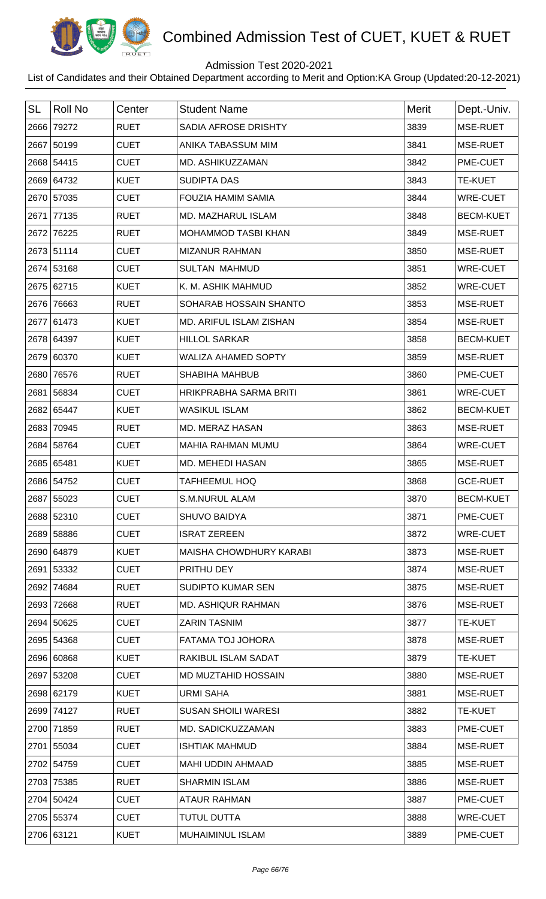

## Admission Test 2020-2021

| <b>SL</b> | <b>Roll No</b> | Center      | <b>Student Name</b>            | <b>Merit</b> | Dept.-Univ.      |
|-----------|----------------|-------------|--------------------------------|--------------|------------------|
|           | 2666 79272     | <b>RUET</b> | SADIA AFROSE DRISHTY           | 3839         | MSE-RUET         |
|           | 2667 50199     | <b>CUET</b> | ANIKA TABASSUM MIM             | 3841         | MSE-RUET         |
|           | 2668 54415     | <b>CUET</b> | MD. ASHIKUZZAMAN               | 3842         | PME-CUET         |
|           | 2669 64732     | <b>KUET</b> | <b>SUDIPTA DAS</b>             | 3843         | <b>TE-KUET</b>   |
|           | 2670 57035     | <b>CUET</b> | <b>FOUZIA HAMIM SAMIA</b>      | 3844         | <b>WRE-CUET</b>  |
|           | 2671 77135     | <b>RUET</b> | <b>MD. MAZHARUL ISLAM</b>      | 3848         | <b>BECM-KUET</b> |
|           | 2672 76225     | <b>RUET</b> | <b>MOHAMMOD TASBI KHAN</b>     | 3849         | MSE-RUET         |
|           | 2673 51114     | <b>CUET</b> | <b>MIZANUR RAHMAN</b>          | 3850         | MSE-RUET         |
|           | 2674 53168     | <b>CUET</b> | <b>SULTAN MAHMUD</b>           | 3851         | <b>WRE-CUET</b>  |
|           | 2675 62715     | <b>KUET</b> | K. M. ASHIK MAHMUD             | 3852         | <b>WRE-CUET</b>  |
|           | 2676 76663     | <b>RUET</b> | SOHARAB HOSSAIN SHANTO         | 3853         | MSE-RUET         |
|           | 2677 61473     | <b>KUET</b> | <b>MD. ARIFUL ISLAM ZISHAN</b> | 3854         | MSE-RUET         |
|           | 2678 64397     | <b>KUET</b> | <b>HILLOL SARKAR</b>           | 3858         | <b>BECM-KUET</b> |
|           | 2679 60370     | <b>KUET</b> | <b>WALIZA AHAMED SOPTY</b>     | 3859         | MSE-RUET         |
|           | 2680 76576     | <b>RUET</b> | <b>SHABIHA MAHBUB</b>          | 3860         | PME-CUET         |
| 2681      | 56834          | <b>CUET</b> | HRIKPRABHA SARMA BRITI         | 3861         | <b>WRE-CUET</b>  |
|           | 2682 65447     | <b>KUET</b> | <b>WASIKUL ISLAM</b>           | 3862         | <b>BECM-KUET</b> |
| 2683      | 70945          | <b>RUET</b> | MD. MERAZ HASAN                | 3863         | MSE-RUET         |
|           | 2684 58764     | <b>CUET</b> | <b>MAHIA RAHMAN MUMU</b>       | 3864         | <b>WRE-CUET</b>  |
|           | 2685 65481     | <b>KUET</b> | MD. MEHEDI HASAN               | 3865         | MSE-RUET         |
|           | 2686 54752     | <b>CUET</b> | <b>TAFHEEMUL HOQ</b>           | 3868         | <b>GCE-RUET</b>  |
|           | 2687 55023     | <b>CUET</b> | <b>S.M.NURUL ALAM</b>          | 3870         | <b>BECM-KUET</b> |
|           | 2688 52310     | <b>CUET</b> | <b>SHUVO BAIDYA</b>            | 3871         | PME-CUET         |
|           | 2689 58886     | <b>CUET</b> | <b>ISRAT ZEREEN</b>            | 3872         | <b>WRE-CUET</b>  |
|           | 2690 64879     | <b>KUET</b> | MAISHA CHOWDHURY KARABI        | 3873         | MSE-RUET         |
|           | 2691 53332     | <b>CUET</b> | PRITHU DEY                     | 3874         | MSE-RUET         |
|           | 2692 74684     | <b>RUET</b> | <b>SUDIPTO KUMAR SEN</b>       | 3875         | MSE-RUET         |
|           | 2693 72668     | <b>RUET</b> | MD. ASHIQUR RAHMAN             | 3876         | MSE-RUET         |
|           | 2694 50625     | <b>CUET</b> | <b>ZARIN TASNIM</b>            | 3877         | <b>TE-KUET</b>   |
|           | 2695 54368     | <b>CUET</b> | FATAMA TOJ JOHORA              | 3878         | MSE-RUET         |
|           | 2696 60868     | <b>KUET</b> | RAKIBUL ISLAM SADAT            | 3879         | <b>TE-KUET</b>   |
|           | 2697 53208     | <b>CUET</b> | MD MUZTAHID HOSSAIN            | 3880         | MSE-RUET         |
|           | 2698 62179     | <b>KUET</b> | <b>URMI SAHA</b>               | 3881         | MSE-RUET         |
|           | 2699 74127     | <b>RUET</b> | <b>SUSAN SHOILI WARESI</b>     | 3882         | <b>TE-KUET</b>   |
|           | 2700 71859     | <b>RUET</b> | MD. SADICKUZZAMAN              | 3883         | PME-CUET         |
|           | 2701 55034     | <b>CUET</b> | <b>ISHTIAK MAHMUD</b>          | 3884         | MSE-RUET         |
|           | 2702 54759     | <b>CUET</b> | <b>MAHI UDDIN AHMAAD</b>       | 3885         | MSE-RUET         |
|           | 2703 75385     | <b>RUET</b> | <b>SHARMIN ISLAM</b>           | 3886         | MSE-RUET         |
|           | 2704 50424     | <b>CUET</b> | <b>ATAUR RAHMAN</b>            | 3887         | PME-CUET         |
|           | 2705 55374     | <b>CUET</b> | <b>TUTUL DUTTA</b>             | 3888         | <b>WRE-CUET</b>  |
|           | 2706 63121     | <b>KUET</b> | <b>MUHAIMINUL ISLAM</b>        | 3889         | PME-CUET         |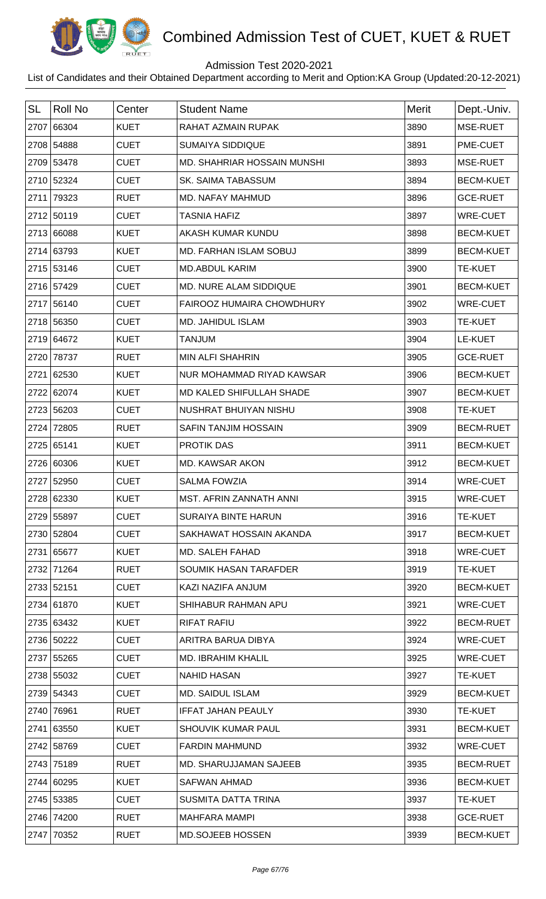

## Admission Test 2020-2021

| <b>SL</b> | <b>Roll No</b> | Center      | <b>Student Name</b>           | <b>Merit</b> | Dept.-Univ.      |
|-----------|----------------|-------------|-------------------------------|--------------|------------------|
| 2707      | 66304          | <b>KUET</b> | RAHAT AZMAIN RUPAK            | 3890         | MSE-RUET         |
|           | 2708 54888     | <b>CUET</b> | <b>SUMAIYA SIDDIQUE</b>       | 3891         | PME-CUET         |
|           | 2709 53478     | <b>CUET</b> | MD. SHAHRIAR HOSSAIN MUNSHI   | 3893         | MSE-RUET         |
|           | 2710 52324     | <b>CUET</b> | <b>SK. SAIMA TABASSUM</b>     | 3894         | <b>BECM-KUET</b> |
|           | 2711 79323     | <b>RUET</b> | <b>MD. NAFAY MAHMUD</b>       | 3896         | <b>GCE-RUET</b>  |
|           | 2712 50119     | <b>CUET</b> | <b>TASNIA HAFIZ</b>           | 3897         | <b>WRE-CUET</b>  |
|           | 2713 66088     | <b>KUET</b> | AKASH KUMAR KUNDU             | 3898         | <b>BECM-KUET</b> |
|           | 2714 63793     | <b>KUET</b> | MD. FARHAN ISLAM SOBUJ        | 3899         | <b>BECM-KUET</b> |
|           | 2715 53146     | <b>CUET</b> | <b>MD.ABDUL KARIM</b>         | 3900         | <b>TE-KUET</b>   |
|           | 2716 57429     | <b>CUET</b> | <b>MD. NURE ALAM SIDDIQUE</b> | 3901         | <b>BECM-KUET</b> |
|           | 2717 56140     | <b>CUET</b> | FAIROOZ HUMAIRA CHOWDHURY     | 3902         | <b>WRE-CUET</b>  |
|           | 2718 56350     | <b>CUET</b> | MD. JAHIDUL ISLAM             | 3903         | <b>TE-KUET</b>   |
|           | 2719 64672     | <b>KUET</b> | <b>TANJUM</b>                 | 3904         | LE-KUET          |
|           | 2720 78737     | <b>RUET</b> | <b>MIN ALFI SHAHRIN</b>       | 3905         | <b>GCE-RUET</b>  |
|           | 2721 62530     | <b>KUET</b> | NUR MOHAMMAD RIYAD KAWSAR     | 3906         | <b>BECM-KUET</b> |
|           | 2722 62074     | <b>KUET</b> | MD KALED SHIFULLAH SHADE      | 3907         | <b>BECM-KUET</b> |
|           | 2723 56203     | <b>CUET</b> | NUSHRAT BHUIYAN NISHU         | 3908         | <b>TE-KUET</b>   |
| 2724      | 72805          | <b>RUET</b> | <b>SAFIN TANJIM HOSSAIN</b>   | 3909         | <b>BECM-RUET</b> |
|           | 2725 65141     | <b>KUET</b> | <b>PROTIK DAS</b>             | 3911         | <b>BECM-KUET</b> |
|           | 2726 60306     | <b>KUET</b> | MD. KAWSAR AKON               | 3912         | <b>BECM-KUET</b> |
|           | 2727 52950     | <b>CUET</b> | <b>SALMA FOWZIA</b>           | 3914         | <b>WRE-CUET</b>  |
|           | 2728 62330     | <b>KUET</b> | MST. AFRIN ZANNATH ANNI       | 3915         | <b>WRE-CUET</b>  |
|           | 2729 55897     | <b>CUET</b> | <b>SURAIYA BINTE HARUN</b>    | 3916         | <b>TE-KUET</b>   |
|           | 2730 52804     | <b>CUET</b> | SAKHAWAT HOSSAIN AKANDA       | 3917         | <b>BECM-KUET</b> |
|           | 2731 65677     | <b>KUET</b> | MD. SALEH FAHAD               | 3918         | <b>WRE-CUET</b>  |
|           | 2732 71264     | <b>RUET</b> | <b>SOUMIK HASAN TARAFDER</b>  | 3919         | <b>TE-KUET</b>   |
|           | 2733 52151     | <b>CUET</b> | KAZI NAZIFA ANJUM             | 3920         | <b>BECM-KUET</b> |
|           | 2734 61870     | <b>KUET</b> | SHIHABUR RAHMAN APU           | 3921         | <b>WRE-CUET</b>  |
|           | 2735 63432     | <b>KUET</b> | <b>RIFAT RAFIU</b>            | 3922         | <b>BECM-RUET</b> |
|           | 2736 50222     | <b>CUET</b> | ARITRA BARUA DIBYA            | 3924         | <b>WRE-CUET</b>  |
|           | 2737 55265     | <b>CUET</b> | <b>MD. IBRAHIM KHALIL</b>     | 3925         | WRE-CUET         |
|           | 2738 55032     | <b>CUET</b> | <b>NAHID HASAN</b>            | 3927         | <b>TE-KUET</b>   |
|           | 2739 54343     | <b>CUET</b> | MD. SAIDUL ISLAM              | 3929         | <b>BECM-KUET</b> |
|           | 2740 76961     | <b>RUET</b> | <b>IFFAT JAHAN PEAULY</b>     | 3930         | <b>TE-KUET</b>   |
|           | 2741 63550     | <b>KUET</b> | SHOUVIK KUMAR PAUL            | 3931         | <b>BECM-KUET</b> |
|           | 2742 58769     | <b>CUET</b> | <b>FARDIN MAHMUND</b>         | 3932         | WRE-CUET         |
|           | 2743 75189     | <b>RUET</b> | MD. SHARUJJAMAN SAJEEB        | 3935         | <b>BECM-RUET</b> |
|           | 2744 60295     | <b>KUET</b> | <b>SAFWAN AHMAD</b>           | 3936         | <b>BECM-KUET</b> |
|           | 2745 53385     | <b>CUET</b> | SUSMITA DATTA TRINA           | 3937         | <b>TE-KUET</b>   |
|           | 2746 74200     | <b>RUET</b> | <b>MAHFARA MAMPI</b>          | 3938         | <b>GCE-RUET</b>  |
|           | 2747 70352     | <b>RUET</b> | <b>MD.SOJEEB HOSSEN</b>       | 3939         | <b>BECM-KUET</b> |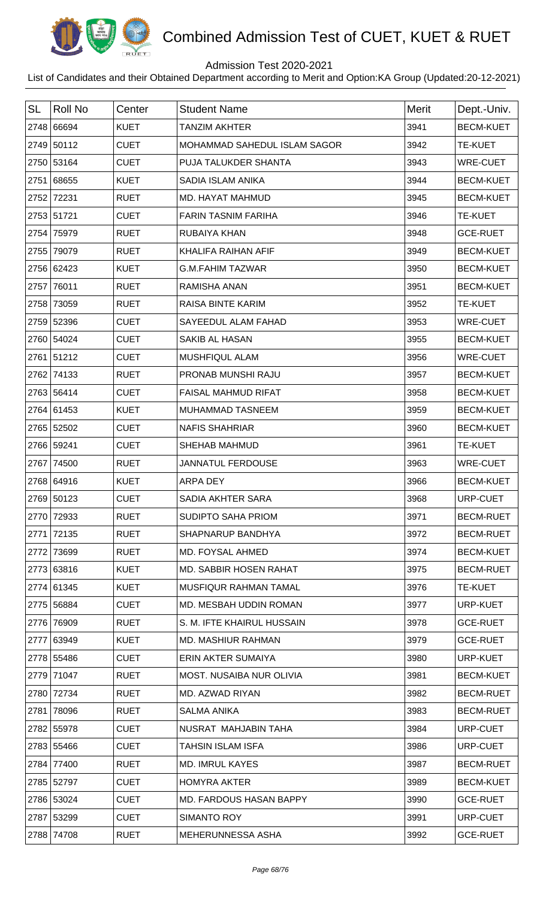

## Admission Test 2020-2021

| <b>SL</b> | <b>Roll No</b> | Center      |                               | <b>Merit</b> |                  |
|-----------|----------------|-------------|-------------------------------|--------------|------------------|
|           |                |             | <b>Student Name</b>           |              | Dept.-Univ.      |
|           | 2748 66694     | <b>KUET</b> | <b>TANZIM AKHTER</b>          | 3941         | <b>BECM-KUET</b> |
|           | 2749 50112     | <b>CUET</b> | MOHAMMAD SAHEDUL ISLAM SAGOR  | 3942         | <b>TE-KUET</b>   |
|           | 2750 53164     | <b>CUET</b> | PUJA TALUKDER SHANTA          | 3943         | <b>WRE-CUET</b>  |
|           | 2751 68655     | <b>KUET</b> | SADIA ISLAM ANIKA             | 3944         | <b>BECM-KUET</b> |
|           | 2752 72231     | <b>RUET</b> | <b>MD. HAYAT MAHMUD</b>       | 3945         | <b>BECM-KUET</b> |
|           | 2753 51721     | <b>CUET</b> | <b>FARIN TASNIM FARIHA</b>    | 3946         | <b>TE-KUET</b>   |
|           | 2754 75979     | <b>RUET</b> | RUBAIYA KHAN                  | 3948         | <b>GCE-RUET</b>  |
|           | 2755 79079     | <b>RUET</b> | KHALIFA RAIHAN AFIF           | 3949         | <b>BECM-KUET</b> |
|           | 2756 62423     | <b>KUET</b> | <b>G.M.FAHIM TAZWAR</b>       | 3950         | <b>BECM-KUET</b> |
|           | 2757 76011     | <b>RUET</b> | <b>RAMISHA ANAN</b>           | 3951         | <b>BECM-KUET</b> |
|           | 2758 73059     | <b>RUET</b> | RAISA BINTE KARIM             | 3952         | <b>TE-KUET</b>   |
|           | 2759 52396     | <b>CUET</b> | SAYEEDUL ALAM FAHAD           | 3953         | <b>WRE-CUET</b>  |
|           | 2760 54024     | <b>CUET</b> | <b>SAKIB AL HASAN</b>         | 3955         | <b>BECM-KUET</b> |
|           | 2761 51212     | <b>CUET</b> | MUSHFIQUL ALAM                | 3956         | <b>WRE-CUET</b>  |
|           | 2762 74133     | <b>RUET</b> | PRONAB MUNSHI RAJU            | 3957         | <b>BECM-KUET</b> |
|           | 2763 56414     | <b>CUET</b> | <b>FAISAL MAHMUD RIFAT</b>    | 3958         | <b>BECM-KUET</b> |
|           | 2764 61453     | <b>KUET</b> | MUHAMMAD TASNEEM              | 3959         | <b>BECM-KUET</b> |
|           | 2765 52502     | <b>CUET</b> | <b>NAFIS SHAHRIAR</b>         | 3960         | <b>BECM-KUET</b> |
|           | 2766 59241     | <b>CUET</b> | SHEHAB MAHMUD                 | 3961         | TE-KUET          |
|           | 2767 74500     | <b>RUET</b> | <b>JANNATUL FERDOUSE</b>      | 3963         | WRE-CUET         |
|           | 2768 64916     | <b>KUET</b> | <b>ARPA DEY</b>               | 3966         | <b>BECM-KUET</b> |
|           | 2769 50123     | <b>CUET</b> | <b>SADIA AKHTER SARA</b>      | 3968         | URP-CUET         |
|           | 2770 72933     | <b>RUET</b> | <b>SUDIPTO SAHA PRIOM</b>     | 3971         | <b>BECM-RUET</b> |
|           | 2771 72135     | <b>RUET</b> | SHAPNARUP BANDHYA             | 3972         | <b>BECM-RUET</b> |
|           | 2772 73699     | <b>RUET</b> | <b>MD. FOYSAL AHMED</b>       | 3974         | <b>BECM-KUET</b> |
|           | 2773 63816     | <b>KUET</b> | <b>MD. SABBIR HOSEN RAHAT</b> | 3975         | <b>BECM-RUET</b> |
|           | 2774 61345     | <b>KUET</b> | MUSFIQUR RAHMAN TAMAL         | 3976         | <b>TE-KUET</b>   |
|           | 2775 56884     | <b>CUET</b> | MD. MESBAH UDDIN ROMAN        | 3977         | URP-KUET         |
|           | 2776 76909     | <b>RUET</b> | S. M. IFTE KHAIRUL HUSSAIN    | 3978         | <b>GCE-RUET</b>  |
|           | 2777 63949     | <b>KUET</b> | <b>MD. MASHIUR RAHMAN</b>     | 3979         | <b>GCE-RUET</b>  |
|           | 2778 55486     | <b>CUET</b> | ERIN AKTER SUMAIYA            | 3980         | URP-KUET         |
|           | 2779 71047     | <b>RUET</b> | MOST. NUSAIBA NUR OLIVIA      | 3981         | <b>BECM-KUET</b> |
|           | 2780 72734     | <b>RUET</b> | MD. AZWAD RIYAN               | 3982         | <b>BECM-RUET</b> |
|           | 2781 78096     | <b>RUET</b> | <b>SALMA ANIKA</b>            | 3983         | <b>BECM-RUET</b> |
|           | 2782 55978     | <b>CUET</b> | NUSRAT MAHJABIN TAHA          | 3984         | URP-CUET         |
|           | 2783 55466     | <b>CUET</b> | <b>TAHSIN ISLAM ISFA</b>      | 3986         | URP-CUET         |
|           | 2784 77400     | <b>RUET</b> | <b>MD. IMRUL KAYES</b>        | 3987         | <b>BECM-RUET</b> |
|           | 2785 52797     | <b>CUET</b> | <b>HOMYRA AKTER</b>           | 3989         | <b>BECM-KUET</b> |
|           | 2786 53024     | <b>CUET</b> | MD. FARDOUS HASAN BAPPY       | 3990         | <b>GCE-RUET</b>  |
|           | 2787 53299     | <b>CUET</b> | SIMANTO ROY                   | 3991         | URP-CUET         |
|           | 2788 74708     | <b>RUET</b> | MEHERUNNESSA ASHA             | 3992         | <b>GCE-RUET</b>  |
|           |                |             |                               |              |                  |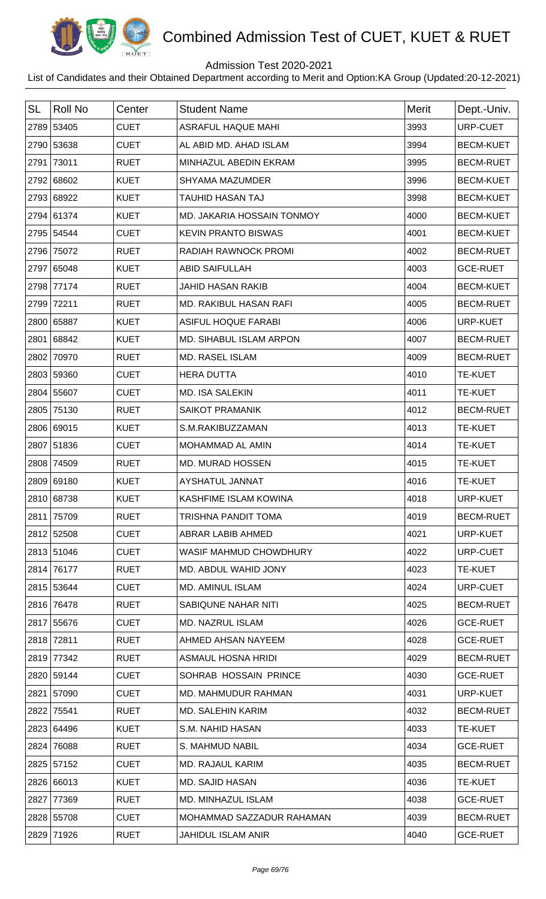

## Admission Test 2020-2021

| <b>SL</b> | Roll No    | Center      | <b>Student Name</b>        | Merit | Dept.-Univ.      |
|-----------|------------|-------------|----------------------------|-------|------------------|
|           | 2789 53405 | <b>CUET</b> | <b>ASRAFUL HAQUE MAHI</b>  | 3993  | URP-CUET         |
|           | 2790 53638 | <b>CUET</b> | AL ABID MD. AHAD ISLAM     | 3994  | <b>BECM-KUET</b> |
|           | 2791 73011 | <b>RUET</b> | MINHAZUL ABEDIN EKRAM      | 3995  | <b>BECM-RUET</b> |
|           | 2792 68602 | <b>KUET</b> | <b>SHYAMA MAZUMDER</b>     | 3996  | <b>BECM-KUET</b> |
|           | 2793 68922 | <b>KUET</b> | <b>TAUHID HASAN TAJ</b>    | 3998  | <b>BECM-KUET</b> |
|           | 2794 61374 | <b>KUET</b> | MD. JAKARIA HOSSAIN TONMOY | 4000  | <b>BECM-KUET</b> |
|           | 2795 54544 | <b>CUET</b> | <b>KEVIN PRANTO BISWAS</b> | 4001  | <b>BECM-KUET</b> |
|           | 2796 75072 | <b>RUET</b> | RADIAH RAWNOCK PROMI       | 4002  | <b>BECM-RUET</b> |
|           | 2797 65048 | <b>KUET</b> | <b>ABID SAIFULLAH</b>      | 4003  | <b>GCE-RUET</b>  |
|           | 2798 77174 | <b>RUET</b> | <b>JAHID HASAN RAKIB</b>   | 4004  | <b>BECM-KUET</b> |
|           | 2799 72211 | <b>RUET</b> | MD. RAKIBUL HASAN RAFI     | 4005  | <b>BECM-RUET</b> |
|           | 2800 65887 | <b>KUET</b> | <b>ASIFUL HOQUE FARABI</b> | 4006  | URP-KUET         |
|           | 2801 68842 | <b>KUET</b> | MD. SIHABUL ISLAM ARPON    | 4007  | <b>BECM-RUET</b> |
|           | 2802 70970 | <b>RUET</b> | MD. RASEL ISLAM            | 4009  | <b>BECM-RUET</b> |
|           | 2803 59360 | <b>CUET</b> | <b>HERA DUTTA</b>          | 4010  | <b>TE-KUET</b>   |
|           | 2804 55607 | <b>CUET</b> | <b>MD. ISA SALEKIN</b>     | 4011  | TE-KUET          |
|           | 2805 75130 | <b>RUET</b> | <b>SAIKOT PRAMANIK</b>     | 4012  | <b>BECM-RUET</b> |
|           | 2806 69015 | <b>KUET</b> | S.M.RAKIBUZZAMAN           | 4013  | <b>TE-KUET</b>   |
|           | 2807 51836 | <b>CUET</b> | <b>MOHAMMAD AL AMIN</b>    | 4014  | <b>TE-KUET</b>   |
|           | 2808 74509 | <b>RUET</b> | MD. MURAD HOSSEN           | 4015  | <b>TE-KUET</b>   |
|           | 2809 69180 | <b>KUET</b> | AYSHATUL JANNAT            | 4016  | <b>TE-KUET</b>   |
|           | 2810 68738 | <b>KUET</b> | KASHFIME ISLAM KOWINA      | 4018  | URP-KUET         |
|           | 2811 75709 | <b>RUET</b> | <b>TRISHNA PANDIT TOMA</b> | 4019  | <b>BECM-RUET</b> |
|           | 2812 52508 | <b>CUET</b> | ABRAR LABIB AHMED          | 4021  | URP-KUET         |
|           | 2813 51046 | <b>CUET</b> | WASIF MAHMUD CHOWDHURY     | 4022  | URP-CUET         |
|           | 2814 76177 | <b>RUET</b> | MD. ABDUL WAHID JONY       | 4023  | <b>TE-KUET</b>   |
|           | 2815 53644 | <b>CUET</b> | <b>MD. AMINUL ISLAM</b>    | 4024  | URP-CUET         |
|           | 2816 76478 | <b>RUET</b> | SABIQUNE NAHAR NITI        | 4025  | <b>BECM-RUET</b> |
|           | 2817 55676 | <b>CUET</b> | <b>MD. NAZRUL ISLAM</b>    | 4026  | <b>GCE-RUET</b>  |
|           | 2818 72811 | <b>RUET</b> | AHMED AHSAN NAYEEM         | 4028  | <b>GCE-RUET</b>  |
|           | 2819 77342 | <b>RUET</b> | ASMAUL HOSNA HRIDI         | 4029  | <b>BECM-RUET</b> |
|           | 2820 59144 | <b>CUET</b> | SOHRAB HOSSAIN PRINCE      | 4030  | <b>GCE-RUET</b>  |
|           | 2821 57090 | <b>CUET</b> | MD. MAHMUDUR RAHMAN        | 4031  | URP-KUET         |
|           | 2822 75541 | <b>RUET</b> | <b>MD. SALEHIN KARIM</b>   | 4032  | <b>BECM-RUET</b> |
|           | 2823 64496 | <b>KUET</b> | S.M. NAHID HASAN           | 4033  | <b>TE-KUET</b>   |
|           | 2824 76088 | <b>RUET</b> | S. MAHMUD NABIL            | 4034  | <b>GCE-RUET</b>  |
|           | 2825 57152 | <b>CUET</b> | <b>MD. RAJAUL KARIM</b>    | 4035  | <b>BECM-RUET</b> |
|           | 2826 66013 | <b>KUET</b> | <b>MD. SAJID HASAN</b>     | 4036  | <b>TE-KUET</b>   |
|           | 2827 77369 | <b>RUET</b> | MD. MINHAZUL ISLAM         | 4038  | <b>GCE-RUET</b>  |
|           | 2828 55708 | <b>CUET</b> | MOHAMMAD SAZZADUR RAHAMAN  | 4039  | <b>BECM-RUET</b> |
|           | 2829 71926 | <b>RUET</b> | <b>JAHIDUL ISLAM ANIR</b>  | 4040  | <b>GCE-RUET</b>  |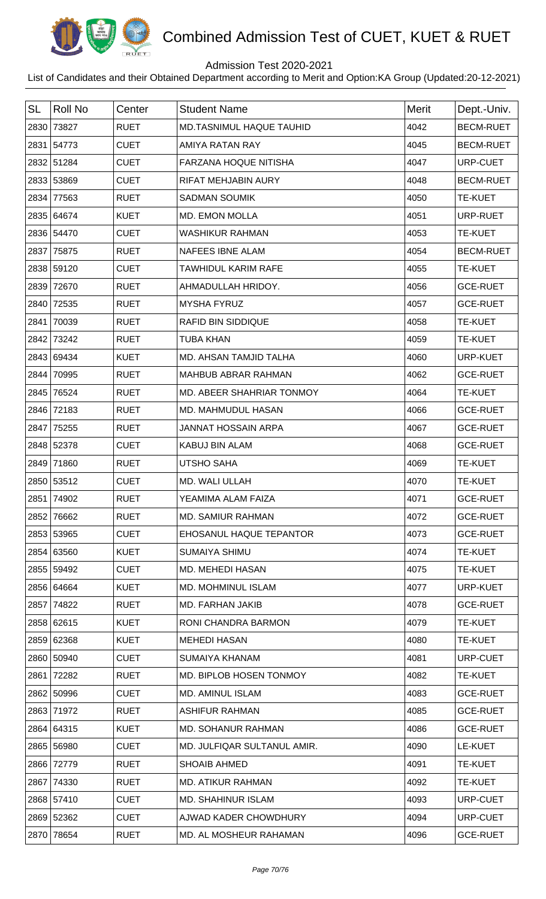

## Admission Test 2020-2021

| <b>SL</b> | <b>Roll No</b> | Center      | <b>Student Name</b>         | <b>Merit</b> | Dept.-Univ.      |
|-----------|----------------|-------------|-----------------------------|--------------|------------------|
|           | 2830 73827     | <b>RUET</b> | MD.TASNIMUL HAQUE TAUHID    | 4042         | <b>BECM-RUET</b> |
|           | 2831 54773     | <b>CUET</b> | AMIYA RATAN RAY             | 4045         | <b>BECM-RUET</b> |
|           | 2832 51284     | <b>CUET</b> | FARZANA HOQUE NITISHA       | 4047         | URP-CUET         |
|           | 2833 53869     | <b>CUET</b> | RIFAT MEHJABIN AURY         | 4048         | <b>BECM-RUET</b> |
| 2834      | 77563          | <b>RUET</b> | <b>SADMAN SOUMIK</b>        | 4050         | <b>TE-KUET</b>   |
|           | 2835 64674     | <b>KUET</b> | <b>MD. EMON MOLLA</b>       | 4051         | URP-RUET         |
|           | 2836 54470     | <b>CUET</b> | <b>WASHIKUR RAHMAN</b>      | 4053         | <b>TE-KUET</b>   |
|           | 2837 75875     | <b>RUET</b> | <b>NAFEES IBNE ALAM</b>     | 4054         | <b>BECM-RUET</b> |
|           | 2838 59120     | <b>CUET</b> | TAWHIDUL KARIM RAFE         | 4055         | <b>TE-KUET</b>   |
| 2839      | 72670          | <b>RUET</b> | AHMADULLAH HRIDOY.          | 4056         | <b>GCE-RUET</b>  |
|           | 2840 72535     | <b>RUET</b> | <b>MYSHA FYRUZ</b>          | 4057         | <b>GCE-RUET</b>  |
| 2841      | 70039          | <b>RUET</b> | <b>RAFID BIN SIDDIQUE</b>   | 4058         | <b>TE-KUET</b>   |
| 2842      | 73242          | <b>RUET</b> | <b>TUBA KHAN</b>            | 4059         | <b>TE-KUET</b>   |
|           | 2843 69434     | <b>KUET</b> | MD. AHSAN TAMJID TALHA      | 4060         | <b>URP-KUET</b>  |
| 2844      | 70995          | <b>RUET</b> | MAHBUB ABRAR RAHMAN         | 4062         | <b>GCE-RUET</b>  |
|           | 2845 76524     | <b>RUET</b> | MD. ABEER SHAHRIAR TONMOY   | 4064         | <b>TE-KUET</b>   |
| 2846      | 72183          | <b>RUET</b> | MD. MAHMUDUL HASAN          | 4066         | <b>GCE-RUET</b>  |
| 2847      | 75255          | <b>RUET</b> | <b>JANNAT HOSSAIN ARPA</b>  | 4067         | <b>GCE-RUET</b>  |
|           | 2848 52378     | <b>CUET</b> | <b>KABUJ BIN ALAM</b>       | 4068         | <b>GCE-RUET</b>  |
|           | 2849 71860     | <b>RUET</b> | <b>UTSHO SAHA</b>           | 4069         | <b>TE-KUET</b>   |
|           | 2850 53512     | <b>CUET</b> | MD. WALI ULLAH              | 4070         | <b>TE-KUET</b>   |
|           | 2851 74902     | <b>RUET</b> | YEAMIMA ALAM FAIZA          | 4071         | <b>GCE-RUET</b>  |
| 2852      | 76662          | <b>RUET</b> | <b>MD. SAMIUR RAHMAN</b>    | 4072         | <b>GCE-RUET</b>  |
|           | 2853 53965     | <b>CUET</b> | EHOSANUL HAQUE TEPANTOR     | 4073         | <b>GCE-RUET</b>  |
|           | 2854 63560     | <b>KUET</b> | <b>SUMAIYA SHIMU</b>        | 4074         | <b>TE-KUET</b>   |
|           | 2855 59492     | <b>CUET</b> | MD. MEHEDI HASAN            | 4075         | <b>TE-KUET</b>   |
|           | 2856 64664     | <b>KUET</b> | <b>MD. MOHMINUL ISLAM</b>   | 4077         | URP-KUET         |
| 2857      | 74822          | <b>RUET</b> | MD. FARHAN JAKIB            | 4078         | <b>GCE-RUET</b>  |
|           | 2858 62615     | <b>KUET</b> | RONI CHANDRA BARMON         | 4079         | <b>TE-KUET</b>   |
|           | 2859 62368     | <b>KUET</b> | <b>MEHEDI HASAN</b>         | 4080         | <b>TE-KUET</b>   |
|           | 2860 50940     | <b>CUET</b> | SUMAIYA KHANAM              | 4081         | URP-CUET         |
| 2861      | 72282          | <b>RUET</b> | MD. BIPLOB HOSEN TONMOY     | 4082         | <b>TE-KUET</b>   |
|           | 2862 50996     | <b>CUET</b> | <b>MD. AMINUL ISLAM</b>     | 4083         | <b>GCE-RUET</b>  |
|           | 2863 71972     | <b>RUET</b> | <b>ASHIFUR RAHMAN</b>       | 4085         | <b>GCE-RUET</b>  |
|           | 2864 64315     | <b>KUET</b> | <b>MD. SOHANUR RAHMAN</b>   | 4086         | <b>GCE-RUET</b>  |
|           | 2865 56980     | <b>CUET</b> | MD. JULFIQAR SULTANUL AMIR. | 4090         | LE-KUET          |
|           | 2866 72779     | <b>RUET</b> | <b>SHOAIB AHMED</b>         | 4091         | <b>TE-KUET</b>   |
|           | 2867 74330     | <b>RUET</b> | <b>MD. ATIKUR RAHMAN</b>    | 4092         | <b>TE-KUET</b>   |
|           | 2868 57410     | <b>CUET</b> | <b>MD. SHAHINUR ISLAM</b>   | 4093         | URP-CUET         |
|           | 2869 52362     | <b>CUET</b> | AJWAD KADER CHOWDHURY       | 4094         | URP-CUET         |
|           | 2870 78654     | <b>RUET</b> | MD. AL MOSHEUR RAHAMAN      | 4096         | <b>GCE-RUET</b>  |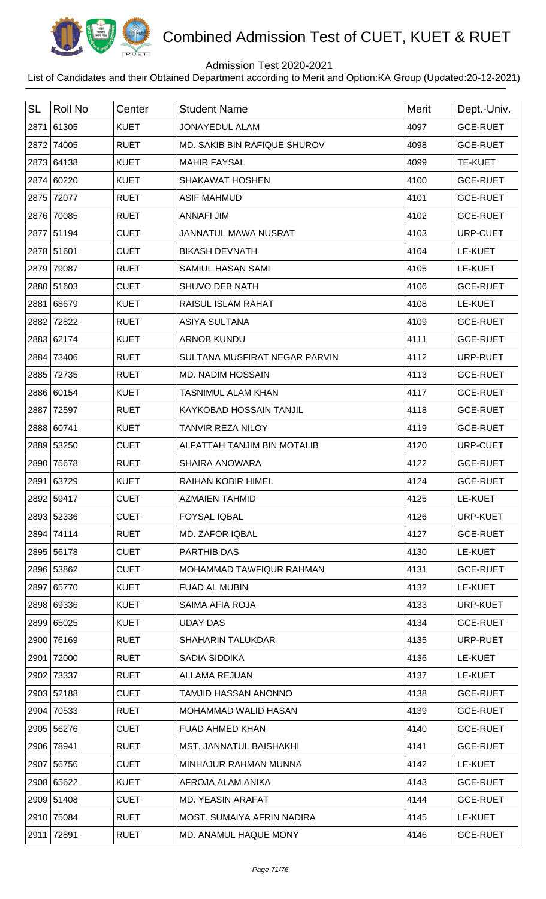

## Admission Test 2020-2021

| <b>SL</b> | <b>Roll No</b> | Center      | <b>Student Name</b>            | Merit | Dept.-Univ.     |
|-----------|----------------|-------------|--------------------------------|-------|-----------------|
|           | 2871 61305     | <b>KUET</b> | <b>JONAYEDUL ALAM</b>          | 4097  | <b>GCE-RUET</b> |
| 2872      | 74005          | <b>RUET</b> | MD. SAKIB BIN RAFIQUE SHUROV   | 4098  | <b>GCE-RUET</b> |
| 2873      | 64138          | <b>KUET</b> | <b>MAHIR FAYSAL</b>            | 4099  | <b>TE-KUET</b>  |
|           | 2874 60220     | <b>KUET</b> | <b>SHAKAWAT HOSHEN</b>         | 4100  | <b>GCE-RUET</b> |
| 2875      | 72077          | <b>RUET</b> | <b>ASIF MAHMUD</b>             | 4101  | <b>GCE-RUET</b> |
|           | 2876 70085     | <b>RUET</b> | <b>ANNAFI JIM</b>              | 4102  | <b>GCE-RUET</b> |
|           | 2877 51194     | <b>CUET</b> | <b>JANNATUL MAWA NUSRAT</b>    | 4103  | URP-CUET        |
|           | 2878 51601     | <b>CUET</b> | <b>BIKASH DEVNATH</b>          | 4104  | LE-KUET         |
| 2879      | 79087          | <b>RUET</b> | SAMIUL HASAN SAMI              | 4105  | LE-KUET         |
|           | 2880 51603     | <b>CUET</b> | SHUVO DEB NATH                 | 4106  | <b>GCE-RUET</b> |
|           | 2881 68679     | <b>KUET</b> | RAISUL ISLAM RAHAT             | 4108  | LE-KUET         |
| 2882      | 72822          | <b>RUET</b> | <b>ASIYA SULTANA</b>           | 4109  | <b>GCE-RUET</b> |
|           | 2883 62174     | <b>KUET</b> | <b>ARNOB KUNDU</b>             | 4111  | <b>GCE-RUET</b> |
| 2884      | 73406          | <b>RUET</b> | SULTANA MUSFIRAT NEGAR PARVIN  | 4112  | URP-RUET        |
| 2885      | 72735          | <b>RUET</b> | <b>MD. NADIM HOSSAIN</b>       | 4113  | <b>GCE-RUET</b> |
|           | 2886 60154     | <b>KUET</b> | <b>TASNIMUL ALAM KHAN</b>      | 4117  | <b>GCE-RUET</b> |
| 2887      | 72597          | <b>RUET</b> | <b>KAYKOBAD HOSSAIN TANJIL</b> | 4118  | <b>GCE-RUET</b> |
|           | 2888 60741     | <b>KUET</b> | <b>TANVIR REZA NILOY</b>       | 4119  | <b>GCE-RUET</b> |
|           | 2889 53250     | <b>CUET</b> | ALFATTAH TANJIM BIN MOTALIB    | 4120  | URP-CUET        |
| 2890      | 75678          | <b>RUET</b> | <b>SHAIRA ANOWARA</b>          | 4122  | <b>GCE-RUET</b> |
| 2891      | 63729          | <b>KUET</b> | <b>RAIHAN KOBIR HIMEL</b>      | 4124  | <b>GCE-RUET</b> |
|           | 2892 59417     | <b>CUET</b> | <b>AZMAIEN TAHMID</b>          | 4125  | LE-KUET         |
|           | 2893 52336     | <b>CUET</b> | <b>FOYSAL IQBAL</b>            | 4126  | <b>URP-KUET</b> |
|           | 2894 74114     | <b>RUET</b> | <b>MD. ZAFOR IQBAL</b>         | 4127  | <b>GCE-RUET</b> |
|           | 2895 56178     | <b>CUET</b> | <b>PARTHIB DAS</b>             | 4130  | LE-KUET         |
|           | 2896 53862     | <b>CUET</b> | MOHAMMAD TAWFIQUR RAHMAN       | 4131  | <b>GCE-RUET</b> |
|           | 2897 65770     | <b>KUET</b> | <b>FUAD AL MUBIN</b>           | 4132  | LE-KUET         |
|           | 2898 69336     | <b>KUET</b> | SAIMA AFIA ROJA                | 4133  | URP-KUET        |
|           | 2899 65025     | <b>KUET</b> | <b>UDAY DAS</b>                | 4134  | <b>GCE-RUET</b> |
|           | 2900 76169     | <b>RUET</b> | <b>SHAHARIN TALUKDAR</b>       | 4135  | URP-RUET        |
| 2901      | 72000          | <b>RUET</b> | SADIA SIDDIKA                  | 4136  | LE-KUET         |
|           | 2902 73337     | <b>RUET</b> | ALLAMA REJUAN                  | 4137  | LE-KUET         |
|           | 2903 52188     | <b>CUET</b> | TAMJID HASSAN ANONNO           | 4138  | <b>GCE-RUET</b> |
| 2904      | 70533          | <b>RUET</b> | <b>MOHAMMAD WALID HASAN</b>    | 4139  | <b>GCE-RUET</b> |
|           | 2905 56276     | <b>CUET</b> | FUAD AHMED KHAN                | 4140  | <b>GCE-RUET</b> |
|           | 2906 78941     | <b>RUET</b> | <b>MST. JANNATUL BAISHAKHI</b> | 4141  | <b>GCE-RUET</b> |
|           | 2907 56756     | <b>CUET</b> | MINHAJUR RAHMAN MUNNA          | 4142  | LE-KUET         |
|           | 2908 65622     | <b>KUET</b> | AFROJA ALAM ANIKA              | 4143  | <b>GCE-RUET</b> |
|           | 2909 51408     | <b>CUET</b> | <b>MD. YEASIN ARAFAT</b>       | 4144  | <b>GCE-RUET</b> |
|           | 2910 75084     | <b>RUET</b> | MOST. SUMAIYA AFRIN NADIRA     | 4145  | LE-KUET         |
|           | 2911 72891     | <b>RUET</b> | MD. ANAMUL HAQUE MONY          | 4146  | <b>GCE-RUET</b> |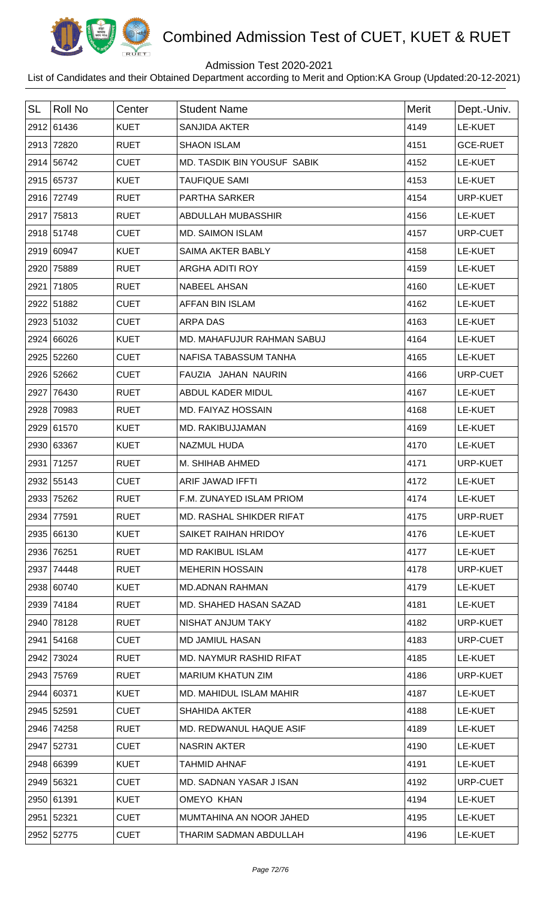

## Admission Test 2020-2021

| <b>SL</b> | Roll No    | Center      | <b>Student Name</b>                | Merit | Dept.-Univ.     |
|-----------|------------|-------------|------------------------------------|-------|-----------------|
|           | 2912 61436 | <b>KUET</b> | <b>SANJIDA AKTER</b>               | 4149  | LE-KUET         |
|           | 2913 72820 | <b>RUET</b> | <b>SHAON ISLAM</b>                 | 4151  | <b>GCE-RUET</b> |
|           | 2914 56742 | <b>CUET</b> | <b>MD. TASDIK BIN YOUSUF SABIK</b> | 4152  | LE-KUET         |
|           | 2915 65737 | <b>KUET</b> | <b>TAUFIQUE SAMI</b>               | 4153  | LE-KUET         |
|           | 2916 72749 | <b>RUET</b> | PARTHA SARKER                      | 4154  | URP-KUET        |
|           | 2917 75813 | <b>RUET</b> | ABDULLAH MUBASSHIR                 | 4156  | LE-KUET         |
|           | 2918 51748 | <b>CUET</b> | <b>MD. SAIMON ISLAM</b>            | 4157  | URP-CUET        |
|           | 2919 60947 | <b>KUET</b> | SAIMA AKTER BABLY                  | 4158  | LE-KUET         |
|           | 2920 75889 | <b>RUET</b> | ARGHA ADITI ROY                    | 4159  | LE-KUET         |
|           | 2921 71805 | <b>RUET</b> | NABEEL AHSAN                       | 4160  | LE-KUET         |
|           | 2922 51882 | <b>CUET</b> | AFFAN BIN ISLAM                    | 4162  | LE-KUET         |
|           | 2923 51032 | <b>CUET</b> | <b>ARPA DAS</b>                    | 4163  | LE-KUET         |
|           | 2924 66026 | <b>KUET</b> | MD. MAHAFUJUR RAHMAN SABUJ         | 4164  | LE-KUET         |
|           | 2925 52260 | <b>CUET</b> | NAFISA TABASSUM TANHA              | 4165  | LE-KUET         |
|           | 2926 52662 | <b>CUET</b> | FAUZIA JAHAN NAURIN                | 4166  | URP-CUET        |
|           | 2927 76430 | <b>RUET</b> | ABDUL KADER MIDUL                  | 4167  | LE-KUET         |
|           | 2928 70983 | <b>RUET</b> | MD. FAIYAZ HOSSAIN                 | 4168  | LE-KUET         |
|           | 2929 61570 | <b>KUET</b> | MD. RAKIBUJJAMAN                   | 4169  | LE-KUET         |
|           | 2930 63367 | <b>KUET</b> | <b>NAZMUL HUDA</b>                 | 4170  | LE-KUET         |
|           | 2931 71257 | <b>RUET</b> | M. SHIHAB AHMED                    | 4171  | URP-KUET        |
|           | 2932 55143 | <b>CUET</b> | ARIF JAWAD IFFTI                   | 4172  | LE-KUET         |
|           | 2933 75262 | <b>RUET</b> | F.M. ZUNAYED ISLAM PRIOM           | 4174  | LE-KUET         |
|           | 2934 77591 | <b>RUET</b> | MD. RASHAL SHIKDER RIFAT           | 4175  | URP-RUET        |
|           | 2935 66130 | <b>KUET</b> | SAIKET RAIHAN HRIDOY               | 4176  | LE-KUET         |
|           | 2936 76251 | <b>RUET</b> | <b>MD RAKIBUL ISLAM</b>            | 4177  | LE-KUET         |
|           | 2937 74448 | <b>RUET</b> | <b>MEHERIN HOSSAIN</b>             | 4178  | URP-KUET        |
|           | 2938 60740 | <b>KUET</b> | <b>MD.ADNAN RAHMAN</b>             | 4179  | LE-KUET         |
|           | 2939 74184 | <b>RUET</b> | MD. SHAHED HASAN SAZAD             | 4181  | LE-KUET         |
|           | 2940 78128 | <b>RUET</b> | NISHAT ANJUM TAKY                  | 4182  | <b>URP-KUET</b> |
|           | 2941 54168 | <b>CUET</b> | <b>MD JAMIUL HASAN</b>             | 4183  | URP-CUET        |
|           | 2942 73024 | <b>RUET</b> | MD. NAYMUR RASHID RIFAT            | 4185  | LE-KUET         |
|           | 2943 75769 | <b>RUET</b> | <b>MARIUM KHATUN ZIM</b>           | 4186  | <b>URP-KUET</b> |
|           | 2944 60371 | <b>KUET</b> | MD. MAHIDUL ISLAM MAHIR            | 4187  | LE-KUET         |
|           | 2945 52591 | <b>CUET</b> | <b>SHAHIDA AKTER</b>               | 4188  | LE-KUET         |
|           | 2946 74258 | <b>RUET</b> | MD. REDWANUL HAQUE ASIF            | 4189  | LE-KUET         |
|           | 2947 52731 | <b>CUET</b> | <b>NASRIN AKTER</b>                | 4190  | LE-KUET         |
|           | 2948 66399 | <b>KUET</b> | <b>TAHMID AHNAF</b>                | 4191  | LE-KUET         |
|           | 2949 56321 | <b>CUET</b> | MD. SADNAN YASAR J ISAN            | 4192  | URP-CUET        |
|           | 2950 61391 | <b>KUET</b> | OMEYO KHAN                         | 4194  | LE-KUET         |
|           | 2951 52321 | <b>CUET</b> | MUMTAHINA AN NOOR JAHED            | 4195  | LE-KUET         |
|           | 2952 52775 | <b>CUET</b> | THARIM SADMAN ABDULLAH             | 4196  | LE-KUET         |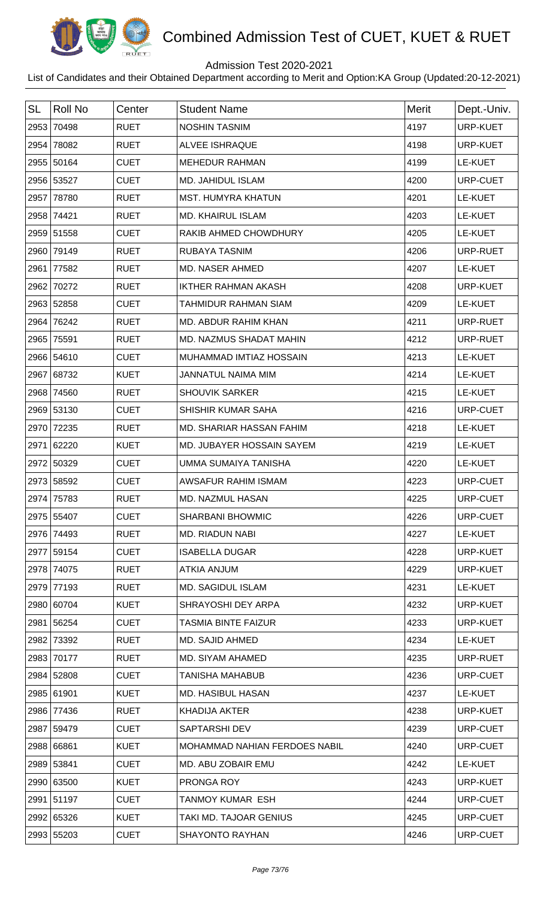

## Admission Test 2020-2021

| <b>SL</b> | Roll No    | Center      | <b>Student Name</b>           | <b>Merit</b> | Dept.-Univ.     |
|-----------|------------|-------------|-------------------------------|--------------|-----------------|
|           | 2953 70498 | <b>RUET</b> | <b>NOSHIN TASNIM</b>          | 4197         | <b>URP-KUET</b> |
|           | 2954 78082 | <b>RUET</b> | <b>ALVEE ISHRAQUE</b>         | 4198         | URP-KUET        |
|           | 2955 50164 | <b>CUET</b> | <b>MEHEDUR RAHMAN</b>         | 4199         | LE-KUET         |
|           | 2956 53527 | <b>CUET</b> | MD. JAHIDUL ISLAM             | 4200         | URP-CUET        |
|           | 2957 78780 | <b>RUET</b> | <b>MST. HUMYRA KHATUN</b>     | 4201         | LE-KUET         |
|           | 2958 74421 | <b>RUET</b> | <b>MD. KHAIRUL ISLAM</b>      | 4203         | LE-KUET         |
|           | 2959 51558 | <b>CUET</b> | RAKIB AHMED CHOWDHURY         | 4205         | LE-KUET         |
|           | 2960 79149 | <b>RUET</b> | RUBAYA TASNIM                 | 4206         | URP-RUET        |
|           | 2961 77582 | <b>RUET</b> | <b>MD. NASER AHMED</b>        | 4207         | <b>LE-KUET</b>  |
|           | 2962 70272 | <b>RUET</b> | <b>IKTHER RAHMAN AKASH</b>    | 4208         | URP-KUET        |
|           | 2963 52858 | <b>CUET</b> | <b>TAHMIDUR RAHMAN SIAM</b>   | 4209         | LE-KUET         |
|           | 2964 76242 | <b>RUET</b> | MD. ABDUR RAHIM KHAN          | 4211         | URP-RUET        |
|           | 2965 75591 | <b>RUET</b> | MD. NAZMUS SHADAT MAHIN       | 4212         | URP-RUET        |
|           | 2966 54610 | <b>CUET</b> | MUHAMMAD IMTIAZ HOSSAIN       | 4213         | <b>LE-KUET</b>  |
|           | 2967 68732 | <b>KUET</b> | <b>JANNATUL NAIMA MIM</b>     | 4214         | LE-KUET         |
|           | 2968 74560 | <b>RUET</b> | <b>SHOUVIK SARKER</b>         | 4215         | LE-KUET         |
|           | 2969 53130 | <b>CUET</b> | SHISHIR KUMAR SAHA            | 4216         | URP-CUET        |
|           | 2970 72235 | <b>RUET</b> | MD. SHARIAR HASSAN FAHIM      | 4218         | LE-KUET         |
|           | 2971 62220 | <b>KUET</b> | MD. JUBAYER HOSSAIN SAYEM     | 4219         | LE-KUET         |
|           | 2972 50329 | <b>CUET</b> | UMMA SUMAIYA TANISHA          | 4220         | LE-KUET         |
|           | 2973 58592 | <b>CUET</b> | AWSAFUR RAHIM ISMAM           | 4223         | URP-CUET        |
|           | 2974 75783 | <b>RUET</b> | MD. NAZMUL HASAN              | 4225         | URP-CUET        |
|           | 2975 55407 | <b>CUET</b> | <b>SHARBANI BHOWMIC</b>       | 4226         | URP-CUET        |
|           | 2976 74493 | <b>RUET</b> | MD. RIADUN NABI               | 4227         | LE-KUET         |
|           | 2977 59154 | <b>CUET</b> | <b>ISABELLA DUGAR</b>         | 4228         | URP-KUET        |
|           | 2978 74075 | <b>RUET</b> | ATKIA ANJUM                   | 4229         | URP-KUET        |
|           | 2979 77193 | <b>RUET</b> | MD. SAGIDUL ISLAM             | 4231         | LE-KUET         |
|           | 2980 60704 | <b>KUET</b> | SHRAYOSHI DEY ARPA            | 4232         | URP-KUET        |
|           | 2981 56254 | <b>CUET</b> | <b>TASMIA BINTE FAIZUR</b>    | 4233         | URP-KUET        |
|           | 2982 73392 | <b>RUET</b> | <b>MD. SAJID AHMED</b>        | 4234         | LE-KUET         |
|           | 2983 70177 | <b>RUET</b> | MD. SIYAM AHAMED              | 4235         | URP-RUET        |
|           | 2984 52808 | <b>CUET</b> | <b>TANISHA MAHABUB</b>        | 4236         | URP-CUET        |
|           | 2985 61901 | <b>KUET</b> | <b>MD. HASIBUL HASAN</b>      | 4237         | LE-KUET         |
|           | 2986 77436 | <b>RUET</b> | <b>KHADIJA AKTER</b>          | 4238         | URP-KUET        |
|           | 2987 59479 | <b>CUET</b> | SAPTARSHI DEV                 | 4239         | URP-CUET        |
|           | 2988 66861 | <b>KUET</b> | MOHAMMAD NAHIAN FERDOES NABIL | 4240         | URP-CUET        |
|           | 2989 53841 | <b>CUET</b> | MD. ABU ZOBAIR EMU            | 4242         | LE-KUET         |
|           | 2990 63500 | <b>KUET</b> | PRONGA ROY                    | 4243         | URP-KUET        |
|           | 2991 51197 | <b>CUET</b> | <b>TANMOY KUMAR ESH</b>       | 4244         | URP-CUET        |
|           | 2992 65326 | <b>KUET</b> | TAKI MD. TAJOAR GENIUS        | 4245         | URP-CUET        |
|           | 2993 55203 | <b>CUET</b> | <b>SHAYONTO RAYHAN</b>        | 4246         | URP-CUET        |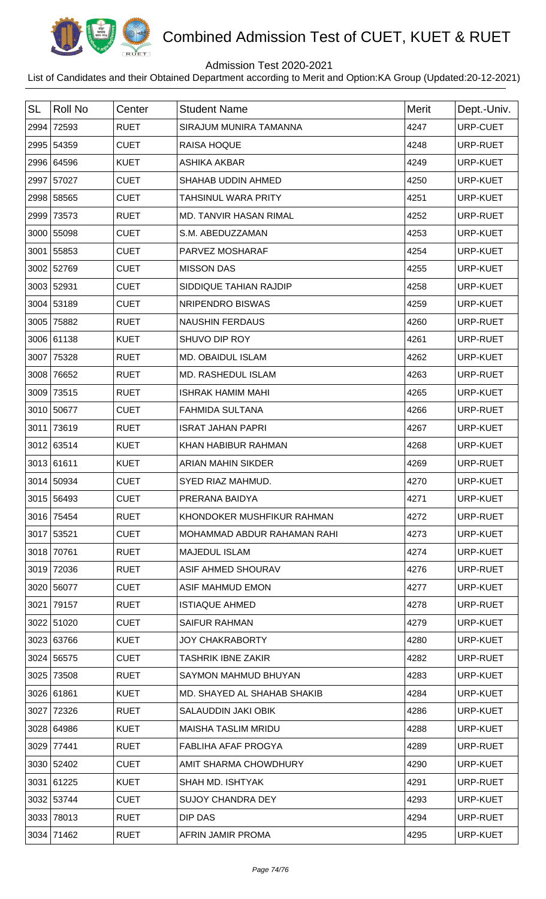

## Admission Test 2020-2021

| <b>SL</b> | <b>Roll No</b> | Center      | <b>Student Name</b>           | <b>Merit</b> | Dept.-Univ.     |
|-----------|----------------|-------------|-------------------------------|--------------|-----------------|
| 2994      | 72593          | <b>RUET</b> | SIRAJUM MUNIRA TAMANNA        | 4247         | URP-CUET        |
|           | 2995 54359     | <b>CUET</b> | <b>RAISA HOQUE</b>            | 4248         | URP-RUET        |
|           | 2996 64596     | <b>KUET</b> | <b>ASHIKA AKBAR</b>           | 4249         | URP-KUET        |
|           | 2997 57027     | <b>CUET</b> | SHAHAB UDDIN AHMED            | 4250         | URP-KUET        |
|           | 2998 58565     | <b>CUET</b> | <b>TAHSINUL WARA PRITY</b>    | 4251         | <b>URP-KUET</b> |
| 2999      | 73573          | <b>RUET</b> | <b>MD. TANVIR HASAN RIMAL</b> | 4252         | URP-RUET        |
|           | 3000 55098     | <b>CUET</b> | S.M. ABEDUZZAMAN              | 4253         | URP-KUET        |
|           | 3001 55853     | <b>CUET</b> | PARVEZ MOSHARAF               | 4254         | URP-KUET        |
|           | 3002 52769     | <b>CUET</b> | <b>MISSON DAS</b>             | 4255         | URP-KUET        |
|           | 3003 52931     | <b>CUET</b> | SIDDIQUE TAHIAN RAJDIP        | 4258         | URP-KUET        |
|           | 3004 53189     | <b>CUET</b> | NRIPENDRO BISWAS              | 4259         | URP-KUET        |
|           | 3005 75882     | <b>RUET</b> | <b>NAUSHIN FERDAUS</b>        | 4260         | URP-RUET        |
|           | 3006 61138     | <b>KUET</b> | SHUVO DIP ROY                 | 4261         | URP-RUET        |
|           | 3007 75328     | <b>RUET</b> | MD. OBAIDUL ISLAM             | 4262         | URP-KUET        |
| 3008      | 76652          | <b>RUET</b> | MD. RASHEDUL ISLAM            | 4263         | URP-RUET        |
|           | 3009 73515     | <b>RUET</b> | <b>ISHRAK HAMIM MAHI</b>      | 4265         | URP-KUET        |
|           | 3010 50677     | <b>CUET</b> | <b>FAHMIDA SULTANA</b>        | 4266         | URP-RUET        |
| 3011      | 73619          | <b>RUET</b> | <b>ISRAT JAHAN PAPRI</b>      | 4267         | URP-KUET        |
|           | 3012 63514     | <b>KUET</b> | KHAN HABIBUR RAHMAN           | 4268         | URP-KUET        |
|           | 3013 61611     | <b>KUET</b> | ARIAN MAHIN SIKDER            | 4269         | URP-RUET        |
|           | 3014 50934     | <b>CUET</b> | SYED RIAZ MAHMUD.             | 4270         | URP-KUET        |
|           | 3015 56493     | <b>CUET</b> | PRERANA BAIDYA                | 4271         | URP-KUET        |
|           | 3016 75454     | <b>RUET</b> | KHONDOKER MUSHFIKUR RAHMAN    | 4272         | URP-RUET        |
|           | 3017 53521     | <b>CUET</b> | MOHAMMAD ABDUR RAHAMAN RAHI   | 4273         | URP-KUET        |
|           | 3018 70761     | <b>RUET</b> | <b>MAJEDUL ISLAM</b>          | 4274         | URP-KUET        |
|           | 3019 72036     | <b>RUET</b> | ASIF AHMED SHOURAV            | 4276         | URP-RUET        |
|           | 3020 56077     | <b>CUET</b> | ASIF MAHMUD EMON              | 4277         | URP-KUET        |
|           | 3021 79157     | <b>RUET</b> | <b>ISTIAQUE AHMED</b>         | 4278         | URP-RUET        |
|           | 3022 51020     | <b>CUET</b> | <b>SAIFUR RAHMAN</b>          | 4279         | URP-KUET        |
|           | 3023 63766     | <b>KUET</b> | <b>JOY CHAKRABORTY</b>        | 4280         | URP-KUET        |
|           | 3024 56575     | <b>CUET</b> | <b>TASHRIK IBNE ZAKIR</b>     | 4282         | URP-RUET        |
|           | 3025 73508     | <b>RUET</b> | SAYMON MAHMUD BHUYAN          | 4283         | URP-KUET        |
|           | 3026 61861     | <b>KUET</b> | MD. SHAYED AL SHAHAB SHAKIB   | 4284         | URP-KUET        |
|           | 3027 72326     | <b>RUET</b> | SALAUDDIN JAKI OBIK           | 4286         | URP-KUET        |
|           | 3028 64986     | <b>KUET</b> | <b>MAISHA TASLIM MRIDU</b>    | 4288         | URP-KUET        |
| 3029      | 77441          | <b>RUET</b> | <b>FABLIHA AFAF PROGYA</b>    | 4289         | URP-RUET        |
|           | 3030 52402     | <b>CUET</b> | AMIT SHARMA CHOWDHURY         | 4290         | URP-KUET        |
|           | 3031 61225     | <b>KUET</b> | SHAH MD. ISHTYAK              | 4291         | URP-RUET        |
|           | 3032 53744     | <b>CUET</b> | <b>SUJOY CHANDRA DEY</b>      | 4293         | URP-KUET        |
| 3033      | 78013          | <b>RUET</b> | DIP DAS                       | 4294         | URP-RUET        |
|           | 3034 71462     | <b>RUET</b> | AFRIN JAMIR PROMA             | 4295         | URP-KUET        |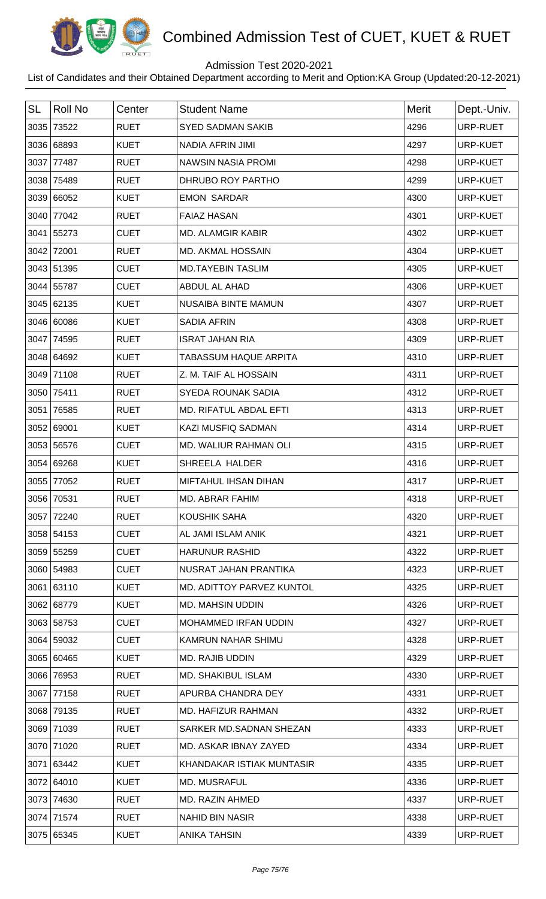

## Admission Test 2020-2021

| <b>SL</b> | <b>Roll No</b> | Center      | <b>Student Name</b>          | Merit | Dept.-Univ. |
|-----------|----------------|-------------|------------------------------|-------|-------------|
|           | 3035 73522     | <b>RUET</b> | <b>SYED SADMAN SAKIB</b>     | 4296  | URP-RUET    |
|           | 3036 68893     | <b>KUET</b> | NADIA AFRIN JIMI             | 4297  | URP-KUET    |
| 3037      | 77487          | <b>RUET</b> | <b>NAWSIN NASIA PROMI</b>    | 4298  | URP-KUET    |
|           | 3038 75489     | <b>RUET</b> | DHRUBO ROY PARTHO            | 4299  | URP-KUET    |
|           | 3039 66052     | <b>KUET</b> | <b>EMON SARDAR</b>           | 4300  | URP-KUET    |
|           | 3040 77042     | <b>RUET</b> | <b>FAIAZ HASAN</b>           | 4301  | URP-KUET    |
|           | 3041 55273     | <b>CUET</b> | <b>MD. ALAMGIR KABIR</b>     | 4302  | URP-KUET    |
|           | 3042 72001     | <b>RUET</b> | <b>MD. AKMAL HOSSAIN</b>     | 4304  | URP-KUET    |
|           | 3043 51395     | <b>CUET</b> | <b>MD.TAYEBIN TASLIM</b>     | 4305  | URP-KUET    |
|           | 3044 55787     | <b>CUET</b> | ABDUL AL AHAD                | 4306  | URP-KUET    |
|           | 3045 62135     | <b>KUET</b> | <b>NUSAIBA BINTE MAMUN</b>   | 4307  | URP-RUET    |
|           | 3046 60086     | <b>KUET</b> | <b>SADIA AFRIN</b>           | 4308  | URP-RUET    |
|           | 3047 74595     | <b>RUET</b> | <b>ISRAT JAHAN RIA</b>       | 4309  | URP-RUET    |
|           | 3048 64692     | <b>KUET</b> | <b>TABASSUM HAQUE ARPITA</b> | 4310  | URP-RUET    |
|           | 3049 71108     | <b>RUET</b> | Z. M. TAIF AL HOSSAIN        | 4311  | URP-RUET    |
| 3050      | 75411          | <b>RUET</b> | <b>SYEDA ROUNAK SADIA</b>    | 4312  | URP-RUET    |
|           | 3051 76585     | <b>RUET</b> | MD. RIFATUL ABDAL EFTI       | 4313  | URP-RUET    |
|           | 3052 69001     | <b>KUET</b> | <b>KAZI MUSFIQ SADMAN</b>    | 4314  | URP-RUET    |
|           | 3053 56576     | <b>CUET</b> | MD. WALIUR RAHMAN OLI        | 4315  | URP-RUET    |
|           | 3054 69268     | <b>KUET</b> | SHREELA HALDER               | 4316  | URP-RUET    |
| 3055      | 77052          | <b>RUET</b> | <b>MIFTAHUL IHSAN DIHAN</b>  | 4317  | URP-RUET    |
|           | 3056 70531     | <b>RUET</b> | <b>MD. ABRAR FAHIM</b>       | 4318  | URP-RUET    |
|           | 3057 72240     | <b>RUET</b> | KOUSHIK SAHA                 | 4320  | URP-RUET    |
|           | 3058 54153     | <b>CUET</b> | AL JAMI ISLAM ANIK           | 4321  | URP-RUET    |
|           | 3059 55259     | <b>CUET</b> | <b>HARUNUR RASHID</b>        | 4322  | URP-RUET    |
|           | 3060 54983     | <b>CUET</b> | NUSRAT JAHAN PRANTIKA        | 4323  | URP-RUET    |
|           | 3061 63110     | <b>KUET</b> | MD. ADITTOY PARVEZ KUNTOL    | 4325  | URP-RUET    |
|           | 3062 68779     | <b>KUET</b> | <b>MD. MAHSIN UDDIN</b>      | 4326  | URP-RUET    |
|           | 3063 58753     | <b>CUET</b> | MOHAMMED IRFAN UDDIN         | 4327  | URP-RUET    |
|           | 3064 59032     | <b>CUET</b> | KAMRUN NAHAR SHIMU           | 4328  | URP-RUET    |
|           | 3065 60465     | <b>KUET</b> | <b>MD. RAJIB UDDIN</b>       | 4329  | URP-RUET    |
|           | 3066 76953     | <b>RUET</b> | MD. SHAKIBUL ISLAM           | 4330  | URP-RUET    |
|           | 3067 77158     | <b>RUET</b> | APURBA CHANDRA DEY           | 4331  | URP-RUET    |
|           | 3068 79135     | <b>RUET</b> | MD. HAFIZUR RAHMAN           | 4332  | URP-RUET    |
|           | 3069 71039     | <b>RUET</b> | SARKER MD.SADNAN SHEZAN      | 4333  | URP-RUET    |
|           | 3070 71020     | <b>RUET</b> | MD. ASKAR IBNAY ZAYED        | 4334  | URP-RUET    |
|           | 3071 63442     | <b>KUET</b> | KHANDAKAR ISTIAK MUNTASIR    | 4335  | URP-RUET    |
|           | 3072 64010     | <b>KUET</b> | MD. MUSRAFUL                 | 4336  | URP-RUET    |
|           | 3073 74630     | <b>RUET</b> | MD. RAZIN AHMED              | 4337  | URP-RUET    |
|           | 3074 71574     | <b>RUET</b> | <b>NAHID BIN NASIR</b>       | 4338  | URP-RUET    |
|           | 3075 65345     | <b>KUET</b> | <b>ANIKA TAHSIN</b>          | 4339  | URP-RUET    |